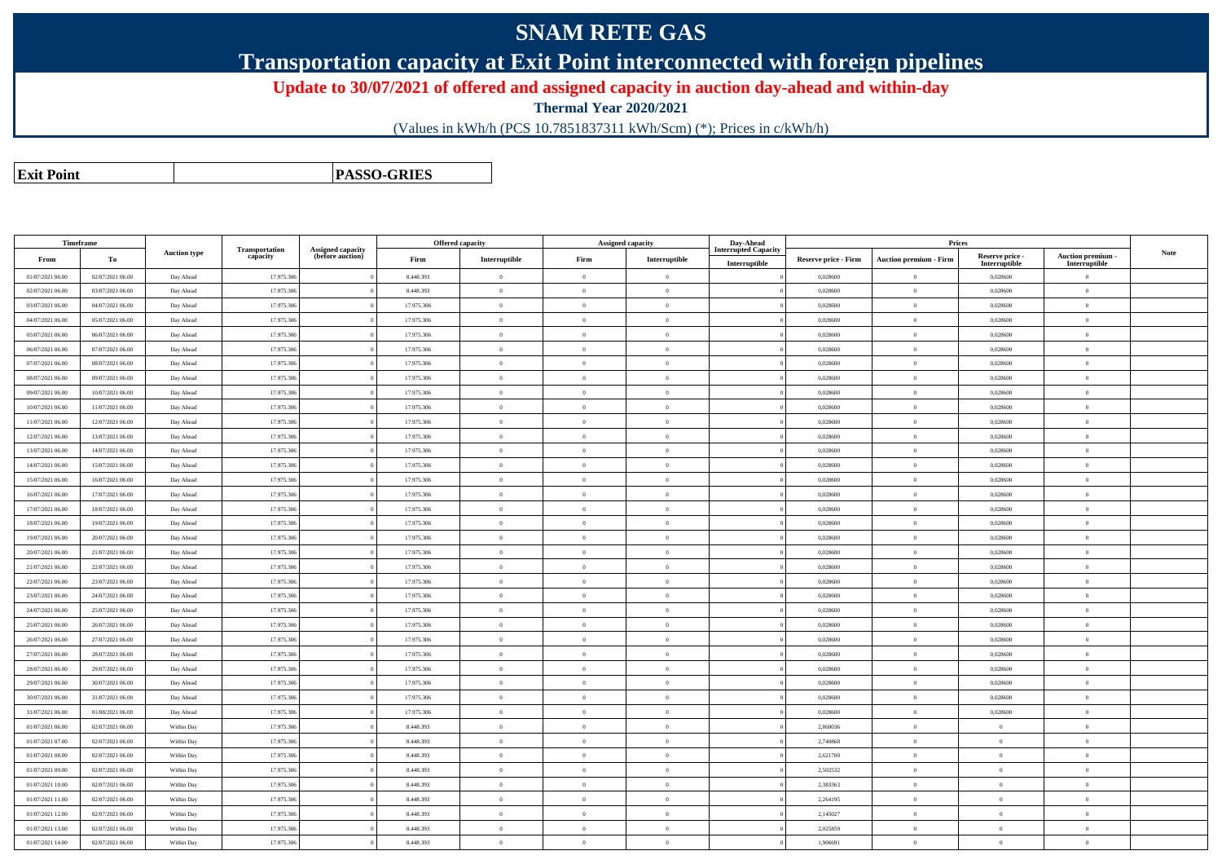## **SNAM RETE GAS**

**Transportation capacity at Exit Point interconnected with foreign pipelines**

**Update to 30/07/2021 of offered and assigned capacity in auction day-ahead and within-day**

**Thermal Year 2020/2021**

(Values in kWh/h (PCS 10.7851837311 kWh/Scm) (\*); Prices in c/kWh/h)

**Exit PointPASSO-GRIES**

|                  | Timeframe        |                     |                            |                                       |            | <b>Offered capacity</b> |                | <b>Assigned capacity</b> | Day-Ahead                   |                             | Prices                        |                 |                   |             |
|------------------|------------------|---------------------|----------------------------|---------------------------------------|------------|-------------------------|----------------|--------------------------|-----------------------------|-----------------------------|-------------------------------|-----------------|-------------------|-------------|
|                  |                  | <b>Auction type</b> | Transportation<br>capacity | Assigned capacity<br>(before auction) |            |                         |                |                          | <b>Interrupted Capacity</b> |                             |                               | Reserve price - | Auction premium - | <b>Note</b> |
| From             | To               |                     |                            |                                       | Firm       | Interruptible           | Firm           | Interruptible            | Interruptible               | <b>Reserve price - Firm</b> | <b>Auction premium - Firm</b> | Interruptible   | Interruptible     |             |
| 01/07/2021 06:00 | 02/07/2021 06:00 | Day Ahead           | 17.975.306                 |                                       | 8.448.393  | $\overline{0}$          | $\overline{0}$ | $\overline{0}$           |                             | 0,028600                    | $\overline{0}$                | 0,028600        | $\overline{0}$    |             |
| 02/07/2021 06:00 | 03/07/2021 06:00 | Day Ahead           | 17.975.306                 |                                       | 8.448.393  | $\overline{0}$          | $\overline{0}$ | $\overline{0}$           |                             | 0,028600                    | $\overline{0}$                | 0,028600        | $\overline{0}$    |             |
| 03/07/2021 06:00 | 04/07/2021 06:00 | Day Ahead           | 17.975.306                 |                                       | 17.975.306 | $\overline{0}$          | $\overline{0}$ | $\overline{0}$           |                             | 0,028600                    | $\overline{0}$                | 0,028600        | $\overline{0}$    |             |
| 04/07/2021 06:00 | 05/07/2021 06:00 | Day Ahead           | 17.975.306                 |                                       | 17.975.306 | $\overline{0}$          | $\overline{0}$ | $\overline{0}$           |                             | 0,028600                    | $\theta$                      | 0,028600        | $\Omega$          |             |
| 05/07/2021 06:00 | 06/07/2021 06:00 | Day Ahead           | 17.975.306                 |                                       | 17.975.306 | $\overline{0}$          | $\overline{0}$ | $\overline{0}$           |                             | 0,028600                    | $\theta$                      | 0,028600        | $\overline{0}$    |             |
| 06/07/2021 06:00 | 07/07/2021 06:00 | Day Ahead           | 17.975.306                 |                                       | 17.975.306 | $\overline{0}$          | $\overline{0}$ | $\overline{0}$           |                             | 0,028600                    | $\overline{0}$                | 0,028600        | $\overline{0}$    |             |
| 07/07/2021 06:00 | 08/07/2021 06:00 | Day Ahead           | 17.975.306                 |                                       | 17.975.306 | $\theta$                | $\Omega$       | $\overline{0}$           |                             | 0,028600                    | $\theta$                      | 0,028600        | $\Omega$          |             |
| 08/07/2021 06:00 | 09/07/2021 06:00 | Day Ahead           | 17.975.306                 |                                       | 17.975.306 | $\bf{0}$                | $\overline{0}$ | $\theta$                 |                             | 0,028600                    | $\theta$                      | 0,028600        | $\theta$          |             |
| 09/07/2021 06:00 | 10/07/2021 06:00 | Day Ahead           | 17.975.306                 |                                       | 17.975.306 | $\overline{0}$          | $\overline{0}$ | $\overline{0}$           |                             | 0,028600                    | $\overline{0}$                | 0,028600        | $\overline{0}$    |             |
| 10/07/2021 06:00 | 11/07/2021 06:00 | Day Ahead           | 17.975.306                 |                                       | 17.975.306 | $\bf{0}$                | $\,$ 0 $\,$    | $\overline{0}$           |                             | 0,028600                    | $\overline{0}$                | 0,028600        | $\overline{0}$    |             |
| 11/07/2021 06:00 | 12/07/2021 06:00 | Day Ahead           | 17.975.306                 |                                       | 17.975.306 | $\theta$                | $\Omega$       | $\overline{0}$           |                             | 0,028600                    | $\theta$                      | 0,028600        | $\Omega$          |             |
| 12/07/2021 06:00 | 13/07/2021 06:00 | Day Ahead           | 17.975.306                 |                                       | 17.975.306 | $\theta$                | $\theta$       | $\Omega$                 |                             | 0,028600                    | $\theta$                      | 0,028600        | $\overline{0}$    |             |
| 13/07/2021 06:00 | 14/07/2021 06:00 | Day Ahead           | 17.975.306                 |                                       | 17.975.306 | $\,$ 0 $\,$             | $\overline{0}$ | $\overline{0}$           |                             | 0,028600                    | $\overline{0}$                | 0,028600        | $\overline{0}$    |             |
| 14/07/2021 06:00 | 15/07/2021 06:00 | Day Ahead           | 17.975.306                 |                                       | 17.975.306 | $\bf{0}$                | $\overline{0}$ | $\overline{0}$           |                             | 0,028600                    | $\theta$                      | 0,028600        | $\overline{0}$    |             |
| 15/07/2021 06:00 | 16/07/2021 06:00 | Day Ahead           | 17.975.306                 |                                       | 17.975.306 | $\bf{0}$                | $\Omega$       | $\overline{0}$           |                             | 0,028600                    | $\theta$                      | 0,028600        | $\Omega$          |             |
| 16/07/2021 06:00 | 17/07/2021 06:00 | Day Ahead           | 17.975.306                 |                                       | 17.975.306 | $\bf{0}$                | $\overline{0}$ | $\overline{0}$           |                             | 0,028600                    | $\overline{0}$                | 0,028600        | $\overline{0}$    |             |
| 17/07/2021 06:00 | 18/07/2021 06:00 | Day Ahead           | 17.975.306                 |                                       | 17.975.306 | $\,$ 0 $\,$             | $\overline{0}$ | $\overline{0}$           |                             | 0,028600                    | $\overline{0}$                | 0,028600        | $\overline{0}$    |             |
| 18/07/2021 06:00 | 19/07/2021 06:00 | Day Ahead           | 17.975.306                 |                                       | 17.975.306 | $\bf{0}$                | $\overline{0}$ | $\overline{0}$           |                             | 0,028600                    | $\theta$                      | 0,028600        | $\overline{0}$    |             |
| 19/07/2021 06:00 | 20/07/2021 06:00 | Day Ahead           | 17.975.306                 |                                       | 17.975.306 | $\overline{0}$          | $\overline{0}$ | $\overline{0}$           |                             | 0,028600                    | $\overline{0}$                | 0,028600        | $\overline{0}$    |             |
| 20/07/2021 06:00 | 21/07/2021 06:00 | Day Ahead           | 17.975.306                 |                                       | 17.975.306 | $\overline{0}$          | $\overline{0}$ | $\overline{0}$           |                             | 0,028600                    | $\overline{0}$                | 0,028600        | $\overline{0}$    |             |
| 21/07/2021 06:00 | 22/07/2021 06:00 | Day Ahead           | 17.975.306                 |                                       | 17.975.306 | $\overline{0}$          | $\overline{0}$ | $\overline{0}$           |                             | 0,028600                    | $\overline{0}$                | 0,028600        | $\overline{0}$    |             |
| 22/07/2021 06:00 | 23/07/2021 06:00 | Day Ahead           | 17.975.306                 |                                       | 17.975.306 | $\overline{0}$          | $\overline{0}$ | $\overline{0}$           |                             | 0,028600                    | $\theta$                      | 0,028600        | $\overline{0}$    |             |
| 23/07/2021 06:00 | 24/07/2021 06:00 | Day Ahead           | 17.975.306                 |                                       | 17.975.306 | $\overline{0}$          | $\overline{0}$ | $\overline{0}$           |                             | 0,028600                    | $\overline{0}$                | 0,028600        | $\overline{0}$    |             |
| 24/07/2021 06:00 | 25/07/2021 06:00 | Day Ahead           | 17.975.306                 |                                       | 17.975.306 | $\,$ 0 $\,$             | $\overline{0}$ | $\overline{0}$           |                             | 0,028600                    | $\overline{0}$                | 0,028600        | $\overline{0}$    |             |
| 25/07/2021 06:00 | 26/07/2021 06:00 | Day Ahead           | 17.975.306                 |                                       | 17.975.306 | $\bf{0}$                | $\overline{0}$ | $\overline{0}$           |                             | 0,028600                    | $\bf{0}$                      | 0,028600        | $\overline{0}$    |             |
| 26/07/2021 06:00 | 27/07/2021 06:00 | Day Ahead           | 17.975.306                 |                                       | 17.975.306 | $\overline{0}$          | $\overline{0}$ | $\overline{0}$           |                             | 0,028600                    | $\overline{0}$                | 0,028600        | $\overline{0}$    |             |
| 27/07/2021 06:00 | 28/07/2021 06:00 | Day Ahead           | 17.975.306                 |                                       | 17.975.306 | $\overline{0}$          | $\overline{0}$ | $\overline{0}$           |                             | 0,028600                    | $\overline{0}$                | 0,028600        | $\overline{0}$    |             |
| 28/07/2021 06:00 | 29/07/2021 06:00 | Day Ahead           | 17.975.306                 |                                       | 17.975.306 | $\overline{0}$          | $\overline{0}$ | $\theta$                 |                             | 0,028600                    | $\theta$                      | 0,028600        | $\overline{0}$    |             |
| 29/07/2021 06:00 | 30/07/2021 06:00 | Day Ahead           | 17.975.306                 |                                       | 17.975.306 | $\overline{0}$          | $\overline{0}$ | $\overline{0}$           |                             | 0,028600                    | $\overline{0}$                | 0,028600        | $\overline{0}$    |             |
| 30/07/2021 06:00 | 31/07/2021 06:00 | Day Ahead           | 17.975.306                 |                                       | 17.975.306 | $\overline{0}$          | $\overline{0}$ | $\overline{0}$           |                             | 0,028600                    | $\theta$                      | 0,028600        | $\overline{0}$    |             |
| 31/07/2021 06:00 | 01/08/2021 06:00 | Day Ahead           | 17.975.306                 |                                       | 17.975.306 | $\theta$                | $\overline{0}$ | $\overline{0}$           |                             | 0,028600                    | $\overline{0}$                | 0.028600        | $\overline{0}$    |             |
| 01/07/2021 06:00 | 02/07/2021 06:00 | Within Day          | 17.975.306                 |                                       | 8.448.393  | $\theta$                | $\Omega$       | $\theta$                 |                             | 2,860036                    | $\theta$                      | $\theta$        | $\overline{0}$    |             |
| 01/07/2021 07:00 | 02/07/2021 06:00 | Within Day          | 17.975.306                 |                                       | 8.448.393  | $\overline{0}$          | $\overline{0}$ | $\overline{0}$           |                             | 2,740868                    | $\overline{0}$                | $\mathbf{0}$    | $\overline{0}$    |             |
| 01/07/2021 08:00 | 02/07/2021 06:00 | Within Day          | 17.975.306                 |                                       | 8.448.393  | $\overline{0}$          | $\overline{0}$ | $\theta$                 |                             | 2,621700                    | $\overline{0}$                | $\overline{0}$  | $\overline{0}$    |             |
| 01/07/2021 09:00 | 02/07/2021 06:00 | Within Day          | 17.975.306                 |                                       | 8.448.393  | $\theta$                | $\overline{0}$ | $\overline{0}$           |                             | 2,502532                    | $\overline{0}$                | $\overline{0}$  | $\overline{0}$    |             |
| 01/07/2021 10:00 | 02/07/2021 06:00 | Within Day          | 17.975.306                 |                                       | 8.448.393  | $\overline{0}$          | $\overline{0}$ | $\theta$                 |                             | 2,383363                    | $\theta$                      | $\overline{0}$  | $\overline{0}$    |             |
| 01/07/2021 11:00 | 02/07/2021 06:00 | Within Day          | 17.975.306                 |                                       | 8.448.393  | $\overline{0}$          | $\overline{0}$ | $\overline{0}$           |                             | 2,264195                    | $\overline{0}$                | $\overline{0}$  | $\overline{0}$    |             |
| 01/07/2021 12:00 | 02/07/2021 06:00 | Within Day          | 17.975.306                 |                                       | 8.448.393  | $\,$ 0                  | $\overline{0}$ | $\overline{0}$           |                             | 2,145027                    | $\theta$                      | $\overline{0}$  | $\overline{0}$    |             |
| 01/07/2021 13:00 | 02/07/2021 06:00 | Within Day          | 17.975.306                 |                                       | 8.448.393  | $\Omega$                | $\overline{0}$ | $\overline{0}$           |                             | 2,025859                    | $\theta$                      | $\overline{0}$  | $\overline{0}$    |             |
| 01/07/2021 14:00 | 02/07/2021 06:00 | Within Day          | 17.975.306                 |                                       | 8.448.393  | $\bf{0}$                | $\overline{0}$ | $\theta$                 |                             | 1,906691                    | $\mathbf{0}$                  | $\overline{0}$  | $\overline{0}$    |             |
|                  |                  |                     |                            |                                       |            |                         |                |                          |                             |                             |                               |                 |                   |             |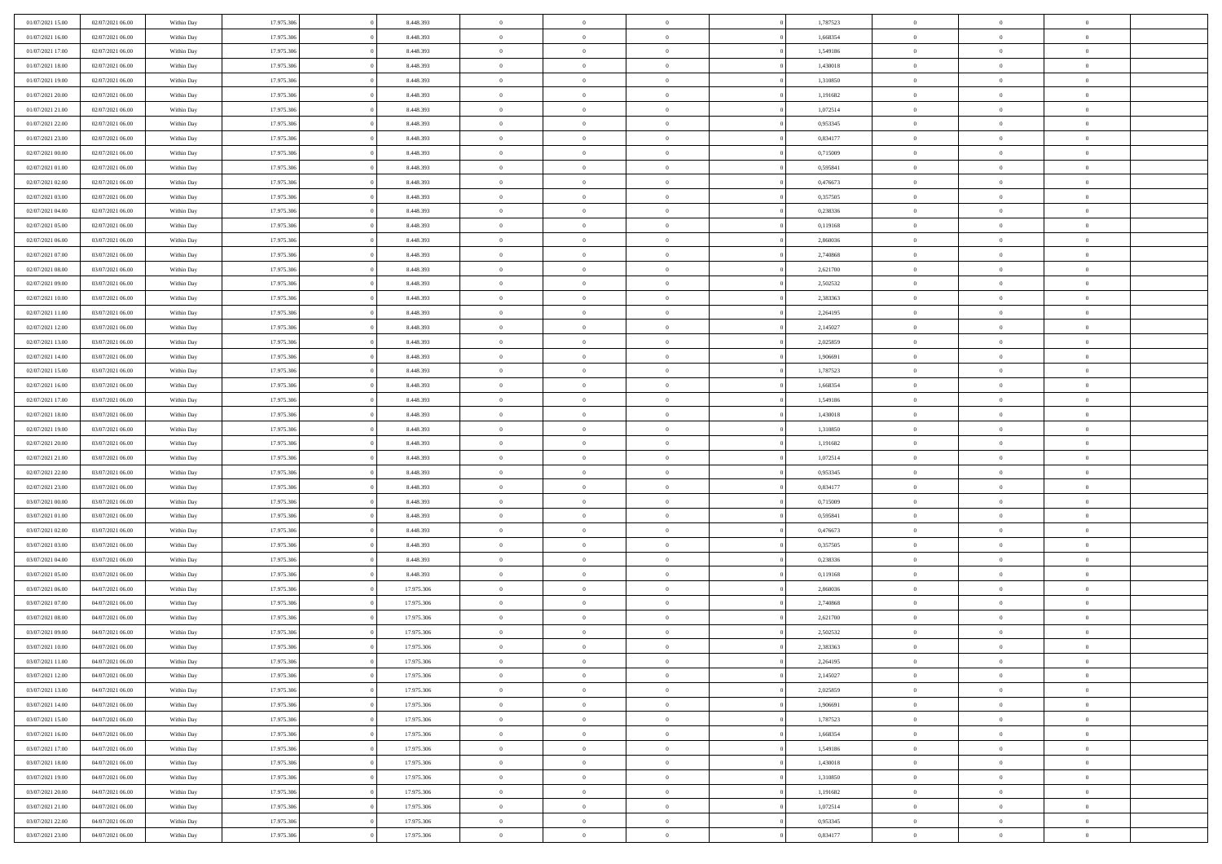| 01/07/2021 15:00                     | 02/07/2021 06:00 | Within Day               | 17.975.306 | 8.448.393  | $\,0\,$                | $\bf{0}$       | $\bf{0}$       |                | 1,787523 | $\,$ 0 $\,$    | $\overline{0}$ | $\,$ 0 $\,$    |  |
|--------------------------------------|------------------|--------------------------|------------|------------|------------------------|----------------|----------------|----------------|----------|----------------|----------------|----------------|--|
| 01/07/2021 16:00                     | 02/07/2021 06:00 | Within Day               | 17.975.306 | 8.448.393  | $\overline{0}$         | $\overline{0}$ | $\overline{0}$ |                | 1,668354 | $\theta$       | $\overline{0}$ | $\overline{0}$ |  |
| 01/07/2021 17:00                     | 02/07/2021 06:00 | Within Day               | 17.975.306 | 8.448.393  | $\mathbf{0}$           | $\overline{0}$ | $\overline{0}$ |                | 1,549186 | $\theta$       | $\overline{0}$ | $\overline{0}$ |  |
| 01/07/2021 18:00                     | 02/07/2021 06:00 | Within Day               | 17.975.306 | 8.448.393  | $\bf{0}$               | $\overline{0}$ | $\overline{0}$ |                | 1,430018 | $\bf{0}$       | $\overline{0}$ | $\bf{0}$       |  |
| 01/07/2021 19:00                     | 02/07/2021 06:00 |                          | 17.975.306 | 8.448.393  | $\bf{0}$               | $\overline{0}$ | $\overline{0}$ |                | 1,310850 | $\,$ 0 $\,$    | $\bf{0}$       | $\bf{0}$       |  |
| 01/07/2021 20:00                     | 02/07/2021 06:00 | Within Day<br>Within Day | 17.975.306 | 8.448.393  | $\overline{0}$         | $\overline{0}$ | $\overline{0}$ |                | 1,191682 | $\theta$       |                | $\overline{0}$ |  |
|                                      |                  |                          |            |            |                        |                |                |                |          |                | $\bf{0}$       |                |  |
| 01/07/2021 21:00                     | 02/07/2021 06:00 | Within Day               | 17.975.306 | 8.448.393  | $\mathbf{0}$           | $\overline{0}$ | $\overline{0}$ |                | 1,072514 | $\bf{0}$       | $\overline{0}$ | $\theta$       |  |
| 01/07/2021 22:00                     | 02/07/2021 06:00 | Within Day               | 17.975.306 | 8.448.393  | $\overline{0}$         | $\mathbf{0}$   | $\overline{0}$ |                | 0,953345 | $\,$ 0 $\,$    | $\overline{0}$ | $\overline{0}$ |  |
| 01/07/2021 23:00                     | 02/07/2021 06:00 | Within Day               | 17.975.306 | 8.448.393  | $\mathbf{0}$           | $\overline{0}$ | $\overline{0}$ |                | 0,834177 | $\theta$       | $\overline{0}$ | $\overline{0}$ |  |
| 02/07/2021 00:00                     | 02/07/2021 06:00 | Within Day               | 17.975.306 | 8.448.393  | $\bf{0}$               | $\overline{0}$ | $\overline{0}$ |                | 0,715009 | $\bf{0}$       | $\overline{0}$ | $\bf{0}$       |  |
| 02/07/2021 01:00                     | 02/07/2021 06:00 | Within Day               | 17.975.306 | 8.448.393  | $\bf{0}$               | $\overline{0}$ | $\overline{0}$ |                | 0,595841 | $\,$ 0 $\,$    | $\mathbf{0}$   | $\theta$       |  |
| 02/07/2021 02:00                     | 02/07/2021 06:00 | Within Day               | 17.975.306 | 8.448.393  | $\mathbf{0}$           | $\overline{0}$ | $\overline{0}$ |                | 0,476673 | $\theta$       | $\overline{0}$ | $\overline{0}$ |  |
| 02/07/2021 03:00                     | 02/07/2021 06:00 | Within Day               | 17.975.306 | 8.448.393  | $\bf{0}$               | $\overline{0}$ | $\overline{0}$ |                | 0,357505 | $\bf{0}$       | $\overline{0}$ | $\bf{0}$       |  |
| 02/07/2021 04:00                     | 02/07/2021 06:00 | Within Day               | 17.975.306 | 8.448.393  | $\overline{0}$         | $\mathbf{0}$   | $\overline{0}$ |                | 0,238336 | $\,$ 0 $\,$    | $\overline{0}$ | $\overline{0}$ |  |
| 02/07/2021 05:00                     | 02/07/2021 06:00 | Within Day               | 17.975.306 | 8.448.393  | $\mathbf{0}$           | $\overline{0}$ | $\overline{0}$ |                | 0,119168 | $\theta$       | $\bf{0}$       | $\overline{0}$ |  |
| 02/07/2021 06:00                     | 03/07/2021 06:00 | Within Day               | 17.975.306 | 8.448.393  | $\mathbf{0}$           | $\overline{0}$ | $\overline{0}$ |                | 2,860036 | $\bf{0}$       | $\overline{0}$ | $\bf{0}$       |  |
| 02/07/2021 07:00                     | 03/07/2021 06:00 | Within Day               | 17.975.306 | 8.448.393  | $\bf{0}$               | $\overline{0}$ | $\overline{0}$ |                | 2,740868 | $\,$ 0 $\,$    | $\mathbf{0}$   | $\overline{0}$ |  |
| 02/07/2021 08:00                     | 03/07/2021 06:00 | Within Day               | 17.975.306 | 8.448.393  | $\mathbf{0}$           | $\overline{0}$ | $\overline{0}$ |                | 2,621700 | $\theta$       | $\overline{0}$ | $\overline{0}$ |  |
| 02/07/2021 09:00                     | 03/07/2021 06:00 | Within Day               | 17.975.306 | 8.448.393  | $\bf{0}$               | $\overline{0}$ | $\bf{0}$       |                | 2,502532 | $\bf{0}$       | $\overline{0}$ | $\bf{0}$       |  |
| 02/07/2021 10:00                     | 03/07/2021 06:00 | Within Day               | 17.975.306 | 8.448.393  | $\bf{0}$               | $\overline{0}$ | $\overline{0}$ |                | 2,383363 | $\,$ 0         | $\mathbf{0}$   | $\bf{0}$       |  |
| 02/07/2021 11:00                     | 03/07/2021 06:00 | Within Day               | 17.975.306 | 8.448.393  | $\overline{0}$         | $\overline{0}$ | $\overline{0}$ |                | 2,264195 | $\theta$       | $\bf{0}$       | $\overline{0}$ |  |
| 02/07/2021 12:00                     | 03/07/2021 06:00 | Within Day               | 17.975.306 | 8.448.393  | $\mathbf{0}$           | $\theta$       | $\overline{0}$ |                | 2,145027 | $\bf{0}$       | $\overline{0}$ | $\theta$       |  |
| 02/07/2021 13:00                     | 03/07/2021 06:00 | Within Day               | 17.975.306 | 8.448.393  | $\overline{0}$         | $\mathbf{0}$   | $\overline{0}$ |                | 2,025859 | $\,$ 0 $\,$    | $\overline{0}$ | $\overline{0}$ |  |
| 02/07/2021 14:00                     | 03/07/2021 06:00 | Within Day               | 17.975.306 | 8.448.393  | $\mathbf{0}$           | $\overline{0}$ | $\overline{0}$ |                | 1,906691 | $\theta$       | $\overline{0}$ | $\overline{0}$ |  |
| 02/07/2021 15:00                     | 03/07/2021 06:00 | Within Day               | 17.975.306 | 8.448.393  | $\bf{0}$               | $\overline{0}$ | $\overline{0}$ |                | 1,787523 | $\bf{0}$       | $\overline{0}$ | $\bf{0}$       |  |
| 02/07/2021 16:00                     | 03/07/2021 06:00 | Within Day               | 17.975.306 | 8.448.393  | $\bf{0}$               | $\overline{0}$ | $\overline{0}$ |                | 1,668354 | $\bf{0}$       | $\mathbf{0}$   | $\bf{0}$       |  |
| 02/07/2021 17:00                     | 03/07/2021 06:00 | Within Day               | 17.975.306 | 8.448.393  | $\overline{0}$         | $\overline{0}$ | $\overline{0}$ |                | 1,549186 | $\theta$       | $\overline{0}$ | $\overline{0}$ |  |
| 02/07/2021 18:00                     | 03/07/2021 06:00 | Within Day               | 17.975.306 | 8.448.393  | $\,0\,$                | $\overline{0}$ | $\overline{0}$ |                | 1,430018 | $\bf{0}$       | $\overline{0}$ | $\bf{0}$       |  |
| 02/07/2021 19:00                     | 03/07/2021 06:00 | Within Day               | 17.975.306 | 8.448.393  | $\bf{0}$               | $\overline{0}$ | $\overline{0}$ |                | 1,310850 | $\,$ 0 $\,$    | $\overline{0}$ | $\overline{0}$ |  |
| 02/07/2021 20:00                     | 03/07/2021 06:00 | Within Day               | 17.975.306 | 8.448.393  | $\mathbf{0}$           | $\overline{0}$ | $\overline{0}$ |                | 1,191682 | $\theta$       | $\overline{0}$ | $\overline{0}$ |  |
| 02/07/2021 21:00                     | 03/07/2021 06:00 |                          | 17.975.306 | 8.448.393  | $\mathbf{0}$           | $\overline{0}$ | $\overline{0}$ |                | 1,072514 | $\,$ 0 $\,$    | $\overline{0}$ | $\theta$       |  |
|                                      | 03/07/2021 06:00 | Within Day               | 17.975.306 | 8.448.393  | $\bf{0}$               | $\overline{0}$ | $\overline{0}$ |                | 0,953345 | $\bf{0}$       | $\mathbf{0}$   | $\bf{0}$       |  |
| 02/07/2021 22:00<br>02/07/2021 23:00 | 03/07/2021 06:00 | Within Day               | 17.975.306 | 8.448.393  | $\mathbf{0}$           | $\overline{0}$ | $\overline{0}$ |                | 0,834177 | $\theta$       | $\overline{0}$ | $\overline{0}$ |  |
|                                      |                  | Within Day               |            |            |                        |                |                |                |          |                |                |                |  |
| 03/07/2021 00:00                     | 03/07/2021 06:00 | Within Day               | 17.975.306 | 8.448.393  | $\mathbf{0}$           | $\overline{0}$ | $\overline{0}$ |                | 0,715009 | $\,$ 0 $\,$    | $\overline{0}$ | $\theta$       |  |
| 03/07/2021 01:00                     | 03/07/2021 06:00 | Within Day               | 17.975.306 | 8.448.393  | $\overline{0}$         | $\overline{0}$ | $\overline{0}$ |                | 0,595841 | $\,$ 0 $\,$    | $\overline{0}$ | $\bf{0}$       |  |
| 03/07/2021 02:00                     | 03/07/2021 06:00 | Within Day               | 17.975.306 | 8.448.393  | $\mathbf{0}$           | $\overline{0}$ | $\overline{0}$ |                | 0,476673 | $\theta$       | $\overline{0}$ | $\overline{0}$ |  |
| 03/07/2021 03:00                     | 03/07/2021 06:00 | Within Day               | 17.975.306 | 8.448.393  | $\mathbf{0}$           | $\overline{0}$ | $\theta$       |                | 0,357505 | $\,$ 0 $\,$    | $\overline{0}$ | $\theta$       |  |
| 03/07/2021 04:00                     | 03/07/2021 06:00 | Within Day               | 17.975.306 | 8.448.393  | $\bf{0}$               | $\mathbf{0}$   | $\overline{0}$ |                | 0,238336 | $\,$ 0 $\,$    | $\mathbf{0}$   | $\overline{0}$ |  |
| 03/07/2021 05:00                     | 03/07/2021 06:00 | Within Day               | 17.975.306 | 8.448.393  | $\mathbf{0}$           | $\overline{0}$ | $\overline{0}$ |                | 0,119168 | $\theta$       | $\overline{0}$ | $\overline{0}$ |  |
| 03/07/2021 06:00                     | 04/07/2021 06:00 | Within Day               | 17.975.306 | 17.975.306 | $\,$ 0 $\,$            | $\overline{0}$ | $\bf{0}$       |                | 2,860036 | $\,$ 0 $\,$    | $\overline{0}$ | $\theta$       |  |
| 03/07/2021 07:00                     | 04/07/2021 06:00 | Within Day               | 17.975.306 | 17.975.306 | $\bf{0}$               | $\overline{0}$ | $\overline{0}$ |                | 2,740868 | $\bf{0}$       | $\overline{0}$ | $\bf{0}$       |  |
| 03/07/2021 08:00                     | 04/07/2021 06:00 | Within Day               | 17.975.306 | 17.975.306 | $\mathbf{0}$           | $\overline{0}$ | $\overline{0}$ |                | 2,621700 | $\theta$       | $\overline{0}$ | $\overline{0}$ |  |
| 03/07/2021 09:00                     | 04/07/2021 06:00 | Within Day               | 17.975.306 | 17.975.306 | $\mathbf{0}$           | $\overline{0}$ | $\overline{0}$ |                | 2,502532 | $\,$ 0 $\,$    | $\overline{0}$ | $\theta$       |  |
| 03/07/2021 10:00                     | 04/07/2021 06:00 | Within Day               | 17.975.306 | 17.975.306 | $\bf{0}$               | $\overline{0}$ | $\overline{0}$ |                | 2,383363 | $\,$ 0 $\,$    | $\overline{0}$ | $\bf{0}$       |  |
| 03/07/2021 11:00                     | 04/07/2021 06:00 | Within Day               | 17.975.306 | 17.975.306 | $\mathbf{0}$           | $\overline{0}$ | $\overline{0}$ |                | 2,264195 | $\overline{0}$ | $\theta$       | $\theta$       |  |
| 03/07/2021 12:00                     | 04/07/2021 06:00 | Within Day               | 17.975.306 | 17.975.306 | $\,$ 0 $\,$            | $\overline{0}$ | $\bf{0}$       |                | 2,145027 | $\,$ 0 $\,$    | $\overline{0}$ | $\theta$       |  |
| 03/07/2021 13:00                     | 04/07/2021 06:00 | Within Day               | 17.975.306 | 17.975.306 | $\overline{0}$         | $\overline{0}$ | $\overline{0}$ |                | 2,025859 | $\bf{0}$       | $\overline{0}$ | $\overline{0}$ |  |
| 03/07/2021 14:00                     | 04/07/2021 06:00 | Within Day               | 17.975.306 | 17.975.306 | $\mathbf{0}$           | $\overline{0}$ | $\overline{0}$ |                | 1,906691 | $\mathbf{0}$   | $\overline{0}$ | $\overline{0}$ |  |
| 03/07/2021 15:00                     | 04/07/2021 06:00 | Within Day               | 17.975.306 | 17.975.306 | $\,$ 0                 | $\overline{0}$ | $\overline{0}$ | $\overline{0}$ | 1,787523 | $\,$ 0 $\,$    | $\overline{0}$ | $\,$ 0 $\,$    |  |
| 03/07/2021 16:00                     | 04/07/2021 06:00 | Within Day               | 17.975.306 | 17.975.306 | $\hspace{0.1mm}\bm{0}$ | $\overline{0}$ | $\overline{0}$ |                | 1,668354 | $\,$ 0 $\,$    | $\overline{0}$ | $\overline{0}$ |  |
| 03/07/2021 17:00                     | 04/07/2021 06:00 | Within Day               | 17.975.306 | 17.975.306 | $\mathbf{0}$           | $\overline{0}$ | $\overline{0}$ |                | 1,549186 | $\overline{0}$ | $\overline{0}$ | $\overline{0}$ |  |
| 03/07/2021 18:00                     | 04/07/2021 06:00 | Within Day               | 17.975.306 | 17.975.306 | $\,$ 0 $\,$            | $\overline{0}$ | $\overline{0}$ |                | 1,430018 | $\,$ 0 $\,$    | $\overline{0}$ | $\,$ 0 $\,$    |  |
| 03/07/2021 19:00                     | 04/07/2021 06:00 | Within Day               | 17.975.306 | 17.975.306 | $\overline{0}$         | $\overline{0}$ | $\overline{0}$ |                | 1,310850 | $\overline{0}$ | $\overline{0}$ | $\overline{0}$ |  |
| 03/07/2021 20:00                     | 04/07/2021 06:00 | Within Day               | 17.975.306 | 17.975.306 | $\mathbf{0}$           | $\overline{0}$ | $\overline{0}$ |                | 1,191682 | $\mathbf{0}$   | $\overline{0}$ | $\overline{0}$ |  |
| 03/07/2021 21:00                     | 04/07/2021 06:00 | Within Day               | 17.975.306 | 17.975.306 | $\,$ 0 $\,$            | $\overline{0}$ | $\overline{0}$ | $\overline{0}$ | 1,072514 | $\,$ 0 $\,$    | $\overline{0}$ | $\,$ 0 $\,$    |  |
| 03/07/2021 22:00                     | 04/07/2021 06:00 | Within Day               | 17.975.306 | 17.975.306 | $\,$ 0 $\,$            | $\overline{0}$ | $\overline{0}$ |                | 0,953345 | $\,$ 0 $\,$    | $\overline{0}$ | $\bf{0}$       |  |
| 03/07/2021 23:00                     | 04/07/2021 06:00 | Within Day               | 17.975.306 | 17.975.306 | $\mathbf{0}$           | $\overline{0}$ | $\overline{0}$ |                | 0,834177 | $\mathbf{0}$   | $\overline{0}$ | $\overline{0}$ |  |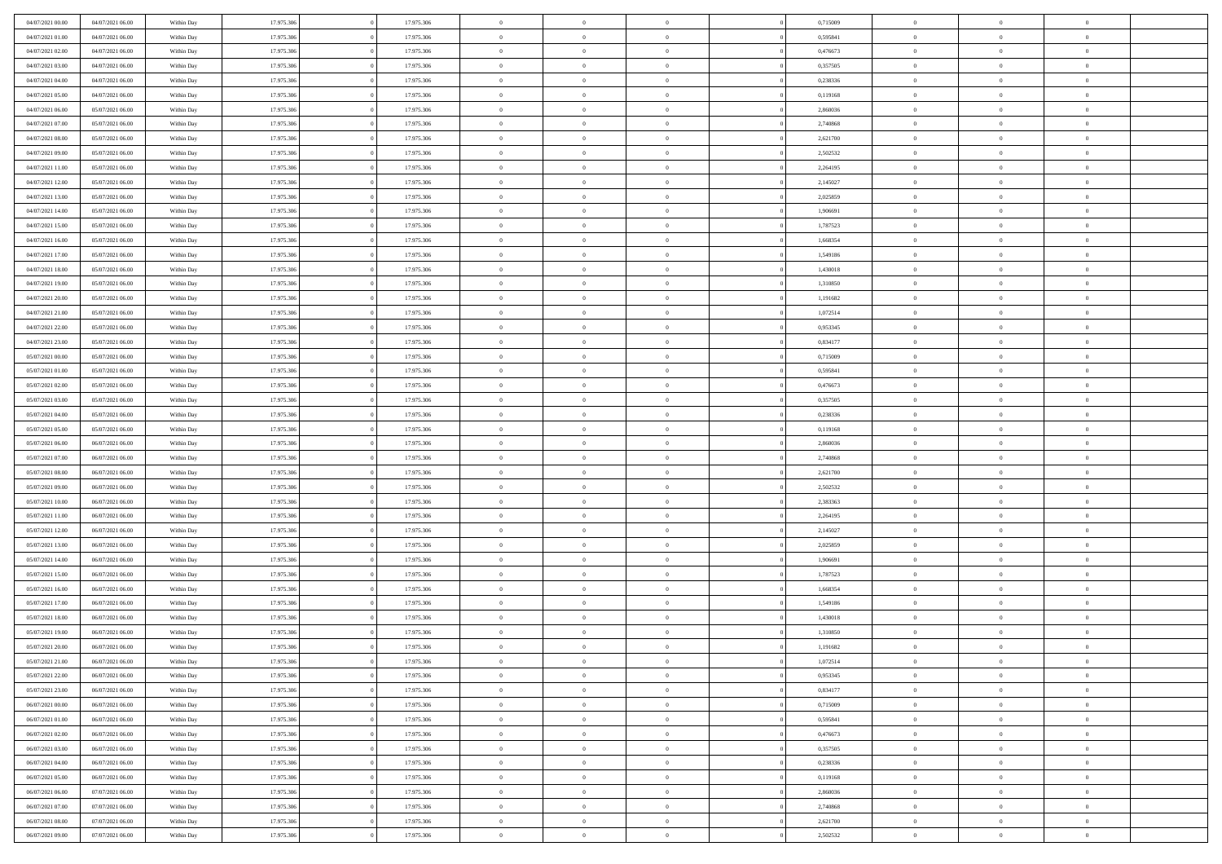| 04/07/2021 00:00 | 04/07/2021 06:00                     | Within Day | 17.975.306 | 17.975.306 | $\,$ 0         | $\bf{0}$       | $\overline{0}$ |          | 0,715009 | $\bf{0}$                 | $\overline{0}$ | $\,0\,$                    |  |
|------------------|--------------------------------------|------------|------------|------------|----------------|----------------|----------------|----------|----------|--------------------------|----------------|----------------------------|--|
| 04/07/2021 01:00 | 04/07/2021 06:00                     | Within Day | 17.975.306 | 17.975.306 | $\overline{0}$ | $\overline{0}$ | $\overline{0}$ |          | 0.595841 | $\overline{0}$           | $\overline{0}$ | $\theta$                   |  |
| 04/07/2021 02:00 | 04/07/2021 06:00                     | Within Day | 17.975.306 | 17.975.306 | $\mathbf{0}$   | $\overline{0}$ | $\overline{0}$ |          | 0,476673 | $\mathbf{0}$             | $\overline{0}$ | $\overline{0}$             |  |
| 04/07/2021 03:00 | 04/07/2021 06:00                     | Within Day | 17.975.306 | 17.975.306 | $\bf{0}$       | $\overline{0}$ | $\overline{0}$ |          | 0,357505 | $\bf{0}$                 | $\overline{0}$ | $\bf{0}$                   |  |
| 04/07/2021 04:00 | 04/07/2021 06:00                     | Within Day | 17.975.306 | 17.975.306 | $\bf{0}$       | $\bf{0}$       | $\overline{0}$ |          | 0,238336 | $\bf{0}$                 | $\mathbf{0}$   | $\theta$                   |  |
| 04/07/2021 05:00 | 04/07/2021 06:00                     | Within Dav | 17.975.306 | 17.975.306 | $\mathbf{0}$   | $\overline{0}$ | $\overline{0}$ |          | 0,119168 | $\mathbf{0}$             | $\overline{0}$ | $\overline{0}$             |  |
|                  |                                      |            |            |            |                |                |                |          |          |                          |                |                            |  |
| 04/07/2021 06:00 | 05/07/2021 06:00                     | Within Day | 17.975.306 | 17.975.306 | $\bf{0}$       | $\bf{0}$       | $\overline{0}$ |          | 2,860036 | $\bf{0}$                 | $\overline{0}$ | $\,0\,$                    |  |
| 04/07/2021 07:00 | 05/07/2021 06:00                     | Within Day | 17.975.306 | 17.975.306 | $\overline{0}$ | $\overline{0}$ | $\overline{0}$ |          | 2,740868 | $\,$ 0 $\,$              | $\overline{0}$ | $\theta$                   |  |
| 04/07/2021 08:00 | 05/07/2021 06:00                     | Within Day | 17.975.306 | 17.975.306 | $\mathbf{0}$   | $\overline{0}$ | $\overline{0}$ |          | 2,621700 | $\mathbf{0}$             | $\overline{0}$ | $\overline{0}$             |  |
| 04/07/2021 09:00 | 05/07/2021 06:00                     | Within Day | 17.975.306 | 17.975.306 | $\bf{0}$       | $\bf{0}$       | $\overline{0}$ |          | 2,502532 | $\bf{0}$                 | $\overline{0}$ | $\,0\,$                    |  |
| 04/07/2021 11:00 | 05/07/2021 06:00                     | Within Day | 17.975.306 | 17.975.306 | $\overline{0}$ | $\overline{0}$ | $\overline{0}$ |          | 2,264195 | $\bf{0}$                 | $\overline{0}$ | $\overline{0}$             |  |
| 04/07/2021 12:00 | 05/07/2021 06:00                     | Within Dav | 17.975.306 | 17.975.306 | $\mathbf{0}$   | $\overline{0}$ | $\overline{0}$ |          | 2,145027 | $\mathbf{0}$             | $\overline{0}$ | $\overline{0}$             |  |
| 04/07/2021 13:00 | 05/07/2021 06:00                     | Within Day | 17.975.306 | 17.975.306 | $\bf{0}$       | $\overline{0}$ | $\bf{0}$       |          | 2,025859 | $\bf{0}$                 | $\overline{0}$ | $\overline{0}$             |  |
| 04/07/2021 14:00 | 05/07/2021 06:00                     | Within Day | 17.975.306 | 17.975.306 | $\bf{0}$       | $\overline{0}$ | $\overline{0}$ |          | 1,906691 | $\bf{0}$                 | $\mathbf{0}$   | $\,0\,$                    |  |
| 04/07/2021 15:00 | 05/07/2021 06:00                     | Within Dav | 17.975.306 | 17.975.306 | $\overline{0}$ | $\overline{0}$ | $\overline{0}$ |          | 1,787523 | $\mathbf{0}$             | $\overline{0}$ | $\overline{0}$             |  |
| 04/07/2021 16:00 | 05/07/2021 06:00                     | Within Day | 17.975.306 | 17.975.306 | $\bf{0}$       | $\bf{0}$       | $\overline{0}$ |          | 1,668354 | $\bf{0}$                 | $\overline{0}$ | $\bf{0}$                   |  |
| 04/07/2021 17.00 | 05/07/2021 06:00                     | Within Day | 17.975.306 | 17.975.306 | $\overline{0}$ | $\overline{0}$ | $\overline{0}$ |          | 1,549186 | $\,$ 0 $\,$              | $\overline{0}$ | $\overline{0}$             |  |
| 04/07/2021 18:00 | 05/07/2021 06:00                     | Within Day | 17.975.306 | 17.975.306 | $\mathbf{0}$   | $\overline{0}$ | $\overline{0}$ |          | 1,430018 | $\mathbf{0}$             | $\overline{0}$ | $\overline{0}$             |  |
| 04/07/2021 19:00 | 05/07/2021 06:00                     | Within Day | 17.975.306 | 17.975.306 | $\,$ 0         | $\bf{0}$       | $\overline{0}$ |          | 1,310850 | $\bf{0}$                 | $\overline{0}$ | $\,0\,$                    |  |
| 04/07/2021 20:00 | 05/07/2021 06:00                     | Within Day | 17.975.306 | 17.975.306 | $\overline{0}$ | $\overline{0}$ | $\overline{0}$ |          | 1,191682 | $\bf{0}$                 | $\overline{0}$ | $\overline{0}$             |  |
| 04/07/2021 21:00 | 05/07/2021 06:00                     | Within Day | 17.975.306 | 17.975.306 | $\mathbf{0}$   | $\overline{0}$ | $\overline{0}$ |          | 1,072514 | $\mathbf{0}$             | $\overline{0}$ | $\overline{0}$             |  |
| 04/07/2021 22.00 | 05/07/2021 06:00                     | Within Day | 17.975.306 | 17.975.306 | $\bf{0}$       | $\overline{0}$ | $\overline{0}$ |          | 0,953345 | $\bf{0}$                 | $\overline{0}$ | $\bf{0}$                   |  |
| 04/07/2021 23:00 | 05/07/2021 06:00                     | Within Day | 17.975.306 | 17.975.306 | $\bf{0}$       | $\bf{0}$       | $\overline{0}$ |          | 0,834177 | $\bf{0}$                 | $\overline{0}$ | $\,0\,$                    |  |
| 05/07/2021 00:00 | 05/07/2021 06:00                     | Within Dav | 17.975.306 | 17.975.306 | $\mathbf{0}$   | $\overline{0}$ | $\overline{0}$ |          | 0,715009 | $\mathbf{0}$             | $\overline{0}$ | $\overline{0}$             |  |
| 05/07/2021 01:00 | 05/07/2021 06:00                     | Within Day | 17.975.306 | 17.975.306 | $\bf{0}$       | $\bf{0}$       | $\overline{0}$ |          | 0,595841 | $\bf{0}$                 | $\overline{0}$ | $\,0\,$                    |  |
| 05/07/2021 02:00 | 05/07/2021 06:00                     | Within Day | 17.975.306 | 17.975.306 | $\overline{0}$ | $\overline{0}$ | $\overline{0}$ |          | 0,476673 | $\bf{0}$                 | $\mathbf{0}$   | $\overline{0}$             |  |
| 05/07/2021 03:00 | 05/07/2021 06:00                     | Within Day | 17.975.306 | 17.975.306 | $\mathbf{0}$   | $\overline{0}$ | $\overline{0}$ |          | 0,357505 | $\mathbf{0}$             | $\overline{0}$ | $\overline{0}$             |  |
| 05/07/2021 04:00 | 05/07/2021 06:00                     | Within Day | 17.975.306 | 17.975.306 | $\bf{0}$       | $\bf{0}$       | $\overline{0}$ |          | 0,238336 | $\bf{0}$                 | $\overline{0}$ | $\,0\,$                    |  |
| 05/07/2021 05:00 | 05/07/2021 06:00                     | Within Day | 17.975.306 | 17.975.306 | $\bf{0}$       | $\overline{0}$ | $\overline{0}$ |          | 0,119168 | $\bf{0}$                 | $\mathbf{0}$   | $\overline{0}$             |  |
| 05/07/2021 06:00 | 06/07/2021 06:00                     | Within Dav | 17.975.306 | 17.975.306 | $\mathbf{0}$   | $\overline{0}$ | $\overline{0}$ |          | 2,860036 | $\mathbf{0}$             | $\overline{0}$ | $\overline{0}$             |  |
| 05/07/2021 07:00 | 06/07/2021 06:00                     | Within Day | 17.975.306 | 17.975.306 | $\bf{0}$       | $\overline{0}$ | $\overline{0}$ |          | 2,740868 | $\,$ 0                   | $\overline{0}$ | $\,$ 0 $\,$                |  |
| 05/07/2021 08:00 | 06/07/2021 06:00                     | Within Day | 17.975.306 | 17.975.306 | $\bf{0}$       | $\overline{0}$ | $\overline{0}$ |          | 2,621700 | $\bf{0}$                 | $\mathbf{0}$   | $\bf{0}$                   |  |
| 05/07/2021 09:00 | 06/07/2021 06:00                     | Within Dav | 17.975.306 | 17.975.306 | $\overline{0}$ | $\overline{0}$ | $\overline{0}$ |          | 2,502532 | $\mathbf{0}$             | $\overline{0}$ | $\overline{0}$             |  |
| 05/07/2021 10:00 | 06/07/2021 06:00                     | Within Day | 17.975.306 | 17.975.306 | $\bf{0}$       | $\overline{0}$ | $\overline{0}$ |          | 2,383363 | $\,$ 0                   | $\overline{0}$ | $\theta$                   |  |
| 05/07/2021 11:00 | 06/07/2021 06:00                     | Within Day | 17.975.306 | 17.975.306 | $\overline{0}$ | $\overline{0}$ | $\overline{0}$ |          | 2,264195 | $\bf{0}$                 | $\overline{0}$ | $\overline{0}$             |  |
| 05/07/2021 12:00 | 06/07/2021 06:00                     | Within Day | 17.975.306 | 17.975.306 | $\mathbf{0}$   | $\overline{0}$ | $\overline{0}$ |          | 2,145027 | $\mathbf{0}$             | $\overline{0}$ | $\overline{0}$             |  |
| 05/07/2021 13:00 | 06/07/2021 06:00                     | Within Day | 17.975.306 | 17.975.306 | $\bf{0}$       | $\overline{0}$ | $\overline{0}$ |          | 2,025859 | $\,$ 0                   | $\overline{0}$ | $\theta$                   |  |
|                  |                                      |            | 17.975.306 |            | $\bf{0}$       | $\overline{0}$ | $\overline{0}$ |          |          |                          | $\mathbf{0}$   |                            |  |
| 05/07/2021 14:00 | 06/07/2021 06:00<br>06/07/2021 06:00 | Within Day |            | 17.975.306 | $\mathbf{0}$   |                |                |          | 1,906691 | $\bf{0}$<br>$\mathbf{0}$ |                | $\bf{0}$<br>$\overline{0}$ |  |
| 05/07/2021 15:00 |                                      | Within Dav | 17.975.306 | 17.975.306 |                | $\overline{0}$ | $\overline{0}$ |          | 1,787523 |                          | $\overline{0}$ |                            |  |
| 05/07/2021 16:00 | 06/07/2021 06:00                     | Within Day | 17.975.306 | 17.975.306 | $\bf{0}$       | $\overline{0}$ | $\overline{0}$ |          | 1,668354 | $\,$ 0                   | $\overline{0}$ | $\theta$                   |  |
| 05/07/2021 17:00 | 06/07/2021 06:00                     | Within Day | 17.975.306 | 17.975.306 | $\bf{0}$       | $\overline{0}$ | $\overline{0}$ |          | 1,549186 | $\bf{0}$                 | $\overline{0}$ | $\bf{0}$                   |  |
| 05/07/2021 18:00 | 06/07/2021 06:00                     | Within Day | 17.975.306 | 17.975.306 | $\mathbf{0}$   | $\overline{0}$ | $\overline{0}$ |          | 1,430018 | $\mathbf{0}$             | $\overline{0}$ | $\overline{0}$             |  |
| 05/07/2021 19:00 | 06/07/2021 06:00                     | Within Day | 17.975.306 | 17.975.306 | $\bf{0}$       | $\overline{0}$ | $\overline{0}$ |          | 1,310850 | $\,$ 0                   | $\overline{0}$ | $\theta$                   |  |
| 05/07/2021 20:00 | 06/07/2021 06:00                     | Within Day | 17.975.306 | 17.975.306 | $\bf{0}$       | $\overline{0}$ | $\overline{0}$ |          | 1,191682 | $\bf{0}$                 | $\overline{0}$ | $\bf{0}$                   |  |
| 05/07/2021 21:00 | 06/07/2021 06:00                     | Within Day | 17.975.306 | 17.975.306 | $\bf{0}$       | $\overline{0}$ | $\Omega$       |          | 1,072514 | $\overline{0}$           | $\theta$       | $\theta$                   |  |
| 05/07/2021 22.00 | 06/07/2021 06:00                     | Within Day | 17.975.306 | 17.975.306 | $\,0\,$        | $\overline{0}$ | $\theta$       |          | 0,953345 | $\,$ 0 $\,$              | $\bf{0}$       | $\theta$                   |  |
| 05/07/2021 23:00 | 06/07/2021 06:00                     | Within Day | 17.975.306 | 17.975.306 | $\overline{0}$ | $\overline{0}$ | $\overline{0}$ |          | 0,834177 | $\overline{0}$           | $\overline{0}$ | $\overline{0}$             |  |
| 06/07/2021 00:00 | 06/07/2021 06:00                     | Within Day | 17.975.306 | 17.975.306 | $\bf{0}$       | $\overline{0}$ | $\overline{0}$ |          | 0,715009 | $\overline{0}$           | $\bf{0}$       | $\mathbf{0}$               |  |
| 06/07/2021 01:00 | 06/07/2021 06:00                     | Within Day | 17.975.306 | 17.975.306 | $\bf{0}$       | $\overline{0}$ | $\overline{0}$ | $\theta$ | 0,595841 | $\,$ 0 $\,$              | $\bf{0}$       | $\,$ 0 $\,$                |  |
| 06/07/2021 02:00 | 06/07/2021 06:00                     | Within Day | 17.975.306 | 17.975.306 | $\bf{0}$       | $\overline{0}$ | $\overline{0}$ |          | 0,476673 | $\,$ 0 $\,$              | $\overline{0}$ | $\overline{0}$             |  |
| 06/07/2021 03:00 | 06/07/2021 06:00                     | Within Day | 17.975.306 | 17.975.306 | $\bf{0}$       | $\overline{0}$ | $\overline{0}$ |          | 0,357505 | $\mathbf{0}$             | $\overline{0}$ | $\overline{0}$             |  |
| 06/07/2021 04:00 | 06/07/2021 06:00                     | Within Day | 17.975.306 | 17.975.306 | $\,0\,$        | $\overline{0}$ | $\overline{0}$ | $\theta$ | 0,238336 | $\,$ 0 $\,$              | $\mathbf{0}$   | $\,$ 0 $\,$                |  |
| 06/07/2021 05:00 | 06/07/2021 06:00                     | Within Day | 17.975.306 | 17.975.306 | $\bf{0}$       | $\overline{0}$ | $\overline{0}$ |          | 0,119168 | $\overline{0}$           | $\overline{0}$ | $\overline{0}$             |  |
| 06/07/2021 06:00 | 07/07/2021 06:00                     | Within Day | 17.975.306 | 17.975.306 | $\bf{0}$       | $\overline{0}$ | $\overline{0}$ |          | 2,860036 | $\mathbf{0}$             | $\bf{0}$       | $\overline{0}$             |  |
| 06/07/2021 07:00 | 07/07/2021 06:00                     | Within Day | 17.975.306 | 17.975.306 | $\,0\,$        | $\overline{0}$ | $\overline{0}$ |          | 2,740868 | $\,$ 0 $\,$              | $\mathbf{0}$   | $\,$ 0 $\,$                |  |
| 06/07/2021 08:00 | 07/07/2021 06:00                     | Within Day | 17.975.306 | 17.975.306 | $\overline{0}$ | $\overline{0}$ | $\overline{0}$ |          | 2,621700 | $\bf{0}$                 | $\mathbf{0}$   | $\overline{0}$             |  |
| 06/07/2021 09:00 | 07/07/2021 06:00                     | Within Day | 17.975.306 | 17.975.306 | $\mathbf{0}$   | $\overline{0}$ | $\overline{0}$ |          | 2,502532 | $\mathbf{0}$             | $\overline{0}$ | $\overline{0}$             |  |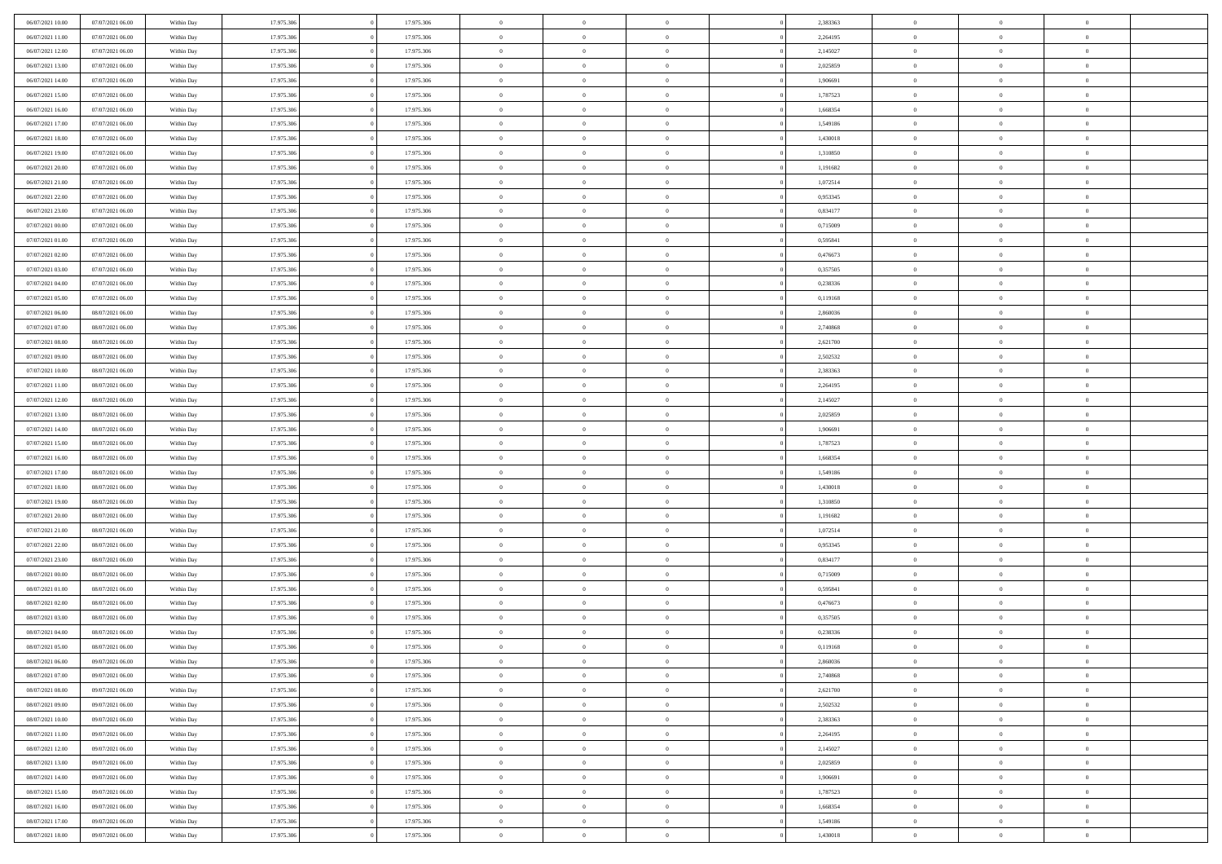| 06/07/2021 10:00 | 07/07/2021 06:00 | Within Day               | 17.975.306 | 17.975.306 | $\,$ 0         | $\bf{0}$       | $\theta$       |          | 2,383363 | $\bf{0}$       | $\overline{0}$ | $\,0\,$        |  |
|------------------|------------------|--------------------------|------------|------------|----------------|----------------|----------------|----------|----------|----------------|----------------|----------------|--|
| 06/07/2021 11:00 | 07/07/2021 06:00 | Within Day               | 17.975.306 | 17.975.306 | $\overline{0}$ | $\overline{0}$ | $\overline{0}$ |          | 2,264195 | $\overline{0}$ | $\overline{0}$ | $\theta$       |  |
| 06/07/2021 12:00 | 07/07/2021 06:00 | Within Dav               | 17.975.306 | 17.975.306 | $\mathbf{0}$   | $\overline{0}$ | $\overline{0}$ |          | 2,145027 | $\mathbf{0}$   | $\overline{0}$ | $\overline{0}$ |  |
| 06/07/2021 13:00 | 07/07/2021 06:00 | Within Day               | 17.975.306 | 17.975.306 | $\bf{0}$       | $\overline{0}$ | $\overline{0}$ |          | 2,025859 | $\bf{0}$       | $\overline{0}$ | $\overline{0}$ |  |
| 06/07/2021 14:00 | 07/07/2021 06:00 | Within Day               | 17.975.306 | 17.975.306 | $\bf{0}$       | $\bf{0}$       | $\overline{0}$ |          | 1,906691 | $\bf{0}$       | $\bf{0}$       | $\theta$       |  |
| 06/07/2021 15:00 | 07/07/2021 06:00 | Within Dav               | 17.975.306 | 17.975.306 | $\overline{0}$ | $\overline{0}$ | $\overline{0}$ |          | 1,787523 | $\mathbf{0}$   | $\overline{0}$ | $\overline{0}$ |  |
| 06/07/2021 16:00 | 07/07/2021 06:00 | Within Day               | 17.975.306 | 17.975.306 | $\bf{0}$       | $\overline{0}$ | $\overline{0}$ |          | 1,668354 | $\bf{0}$       | $\overline{0}$ | $\,0\,$        |  |
| 06/07/2021 17:00 | 07/07/2021 06:00 | Within Day               | 17.975.306 | 17.975.306 | $\overline{0}$ | $\overline{0}$ | $\overline{0}$ |          | 1,549186 | $\,$ 0 $\,$    | $\overline{0}$ | $\theta$       |  |
| 06/07/2021 18:00 | 07/07/2021 06:00 | Within Day               | 17.975.306 | 17.975.306 | $\mathbf{0}$   | $\overline{0}$ | $\overline{0}$ |          | 1,430018 | $\mathbf{0}$   | $\overline{0}$ | $\overline{0}$ |  |
| 06/07/2021 19:00 | 07/07/2021 06:00 | Within Day               | 17.975.306 | 17.975.306 | $\bf{0}$       | $\bf{0}$       | $\overline{0}$ |          | 1,310850 | $\bf{0}$       | $\overline{0}$ | $\,0\,$        |  |
| 06/07/2021 20:00 | 07/07/2021 06:00 |                          | 17.975.306 | 17.975.306 | $\overline{0}$ | $\overline{0}$ | $\overline{0}$ |          | 1,191682 | $\bf{0}$       | $\overline{0}$ | $\overline{0}$ |  |
| 06/07/2021 21:00 | 07/07/2021 06:00 | Within Day<br>Within Dav | 17.975.306 | 17.975.306 | $\mathbf{0}$   | $\overline{0}$ | $\overline{0}$ |          | 1,072514 | $\mathbf{0}$   | $\overline{0}$ | $\overline{0}$ |  |
|                  | 07/07/2021 06:00 |                          |            |            | $\bf{0}$       |                |                |          |          | $\bf{0}$       |                |                |  |
| 06/07/2021 22.00 |                  | Within Day               | 17.975.306 | 17.975.306 |                | $\overline{0}$ | $\overline{0}$ |          | 0,953345 |                | $\overline{0}$ | $\bf{0}$       |  |
| 06/07/2021 23:00 | 07/07/2021 06:00 | Within Day               | 17.975.306 | 17.975.306 | $\bf{0}$       | $\overline{0}$ | $\overline{0}$ |          | 0,834177 | $\bf{0}$       | $\mathbf{0}$   | $\,0\,$        |  |
| 07/07/2021 00:00 | 07/07/2021 06:00 | Within Dav               | 17.975.306 | 17.975.306 | $\overline{0}$ | $\overline{0}$ | $\overline{0}$ |          | 0,715009 | $\mathbf{0}$   | $\overline{0}$ | $\overline{0}$ |  |
| 07/07/2021 01:00 | 07/07/2021 06:00 | Within Day               | 17.975.306 | 17.975.306 | $\bf{0}$       | $\bf{0}$       | $\overline{0}$ |          | 0,595841 | $\bf{0}$       | $\overline{0}$ | $\bf{0}$       |  |
| 07/07/2021 02:00 | 07/07/2021 06:00 | Within Day               | 17.975.306 | 17.975.306 | $\overline{0}$ | $\overline{0}$ | $\overline{0}$ |          | 0,476673 | $\bf{0}$       | $\overline{0}$ | $\overline{0}$ |  |
| 07/07/2021 03:00 | 07/07/2021 06:00 | Within Day               | 17.975.306 | 17.975.306 | $\mathbf{0}$   | $\overline{0}$ | $\overline{0}$ |          | 0,357505 | $\mathbf{0}$   | $\overline{0}$ | $\overline{0}$ |  |
| 07/07/2021 04:00 | 07/07/2021 06:00 | Within Day               | 17.975.306 | 17.975.306 | $\bf{0}$       | $\bf{0}$       | $\overline{0}$ |          | 0,238336 | $\bf{0}$       | $\overline{0}$ | $\,0\,$        |  |
| 07/07/2021 05:00 | 07/07/2021 06:00 | Within Day               | 17.975.306 | 17.975.306 | $\overline{0}$ | $\overline{0}$ | $\overline{0}$ |          | 0,119168 | $\bf{0}$       | $\overline{0}$ | $\overline{0}$ |  |
| 07/07/2021 06:00 | 08/07/2021 06:00 | Within Day               | 17.975.306 | 17.975.306 | $\mathbf{0}$   | $\overline{0}$ | $\overline{0}$ |          | 2,860036 | $\mathbf{0}$   | $\overline{0}$ | $\overline{0}$ |  |
| 07/07/2021 07:00 | 08/07/2021 06:00 | Within Day               | 17.975.306 | 17.975.306 | $\bf{0}$       | $\overline{0}$ | $\overline{0}$ |          | 2,740868 | $\bf{0}$       | $\overline{0}$ | $\bf{0}$       |  |
| 07/07/2021 08:00 | 08/07/2021 06:00 | Within Day               | 17.975.306 | 17.975.306 | $\bf{0}$       | $\bf{0}$       | $\overline{0}$ |          | 2,621700 | $\bf{0}$       | $\bf{0}$       | $\,0\,$        |  |
| 07/07/2021 09:00 | 08/07/2021 06:00 | Within Dav               | 17.975.306 | 17.975.306 | $\mathbf{0}$   | $\overline{0}$ | $\overline{0}$ |          | 2,502532 | $\mathbf{0}$   | $\overline{0}$ | $\overline{0}$ |  |
| 07/07/2021 10:00 | 08/07/2021 06:00 | Within Day               | 17.975.306 | 17.975.306 | $\bf{0}$       | $\bf{0}$       | $\overline{0}$ |          | 2,383363 | $\bf{0}$       | $\overline{0}$ | $\,0\,$        |  |
| 07/07/2021 11:00 | 08/07/2021 06:00 | Within Day               | 17.975.306 | 17.975.306 | $\overline{0}$ | $\overline{0}$ | $\overline{0}$ |          | 2,264195 | $\bf{0}$       | $\mathbf{0}$   | $\overline{0}$ |  |
| 07/07/2021 12:00 | 08/07/2021 06:00 | Within Day               | 17.975.306 | 17.975.306 | $\mathbf{0}$   | $\overline{0}$ | $\overline{0}$ |          | 2,145027 | $\mathbf{0}$   | $\overline{0}$ | $\overline{0}$ |  |
| 07/07/2021 13:00 | 08/07/2021 06:00 | Within Day               | 17.975.306 | 17.975.306 | $\bf{0}$       | $\bf{0}$       | $\overline{0}$ |          | 2,025859 | $\bf{0}$       | $\overline{0}$ | $\,0\,$        |  |
| 07/07/2021 14:00 | 08/07/2021 06:00 | Within Day               | 17.975.306 | 17.975.306 | $\bf{0}$       | $\overline{0}$ | $\overline{0}$ |          | 1,906691 | $\bf{0}$       | $\mathbf{0}$   | $\overline{0}$ |  |
| 07/07/2021 15:00 | 08/07/2021 06:00 | Within Dav               | 17.975.306 | 17.975.306 | $\mathbf{0}$   | $\overline{0}$ | $\overline{0}$ |          | 1,787523 | $\mathbf{0}$   | $\overline{0}$ | $\overline{0}$ |  |
| 07/07/2021 16:00 | 08/07/2021 06:00 | Within Day               | 17.975.306 | 17.975.306 | $\bf{0}$       | $\overline{0}$ | $\overline{0}$ |          | 1,668354 | $\,$ 0         | $\overline{0}$ | $\,$ 0 $\,$    |  |
| 07/07/2021 17:00 | 08/07/2021 06:00 | Within Day               | 17.975.306 | 17.975.306 | $\bf{0}$       | $\overline{0}$ | $\overline{0}$ |          | 1,549186 | $\bf{0}$       | $\overline{0}$ | $\bf{0}$       |  |
| 07/07/2021 18:00 | 08/07/2021 06:00 | Within Dav               | 17.975.306 | 17.975.306 | $\overline{0}$ | $\overline{0}$ | $\overline{0}$ |          | 1,430018 | $\mathbf{0}$   | $\overline{0}$ | $\overline{0}$ |  |
| 07/07/2021 19:00 | 08/07/2021 06:00 | Within Day               | 17.975.306 | 17.975.306 | $\bf{0}$       | $\overline{0}$ | $\theta$       |          | 1,310850 | $\,$ 0         | $\overline{0}$ | $\theta$       |  |
| 07/07/2021 20:00 | 08/07/2021 06:00 | Within Day               | 17.975.306 | 17.975.306 | $\overline{0}$ | $\overline{0}$ | $\overline{0}$ |          | 1,191682 | $\bf{0}$       | $\overline{0}$ | $\overline{0}$ |  |
| 07/07/2021 21:00 | 08/07/2021 06:00 | Within Day               | 17.975.306 | 17.975.306 | $\mathbf{0}$   | $\overline{0}$ | $\overline{0}$ |          | 1,072514 | $\mathbf{0}$   | $\overline{0}$ | $\overline{0}$ |  |
| 07/07/2021 22.00 | 08/07/2021 06:00 | Within Day               | 17.975.306 | 17.975.306 | $\bf{0}$       | $\overline{0}$ | $\theta$       |          | 0,953345 | $\,$ 0         | $\overline{0}$ | $\theta$       |  |
| 07/07/2021 23.00 | 08/07/2021 06:00 | Within Day               | 17.975.306 | 17.975.306 | $\bf{0}$       | $\overline{0}$ | $\overline{0}$ |          | 0,834177 | $\bf{0}$       | $\mathbf{0}$   | $\bf{0}$       |  |
| 08/07/2021 00:00 | 08/07/2021 06:00 | Within Dav               | 17.975.306 | 17.975.306 | $\mathbf{0}$   | $\overline{0}$ | $\overline{0}$ |          | 0,715009 | $\mathbf{0}$   | $\overline{0}$ | $\overline{0}$ |  |
| 08/07/2021 01:00 | 08/07/2021 06:00 | Within Day               | 17.975.306 | 17.975.306 | $\,0\,$        | $\overline{0}$ | $\theta$       |          | 0,595841 | $\,$ 0         | $\overline{0}$ | $\,$ 0 $\,$    |  |
| 08/07/2021 02:00 | 08/07/2021 06:00 | Within Day               | 17.975.306 | 17.975.306 | $\bf{0}$       | $\overline{0}$ | $\overline{0}$ |          | 0,476673 | $\bf{0}$       | $\overline{0}$ | $\bf{0}$       |  |
| 08/07/2021 03:00 | 08/07/2021 06:00 | Within Day               | 17.975.306 | 17.975.306 | $\mathbf{0}$   | $\overline{0}$ | $\overline{0}$ |          | 0,357505 | $\mathbf{0}$   | $\overline{0}$ | $\overline{0}$ |  |
| 08/07/2021 04:00 | 08/07/2021 06:00 | Within Day               | 17.975.306 | 17.975.306 | $\bf{0}$       | $\overline{0}$ | $\theta$       |          | 0,238336 | $\,$ 0         | $\overline{0}$ | $\theta$       |  |
| 08/07/2021 05:00 | 08/07/2021 06:00 | Within Day               | 17.975.306 | 17.975.306 | $\bf{0}$       | $\overline{0}$ | $\overline{0}$ |          | 0,119168 | $\bf{0}$       | $\overline{0}$ | $\overline{0}$ |  |
| 08/07/2021 06:00 | 09/07/2021 06:00 | Within Day               | 17.975.306 | 17.975.306 | $\bf{0}$       | $\overline{0}$ | $\Omega$       |          | 2,860036 | $\overline{0}$ | $\theta$       | $\theta$       |  |
| 08/07/2021 07:00 | 09/07/2021 06:00 | Within Day               | 17.975.306 | 17.975.306 | $\,0\,$        | $\overline{0}$ | $\theta$       |          | 2,740868 | $\,$ 0 $\,$    | $\bf{0}$       | $\theta$       |  |
| 08/07/2021 08:00 | 09/07/2021 06:00 | Within Day               | 17.975.306 | 17.975.306 | $\overline{0}$ | $\overline{0}$ | $\overline{0}$ |          | 2,621700 | $\overline{0}$ | $\overline{0}$ | $\overline{0}$ |  |
| 08/07/2021 09:00 | 09/07/2021 06:00 | Within Day               | 17.975.306 | 17.975.306 | $\bf{0}$       | $\overline{0}$ | $\overline{0}$ |          | 2,502532 | $\overline{0}$ | $\bf{0}$       | $\mathbf{0}$   |  |
| 08/07/2021 10:00 | 09/07/2021 06:00 | Within Day               | 17.975.306 | 17.975.306 | $\bf{0}$       | $\overline{0}$ | $\overline{0}$ | $\theta$ | 2,383363 | $\,$ 0 $\,$    | $\bf{0}$       | $\,$ 0 $\,$    |  |
| 08/07/2021 11:00 | 09/07/2021 06:00 | Within Day               | 17.975.306 | 17.975.306 | $\bf{0}$       | $\overline{0}$ | $\overline{0}$ |          | 2,264195 | $\,$ 0 $\,$    | $\overline{0}$ | $\overline{0}$ |  |
| 08/07/2021 12:00 | 09/07/2021 06:00 | Within Day               | 17.975.306 | 17.975.306 | $\bf{0}$       | $\overline{0}$ | $\overline{0}$ |          | 2,145027 | $\mathbf{0}$   | $\overline{0}$ | $\overline{0}$ |  |
| 08/07/2021 13:00 | 09/07/2021 06:00 | Within Day               | 17.975.306 | 17.975.306 | $\,$ 0 $\,$    | $\overline{0}$ | $\overline{0}$ | $\theta$ | 2,025859 | $\,$ 0 $\,$    | $\mathbf{0}$   | $\,$ 0 $\,$    |  |
| 08/07/2021 14:00 | 09/07/2021 06:00 | Within Day               | 17.975.306 | 17.975.306 | $\bf{0}$       | $\overline{0}$ | $\overline{0}$ |          | 1,906691 | $\overline{0}$ | $\overline{0}$ | $\overline{0}$ |  |
| 08/07/2021 15:00 | 09/07/2021 06:00 | Within Day               | 17.975.306 | 17.975.306 | $\bf{0}$       | $\overline{0}$ | $\overline{0}$ |          | 1,787523 | $\mathbf{0}$   | $\bf{0}$       | $\overline{0}$ |  |
| 08/07/2021 16:00 | 09/07/2021 06:00 | Within Day               | 17.975.306 | 17.975.306 | $\,0\,$        | $\overline{0}$ | $\overline{0}$ |          | 1,668354 | $\,$ 0 $\,$    | $\mathbf{0}$   | $\,$ 0 $\,$    |  |
|                  |                  |                          | 17.975.306 | 17.975.306 |                |                |                |          |          |                | $\mathbf{0}$   |                |  |
| 08/07/2021 17:00 | 09/07/2021 06:00 | Within Day               |            |            | $\overline{0}$ | $\overline{0}$ | $\overline{0}$ |          | 1,549186 | $\bf{0}$       |                | $\overline{0}$ |  |
| 08/07/2021 18:00 | 09/07/2021 06:00 | Within Day               | 17.975.306 | 17.975.306 | $\mathbf{0}$   | $\overline{0}$ | $\overline{0}$ |          | 1,430018 | $\mathbf{0}$   | $\overline{0}$ | $\overline{0}$ |  |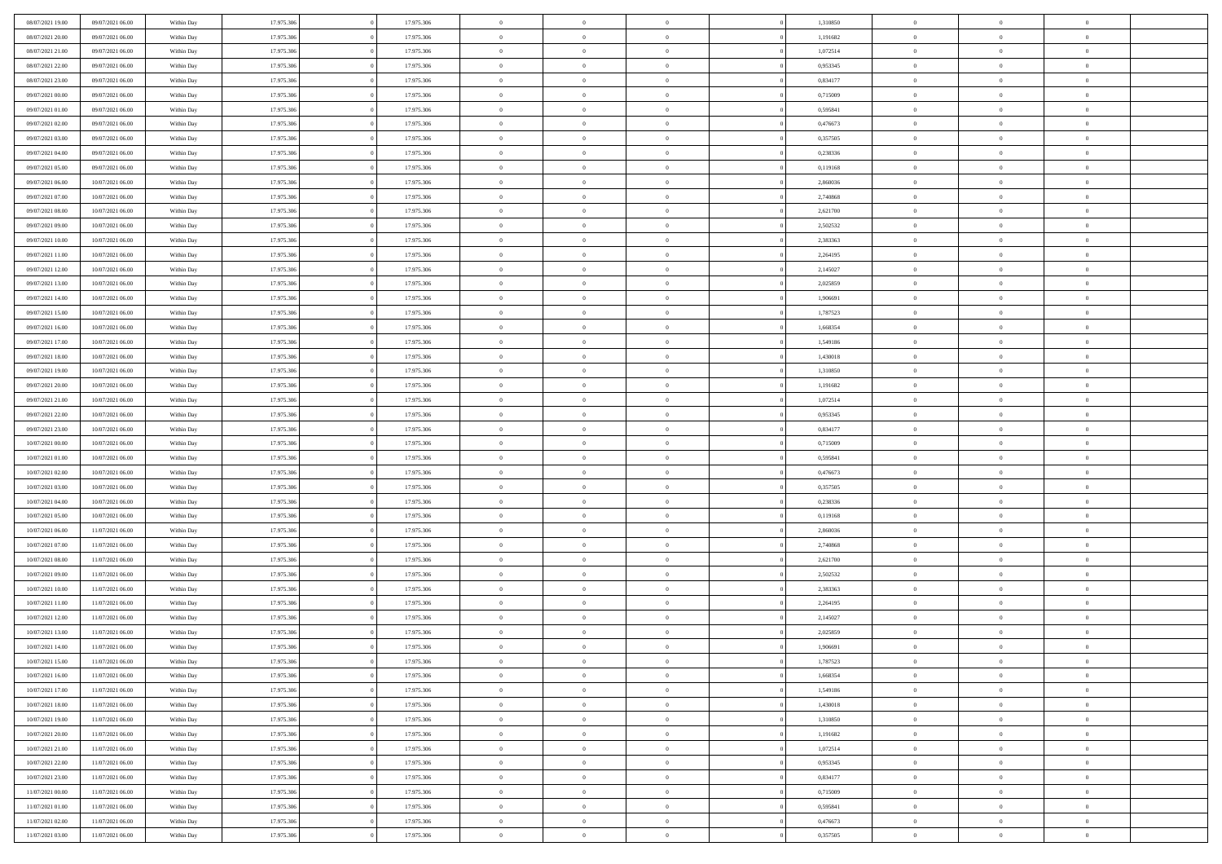| 08/07/2021 19:00 | 09/07/2021 06:00 | Within Day | 17.975.306 | 17.975.306 | $\,$ 0 $\,$    | $\overline{0}$                    | $\overline{0}$ |          | 1,310850 | $\bf{0}$       | $\overline{0}$ | $\,0\,$        |  |
|------------------|------------------|------------|------------|------------|----------------|-----------------------------------|----------------|----------|----------|----------------|----------------|----------------|--|
| 08/07/2021 20:00 | 09/07/2021 06:00 | Within Day | 17.975.306 | 17.975.306 | $\overline{0}$ | $\overline{0}$                    | $\mathbf{0}$   |          | 1,191682 | $\theta$       | $\overline{0}$ | $\theta$       |  |
| 08/07/2021 21:00 | 09/07/2021 06:00 | Within Day | 17.975.306 | 17.975.306 | $\theta$       | $\overline{0}$                    | $\overline{0}$ |          | 1,072514 | $\mathbf{0}$   | $\overline{0}$ | $\overline{0}$ |  |
| 08/07/2021 22:00 | 09/07/2021 06:00 | Within Day | 17.975.306 | 17.975.306 | $\,$ 0 $\,$    | $\overline{0}$                    | $\overline{0}$ |          | 0,953345 | $\mathbf{0}$   | $\overline{0}$ | $\bf{0}$       |  |
| 08/07/2021 23:00 | 09/07/2021 06:00 | Within Day | 17.975.306 | 17.975.306 | $\bf{0}$       | $\overline{0}$                    | $\mathbf{0}$   |          | 0,834177 | $\bf{0}$       | $\mathbf{0}$   | $\,0\,$        |  |
| 09/07/2021 00:00 | 09/07/2021 06:00 | Within Day | 17.975.306 | 17.975.306 | $\theta$       | $\overline{0}$                    | $\mathbf{0}$   |          | 0,715009 | $\mathbf{0}$   | $\overline{0}$ | $\overline{0}$ |  |
| 09/07/2021 01:00 | 09/07/2021 06:00 | Within Day | 17.975.306 | 17.975.306 | $\,$ 0 $\,$    | $\overline{0}$                    | $\overline{0}$ |          | 0,595841 | $\bf{0}$       | $\overline{0}$ | $\bf{0}$       |  |
| 09/07/2021 02:00 | 09/07/2021 06:00 | Within Day | 17.975.306 | 17.975.306 | $\overline{0}$ | $\overline{0}$                    | $\mathbf{0}$   |          | 0,476673 | $\,$ 0 $\,$    | $\overline{0}$ | $\overline{0}$ |  |
| 09/07/2021 03:00 | 09/07/2021 06:00 | Within Day | 17.975.306 | 17.975.306 | $\theta$       | $\overline{0}$                    | $\mathbf{0}$   |          | 0,357505 | $\mathbf{0}$   | $\overline{0}$ | $\overline{0}$ |  |
|                  | 09/07/2021 06:00 |            | 17.975.306 | 17.975.306 | $\,$ 0 $\,$    | $\overline{0}$                    | $\Omega$       |          | 0,238336 | $\bf{0}$       | $\overline{0}$ | $\bf{0}$       |  |
| 09/07/2021 04:00 |                  | Within Day |            |            |                |                                   |                |          |          |                | $\overline{0}$ | $\theta$       |  |
| 09/07/2021 05:00 | 09/07/2021 06:00 | Within Day | 17.975.306 | 17.975.306 | $\bf{0}$       | $\overline{0}$                    | $\mathbf{0}$   |          | 0,119168 | $\bf{0}$       |                |                |  |
| 09/07/2021 06:00 | 10/07/2021 06:00 | Within Day | 17.975.306 | 17.975.306 | $\theta$       | $\overline{0}$                    | $\overline{0}$ |          | 2,860036 | $\mathbf{0}$   | $\overline{0}$ | $\overline{0}$ |  |
| 09/07/2021 07:00 | 10/07/2021 06:00 | Within Day | 17.975.306 | 17.975.306 | $\,$ 0 $\,$    | $\overline{0}$                    | $\overline{0}$ |          | 2,740868 | $\bf{0}$       | $\overline{0}$ | $\bf{0}$       |  |
| 09/07/2021 08:00 | 10/07/2021 06:00 | Within Day | 17.975.306 | 17.975.306 | $\bf{0}$       | $\overline{0}$                    | $\mathbf{0}$   |          | 2,621700 | $\bf{0}$       | $\mathbf{0}$   | $\,0\,$        |  |
| 09/07/2021 09:00 | 10/07/2021 06:00 | Within Day | 17.975.306 | 17.975.306 | $\overline{0}$ | $\overline{0}$                    | $\overline{0}$ |          | 2,502532 | $\mathbf{0}$   | $\overline{0}$ | $\overline{0}$ |  |
| 09/07/2021 10:00 | 10/07/2021 06:00 | Within Day | 17.975.306 | 17.975.306 | $\,$ 0 $\,$    | $\overline{0}$                    | $\Omega$       |          | 2,383363 | $\bf{0}$       | $\overline{0}$ | $\bf{0}$       |  |
| 09/07/2021 11:00 | 10/07/2021 06:00 | Within Day | 17.975.306 | 17.975.306 | $\,$ 0         | $\overline{0}$                    | $\mathbf{0}$   |          | 2,264195 | $\,$ 0 $\,$    | $\overline{0}$ | $\overline{0}$ |  |
| 09/07/2021 12:00 | 10/07/2021 06:00 | Within Day | 17.975.306 | 17.975.306 | $\theta$       | $\overline{0}$                    | $\mathbf{0}$   |          | 2,145027 | $\mathbf{0}$   | $\overline{0}$ | $\overline{0}$ |  |
| 09/07/2021 13:00 | 10/07/2021 06:00 | Within Day | 17.975.306 | 17.975.306 | $\,$ 0 $\,$    | $\overline{0}$                    | $\Omega$       |          | 2,025859 | $\bf{0}$       | $\overline{0}$ | $\bf{0}$       |  |
| 09/07/2021 14:00 | 10/07/2021 06:00 | Within Day | 17.975.306 | 17.975.306 | $\overline{0}$ | $\overline{0}$                    | $\mathbf{0}$   |          | 1,906691 | $\bf{0}$       | $\mathbf{0}$   | $\overline{0}$ |  |
| 09/07/2021 15:00 | 10/07/2021 06:00 | Within Day | 17.975.306 | 17.975.306 | $\theta$       | $\overline{0}$                    | $\overline{0}$ |          | 1,787523 | $\mathbf{0}$   | $\overline{0}$ | $\overline{0}$ |  |
| 09/07/2021 16:00 | 10/07/2021 06:00 | Within Day | 17.975.306 | 17.975.306 | $\,$ 0 $\,$    | $\overline{0}$                    | $\overline{0}$ |          | 1,668354 | $\bf{0}$       | $\overline{0}$ | $\bf{0}$       |  |
| 09/07/2021 17:00 | 10/07/2021 06:00 | Within Day | 17.975.306 | 17.975.306 | $\bf{0}$       | $\overline{0}$                    | $\mathbf{0}$   |          | 1,549186 | $\,$ 0 $\,$    | $\overline{0}$ | $\,0\,$        |  |
| 09/07/2021 18:00 | 10/07/2021 06:00 | Within Day | 17.975.306 | 17.975.306 | $\theta$       | $\overline{0}$                    | $\mathbf{0}$   |          | 1,430018 | $\mathbf{0}$   | $\overline{0}$ | $\overline{0}$ |  |
| 09/07/2021 19:00 | 10/07/2021 06:00 | Within Day | 17.975.306 | 17.975.306 | $\,$ 0 $\,$    | $\overline{0}$                    | $\overline{0}$ |          | 1,310850 | $\bf{0}$       | $\overline{0}$ | $\bf{0}$       |  |
| 09/07/2021 20:00 | 10/07/2021 06:00 | Within Day | 17.975.306 | 17.975.306 | $\,$ 0         | $\overline{0}$                    | $\mathbf{0}$   |          | 1,191682 | $\bf{0}$       | $\overline{0}$ | $\overline{0}$ |  |
| 09/07/2021 21:00 | 10/07/2021 06:00 | Within Day | 17.975.306 | 17.975.306 | $\theta$       | $\overline{0}$                    | $\mathbf{0}$   |          | 1,072514 | $\mathbf{0}$   | $\overline{0}$ | $\overline{0}$ |  |
| 09/07/2021 22:00 | 10/07/2021 06:00 | Within Day | 17.975.306 | 17.975.306 | $\,$ 0 $\,$    | $\overline{0}$                    | $\Omega$       |          | 0,953345 | $\bf{0}$       | $\overline{0}$ | $\bf{0}$       |  |
| 09/07/2021 23:00 | 10/07/2021 06:00 | Within Day | 17.975.306 | 17.975.306 | $\bf{0}$       | $\overline{0}$                    | $\mathbf{0}$   |          | 0,834177 | $\bf{0}$       | $\mathbf{0}$   | $\overline{0}$ |  |
| 10/07/2021 00:00 | 10/07/2021 06:00 | Within Day | 17.975.306 | 17.975.306 | $\theta$       | $\overline{0}$                    | $\overline{0}$ |          | 0,715009 | $\mathbf{0}$   | $\overline{0}$ | $\overline{0}$ |  |
| 10/07/2021 01:00 | 10/07/2021 06:00 | Within Day | 17.975.306 | 17.975.306 | $\,$ 0 $\,$    | $\overline{0}$                    | $\overline{0}$ |          | 0,595841 | $\,$ 0         | $\overline{0}$ | $\,$ 0 $\,$    |  |
| 10/07/2021 02:00 | 10/07/2021 06:00 | Within Day | 17.975.306 | 17.975.306 | $\bf{0}$       | $\overline{0}$                    | $\mathbf{0}$   |          | 0,476673 | $\bf{0}$       | $\mathbf{0}$   | $\bf{0}$       |  |
| 10/07/2021 03:00 | 10/07/2021 06:00 | Within Day | 17.975.306 | 17.975.306 | $\theta$       | $\overline{0}$                    | $\overline{0}$ |          | 0,357505 | $\mathbf{0}$   | $\overline{0}$ | $\overline{0}$ |  |
| 10/07/2021 04:00 | 10/07/2021 06:00 | Within Day | 17.975.306 | 17.975.306 | $\theta$       | $\overline{0}$                    | $\overline{0}$ |          | 0,238336 | $\,$ 0         | $\overline{0}$ | $\theta$       |  |
| 10/07/2021 05:00 | 10/07/2021 06:00 | Within Day | 17.975.306 | 17.975.306 | $\bf{0}$       | $\overline{0}$                    | $\mathbf{0}$   |          | 0,119168 | $\overline{0}$ | $\overline{0}$ | $\overline{0}$ |  |
| 10/07/2021 06:00 | 11/07/2021 06:00 | Within Day | 17.975.306 | 17.975.306 | $\theta$       | $\overline{0}$                    | $\mathbf{0}$   |          | 2,860036 | $\mathbf{0}$   | $\overline{0}$ | $\overline{0}$ |  |
| 10/07/2021 07:00 | 11/07/2021 06:00 | Within Day | 17.975.306 | 17.975.306 | $\theta$       | $\overline{0}$                    | $\overline{0}$ |          | 2,740868 | $\,$ 0         | $\overline{0}$ | $\theta$       |  |
| 10/07/2021 08:00 | 11/07/2021 06:00 | Within Day | 17.975.306 | 17.975.306 | $\bf{0}$       | $\overline{0}$                    | $\mathbf{0}$   |          | 2,621700 | $\bf{0}$       | $\mathbf{0}$   | $\overline{0}$ |  |
| 10/07/2021 09:00 | 11/07/2021 06:00 | Within Day | 17.975.306 | 17.975.306 | $\theta$       | $\overline{0}$                    | $\overline{0}$ |          | 2,502532 | $\mathbf{0}$   | $\overline{0}$ | $\overline{0}$ |  |
| 10/07/2021 10:00 | 11/07/2021 06:00 | Within Day | 17.975.306 | 17.975.306 | $\,$ 0 $\,$    | $\overline{0}$                    | $\overline{0}$ |          | 2,383363 | $\,$ 0         | $\overline{0}$ | $\,$ 0 $\,$    |  |
| 10/07/2021 11:00 | 11/07/2021 06:00 | Within Day | 17.975.306 | 17.975.306 | $\,$ 0         | $\,$ 0 $\,$                       | $\mathbf{0}$   |          | 2,264195 | $\,$ 0 $\,$    | $\overline{0}$ | $\overline{0}$ |  |
| 10/07/2021 12:00 | 11/07/2021 06:00 | Within Day | 17.975.306 | 17.975.306 | $\theta$       | $\overline{0}$                    | $\mathbf{0}$   |          | 2,145027 | $\mathbf{0}$   | $\overline{0}$ | $\overline{0}$ |  |
| 10/07/2021 13:00 | 11/07/2021 06:00 | Within Day | 17.975.306 | 17.975.306 | $\theta$       | $\overline{0}$                    | $\overline{0}$ |          | 2,025859 | $\,$ 0         | $\overline{0}$ | $\theta$       |  |
| 10/07/2021 14:00 | 11/07/2021 06:00 | Within Day | 17.975.306 | 17.975.306 | $\bf{0}$       | $\overline{0}$                    | $\mathbf{0}$   |          | 1,906691 | $\,$ 0 $\,$    | $\overline{0}$ | $\overline{0}$ |  |
| 10/07/2021 15:00 | 11/07/2021 06:00 | Within Day | 17.975.306 | 17.975.306 | $\overline{0}$ | $\theta$                          |                |          | 1,787523 | $\overline{0}$ | $^{\circ}$     | $\theta$       |  |
| 10/07/2021 16:00 | 11/07/2021 06:00 | Within Day | 17.975.306 | 17.975.306 | $\,$ 0 $\,$    | $\overline{0}$                    | $\overline{0}$ |          | 1,668354 | $\,$ 0 $\,$    | $\bf{0}$       | $\,$ 0 $\,$    |  |
| 10/07/2021 17:00 | 11/07/2021 06:00 | Within Day | 17.975.306 | 17.975.306 | $\bf{0}$       | $\hspace{0.1cm} 0 \hspace{0.1cm}$ | $\overline{0}$ |          | 1,549186 | $\,$ 0 $\,$    | $\overline{0}$ | $\overline{0}$ |  |
| 10/07/2021 18:00 | 11/07/2021 06:00 | Within Day | 17.975.306 | 17.975.306 | $\,$ 0 $\,$    | $\overline{0}$                    | $\overline{0}$ |          | 1,430018 | $\,$ 0 $\,$    | $\bf{0}$       | $\overline{0}$ |  |
|                  |                  |            |            |            |                |                                   |                |          |          |                |                |                |  |
| 10/07/2021 19:00 | 11/07/2021 06:00 | Within Day | 17.975.306 | 17.975.306 | $\,$ 0 $\,$    | $\overline{0}$                    | $\overline{0}$ | $\theta$ | 1,310850 | $\,$ 0 $\,$    | $\bf{0}$       | $\,$ 0 $\,$    |  |
| 10/07/2021 20:00 | 11/07/2021 06:00 | Within Day | 17.975.306 | 17.975.306 | $\,$ 0 $\,$    | $\,$ 0 $\,$                       | $\overline{0}$ |          | 1,191682 | $\,$ 0 $\,$    | $\overline{0}$ | $\overline{0}$ |  |
| 10/07/2021 21:00 | 11/07/2021 06:00 | Within Day | 17.975.306 | 17.975.306 | $\mathbf{0}$   | $\overline{0}$                    | $\overline{0}$ |          | 1,072514 | $\mathbf{0}$   | $\bf{0}$       | $\overline{0}$ |  |
| 10/07/2021 22:00 | 11/07/2021 06:00 | Within Day | 17.975.306 | 17.975.306 | $\,$ 0 $\,$    | $\overline{0}$                    | $\overline{0}$ |          | 0,953345 | $\,$ 0 $\,$    | $\bf{0}$       | $\,$ 0 $\,$    |  |
| 10/07/2021 23:00 | 11/07/2021 06:00 | Within Day | 17.975.306 | 17.975.306 | $\bf{0}$       | $\overline{0}$                    | $\overline{0}$ |          | 0,834177 | $\,$ 0 $\,$    | $\overline{0}$ | $\overline{0}$ |  |
| 11/07/2021 00:00 | 11/07/2021 06:00 | Within Day | 17.975.306 | 17.975.306 | $\,$ 0 $\,$    | $\overline{0}$                    | $\overline{0}$ |          | 0,715009 | $\,$ 0 $\,$    | $\bf{0}$       | $\overline{0}$ |  |
| 11/07/2021 01:00 | 11/07/2021 06:00 | Within Day | 17.975.306 | 17.975.306 | $\,$ 0 $\,$    | $\overline{0}$                    | $\overline{0}$ |          | 0,595841 | $\,$ 0 $\,$    | $\bf{0}$       | $\,$ 0 $\,$    |  |
| 11/07/2021 02:00 | 11/07/2021 06:00 | Within Day | 17.975.306 | 17.975.306 | $\,$ 0 $\,$    | $\,$ 0 $\,$                       | $\overline{0}$ |          | 0,476673 | $\,$ 0 $\,$    | $\overline{0}$ | $\overline{0}$ |  |
| 11/07/2021 03:00 | 11/07/2021 06:00 | Within Day | 17.975.306 | 17.975.306 | $\theta$       | $\overline{0}$                    | $\overline{0}$ |          | 0,357505 | $\,$ 0 $\,$    | $\mathbf{0}$   | $\overline{0}$ |  |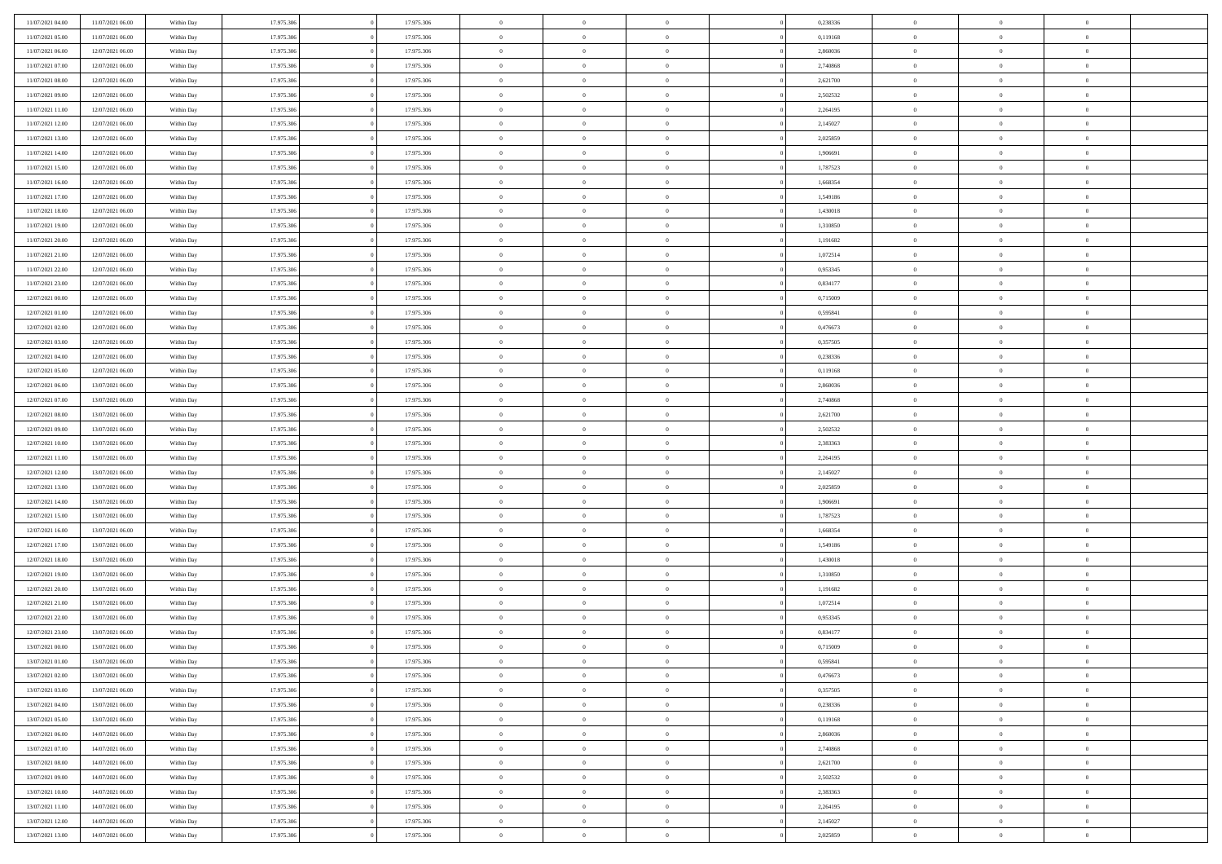| 11/07/2021 04:00 | 11/07/2021 06:00 | Within Day | 17.975.306 | 17.975.306 | $\,$ 0 $\,$    | $\overline{0}$                    | $\overline{0}$ |          | 0,238336 | $\bf{0}$       | $\overline{0}$ | $\,0\,$        |  |
|------------------|------------------|------------|------------|------------|----------------|-----------------------------------|----------------|----------|----------|----------------|----------------|----------------|--|
| 11/07/2021 05:00 | 11/07/2021 06:00 | Within Day | 17.975.306 | 17.975.306 | $\overline{0}$ | $\overline{0}$                    | $\mathbf{0}$   |          | 0,119168 | $\theta$       | $\overline{0}$ | $\theta$       |  |
| 11/07/2021 06:00 | 12/07/2021 06:00 | Within Day | 17.975.306 | 17.975.306 | $\theta$       | $\overline{0}$                    | $\overline{0}$ |          | 2,860036 | $\mathbf{0}$   | $\overline{0}$ | $\overline{0}$ |  |
| 11/07/2021 07:00 | 12/07/2021 06:00 | Within Day | 17.975.306 | 17.975.306 | $\,$ 0 $\,$    | $\overline{0}$                    | $\overline{0}$ |          | 2,740868 | $\mathbf{0}$   | $\overline{0}$ | $\bf{0}$       |  |
| 11/07/2021 08:00 | 12/07/2021 06:00 | Within Day | 17.975.306 | 17.975.306 | $\bf{0}$       | $\overline{0}$                    | $\mathbf{0}$   |          | 2,621700 | $\bf{0}$       | $\mathbf{0}$   | $\,0\,$        |  |
| 11/07/2021 09:00 | 12/07/2021 06:00 | Within Day | 17.975.306 | 17.975.306 | $\theta$       | $\overline{0}$                    | $\mathbf{0}$   |          | 2,502532 | $\mathbf{0}$   | $\overline{0}$ | $\overline{0}$ |  |
| 11/07/2021 11:00 | 12/07/2021 06:00 | Within Day | 17.975.306 | 17.975.306 | $\,$ 0 $\,$    | $\overline{0}$                    | $\overline{0}$ |          | 2,264195 | $\bf{0}$       | $\overline{0}$ | $\bf{0}$       |  |
| 11/07/2021 12:00 | 12/07/2021 06:00 | Within Day | 17.975.306 | 17.975.306 | $\overline{0}$ | $\overline{0}$                    | $\mathbf{0}$   |          | 2,145027 | $\,$ 0 $\,$    | $\overline{0}$ | $\overline{0}$ |  |
| 11/07/2021 13:00 | 12/07/2021 06:00 | Within Day | 17.975.306 | 17.975.306 | $\theta$       | $\overline{0}$                    | $\mathbf{0}$   |          | 2,025859 | $\mathbf{0}$   | $\overline{0}$ | $\overline{0}$ |  |
| 11/07/2021 14:00 | 12/07/2021 06:00 | Within Day | 17.975.306 | 17.975.306 | $\,$ 0 $\,$    | $\overline{0}$                    | $\Omega$       |          | 1,906691 | $\bf{0}$       | $\overline{0}$ | $\bf{0}$       |  |
| 11/07/2021 15:00 | 12/07/2021 06:00 | Within Day | 17.975.306 | 17.975.306 | $\bf{0}$       | $\overline{0}$                    | $\mathbf{0}$   |          | 1,787523 | $\bf{0}$       | $\overline{0}$ | $\theta$       |  |
| 11/07/2021 16:00 | 12/07/2021 06:00 | Within Day | 17.975.306 | 17.975.306 | $\theta$       | $\overline{0}$                    | $\overline{0}$ |          | 1,668354 | $\mathbf{0}$   | $\overline{0}$ | $\overline{0}$ |  |
| 11/07/2021 17:00 | 12/07/2021 06:00 | Within Day | 17.975.306 | 17.975.306 | $\,$ 0 $\,$    | $\overline{0}$                    | $\overline{0}$ |          | 1,549186 | $\bf{0}$       | $\overline{0}$ | $\overline{0}$ |  |
| 11/07/2021 18:00 | 12/07/2021 06:00 | Within Day | 17.975.306 | 17.975.306 | $\bf{0}$       | $\overline{0}$                    | $\mathbf{0}$   |          | 1,430018 | $\bf{0}$       | $\mathbf{0}$   | $\bf{0}$       |  |
| 11/07/2021 19:00 | 12/07/2021 06:00 | Within Dav | 17.975.306 | 17.975.306 | $\overline{0}$ | $\overline{0}$                    | $\overline{0}$ |          | 1,310850 | $\mathbf{0}$   | $\overline{0}$ | $\overline{0}$ |  |
| 11/07/2021 20:00 | 12/07/2021 06:00 | Within Day | 17.975.306 | 17.975.306 | $\,$ 0 $\,$    | $\overline{0}$                    | $\Omega$       |          | 1,191682 | $\bf{0}$       | $\overline{0}$ | $\bf{0}$       |  |
| 11/07/2021 21:00 | 12/07/2021 06:00 | Within Day | 17.975.306 | 17.975.306 | $\,$ 0         | $\overline{0}$                    | $\mathbf{0}$   |          | 1,072514 | $\,$ 0 $\,$    | $\overline{0}$ | $\overline{0}$ |  |
| 11/07/2021 22:00 | 12/07/2021 06:00 | Within Day | 17.975.306 | 17.975.306 | $\theta$       | $\overline{0}$                    | $\mathbf{0}$   |          | 0,953345 | $\mathbf{0}$   | $\overline{0}$ | $\overline{0}$ |  |
| 11/07/2021 23:00 | 12/07/2021 06:00 | Within Day | 17.975.306 | 17.975.306 | $\,$ 0 $\,$    | $\overline{0}$                    | $\Omega$       |          | 0,834177 | $\bf{0}$       | $\overline{0}$ | $\bf{0}$       |  |
| 12/07/2021 00:00 | 12/07/2021 06:00 | Within Day | 17.975.306 | 17.975.306 | $\bf{0}$       | $\overline{0}$                    | $\mathbf{0}$   |          | 0,715009 | $\bf{0}$       | $\overline{0}$ | $\overline{0}$ |  |
| 12/07/2021 01:00 | 12/07/2021 06:00 | Within Dav | 17.975.306 | 17.975.306 | $\theta$       | $\overline{0}$                    | $\overline{0}$ |          | 0,595841 | $\mathbf{0}$   | $\overline{0}$ | $\overline{0}$ |  |
| 12/07/2021 02:00 | 12/07/2021 06:00 | Within Day | 17.975.306 | 17.975.306 | $\,$ 0 $\,$    | $\overline{0}$                    | $\overline{0}$ |          | 0,476673 | $\bf{0}$       | $\overline{0}$ | $\bf{0}$       |  |
| 12/07/2021 03:00 | 12/07/2021 06:00 | Within Day | 17.975.306 | 17.975.306 | $\bf{0}$       | $\overline{0}$                    | $\mathbf{0}$   |          | 0,357505 | $\bf{0}$       | $\bf{0}$       | $\bf{0}$       |  |
| 12/07/2021 04:00 | 12/07/2021 06:00 | Within Day | 17.975.306 | 17.975.306 | $\theta$       | $\overline{0}$                    | $\mathbf{0}$   |          | 0,238336 | $\mathbf{0}$   | $\overline{0}$ | $\overline{0}$ |  |
| 12/07/2021 05:00 | 12/07/2021 06:00 | Within Day | 17.975.306 | 17.975.306 | $\,$ 0 $\,$    | $\overline{0}$                    | $\overline{0}$ |          | 0,119168 | $\bf{0}$       | $\overline{0}$ | $\bf{0}$       |  |
| 12/07/2021 06:00 | 13/07/2021 06:00 | Within Day | 17.975.306 | 17.975.306 | $\,$ 0         | $\overline{0}$                    | $\mathbf{0}$   |          | 2,860036 | $\mathbf{0}$   | $\overline{0}$ | $\overline{0}$ |  |
| 12/07/2021 07:00 | 13/07/2021 06:00 | Within Day | 17.975.306 | 17.975.306 | $\theta$       | $\overline{0}$                    | $\mathbf{0}$   |          | 2,740868 | $\mathbf{0}$   | $\overline{0}$ | $\overline{0}$ |  |
| 12/07/2021 08:00 | 13/07/2021 06:00 | Within Day | 17.975.306 | 17.975.306 | $\,$ 0 $\,$    | $\overline{0}$                    | $\Omega$       |          | 2,621700 | $\bf{0}$       | $\overline{0}$ | $\bf{0}$       |  |
| 12/07/2021 09:00 | 13/07/2021 06:00 | Within Day | 17.975.306 | 17.975.306 | $\bf{0}$       | $\overline{0}$                    | $\mathbf{0}$   |          | 2,502532 | $\bf{0}$       | $\mathbf{0}$   | $\overline{0}$ |  |
| 12/07/2021 10:00 | 13/07/2021 06:00 | Within Day | 17.975.306 | 17.975.306 | $\theta$       | $\overline{0}$                    | $\overline{0}$ |          | 2,383363 | $\mathbf{0}$   | $\overline{0}$ | $\overline{0}$ |  |
| 12/07/2021 11:00 | 13/07/2021 06:00 | Within Day | 17.975.306 | 17.975.306 | $\,$ 0 $\,$    | $\overline{0}$                    | $\overline{0}$ |          | 2,264195 | $\,$ 0         | $\overline{0}$ | $\,$ 0 $\,$    |  |
| 12/07/2021 12:00 | 13/07/2021 06:00 | Within Day | 17.975.306 | 17.975.306 | $\bf{0}$       | $\overline{0}$                    | $\mathbf{0}$   |          | 2,145027 | $\bf{0}$       | $\mathbf{0}$   | $\overline{0}$ |  |
| 12/07/2021 13:00 | 13/07/2021 06:00 | Within Dav | 17.975.306 | 17.975.306 | $\theta$       | $\overline{0}$                    | $\overline{0}$ |          | 2,025859 | $\mathbf{0}$   | $\overline{0}$ | $\overline{0}$ |  |
| 12/07/2021 14:00 | 13/07/2021 06:00 | Within Day | 17.975.306 | 17.975.306 | $\theta$       | $\overline{0}$                    | $\overline{0}$ |          | 1,906691 | $\,$ 0         | $\overline{0}$ | $\theta$       |  |
| 12/07/2021 15:00 | 13/07/2021 06:00 | Within Day | 17.975.306 | 17.975.306 | $\overline{0}$ | $\overline{0}$                    | $\mathbf{0}$   |          | 1,787523 | $\overline{0}$ | $\overline{0}$ | $\overline{0}$ |  |
| 12/07/2021 16:00 | 13/07/2021 06:00 | Within Day | 17.975.306 | 17.975.306 | $\theta$       | $\overline{0}$                    | $\mathbf{0}$   |          | 1,668354 | $\mathbf{0}$   | $\overline{0}$ | $\overline{0}$ |  |
| 12/07/2021 17:00 | 13/07/2021 06:00 | Within Day | 17.975.306 | 17.975.306 | $\theta$       | $\overline{0}$                    | $\overline{0}$ |          | 1,549186 | $\,$ 0         | $\overline{0}$ | $\theta$       |  |
| 12/07/2021 18:00 | 13/07/2021 06:00 | Within Day | 17.975.306 | 17.975.306 | $\bf{0}$       | $\overline{0}$                    | $\mathbf{0}$   |          | 1,430018 | $\bf{0}$       | $\mathbf{0}$   | $\bf{0}$       |  |
| 12/07/2021 19:00 | 13/07/2021 06:00 | Within Day | 17.975.306 | 17.975.306 | $\theta$       | $\overline{0}$                    | $\overline{0}$ |          | 1,310850 | $\mathbf{0}$   | $\overline{0}$ | $\overline{0}$ |  |
| 12/07/2021 20:00 | 13/07/2021 06:00 | Within Day | 17.975.306 | 17.975.306 | $\,$ 0 $\,$    | $\overline{0}$                    | $\overline{0}$ |          | 1,191682 | $\,$ 0         | $\overline{0}$ | $\,$ 0 $\,$    |  |
| 12/07/2021 21:00 | 13/07/2021 06:00 | Within Day | 17.975.306 | 17.975.306 | $\,$ 0         | $\,$ 0 $\,$                       | $\overline{0}$ |          | 1,072514 | $\,$ 0 $\,$    | $\overline{0}$ | $\bf{0}$       |  |
| 12/07/2021 22:00 | 13/07/2021 06:00 | Within Day | 17.975.306 | 17.975.306 | $\theta$       | $\overline{0}$                    | $\mathbf{0}$   |          | 0,953345 | $\mathbf{0}$   | $\overline{0}$ | $\overline{0}$ |  |
| 12/07/2021 23:00 | 13/07/2021 06:00 | Within Day | 17.975.306 | 17.975.306 | $\theta$       | $\overline{0}$                    | $\overline{0}$ |          | 0,834177 | $\,$ 0         | $\overline{0}$ | $\theta$       |  |
| 13/07/2021 00:00 | 13/07/2021 06:00 | Within Day | 17.975.306 | 17.975.306 | $\bf{0}$       | $\overline{0}$                    | $\mathbf{0}$   |          | 0,715009 | $\mathbf{0}$   | $\overline{0}$ | $\bf{0}$       |  |
| 13/07/2021 01:00 | 13/07/2021 06:00 | Within Day | 17.975.306 | 17.975.306 | $\overline{0}$ | $\theta$                          |                |          | 0,595841 | $\overline{0}$ | $\theta$       | $\theta$       |  |
| 13/07/2021 02:00 | 13/07/2021 06:00 | Within Day | 17.975.306 | 17.975.306 | $\,$ 0 $\,$    | $\overline{0}$                    | $\overline{0}$ |          | 0,476673 | $\,$ 0 $\,$    | $\bf{0}$       | $\,$ 0 $\,$    |  |
| 13/07/2021 03:00 | 13/07/2021 06:00 | Within Day | 17.975.306 | 17.975.306 | $\overline{0}$ | $\hspace{0.1cm} 0 \hspace{0.1cm}$ | $\overline{0}$ |          | 0,357505 | $\,$ 0 $\,$    | $\overline{0}$ | $\overline{0}$ |  |
| 13/07/2021 04:00 | 13/07/2021 06:00 | Within Day | 17.975.306 | 17.975.306 | $\,$ 0 $\,$    | $\overline{0}$                    | $\overline{0}$ |          | 0,238336 | $\,$ 0 $\,$    | $\bf{0}$       | $\overline{0}$ |  |
| 13/07/2021 05:00 | 13/07/2021 06:00 | Within Day | 17.975.306 | 17.975.306 | $\,$ 0 $\,$    | $\overline{0}$                    | $\overline{0}$ | $\theta$ | 0,119168 | $\,$ 0 $\,$    | $\bf{0}$       | $\,$ 0 $\,$    |  |
| 13/07/2021 06:00 | 14/07/2021 06:00 | Within Day | 17.975.306 | 17.975.306 | $\,$ 0 $\,$    | $\,$ 0 $\,$                       | $\overline{0}$ |          | 2,860036 | $\,$ 0 $\,$    | $\overline{0}$ | $\overline{0}$ |  |
| 13/07/2021 07:00 | 14/07/2021 06:00 | Within Day | 17.975.306 | 17.975.306 | $\overline{0}$ | $\overline{0}$                    | $\overline{0}$ |          | 2,740868 | $\mathbf{0}$   | $\bf{0}$       | $\overline{0}$ |  |
| 13/07/2021 08:00 | 14/07/2021 06:00 | Within Day | 17.975.306 | 17.975.306 | $\,$ 0 $\,$    | $\overline{0}$                    | $\overline{0}$ |          | 2,621700 | $\,$ 0 $\,$    | $\bf{0}$       | $\,$ 0 $\,$    |  |
| 13/07/2021 09:00 | 14/07/2021 06:00 | Within Day | 17.975.306 | 17.975.306 | $\bf{0}$       | $\overline{0}$                    | $\overline{0}$ |          | 2,502532 | $\,$ 0 $\,$    | $\overline{0}$ | $\overline{0}$ |  |
| 13/07/2021 10:00 | 14/07/2021 06:00 | Within Day | 17.975.306 | 17.975.306 | $\,$ 0 $\,$    | $\overline{0}$                    | $\overline{0}$ |          | 2,383363 | $\,$ 0 $\,$    | $\bf{0}$       | $\overline{0}$ |  |
| 13/07/2021 11:00 | 14/07/2021 06:00 | Within Day | 17.975.306 | 17.975.306 | $\,$ 0 $\,$    | $\overline{0}$                    | $\overline{0}$ |          | 2,264195 | $\,$ 0 $\,$    | $\bf{0}$       | $\,$ 0 $\,$    |  |
| 13/07/2021 12:00 | 14/07/2021 06:00 | Within Day | 17.975.306 | 17.975.306 | $\,$ 0 $\,$    | $\,$ 0 $\,$                       | $\overline{0}$ |          | 2,145027 | $\,$ 0 $\,$    | $\overline{0}$ | $\overline{0}$ |  |
| 13/07/2021 13:00 | 14/07/2021 06:00 | Within Day | 17.975.306 | 17.975.306 | $\theta$       | $\overline{0}$                    | $\overline{0}$ |          | 2,025859 | $\mathbf{0}$   | $\mathbf{0}$   | $\overline{0}$ |  |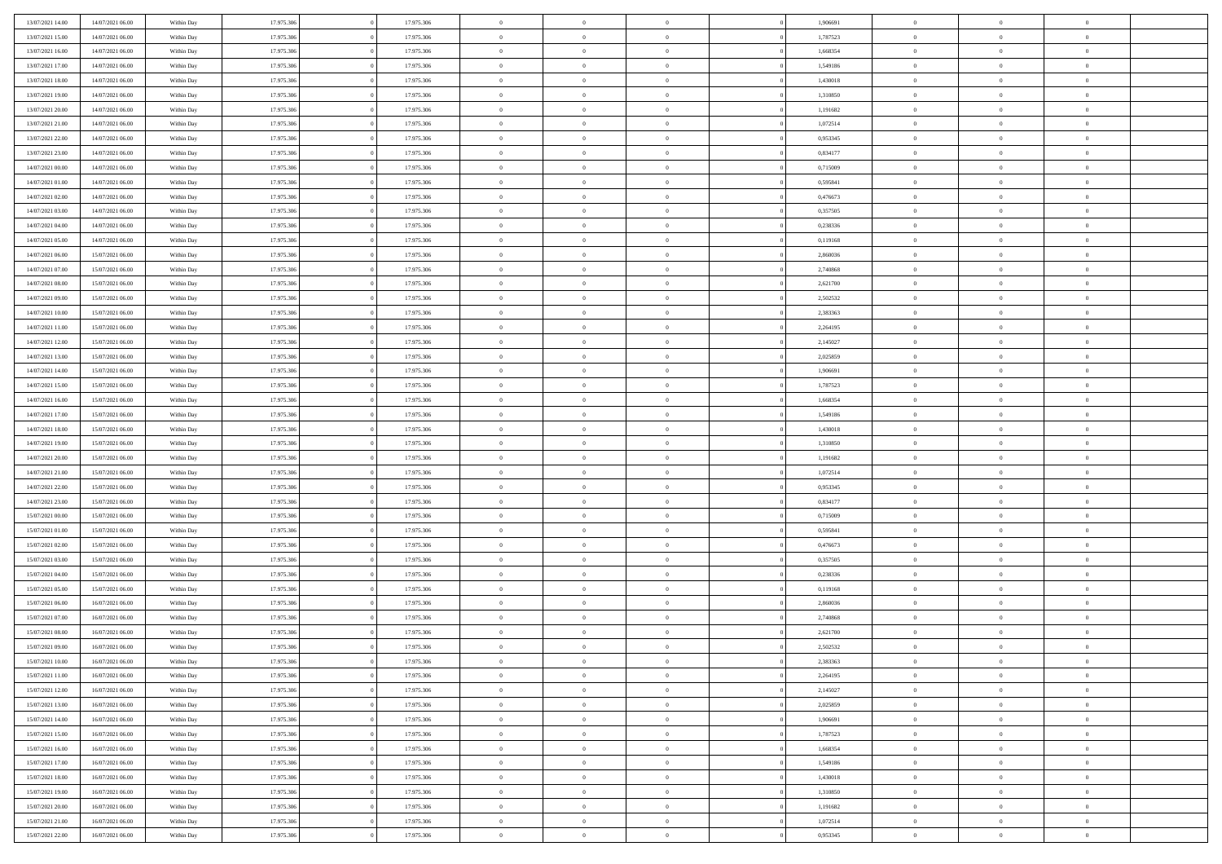| 13/07/2021 14:00                     | 14/07/2021 06:00                     | Within Day | 17.975.306 |          | 17.975.306 | $\bf{0}$       | $\bf{0}$       | $\theta$       |          | 1,906691 | $\bf{0}$       | $\overline{0}$ | $\,0\,$        |  |
|--------------------------------------|--------------------------------------|------------|------------|----------|------------|----------------|----------------|----------------|----------|----------|----------------|----------------|----------------|--|
| 13/07/2021 15:00                     | 14/07/2021 06:00                     | Within Day | 17.975.306 |          | 17.975.306 | $\overline{0}$ | $\overline{0}$ | $\overline{0}$ |          | 1,787523 | $\overline{0}$ | $\overline{0}$ | $\overline{0}$ |  |
| 13/07/2021 16:00                     | 14/07/2021 06:00                     | Within Day | 17.975.306 |          | 17.975.306 | $\mathbf{0}$   | $\overline{0}$ | $\overline{0}$ |          | 1,668354 | $\mathbf{0}$   | $\overline{0}$ | $\overline{0}$ |  |
| 13/07/2021 17:00                     | 14/07/2021 06:00                     | Within Day | 17.975.306 |          | 17.975.306 | $\bf{0}$       | $\overline{0}$ | $\overline{0}$ |          | 1,549186 | $\bf{0}$       | $\overline{0}$ | $\overline{0}$ |  |
| 13/07/2021 18:00                     | 14/07/2021 06:00                     | Within Day | 17.975.306 |          | 17.975.306 | $\bf{0}$       | $\bf{0}$       | $\overline{0}$ |          | 1,430018 | $\bf{0}$       | $\bf{0}$       | $\,0\,$        |  |
| 13/07/2021 19:00                     | 14/07/2021 06:00                     | Within Dav | 17.975.306 |          | 17.975.306 | $\overline{0}$ | $\overline{0}$ | $\overline{0}$ |          | 1,310850 | $\mathbf{0}$   | $\overline{0}$ | $\overline{0}$ |  |
| 13/07/2021 20:00                     | 14/07/2021 06:00                     | Within Day | 17.975.306 |          | 17.975.306 | $\bf{0}$       | $\overline{0}$ | $\overline{0}$ |          | 1,191682 | $\bf{0}$       | $\overline{0}$ | $\bf{0}$       |  |
| 13/07/2021 21:00                     | 14/07/2021 06:00                     | Within Day | 17.975.306 |          | 17.975.306 | $\overline{0}$ | $\overline{0}$ | $\overline{0}$ |          | 1,072514 | $\,$ 0 $\,$    | $\overline{0}$ | $\overline{0}$ |  |
| 13/07/2021 22:00                     | 14/07/2021 06:00                     | Within Day | 17.975.306 |          | 17.975.306 | $\mathbf{0}$   | $\overline{0}$ | $\overline{0}$ |          | 0,953345 | $\mathbf{0}$   | $\overline{0}$ | $\overline{0}$ |  |
|                                      | 14/07/2021 06:00                     |            | 17.975.306 |          | 17.975.306 | $\bf{0}$       | $\bf{0}$       | $\overline{0}$ |          | 0,834177 | $\bf{0}$       | $\overline{0}$ | $\,0\,$        |  |
| 13/07/2021 23:00                     |                                      | Within Day |            |          |            |                |                |                |          |          |                | $\overline{0}$ |                |  |
| 14/07/2021 00:00<br>14/07/2021 01:00 | 14/07/2021 06:00<br>14/07/2021 06:00 | Within Day | 17.975.306 |          | 17.975.306 | $\overline{0}$ | $\overline{0}$ | $\overline{0}$ |          | 0,715009 | $\bf{0}$       |                | $\overline{0}$ |  |
|                                      |                                      | Within Dav | 17.975.306 |          | 17.975.306 | $\mathbf{0}$   | $\overline{0}$ | $\overline{0}$ |          | 0,595841 | $\mathbf{0}$   | $\overline{0}$ | $\overline{0}$ |  |
| 14/07/2021 02.00                     | 14/07/2021 06:00                     | Within Day | 17.975.306 |          | 17.975.306 | $\bf{0}$       | $\overline{0}$ | $\overline{0}$ |          | 0,476673 | $\bf{0}$       | $\overline{0}$ | $\overline{0}$ |  |
| 14/07/2021 03:00                     | 14/07/2021 06:00                     | Within Day | 17.975.306 |          | 17.975.306 | $\bf{0}$       | $\overline{0}$ | $\overline{0}$ |          | 0,357505 | $\bf{0}$       | $\mathbf{0}$   | $\,0\,$        |  |
| 14/07/2021 04:00                     | 14/07/2021 06:00                     | Within Dav | 17.975.306 |          | 17.975.306 | $\overline{0}$ | $\overline{0}$ | $\overline{0}$ |          | 0,238336 | $\mathbf{0}$   | $\overline{0}$ | $\overline{0}$ |  |
| 14/07/2021 05:00                     | 14/07/2021 06:00                     | Within Day | 17.975.306 |          | 17.975.306 | $\bf{0}$       | $\bf{0}$       | $\overline{0}$ |          | 0,119168 | $\bf{0}$       | $\overline{0}$ | $\bf{0}$       |  |
| 14/07/2021 06:00                     | 15/07/2021 06:00                     | Within Day | 17.975.306 |          | 17.975.306 | $\overline{0}$ | $\overline{0}$ | $\overline{0}$ |          | 2,860036 | $\bf{0}$       | $\overline{0}$ | $\overline{0}$ |  |
| 14/07/2021 07:00                     | 15/07/2021 06:00                     | Within Day | 17.975.306 |          | 17.975.306 | $\mathbf{0}$   | $\overline{0}$ | $\overline{0}$ |          | 2,740868 | $\mathbf{0}$   | $\overline{0}$ | $\overline{0}$ |  |
| 14/07/2021 08:00                     | 15/07/2021 06:00                     | Within Day | 17.975.306 |          | 17.975.306 | $\bf{0}$       | $\bf{0}$       | $\overline{0}$ |          | 2,621700 | $\bf{0}$       | $\overline{0}$ | $\,0\,$        |  |
| 14/07/2021 09:00                     | 15/07/2021 06:00                     | Within Day | 17.975.306 |          | 17.975.306 | $\overline{0}$ | $\overline{0}$ | $\overline{0}$ |          | 2,502532 | $\bf{0}$       | $\overline{0}$ | $\overline{0}$ |  |
| 14/07/2021 10:00                     | 15/07/2021 06:00                     | Within Day | 17.975.306 |          | 17.975.306 | $\overline{0}$ | $\overline{0}$ | $\overline{0}$ |          | 2,383363 | $\mathbf{0}$   | $\overline{0}$ | $\overline{0}$ |  |
| 14/07/2021 11:00                     | 15/07/2021 06:00                     | Within Day | 17.975.306 |          | 17.975.306 | $\bf{0}$       | $\overline{0}$ | $\overline{0}$ |          | 2,264195 | $\bf{0}$       | $\overline{0}$ | $\bf{0}$       |  |
| 14/07/2021 12:00                     | 15/07/2021 06:00                     | Within Day | 17.975.306 |          | 17.975.306 | $\bf{0}$       | $\bf{0}$       | $\overline{0}$ |          | 2,145027 | $\bf{0}$       | $\bf{0}$       | $\bf{0}$       |  |
| 14/07/2021 13:00                     | 15/07/2021 06:00                     | Within Dav | 17.975.306 |          | 17.975.306 | $\mathbf{0}$   | $\overline{0}$ | $\overline{0}$ |          | 2,025859 | $\mathbf{0}$   | $\overline{0}$ | $\overline{0}$ |  |
| 14/07/2021 14:00                     | 15/07/2021 06:00                     | Within Day | 17.975.306 |          | 17.975.306 | $\bf{0}$       | $\bf{0}$       | $\overline{0}$ |          | 1,906691 | $\bf{0}$       | $\overline{0}$ | $\bf{0}$       |  |
| 14/07/2021 15:00                     | 15/07/2021 06:00                     | Within Day | 17.975.306 |          | 17.975.306 | $\overline{0}$ | $\overline{0}$ | $\overline{0}$ |          | 1,787523 | $\bf{0}$       | $\mathbf{0}$   | $\overline{0}$ |  |
| 14/07/2021 16:00                     | 15/07/2021 06:00                     | Within Day | 17.975.306 |          | 17.975.306 | $\overline{0}$ | $\overline{0}$ | $\overline{0}$ |          | 1,668354 | $\mathbf{0}$   | $\overline{0}$ | $\overline{0}$ |  |
| 14/07/2021 17:00                     | 15/07/2021 06:00                     | Within Day | 17.975.306 |          | 17.975.306 | $\bf{0}$       | $\bf{0}$       | $\overline{0}$ |          | 1,549186 | $\bf{0}$       | $\overline{0}$ | $\,0\,$        |  |
| 14/07/2021 18:00                     | 15/07/2021 06:00                     | Within Day | 17.975.306 |          | 17.975.306 | $\bf{0}$       | $\overline{0}$ | $\overline{0}$ |          | 1,430018 | $\bf{0}$       | $\overline{0}$ | $\overline{0}$ |  |
| 14/07/2021 19:00                     | 15/07/2021 06:00                     | Within Day | 17.975.306 |          | 17.975.306 | $\mathbf{0}$   | $\overline{0}$ | $\overline{0}$ |          | 1,310850 | $\mathbf{0}$   | $\overline{0}$ | $\overline{0}$ |  |
| 14/07/2021 20:00                     | 15/07/2021 06:00                     | Within Day | 17.975.306 |          | 17.975.306 | $\bf{0}$       | $\overline{0}$ | $\overline{0}$ |          | 1,191682 | $\,$ 0         | $\overline{0}$ | $\,$ 0 $\,$    |  |
| 14/07/2021 21:00                     | 15/07/2021 06:00                     | Within Day | 17.975.306 |          | 17.975.306 | $\bf{0}$       | $\overline{0}$ | $\overline{0}$ |          | 1,072514 | $\bf{0}$       | $\overline{0}$ | $\bf{0}$       |  |
| 14/07/2021 22:00                     | 15/07/2021 06:00                     | Within Dav | 17.975.306 |          | 17.975.306 | $\overline{0}$ | $\overline{0}$ | $\overline{0}$ |          | 0,953345 | $\mathbf{0}$   | $\overline{0}$ | $\overline{0}$ |  |
| 14/07/2021 23:00                     | 15/07/2021 06:00                     | Within Day | 17.975.306 |          | 17.975.306 | $\bf{0}$       | $\overline{0}$ | $\theta$       |          | 0,834177 | $\,$ 0         | $\overline{0}$ | $\theta$       |  |
| 15/07/2021 00:00                     | 15/07/2021 06:00                     | Within Day | 17.975.306 |          | 17.975.306 | $\overline{0}$ | $\overline{0}$ | $\overline{0}$ |          | 0,715009 | $\bf{0}$       | $\overline{0}$ | $\overline{0}$ |  |
| 15/07/2021 01:00                     | 15/07/2021 06:00                     | Within Day | 17.975.306 |          | 17.975.306 | $\mathbf{0}$   | $\overline{0}$ | $\overline{0}$ |          | 0,595841 | $\mathbf{0}$   | $\overline{0}$ | $\overline{0}$ |  |
| 15/07/2021 02:00                     | 15/07/2021 06:00                     | Within Day | 17.975.306 |          | 17.975.306 | $\bf{0}$       | $\overline{0}$ | $\theta$       |          | 0,476673 | $\,$ 0         | $\overline{0}$ | $\theta$       |  |
| 15/07/2021 03:00                     | 15/07/2021 06:00                     | Within Day | 17.975.306 |          | 17.975.306 | $\bf{0}$       | $\overline{0}$ | $\overline{0}$ |          | 0,357505 | $\bf{0}$       | $\mathbf{0}$   | $\overline{0}$ |  |
| 15/07/2021 04:00                     | 15/07/2021 06:00                     | Within Day | 17.975.306 |          | 17.975.306 | $\mathbf{0}$   | $\overline{0}$ | $\overline{0}$ |          | 0,238336 | $\mathbf{0}$   | $\overline{0}$ | $\overline{0}$ |  |
| 15/07/2021 05:00                     | 15/07/2021 06:00                     | Within Day | 17.975.306 |          | 17.975.306 | $\,0\,$        | $\overline{0}$ | $\overline{0}$ |          | 0,119168 | $\,$ 0         | $\overline{0}$ | $\theta$       |  |
| 15/07/2021 06:00                     | 16/07/2021 06:00                     | Within Day | 17.975.306 |          | 17.975.306 | $\bf{0}$       | $\overline{0}$ | $\overline{0}$ |          | 2,860036 | $\bf{0}$       | $\overline{0}$ | $\overline{0}$ |  |
| 15/07/2021 07:00                     | 16/07/2021 06:00                     | Within Day | 17.975.306 |          | 17.975.306 | $\mathbf{0}$   | $\overline{0}$ | $\overline{0}$ |          | 2,740868 | $\mathbf{0}$   | $\overline{0}$ | $\overline{0}$ |  |
| 15/07/2021 08:00                     | 16/07/2021 06:00                     | Within Day | 17.975.306 |          | 17.975.306 | $\bf{0}$       | $\overline{0}$ | $\theta$       |          | 2,621700 | $\,$ 0         | $\overline{0}$ | $\theta$       |  |
| 15/07/2021 09:00                     | 16/07/2021 06:00                     | Within Day | 17.975.306 |          | 17.975.306 | $\bf{0}$       | $\overline{0}$ | $\overline{0}$ |          | 2,502532 | $\bf{0}$       | $\overline{0}$ | $\overline{0}$ |  |
| 15/07/2021 10:00                     | 16/07/2021 06:00                     | Within Day | 17.975.306 |          | 17.975.306 | $\bf{0}$       | $\overline{0}$ | $\Omega$       |          | 2,383363 | $\overline{0}$ | $\theta$       | $\theta$       |  |
| 15/07/2021 11:00                     | 16/07/2021 06:00                     | Within Day | 17.975.306 |          | 17.975.306 | $\,0\,$        | $\overline{0}$ | $\theta$       |          | 2,264195 | $\,$ 0 $\,$    | $\bf{0}$       | $\theta$       |  |
| 15/07/2021 12:00                     | 16/07/2021 06:00                     |            | 17.975.306 |          | 17.975.306 | $\overline{0}$ | $\overline{0}$ | $\overline{0}$ |          | 2,145027 | $\overline{0}$ | $\overline{0}$ | $\overline{0}$ |  |
| 15/07/2021 13:00                     | 16/07/2021 06:00                     | Within Day | 17.975.306 |          | 17.975.306 | $\bf{0}$       | $\overline{0}$ | $\overline{0}$ |          | 2,025859 | $\overline{0}$ | $\bf{0}$       | $\overline{0}$ |  |
|                                      |                                      | Within Day |            |          |            |                |                |                |          |          |                |                |                |  |
| 15/07/2021 14:00                     | 16/07/2021 06:00                     | Within Day | 17.975.306 |          | 17.975.306 | $\bf{0}$       | $\overline{0}$ | $\overline{0}$ | $\theta$ | 1,906691 | $\,$ 0 $\,$    | $\bf{0}$       | $\,$ 0 $\,$    |  |
| 15/07/2021 15:00                     | 16/07/2021 06:00                     | Within Day | 17.975.306 |          | 17.975.306 | $\bf{0}$       | $\overline{0}$ | $\overline{0}$ |          | 1,787523 | $\,$ 0 $\,$    | $\overline{0}$ | $\overline{0}$ |  |
| 15/07/2021 16:00                     | 16/07/2021 06:00                     | Within Day | 17.975.306 |          | 17.975.306 | $\bf{0}$       | $\overline{0}$ | $\overline{0}$ |          | 1,668354 | $\mathbf{0}$   | $\overline{0}$ | $\overline{0}$ |  |
| 15/07/2021 17:00                     | 16/07/2021 06:00                     | Within Day | 17.975.306 | $\theta$ | 17.975.306 | $\,$ 0 $\,$    | $\overline{0}$ | $\overline{0}$ | $\theta$ | 1,549186 | $\,$ 0 $\,$    | $\mathbf{0}$   | $\,$ 0 $\,$    |  |
| 15/07/2021 18:00                     | 16/07/2021 06:00                     | Within Day | 17.975.306 |          | 17.975.306 | $\bf{0}$       | $\overline{0}$ | $\overline{0}$ |          | 1,430018 | $\overline{0}$ | $\overline{0}$ | $\overline{0}$ |  |
| 15/07/2021 19:00                     | 16/07/2021 06:00                     | Within Day | 17.975.306 |          | 17.975.306 | $\bf{0}$       | $\overline{0}$ | $\overline{0}$ |          | 1,310850 | $\mathbf{0}$   | $\bf{0}$       | $\overline{0}$ |  |
| 15/07/2021 20:00                     | 16/07/2021 06:00                     | Within Day | 17.975.306 |          | 17.975.306 | $\,$ 0 $\,$    | $\overline{0}$ | $\overline{0}$ | $\bf{0}$ | 1,191682 | $\,$ 0 $\,$    | $\mathbf{0}$   | $\,$ 0 $\,$    |  |
| 15/07/2021 21:00                     | 16/07/2021 06:00                     | Within Day | 17.975.306 |          | 17.975.306 | $\overline{0}$ | $\overline{0}$ | $\overline{0}$ |          | 1,072514 | $\bf{0}$       | $\mathbf{0}$   | $\overline{0}$ |  |
| 15/07/2021 22:00                     | 16/07/2021 06:00                     | Within Day | 17.975.306 |          | 17.975.306 | $\overline{0}$ | $\overline{0}$ | $\overline{0}$ |          | 0,953345 | $\mathbf{0}$   | $\overline{0}$ | $\overline{0}$ |  |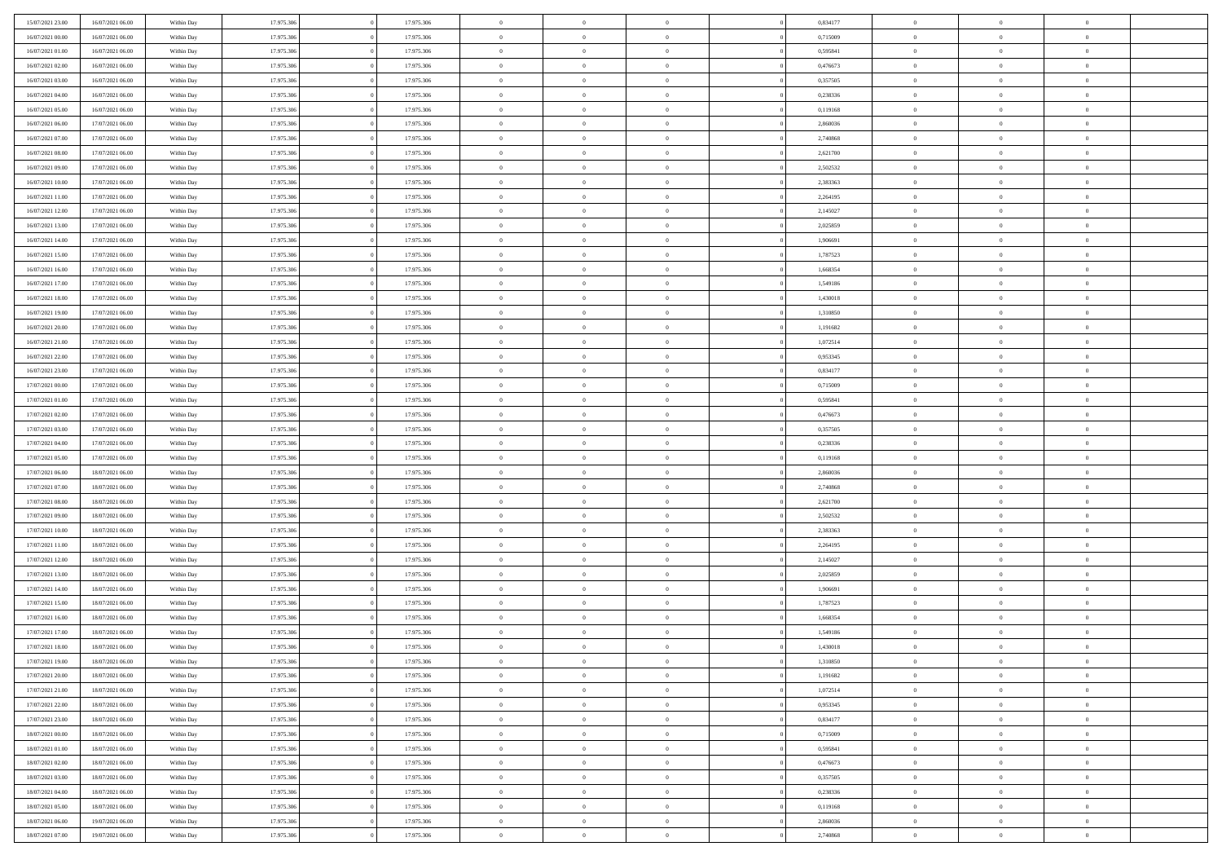| 15/07/2021 23:00                     | 16/07/2021 06:00 | Within Day | 17.975.306 |          | 17.975.306 | $\bf{0}$       | $\bf{0}$       | $\theta$       |          | 0,834177 | $\bf{0}$                 | $\overline{0}$ | $\,0\,$        |  |
|--------------------------------------|------------------|------------|------------|----------|------------|----------------|----------------|----------------|----------|----------|--------------------------|----------------|----------------|--|
| 16/07/2021 00:00                     | 16/07/2021 06:00 | Within Day | 17.975.306 |          | 17.975.306 | $\overline{0}$ | $\overline{0}$ | $\overline{0}$ |          | 0,715009 | $\overline{0}$           | $\overline{0}$ | $\theta$       |  |
| 16/07/2021 01:00                     | 16/07/2021 06:00 | Within Day | 17.975.306 |          | 17.975.306 | $\mathbf{0}$   | $\overline{0}$ | $\overline{0}$ |          | 0,595841 | $\mathbf{0}$             | $\overline{0}$ | $\overline{0}$ |  |
| 16/07/2021 02:00                     | 16/07/2021 06:00 | Within Day | 17.975.306 |          | 17.975.306 | $\bf{0}$       | $\overline{0}$ | $\overline{0}$ |          | 0,476673 | $\bf{0}$                 | $\overline{0}$ | $\bf{0}$       |  |
| 16/07/2021 03:00                     | 16/07/2021 06:00 | Within Day | 17.975.306 |          | 17.975.306 | $\bf{0}$       | $\bf{0}$       | $\overline{0}$ |          | 0,357505 | $\bf{0}$                 | $\overline{0}$ | $\,0\,$        |  |
| 16/07/2021 04:00                     | 16/07/2021 06:00 | Within Dav | 17.975.306 |          | 17.975.306 | $\overline{0}$ | $\overline{0}$ | $\overline{0}$ |          | 0,238336 | $\mathbf{0}$             | $\overline{0}$ | $\overline{0}$ |  |
| 16/07/2021 05:00                     | 16/07/2021 06:00 | Within Day | 17.975.306 |          | 17.975.306 | $\bf{0}$       | $\overline{0}$ | $\overline{0}$ |          | 0,119168 | $\bf{0}$                 | $\overline{0}$ | $\bf{0}$       |  |
| 16/07/2021 06:00                     | 17/07/2021 06:00 | Within Day | 17.975.306 |          | 17.975.306 | $\overline{0}$ | $\overline{0}$ | $\overline{0}$ |          | 2,860036 | $\,$ 0 $\,$              | $\overline{0}$ | $\overline{0}$ |  |
| 16/07/2021 07:00                     | 17/07/2021 06:00 | Within Day | 17.975.306 |          | 17.975.306 | $\mathbf{0}$   | $\overline{0}$ | $\overline{0}$ |          | 2,740868 | $\mathbf{0}$             | $\overline{0}$ | $\overline{0}$ |  |
| 16/07/2021 08:00                     | 17/07/2021 06:00 |            | 17.975.306 |          | 17.975.306 | $\bf{0}$       | $\bf{0}$       | $\overline{0}$ |          | 2,621700 | $\bf{0}$                 | $\overline{0}$ | $\,0\,$        |  |
|                                      |                  | Within Day |            |          |            | $\overline{0}$ | $\overline{0}$ |                |          |          |                          | $\overline{0}$ | $\overline{0}$ |  |
| 16/07/2021 09:00<br>16/07/2021 10:00 | 17/07/2021 06:00 | Within Day | 17.975.306 |          | 17.975.306 | $\mathbf{0}$   |                | $\overline{0}$ |          | 2,502532 | $\bf{0}$<br>$\mathbf{0}$ |                | $\overline{0}$ |  |
|                                      | 17/07/2021 06:00 | Within Dav | 17.975.306 |          | 17.975.306 |                | $\overline{0}$ | $\overline{0}$ |          | 2,383363 |                          | $\overline{0}$ |                |  |
| 16/07/2021 11:00                     | 17/07/2021 06:00 | Within Day | 17.975.306 |          | 17.975.306 | $\bf{0}$       | $\overline{0}$ | $\overline{0}$ |          | 2,264195 | $\bf{0}$                 | $\overline{0}$ | $\bf{0}$       |  |
| 16/07/2021 12:00                     | 17/07/2021 06:00 | Within Day | 17.975.306 |          | 17.975.306 | $\bf{0}$       | $\overline{0}$ | $\overline{0}$ |          | 2,145027 | $\bf{0}$                 | $\mathbf{0}$   | $\,0\,$        |  |
| 16/07/2021 13:00                     | 17/07/2021 06:00 | Within Dav | 17.975.306 |          | 17.975.306 | $\overline{0}$ | $\overline{0}$ | $\overline{0}$ |          | 2,025859 | $\mathbf{0}$             | $\overline{0}$ | $\overline{0}$ |  |
| 16/07/2021 14:00                     | 17/07/2021 06:00 | Within Day | 17.975.306 |          | 17.975.306 | $\bf{0}$       | $\bf{0}$       | $\overline{0}$ |          | 1,906691 | $\bf{0}$                 | $\overline{0}$ | $\bf{0}$       |  |
| 16/07/2021 15:00                     | 17/07/2021 06:00 | Within Day | 17.975.306 |          | 17.975.306 | $\overline{0}$ | $\overline{0}$ | $\overline{0}$ |          | 1,787523 | $\bf{0}$                 | $\overline{0}$ | $\overline{0}$ |  |
| 16/07/2021 16:00                     | 17/07/2021 06:00 | Within Day | 17.975.306 |          | 17.975.306 | $\mathbf{0}$   | $\overline{0}$ | $\overline{0}$ |          | 1,668354 | $\mathbf{0}$             | $\overline{0}$ | $\overline{0}$ |  |
| 16/07/2021 17:00                     | 17/07/2021 06:00 | Within Day | 17.975.306 |          | 17.975.306 | $\bf{0}$       | $\bf{0}$       | $\overline{0}$ |          | 1,549186 | $\bf{0}$                 | $\overline{0}$ | $\,0\,$        |  |
| 16/07/2021 18:00                     | 17/07/2021 06:00 | Within Day | 17.975.306 |          | 17.975.306 | $\overline{0}$ | $\overline{0}$ | $\overline{0}$ |          | 1,430018 | $\bf{0}$                 | $\overline{0}$ | $\overline{0}$ |  |
| 16/07/2021 19:00                     | 17/07/2021 06:00 | Within Day | 17.975.306 |          | 17.975.306 | $\overline{0}$ | $\overline{0}$ | $\overline{0}$ |          | 1,310850 | $\mathbf{0}$             | $\overline{0}$ | $\overline{0}$ |  |
| 16/07/2021 20:00                     | 17/07/2021 06:00 | Within Day | 17.975.306 |          | 17.975.306 | $\bf{0}$       | $\overline{0}$ | $\overline{0}$ |          | 1,191682 | $\bf{0}$                 | $\overline{0}$ | $\bf{0}$       |  |
| 16/07/2021 21:00                     | 17/07/2021 06:00 | Within Day | 17.975.306 |          | 17.975.306 | $\bf{0}$       | $\bf{0}$       | $\overline{0}$ |          | 1,072514 | $\bf{0}$                 | $\overline{0}$ | $\,0\,$        |  |
| 16/07/2021 22:00                     | 17/07/2021 06:00 | Within Dav | 17.975.306 |          | 17.975.306 | $\mathbf{0}$   | $\overline{0}$ | $\overline{0}$ |          | 0,953345 | $\mathbf{0}$             | $\overline{0}$ | $\overline{0}$ |  |
| 16/07/2021 23:00                     | 17/07/2021 06:00 | Within Day | 17.975.306 |          | 17.975.306 | $\bf{0}$       | $\bf{0}$       | $\overline{0}$ |          | 0,834177 | $\bf{0}$                 | $\overline{0}$ | $\bf{0}$       |  |
| 17/07/2021 00:00                     | 17/07/2021 06:00 | Within Day | 17.975.306 |          | 17.975.306 | $\overline{0}$ | $\overline{0}$ | $\overline{0}$ |          | 0,715009 | $\bf{0}$                 | $\mathbf{0}$   | $\overline{0}$ |  |
| 17/07/2021 01:00                     | 17/07/2021 06:00 | Within Day | 17.975.306 |          | 17.975.306 | $\overline{0}$ | $\overline{0}$ | $\overline{0}$ |          | 0,595841 | $\mathbf{0}$             | $\overline{0}$ | $\overline{0}$ |  |
| 17/07/2021 02.00                     | 17/07/2021 06:00 | Within Day | 17.975.306 |          | 17.975.306 | $\bf{0}$       | $\bf{0}$       | $\overline{0}$ |          | 0,476673 | $\bf{0}$                 | $\overline{0}$ | $\,0\,$        |  |
| 17/07/2021 03:00                     | 17/07/2021 06:00 | Within Day | 17.975.306 |          | 17.975.306 | $\bf{0}$       | $\overline{0}$ | $\overline{0}$ |          | 0,357505 | $\bf{0}$                 | $\mathbf{0}$   | $\overline{0}$ |  |
| 17/07/2021 04:00                     | 17/07/2021 06:00 | Within Day | 17.975.306 |          | 17.975.306 | $\mathbf{0}$   | $\overline{0}$ | $\overline{0}$ |          | 0,238336 | $\mathbf{0}$             | $\overline{0}$ | $\overline{0}$ |  |
| 17/07/2021 05:00                     | 17/07/2021 06:00 | Within Day | 17.975.306 |          | 17.975.306 | $\bf{0}$       | $\overline{0}$ | $\overline{0}$ |          | 0,119168 | $\,$ 0                   | $\overline{0}$ | $\,$ 0 $\,$    |  |
| 17/07/2021 06:00                     | 18/07/2021 06:00 | Within Day | 17.975.306 |          | 17.975.306 | $\bf{0}$       | $\overline{0}$ | $\overline{0}$ |          | 2,860036 | $\bf{0}$                 | $\overline{0}$ | $\overline{0}$ |  |
| 17/07/2021 07:00                     | 18/07/2021 06:00 | Within Dav | 17.975.306 |          | 17.975.306 | $\overline{0}$ | $\overline{0}$ | $\overline{0}$ |          | 2,740868 | $\mathbf{0}$             | $\overline{0}$ | $\overline{0}$ |  |
| 17/07/2021 08:00                     | 18/07/2021 06:00 | Within Day | 17.975.306 |          | 17.975.306 | $\bf{0}$       | $\overline{0}$ | $\theta$       |          | 2,621700 | $\,$ 0                   | $\overline{0}$ | $\theta$       |  |
| 17/07/2021 09:00                     | 18/07/2021 06:00 | Within Day | 17.975.306 |          | 17.975.306 | $\overline{0}$ | $\overline{0}$ | $\overline{0}$ |          | 2,502532 | $\bf{0}$                 | $\overline{0}$ | $\overline{0}$ |  |
| 17/07/2021 10:00                     | 18/07/2021 06:00 | Within Day | 17.975.306 |          | 17.975.306 | $\mathbf{0}$   | $\overline{0}$ | $\overline{0}$ |          | 2,383363 | $\mathbf{0}$             | $\overline{0}$ | $\overline{0}$ |  |
| 17/07/2021 11:00                     | 18/07/2021 06:00 | Within Day | 17.975.306 |          | 17.975.306 | $\bf{0}$       | $\overline{0}$ | $\theta$       |          | 2,264195 | $\,$ 0                   | $\overline{0}$ | $\theta$       |  |
| 17/07/2021 12:00                     | 18/07/2021 06:00 | Within Day | 17.975.306 |          | 17.975.306 | $\bf{0}$       | $\overline{0}$ | $\overline{0}$ |          | 2,145027 | $\bf{0}$                 | $\overline{0}$ | $\bf{0}$       |  |
| 17/07/2021 13:00                     | 18/07/2021 06:00 | Within Day | 17.975.306 |          | 17.975.306 | $\mathbf{0}$   | $\overline{0}$ | $\overline{0}$ |          | 2,025859 | $\mathbf{0}$             | $\overline{0}$ | $\overline{0}$ |  |
| 17/07/2021 14:00                     | 18/07/2021 06:00 | Within Day | 17.975.306 |          | 17.975.306 | $\,0\,$        | $\overline{0}$ | $\theta$       |          | 1,906691 | $\,$ 0                   | $\overline{0}$ | $\,$ 0 $\,$    |  |
| 17/07/2021 15:00                     | 18/07/2021 06:00 | Within Day | 17.975.306 |          | 17.975.306 | $\bf{0}$       | $\overline{0}$ | $\overline{0}$ |          | 1,787523 | $\bf{0}$                 | $\overline{0}$ | $\bf{0}$       |  |
| 17/07/2021 16:00                     | 18/07/2021 06:00 | Within Day | 17.975.306 |          | 17.975.306 | $\mathbf{0}$   | $\overline{0}$ | $\overline{0}$ |          | 1,668354 | $\mathbf{0}$             | $\overline{0}$ | $\overline{0}$ |  |
| 17/07/2021 17:00                     | 18/07/2021 06:00 | Within Day | 17.975.306 |          | 17.975.306 | $\bf{0}$       | $\overline{0}$ | $\theta$       |          | 1,549186 | $\,$ 0                   | $\overline{0}$ | $\theta$       |  |
| 17/07/2021 18:00                     | 18/07/2021 06:00 | Within Day | 17.975.306 |          | 17.975.306 | $\bf{0}$       | $\overline{0}$ | $\overline{0}$ |          | 1,430018 | $\bf{0}$                 | $\overline{0}$ | $\bf{0}$       |  |
| 17/07/2021 19:00                     | 18/07/2021 06:00 | Within Day | 17.975.306 |          | 17.975.306 | $\bf{0}$       | $\overline{0}$ | $\Omega$       |          | 1,310850 | $\overline{0}$           | $\theta$       | $\theta$       |  |
| 17/07/2021 20:00                     | 18/07/2021 06:00 | Within Day | 17.975.306 |          | 17.975.306 | $\,0\,$        | $\overline{0}$ | $\theta$       |          | 1,191682 | $\,$ 0 $\,$              | $\bf{0}$       | $\theta$       |  |
| 17/07/2021 21:00                     | 18/07/2021 06:00 | Within Day | 17.975.306 |          | 17.975.306 | $\overline{0}$ | $\overline{0}$ | $\overline{0}$ |          | 1,072514 | $\overline{0}$           | $\overline{0}$ | $\overline{0}$ |  |
| 17/07/2021 22:00                     | 18/07/2021 06:00 | Within Day | 17.975.306 |          | 17.975.306 | $\bf{0}$       | $\overline{0}$ | $\overline{0}$ |          | 0,953345 | $\overline{0}$           | $\bf{0}$       | $\overline{0}$ |  |
| 17/07/2021 23:00                     | 18/07/2021 06:00 | Within Day | 17.975.306 |          | 17.975.306 | $\bf{0}$       | $\overline{0}$ | $\overline{0}$ | $\theta$ | 0,834177 | $\,$ 0 $\,$              | $\bf{0}$       | $\,$ 0 $\,$    |  |
| 18/07/2021 00:00                     | 18/07/2021 06:00 | Within Day | 17.975.306 |          | 17.975.306 | $\bf{0}$       | $\overline{0}$ | $\overline{0}$ |          | 0,715009 | $\,$ 0 $\,$              | $\overline{0}$ | $\overline{0}$ |  |
| 18/07/2021 01:00                     | 18/07/2021 06:00 | Within Day | 17.975.306 |          | 17.975.306 | $\bf{0}$       | $\overline{0}$ | $\overline{0}$ |          | 0,595841 | $\mathbf{0}$             | $\overline{0}$ | $\overline{0}$ |  |
|                                      |                  |            |            |          |            |                |                |                |          |          |                          |                |                |  |
| 18/07/2021 02:00                     | 18/07/2021 06:00 | Within Day | 17.975.306 | $\theta$ | 17.975.306 | $\,0\,$        | $\overline{0}$ | $\overline{0}$ | $\theta$ | 0,476673 | $\,$ 0 $\,$              | $\bf{0}$       | $\,$ 0 $\,$    |  |
| 18/07/2021 03:00                     | 18/07/2021 06:00 | Within Day | 17.975.306 |          | 17.975.306 | $\bf{0}$       | $\overline{0}$ | $\overline{0}$ |          | 0,357505 | $\overline{0}$           | $\overline{0}$ | $\overline{0}$ |  |
| 18/07/2021 04:00                     | 18/07/2021 06:00 | Within Day | 17.975.306 |          | 17.975.306 | $\bf{0}$       | $\overline{0}$ | $\overline{0}$ |          | 0,238336 | $\overline{0}$           | $\bf{0}$       | $\overline{0}$ |  |
| 18/07/2021 05:00                     | 18/07/2021 06:00 | Within Day | 17.975.306 |          | 17.975.306 | $\,$ 0 $\,$    | $\overline{0}$ | $\overline{0}$ |          | 0,119168 | $\,$ 0 $\,$              | $\mathbf{0}$   | $\,$ 0 $\,$    |  |
| 18/07/2021 06:00                     | 19/07/2021 06:00 | Within Day | 17.975.306 |          | 17.975.306 | $\overline{0}$ | $\overline{0}$ | $\overline{0}$ |          | 2,860036 | $\mathbf 0$              | $\mathbf{0}$   | $\overline{0}$ |  |
| 18/07/2021 07:00                     | 19/07/2021 06:00 | Within Day | 17.975.306 |          | 17.975.306 | $\mathbf{0}$   | $\overline{0}$ | $\overline{0}$ |          | 2,740868 | $\mathbf{0}$             | $\overline{0}$ | $\overline{0}$ |  |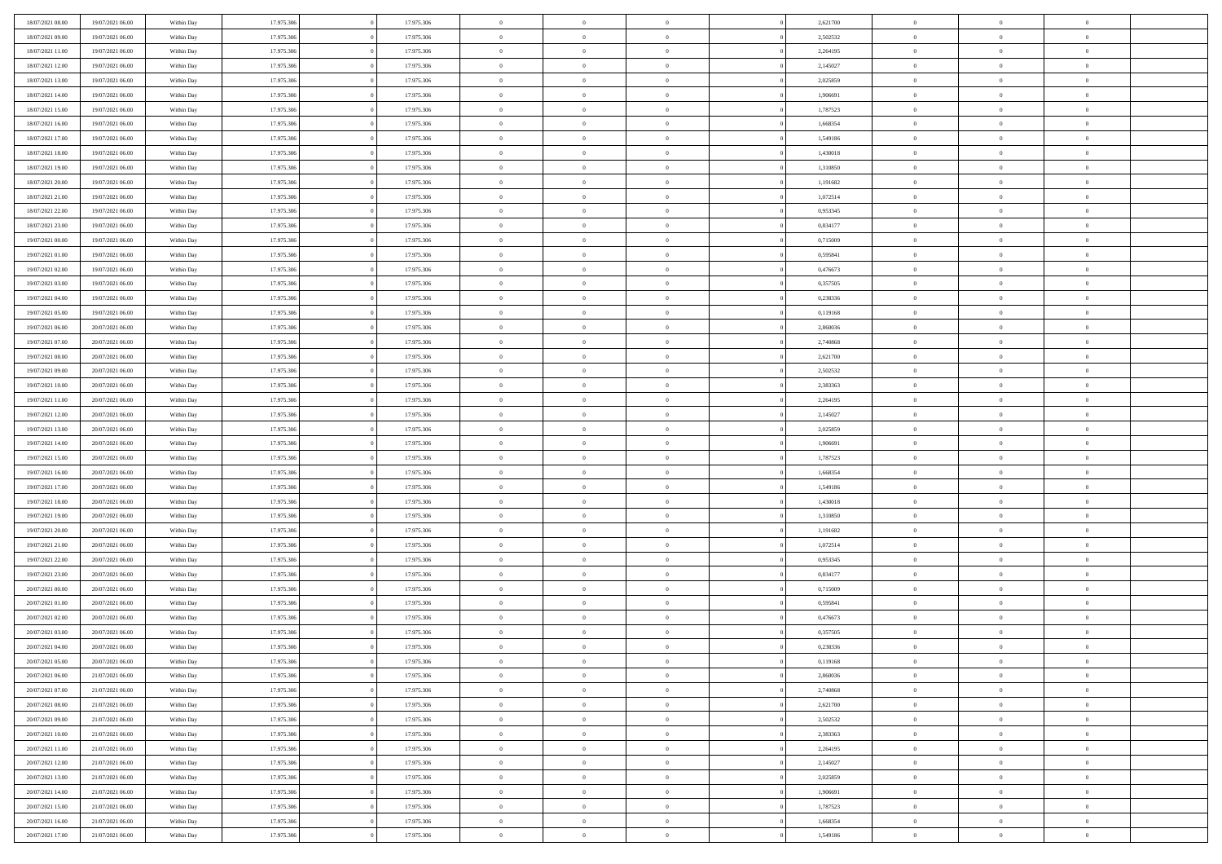| 18/07/2021 08:00<br>19/07/2021 06:00                     | Within Day               | 17.975.306 | 17.975.306 | $\bf{0}$       | $\bf{0}$       | $\theta$       |          | 2,621700 | $\bf{0}$       | $\overline{0}$ | $\,0\,$        |  |
|----------------------------------------------------------|--------------------------|------------|------------|----------------|----------------|----------------|----------|----------|----------------|----------------|----------------|--|
| 18/07/2021 09:00<br>19/07/2021 06:00                     | Within Day               | 17.975.306 | 17.975.306 | $\overline{0}$ | $\overline{0}$ | $\overline{0}$ |          | 2,502532 | $\overline{0}$ | $\overline{0}$ | $\overline{0}$ |  |
| 18/07/2021 11:00<br>19/07/2021 06:00                     | Within Day               | 17.975.306 | 17.975.306 | $\mathbf{0}$   | $\overline{0}$ | $\overline{0}$ |          | 2,264195 | $\mathbf{0}$   | $\overline{0}$ | $\overline{0}$ |  |
| 18/07/2021 12:00<br>19/07/2021 06:00                     | Within Day               | 17.975.306 | 17.975.306 | $\bf{0}$       | $\overline{0}$ | $\overline{0}$ |          | 2,145027 | $\bf{0}$       | $\overline{0}$ | $\bf{0}$       |  |
| 18/07/2021 13:00<br>19/07/2021 06:00                     | Within Day               | 17.975.306 | 17.975.306 | $\bf{0}$       | $\bf{0}$       | $\overline{0}$ |          | 2,025859 | $\bf{0}$       | $\overline{0}$ | $\,0\,$        |  |
| 18/07/2021 14:00<br>19/07/2021 06:00                     | Within Dav               | 17.975.306 | 17.975.306 | $\overline{0}$ | $\overline{0}$ | $\overline{0}$ |          | 1,906691 | $\mathbf{0}$   | $\overline{0}$ | $\overline{0}$ |  |
| 18/07/2021 15:00<br>19/07/2021 06:00                     | Within Day               | 17.975.306 | 17.975.306 | $\bf{0}$       | $\overline{0}$ | $\overline{0}$ |          | 1,787523 | $\bf{0}$       | $\overline{0}$ | $\,0\,$        |  |
| 18/07/2021 16:00<br>19/07/2021 06:00                     | Within Day               | 17.975.306 | 17.975.306 | $\overline{0}$ | $\overline{0}$ | $\overline{0}$ |          | 1,668354 | $\,$ 0 $\,$    | $\overline{0}$ | $\overline{0}$ |  |
| 18/07/2021 17:00<br>19/07/2021 06:00                     | Within Day               | 17.975.306 | 17.975.306 | $\mathbf{0}$   | $\overline{0}$ | $\overline{0}$ |          | 1,549186 | $\mathbf{0}$   | $\overline{0}$ | $\overline{0}$ |  |
| 18/07/2021 18:00<br>19/07/2021 06:00                     | Within Day               | 17.975.306 | 17.975.306 | $\bf{0}$       | $\bf{0}$       | $\overline{0}$ |          | 1,430018 | $\bf{0}$       | $\overline{0}$ | $\,0\,$        |  |
| 18/07/2021 19:00<br>19/07/2021 06:00                     | Within Day               | 17.975.306 | 17.975.306 | $\overline{0}$ | $\overline{0}$ | $\overline{0}$ |          | 1,310850 | $\bf{0}$       | $\overline{0}$ | $\overline{0}$ |  |
| 18/07/2021 20:00<br>19/07/2021 06:00                     | Within Dav               | 17.975.306 | 17.975.306 | $\mathbf{0}$   | $\overline{0}$ | $\overline{0}$ |          | 1,191682 | $\mathbf{0}$   | $\overline{0}$ | $\overline{0}$ |  |
| 18/07/2021 21:00<br>19/07/2021 06:00                     | Within Day               | 17.975.306 | 17.975.306 | $\bf{0}$       | $\overline{0}$ | $\overline{0}$ |          | 1,072514 | $\bf{0}$       | $\overline{0}$ | $\bf{0}$       |  |
| 18/07/2021 22:00<br>19/07/2021 06:00                     | Within Day               | 17.975.306 | 17.975.306 | $\bf{0}$       | $\overline{0}$ | $\overline{0}$ |          | 0,953345 | $\bf{0}$       | $\mathbf{0}$   | $\,0\,$        |  |
| 18/07/2021 23:00<br>19/07/2021 06:00                     | Within Dav               | 17.975.306 | 17.975.306 | $\overline{0}$ | $\overline{0}$ | $\overline{0}$ |          | 0,834177 | $\mathbf{0}$   | $\overline{0}$ | $\overline{0}$ |  |
| 19/07/2021 00:00<br>19/07/2021 06:00                     | Within Day               | 17.975.306 | 17.975.306 | $\bf{0}$       | $\bf{0}$       | $\overline{0}$ |          | 0,715009 | $\bf{0}$       | $\overline{0}$ | $\bf{0}$       |  |
| 19/07/2021 01:00<br>19/07/2021 06:00                     |                          | 17.975.306 | 17.975.306 | $\overline{0}$ | $\overline{0}$ | $\overline{0}$ |          | 0,595841 | $\bf{0}$       | $\overline{0}$ | $\overline{0}$ |  |
| 19/07/2021 02:00<br>19/07/2021 06:00                     | Within Day<br>Within Day | 17.975.306 | 17.975.306 | $\mathbf{0}$   | $\overline{0}$ | $\overline{0}$ |          | 0,476673 | $\mathbf{0}$   | $\overline{0}$ | $\overline{0}$ |  |
| 19/07/2021 03:00<br>19/07/2021 06:00                     | Within Day               | 17.975.306 | 17.975.306 | $\bf{0}$       | $\bf{0}$       | $\overline{0}$ |          | 0,357505 | $\bf{0}$       | $\overline{0}$ | $\,0\,$        |  |
| 19/07/2021 04:00<br>19/07/2021 06:00                     |                          | 17.975.306 | 17.975.306 | $\overline{0}$ | $\overline{0}$ | $\overline{0}$ |          | 0,238336 | $\bf{0}$       | $\overline{0}$ | $\overline{0}$ |  |
| 19/07/2021 05:00<br>19/07/2021 06:00                     | Within Day               | 17.975.306 | 17.975.306 | $\mathbf{0}$   | $\overline{0}$ | $\overline{0}$ |          | 0,119168 | $\mathbf{0}$   | $\overline{0}$ | $\overline{0}$ |  |
| 20/07/2021 06:00                                         | Within Day               |            |            | $\bf{0}$       |                |                |          |          | $\bf{0}$       |                | $\bf{0}$       |  |
| 19/07/2021 06:00                                         | Within Day               | 17.975.306 | 17.975.306 |                | $\overline{0}$ | $\overline{0}$ |          | 2,860036 |                | $\overline{0}$ |                |  |
| 19/07/2021 07:00<br>20/07/2021 06:00<br>19/07/2021 08:00 | Within Day               | 17.975.306 | 17.975.306 | $\bf{0}$       | $\bf{0}$       | $\overline{0}$ |          | 2,740868 | $\bf{0}$       | $\overline{0}$ | $\,0\,$        |  |
| 20/07/2021 06:00                                         | Within Dav               | 17.975.306 | 17.975.306 | $\mathbf{0}$   | $\overline{0}$ | $\overline{0}$ |          | 2,621700 | $\mathbf{0}$   | $\overline{0}$ | $\overline{0}$ |  |
| 19/07/2021 09:00<br>20/07/2021 06:00                     | Within Day               | 17.975.306 | 17.975.306 | $\bf{0}$       | $\bf{0}$       | $\overline{0}$ |          | 2,502532 | $\bf{0}$       | $\overline{0}$ | $\,0\,$        |  |
| 19/07/2021 10:00<br>20/07/2021 06:00                     | Within Day               | 17.975.306 | 17.975.306 | $\overline{0}$ | $\overline{0}$ | $\overline{0}$ |          | 2,383363 | $\bf{0}$       | $\mathbf{0}$   | $\overline{0}$ |  |
| 19/07/2021 11:00<br>20/07/2021 06:00                     | Within Day               | 17.975.306 | 17.975.306 | $\mathbf{0}$   | $\overline{0}$ | $\overline{0}$ |          | 2,264195 | $\mathbf{0}$   | $\overline{0}$ | $\overline{0}$ |  |
| 19/07/2021 12:00<br>20/07/2021 06:00                     | Within Day               | 17.975.306 | 17.975.306 | $\bf{0}$       | $\bf{0}$       | $\overline{0}$ |          | 2,145027 | $\bf{0}$       | $\overline{0}$ | $\,0\,$        |  |
| 19/07/2021 13:00<br>20/07/2021 06:00                     | Within Day               | 17.975.306 | 17.975.306 | $\bf{0}$       | $\overline{0}$ | $\overline{0}$ |          | 2,025859 | $\bf{0}$       | $\mathbf{0}$   | $\overline{0}$ |  |
| 19/07/2021 14:00<br>20/07/2021 06:00                     | Within Dav               | 17.975.306 | 17.975.306 | $\mathbf{0}$   | $\overline{0}$ | $\overline{0}$ |          | 1,906691 | $\mathbf{0}$   | $\overline{0}$ | $\overline{0}$ |  |
| 19/07/2021 15:00<br>20/07/2021 06:00                     | Within Day               | 17.975.306 | 17.975.306 | $\bf{0}$       | $\overline{0}$ | $\overline{0}$ |          | 1,787523 | $\,$ 0         | $\overline{0}$ | $\,$ 0 $\,$    |  |
| 19/07/2021 16:00<br>20/07/2021 06:00                     | Within Day               | 17.975.306 | 17.975.306 | $\bf{0}$       | $\overline{0}$ | $\overline{0}$ |          | 1,668354 | $\bf{0}$       | $\overline{0}$ | $\bf{0}$       |  |
| 19/07/2021 17:00<br>20/07/2021 06:00                     | Within Dav               | 17.975.306 | 17.975.306 | $\overline{0}$ | $\overline{0}$ | $\overline{0}$ |          | 1,549186 | $\mathbf{0}$   | $\overline{0}$ | $\overline{0}$ |  |
| 19/07/2021 18:00<br>20/07/2021 06:00                     | Within Day               | 17.975.306 | 17.975.306 | $\bf{0}$       | $\overline{0}$ | $\theta$       |          | 1,430018 | $\,$ 0         | $\overline{0}$ | $\theta$       |  |
| 19/07/2021 19:00<br>20/07/2021 06:00                     | Within Day               | 17.975.306 | 17.975.306 | $\overline{0}$ | $\overline{0}$ | $\overline{0}$ |          | 1,310850 | $\bf{0}$       | $\overline{0}$ | $\overline{0}$ |  |
| 19/07/2021 20:00<br>20/07/2021 06:00                     | Within Day               | 17.975.306 | 17.975.306 | $\mathbf{0}$   | $\overline{0}$ | $\overline{0}$ |          | 1,191682 | $\mathbf{0}$   | $\overline{0}$ | $\overline{0}$ |  |
| 19/07/2021 21:00<br>20/07/2021 06:00                     | Within Day               | 17.975.306 | 17.975.306 | $\bf{0}$       | $\overline{0}$ | $\theta$       |          | 1,072514 | $\,$ 0         | $\overline{0}$ | $\theta$       |  |
| 19/07/2021 22.00<br>20/07/2021 06:00                     | Within Day               | 17.975.306 | 17.975.306 | $\bf{0}$       | $\overline{0}$ | $\overline{0}$ |          | 0,953345 | $\bf{0}$       | $\mathbf{0}$   | $\bf{0}$       |  |
| 19/07/2021 23:00<br>20/07/2021 06:00                     | Within Dav               | 17.975.306 | 17.975.306 | $\mathbf{0}$   | $\overline{0}$ | $\overline{0}$ |          | 0,834177 | $\mathbf{0}$   | $\overline{0}$ | $\overline{0}$ |  |
| 20/07/2021 00:00<br>20/07/2021 06:00                     | Within Day               | 17.975.306 | 17.975.306 | $\,0\,$        | $\overline{0}$ | $\theta$       |          | 0,715009 | $\,$ 0         | $\overline{0}$ | $\theta$       |  |
| 20/07/2021 01:00<br>20/07/2021 06:00                     | Within Day               | 17.975.306 | 17.975.306 | $\bf{0}$       | $\overline{0}$ | $\overline{0}$ |          | 0,595841 | $\bf{0}$       | $\overline{0}$ | $\bf{0}$       |  |
| 20/07/2021 02:00<br>20/07/2021 06:00                     | Within Dav               | 17.975.306 | 17.975.306 | $\mathbf{0}$   | $\overline{0}$ | $\overline{0}$ |          | 0,476673 | $\mathbf{0}$   | $\overline{0}$ | $\overline{0}$ |  |
| 20/07/2021 03:00<br>20/07/2021 06:00                     | Within Day               | 17.975.306 | 17.975.306 | $\bf{0}$       | $\overline{0}$ | $\theta$       |          | 0,357505 | $\,$ 0         | $\overline{0}$ | $\theta$       |  |
| 20/07/2021 04:00<br>20/07/2021 06:00                     | Within Day               | 17.975.306 | 17.975.306 | $\bf{0}$       | $\overline{0}$ | $\overline{0}$ |          | 0,238336 | $\bf{0}$       | $\overline{0}$ | $\bf{0}$       |  |
| 20/07/2021 05:00<br>20/07/2021 06:00                     | Within Day               | 17.975.306 | 17.975.306 | $\bf{0}$       | $\overline{0}$ | $\Omega$       |          | 0,119168 | $\overline{0}$ | $\theta$       | $\theta$       |  |
| 20/07/2021 06:00<br>21/07/2021 06:00                     | Within Day               | 17.975.306 | 17.975.306 | $\,0\,$        | $\overline{0}$ | $\theta$       |          | 2,860036 | $\,$ 0 $\,$    | $\bf{0}$       | $\theta$       |  |
| 20/07/2021 07:00<br>21/07/2021 06:00                     | Within Day               | 17.975.306 | 17.975.306 | $\overline{0}$ | $\overline{0}$ | $\overline{0}$ |          | 2,740868 | $\overline{0}$ | $\overline{0}$ | $\overline{0}$ |  |
| 20/07/2021 08:00<br>21/07/2021 06:00                     | Within Day               | 17.975.306 | 17.975.306 | $\bf{0}$       | $\overline{0}$ | $\overline{0}$ |          | 2,621700 | $\overline{0}$ | $\bf{0}$       | $\overline{0}$ |  |
| 20/07/2021 09:00<br>21/07/2021 06:00                     | Within Day               | 17.975.306 | 17.975.306 | $\bf{0}$       | $\overline{0}$ | $\overline{0}$ | $\theta$ | 2,502532 | $\mathbf{0}$   | $\bf{0}$       | $\,$ 0 $\,$    |  |
| 20/07/2021 10:00<br>21/07/2021 06:00                     | Within Day               | 17.975.306 | 17.975.306 | $\bf{0}$       | $\overline{0}$ | $\overline{0}$ |          | 2,383363 | $\,$ 0 $\,$    | $\overline{0}$ | $\overline{0}$ |  |
| 20/07/2021 11:00<br>21/07/2021 06:00                     | Within Day               | 17.975.306 | 17.975.306 | $\bf{0}$       | $\overline{0}$ | $\overline{0}$ |          | 2,264195 | $\mathbf{0}$   | $\bf{0}$       | $\overline{0}$ |  |
| 20/07/2021 12:00<br>21/07/2021 06:00                     | Within Day               | 17.975.306 | 17.975.306 | $\,$ 0 $\,$    | $\overline{0}$ | $\overline{0}$ | $\theta$ | 2,145027 | $\,$ 0 $\,$    | $\bf{0}$       | $\,$ 0 $\,$    |  |
| 20/07/2021 13:00<br>21/07/2021 06:00                     | Within Day               | 17.975.306 | 17.975.306 | $\bf{0}$       | $\overline{0}$ | $\overline{0}$ |          | 2,025859 | $\overline{0}$ | $\overline{0}$ | $\overline{0}$ |  |
| 20/07/2021 14:00<br>21/07/2021 06:00                     | Within Day               | 17.975.306 | 17.975.306 | $\bf{0}$       | $\overline{0}$ | $\overline{0}$ |          | 1,906691 | $\overline{0}$ | $\bf{0}$       | $\overline{0}$ |  |
| 20/07/2021 15:00<br>21/07/2021 06:00                     | Within Day               | 17.975.306 | 17.975.306 | $\,$ 0 $\,$    | $\overline{0}$ | $\overline{0}$ |          | 1,787523 | $\mathbf{0}$   | $\bf{0}$       | $\,$ 0 $\,$    |  |
| 20/07/2021 16:00<br>21/07/2021 06:00                     | Within Day               | 17.975.306 | 17.975.306 | $\overline{0}$ | $\overline{0}$ | $\overline{0}$ |          | 1,668354 | $\mathbf 0$    | $\mathbf{0}$   | $\overline{0}$ |  |
| 20/07/2021 17:00<br>21/07/2021 06:00                     | Within Day               | 17.975.306 | 17.975.306 | $\mathbf{0}$   | $\overline{0}$ | $\overline{0}$ |          | 1,549186 | $\mathbf{0}$   | $\overline{0}$ | $\overline{0}$ |  |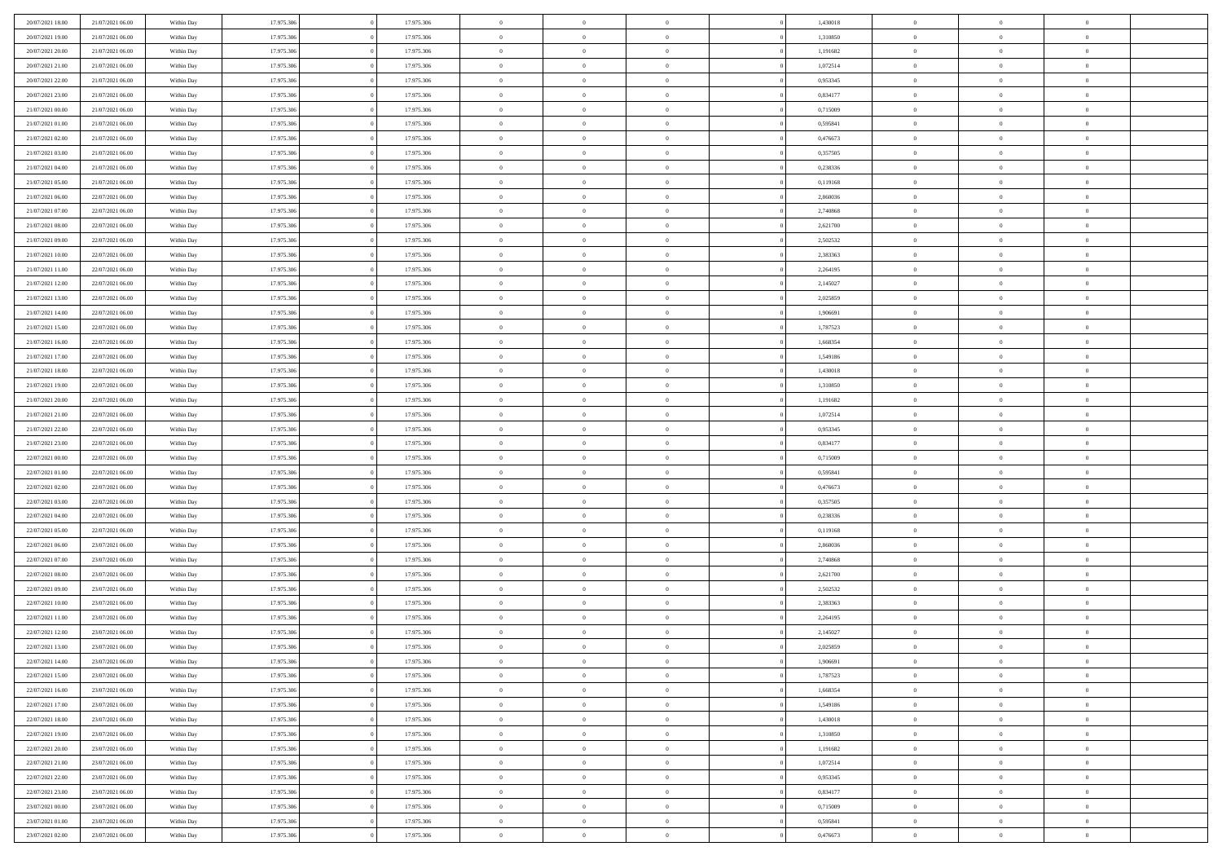| 20/07/2021 18:00 | 21/07/2021 06:00 | Within Day | 17.975.306 | 17.975.306 | $\,0\,$                | $\bf{0}$       | $\bf{0}$       |                | 1,430018 | $\,$ 0 $\,$    | $\overline{0}$ | $\bf{0}$       |  |
|------------------|------------------|------------|------------|------------|------------------------|----------------|----------------|----------------|----------|----------------|----------------|----------------|--|
| 20/07/2021 19:00 | 21/07/2021 06:00 | Within Day | 17.975.306 | 17.975.306 | $\overline{0}$         | $\overline{0}$ | $\overline{0}$ |                | 1,310850 | $\theta$       | $\overline{0}$ | $\theta$       |  |
| 20/07/2021 20:00 | 21/07/2021 06:00 | Within Day | 17.975.306 | 17.975.306 | $\mathbf{0}$           | $\overline{0}$ | $\overline{0}$ |                | 1,191682 | $\theta$       | $\overline{0}$ | $\overline{0}$ |  |
| 20/07/2021 21:00 | 21/07/2021 06:00 | Within Day | 17.975.306 | 17.975.306 | $\bf{0}$               | $\overline{0}$ | $\overline{0}$ |                | 1,072514 | $\bf{0}$       | $\overline{0}$ | $\bf{0}$       |  |
| 20/07/2021 22:00 | 21/07/2021 06:00 | Within Day | 17.975.306 | 17.975.306 | $\bf{0}$               | $\overline{0}$ | $\overline{0}$ |                | 0,953345 | $\,$ 0 $\,$    | $\overline{0}$ | $\bf{0}$       |  |
| 20/07/2021 23:00 | 21/07/2021 06:00 | Within Day | 17.975.306 | 17.975.306 | $\overline{0}$         | $\overline{0}$ | $\overline{0}$ |                | 0,834177 | $\theta$       | $\overline{0}$ | $\overline{0}$ |  |
| 21/07/2021 00:00 |                  |            | 17.975.306 |            | $\mathbf{0}$           | $\overline{0}$ | $\overline{0}$ |                |          | $\bf{0}$       | $\overline{0}$ | $\theta$       |  |
|                  | 21/07/2021 06:00 | Within Day |            | 17.975.306 |                        |                |                |                | 0,715009 |                |                |                |  |
| 21/07/2021 01:00 | 21/07/2021 06:00 | Within Day | 17.975.306 | 17.975.306 | $\overline{0}$         | $\mathbf{0}$   | $\overline{0}$ |                | 0,595841 | $\,$ 0 $\,$    | $\overline{0}$ | $\overline{0}$ |  |
| 21/07/2021 02:00 | 21/07/2021 06:00 | Within Day | 17.975.306 | 17.975.306 | $\mathbf{0}$           | $\overline{0}$ | $\overline{0}$ |                | 0,476673 | $\theta$       | $\overline{0}$ | $\overline{0}$ |  |
| 21/07/2021 03:00 | 21/07/2021 06:00 | Within Day | 17.975.306 | 17.975.306 | $\bf{0}$               | $\overline{0}$ | $\overline{0}$ |                | 0,357505 | $\bf{0}$       | $\overline{0}$ | $\bf{0}$       |  |
| 21/07/2021 04:00 | 21/07/2021 06:00 | Within Day | 17.975.306 | 17.975.306 | $\bf{0}$               | $\overline{0}$ | $\overline{0}$ |                | 0,238336 | $\,$ 0 $\,$    | $\mathbf{0}$   | $\theta$       |  |
| 21/07/2021 05:00 | 21/07/2021 06:00 | Within Day | 17.975.306 | 17.975.306 | $\mathbf{0}$           | $\overline{0}$ | $\overline{0}$ |                | 0,119168 | $\theta$       | $\overline{0}$ | $\overline{0}$ |  |
| 21/07/2021 06:00 | 22/07/2021 06:00 | Within Day | 17.975.306 | 17.975.306 | $\bf{0}$               | $\overline{0}$ | $\bf{0}$       |                | 2,860036 | $\bf{0}$       | $\overline{0}$ | $\bf{0}$       |  |
| 21/07/2021 07:00 | 22/07/2021 06:00 | Within Day | 17.975.306 | 17.975.306 | $\overline{0}$         | $\mathbf{0}$   | $\overline{0}$ |                | 2,740868 | $\,$ 0 $\,$    | $\overline{0}$ | $\overline{0}$ |  |
| 21/07/2021 08:00 | 22/07/2021 06:00 | Within Day | 17.975.306 | 17.975.306 | $\mathbf{0}$           | $\overline{0}$ | $\overline{0}$ |                | 2,621700 | $\theta$       | $\overline{0}$ | $\overline{0}$ |  |
| 21/07/2021 09:00 | 22/07/2021 06:00 | Within Day | 17.975.306 | 17.975.306 | $\mathbf{0}$           | $\overline{0}$ | $\overline{0}$ |                | 2,502532 | $\bf{0}$       | $\overline{0}$ | $\bf{0}$       |  |
| 21/07/2021 10:00 | 22/07/2021 06:00 | Within Day | 17.975.306 | 17.975.306 | $\bf{0}$               | $\overline{0}$ | $\overline{0}$ |                | 2,383363 | $\,$ 0 $\,$    | $\mathbf{0}$   | $\overline{0}$ |  |
| 21/07/2021 11:00 | 22/07/2021 06:00 | Within Day | 17.975.306 | 17.975.306 | $\mathbf{0}$           | $\overline{0}$ | $\overline{0}$ |                | 2,264195 | $\theta$       | $\overline{0}$ | $\overline{0}$ |  |
| 21/07/2021 12:00 | 22/07/2021 06:00 | Within Day | 17.975.306 | 17.975.306 | $\bf{0}$               | $\overline{0}$ | $\bf{0}$       |                | 2,145027 | $\bf{0}$       | $\overline{0}$ | $\bf{0}$       |  |
| 21/07/2021 13:00 | 22/07/2021 06:00 | Within Day | 17.975.306 | 17.975.306 | $\bf{0}$               | $\overline{0}$ | $\overline{0}$ |                | 2,025859 | $\,$ 0         | $\overline{0}$ | $\bf{0}$       |  |
| 21/07/2021 14:00 | 22/07/2021 06:00 | Within Day | 17.975.306 | 17.975.306 | $\overline{0}$         | $\overline{0}$ | $\overline{0}$ |                | 1,906691 | $\theta$       | $\overline{0}$ | $\overline{0}$ |  |
| 21/07/2021 15:00 | 22/07/2021 06:00 | Within Day | 17.975.306 | 17.975.306 | $\mathbf{0}$           | $\theta$       | $\overline{0}$ |                | 1,787523 | $\bf{0}$       | $\theta$       | $\theta$       |  |
| 21/07/2021 16:00 | 22/07/2021 06:00 | Within Day | 17.975.306 | 17.975.306 | $\overline{0}$         | $\mathbf{0}$   | $\overline{0}$ |                | 1,668354 | $\,$ 0 $\,$    | $\overline{0}$ | $\overline{0}$ |  |
| 21/07/2021 17:00 | 22/07/2021 06:00 | Within Day | 17.975.306 | 17.975.306 | $\mathbf{0}$           | $\overline{0}$ | $\overline{0}$ |                | 1,549186 | $\theta$       | $\overline{0}$ | $\overline{0}$ |  |
| 21/07/2021 18:00 | 22/07/2021 06:00 | Within Day | 17.975.306 | 17.975.306 | $\bf{0}$               | $\overline{0}$ | $\overline{0}$ |                | 1,430018 | $\bf{0}$       | $\overline{0}$ | $\overline{0}$ |  |
| 21/07/2021 19:00 | 22/07/2021 06:00 | Within Day | 17.975.306 | 17.975.306 | $\bf{0}$               | $\overline{0}$ | $\overline{0}$ |                | 1,310850 | $\,$ 0         | $\mathbf{0}$   | $\bf{0}$       |  |
| 21/07/2021 20:00 | 22/07/2021 06:00 | Within Day | 17.975.306 | 17.975.306 | $\overline{0}$         | $\overline{0}$ | $\overline{0}$ |                | 1,191682 | $\theta$       | $\overline{0}$ | $\overline{0}$ |  |
| 21/07/2021 21:00 | 22/07/2021 06:00 | Within Day | 17.975.306 | 17.975.306 | $\,0\,$                | $\overline{0}$ | $\bf{0}$       |                | 1,072514 | $\bf{0}$       | $\overline{0}$ | $\bf{0}$       |  |
|                  |                  |            |            |            |                        | $\overline{0}$ |                |                |          |                | $\overline{0}$ | $\overline{0}$ |  |
| 21/07/2021 22:00 | 22/07/2021 06:00 | Within Day | 17.975.306 | 17.975.306 | $\bf{0}$               |                | $\overline{0}$ |                | 0,953345 | $\,$ 0 $\,$    |                |                |  |
| 21/07/2021 23:00 | 22/07/2021 06:00 | Within Day | 17.975.306 | 17.975.306 | $\mathbf{0}$           | $\overline{0}$ | $\overline{0}$ |                | 0,834177 | $\theta$       | $\overline{0}$ | $\overline{0}$ |  |
| 22/07/2021 00:00 | 22/07/2021 06:00 | Within Day | 17.975.306 | 17.975.306 | $\mathbf{0}$           | $\overline{0}$ | $\overline{0}$ |                | 0,715009 | $\,$ 0 $\,$    | $\overline{0}$ | $\theta$       |  |
| 22/07/2021 01:00 | 22/07/2021 06:00 | Within Day | 17.975.306 | 17.975.306 | $\bf{0}$               | $\overline{0}$ | $\overline{0}$ |                | 0,595841 | $\bf{0}$       | $\mathbf{0}$   | $\overline{0}$ |  |
| 22/07/2021 02:00 | 22/07/2021 06:00 | Within Day | 17.975.306 | 17.975.306 | $\mathbf{0}$           | $\overline{0}$ | $\overline{0}$ |                | 0,476673 | $\theta$       | $\overline{0}$ | $\overline{0}$ |  |
| 22/07/2021 03:00 | 22/07/2021 06:00 | Within Day | 17.975.306 | 17.975.306 | $\mathbf{0}$           | $\overline{0}$ | $\theta$       |                | 0,357505 | $\,$ 0 $\,$    | $\overline{0}$ | $\theta$       |  |
| 22/07/2021 04:00 | 22/07/2021 06:00 | Within Day | 17.975.306 | 17.975.306 | $\overline{0}$         | $\overline{0}$ | $\overline{0}$ |                | 0,238336 | $\,$ 0 $\,$    | $\overline{0}$ | $\bf{0}$       |  |
| 22/07/2021 05:00 | 22/07/2021 06:00 | Within Day | 17.975.306 | 17.975.306 | $\mathbf{0}$           | $\overline{0}$ | $\overline{0}$ |                | 0,119168 | $\theta$       | $\overline{0}$ | $\overline{0}$ |  |
| 22/07/2021 06:00 | 23/07/2021 06:00 | Within Day | 17.975.306 | 17.975.306 | $\mathbf{0}$           | $\overline{0}$ | $\theta$       |                | 2,860036 | $\,$ 0 $\,$    | $\overline{0}$ | $\theta$       |  |
| 22/07/2021 07:00 | 23/07/2021 06:00 | Within Day | 17.975.306 | 17.975.306 | $\overline{0}$         | $\mathbf{0}$   | $\overline{0}$ |                | 2,740868 | $\,$ 0 $\,$    | $\mathbf{0}$   | $\overline{0}$ |  |
| 22/07/2021 08:00 | 23/07/2021 06:00 | Within Day | 17.975.306 | 17.975.306 | $\mathbf{0}$           | $\overline{0}$ | $\overline{0}$ |                | 2,621700 | $\theta$       | $\overline{0}$ | $\overline{0}$ |  |
| 22/07/2021 09:00 | 23/07/2021 06:00 | Within Day | 17.975.306 | 17.975.306 | $\,$ 0 $\,$            | $\overline{0}$ | $\bf{0}$       |                | 2,502532 | $\,$ 0 $\,$    | $\overline{0}$ | $\,$ 0 $\,$    |  |
| 22/07/2021 10:00 | 23/07/2021 06:00 | Within Day | 17.975.306 | 17.975.306 | $\bf{0}$               | $\overline{0}$ | $\overline{0}$ |                | 2,383363 | $\bf{0}$       | $\overline{0}$ | $\bf{0}$       |  |
| 22/07/2021 11:00 | 23/07/2021 06:00 | Within Day | 17.975.306 | 17.975.306 | $\mathbf{0}$           | $\overline{0}$ | $\overline{0}$ |                | 2,264195 | $\theta$       | $\overline{0}$ | $\overline{0}$ |  |
| 22/07/2021 12:00 | 23/07/2021 06:00 | Within Day | 17.975.306 | 17.975.306 | $\mathbf{0}$           | $\overline{0}$ | $\overline{0}$ |                | 2,145027 | $\,$ 0 $\,$    | $\overline{0}$ | $\theta$       |  |
| 22/07/2021 13:00 | 23/07/2021 06:00 | Within Day | 17.975.306 | 17.975.306 | $\bf{0}$               | $\overline{0}$ | $\overline{0}$ |                | 2,025859 | $\,$ 0 $\,$    | $\overline{0}$ | $\bf{0}$       |  |
| 22/07/2021 14:00 | 23/07/2021 06:00 | Within Day | 17.975.306 | 17.975.306 | $\mathbf{0}$           | $\overline{0}$ | $\overline{0}$ |                | 1,906691 | $\overline{0}$ | $^{\circ}$     | $\theta$       |  |
| 22/07/2021 15:00 | 23/07/2021 06:00 | Within Day | 17.975.306 | 17.975.306 | $\,$ 0                 | $\overline{0}$ | $\bf{0}$       |                | 1,787523 | $\,$ 0 $\,$    | $\overline{0}$ | $\theta$       |  |
| 22/07/2021 16:00 | 23/07/2021 06:00 | Within Day | 17.975.306 | 17.975.306 | $\mathbf{0}$           | $\overline{0}$ | $\overline{0}$ |                | 1,668354 | $\bf{0}$       | $\overline{0}$ | $\overline{0}$ |  |
| 22/07/2021 17:00 | 23/07/2021 06:00 | Within Day | 17.975.306 | 17.975.306 | $\mathbf{0}$           | $\overline{0}$ | $\overline{0}$ |                | 1,549186 | $\mathbf{0}$   | $\overline{0}$ | $\overline{0}$ |  |
| 22/07/2021 18:00 | 23/07/2021 06:00 | Within Day | 17.975.306 | 17.975.306 | $\,$ 0                 | $\overline{0}$ | $\overline{0}$ | $\overline{0}$ | 1,430018 | $\,$ 0 $\,$    | $\overline{0}$ | $\,$ 0 $\,$    |  |
| 22/07/2021 19:00 | 23/07/2021 06:00 | Within Day | 17.975.306 | 17.975.306 | $\hspace{0.1mm}\bm{0}$ | $\overline{0}$ | $\overline{0}$ |                | 1,310850 | $\,$ 0 $\,$    | $\overline{0}$ | $\overline{0}$ |  |
| 22/07/2021 20:00 | 23/07/2021 06:00 | Within Day | 17.975.306 | 17.975.306 | $\mathbf{0}$           | $\overline{0}$ | $\overline{0}$ |                | 1,191682 | $\overline{0}$ | $\overline{0}$ | $\overline{0}$ |  |
| 22/07/2021 21:00 | 23/07/2021 06:00 | Within Day | 17.975.306 | 17.975.306 | $\,$ 0 $\,$            | $\overline{0}$ | $\overline{0}$ |                | 1,072514 | $\,$ 0 $\,$    | $\overline{0}$ | $\,$ 0 $\,$    |  |
| 22/07/2021 22:00 | 23/07/2021 06:00 | Within Day | 17.975.306 | 17.975.306 | $\overline{0}$         | $\overline{0}$ | $\overline{0}$ |                | 0,953345 | $\overline{0}$ | $\overline{0}$ | $\overline{0}$ |  |
| 22/07/2021 23:00 | 23/07/2021 06:00 | Within Day | 17.975.306 | 17.975.306 | $\mathbf{0}$           | $\overline{0}$ | $\overline{0}$ |                | 0,834177 | $\mathbf{0}$   | $\overline{0}$ | $\overline{0}$ |  |
| 23/07/2021 00:00 | 23/07/2021 06:00 | Within Day | 17.975.306 | 17.975.306 | $\,$ 0 $\,$            | $\overline{0}$ | $\overline{0}$ | $\overline{0}$ | 0,715009 | $\,$ 0 $\,$    | $\overline{0}$ | $\,$ 0 $\,$    |  |
| 23/07/2021 01:00 | 23/07/2021 06:00 | Within Day | 17.975.306 | 17.975.306 | $\,$ 0 $\,$            | $\overline{0}$ | $\overline{0}$ |                | 0,595841 | $\,$ 0 $\,$    | $\mathbf{0}$   | $\overline{0}$ |  |
| 23/07/2021 02:00 | 23/07/2021 06:00 | Within Day | 17.975.306 | 17.975.306 | $\mathbf{0}$           | $\overline{0}$ | $\overline{0}$ |                | 0,476673 | $\,$ 0 $\,$    | $\overline{0}$ | $\overline{0}$ |  |
|                  |                  |            |            |            |                        |                |                |                |          |                |                |                |  |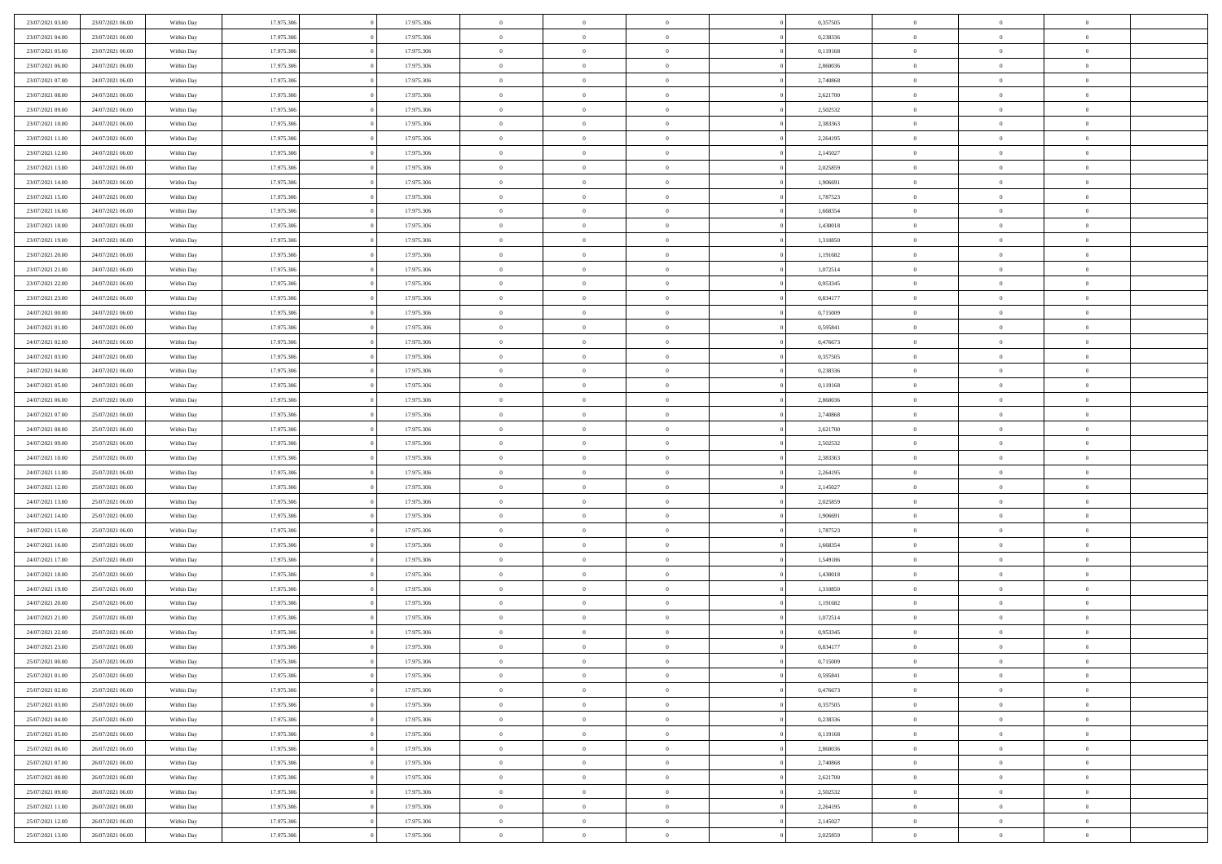| 23/07/2021 03:00                     | 23/07/2021 06:00 | Within Day               | 17.975.306 | 17.975.306 | $\,$ 0                   | $\bf{0}$       | $\theta$       |          | 0,357505 | $\bf{0}$       | $\overline{0}$ | $\,0\,$                    |  |
|--------------------------------------|------------------|--------------------------|------------|------------|--------------------------|----------------|----------------|----------|----------|----------------|----------------|----------------------------|--|
| 23/07/2021 04:00                     | 23/07/2021 06:00 | Within Day               | 17.975.306 | 17.975.306 | $\overline{0}$           | $\overline{0}$ | $\overline{0}$ |          | 0,238336 | $\overline{0}$ | $\overline{0}$ | $\theta$                   |  |
| 23/07/2021 05:00                     | 23/07/2021 06:00 | Within Day               | 17.975.306 | 17.975.306 | $\mathbf{0}$             | $\overline{0}$ | $\overline{0}$ |          | 0,119168 | $\mathbf{0}$   | $\overline{0}$ | $\overline{0}$             |  |
| 23/07/2021 06:00                     | 24/07/2021 06:00 | Within Day               | 17.975.306 | 17.975.306 | $\bf{0}$                 | $\overline{0}$ | $\overline{0}$ |          | 2,860036 | $\bf{0}$       | $\overline{0}$ | $\bf{0}$                   |  |
| 23/07/2021 07:00                     | 24/07/2021 06:00 | Within Day               | 17.975.306 | 17.975.306 | $\bf{0}$                 | $\bf{0}$       | $\overline{0}$ |          | 2,740868 | $\bf{0}$       | $\bf{0}$       | $\,0\,$                    |  |
| 23/07/2021 08:00                     | 24/07/2021 06:00 | Within Dav               | 17.975.306 | 17.975.306 | $\overline{0}$           | $\overline{0}$ | $\overline{0}$ |          | 2,621700 | $\mathbf{0}$   | $\overline{0}$ | $\overline{0}$             |  |
| 23/07/2021 09:00                     | 24/07/2021 06:00 | Within Day               | 17.975.306 | 17.975.306 | $\bf{0}$                 | $\overline{0}$ | $\overline{0}$ |          | 2,502532 | $\bf{0}$       | $\overline{0}$ | $\bf{0}$                   |  |
| 23/07/2021 10:00                     | 24/07/2021 06:00 | Within Day               | 17.975.306 | 17.975.306 | $\overline{0}$           | $\overline{0}$ | $\overline{0}$ |          | 2,383363 | $\,$ 0 $\,$    | $\overline{0}$ | $\theta$                   |  |
| 23/07/2021 11:00                     | 24/07/2021 06:00 | Within Day               | 17.975.306 | 17.975.306 | $\mathbf{0}$             | $\overline{0}$ | $\overline{0}$ |          | 2,264195 | $\mathbf{0}$   | $\overline{0}$ | $\overline{0}$             |  |
| 23/07/2021 12:00                     | 24/07/2021 06:00 | Within Day               | 17.975.306 | 17.975.306 | $\bf{0}$                 | $\bf{0}$       | $\overline{0}$ |          | 2,145027 | $\bf{0}$       | $\overline{0}$ | $\,0\,$                    |  |
| 23/07/2021 13:00                     | 24/07/2021 06:00 | Within Day               | 17.975.306 | 17.975.306 | $\overline{0}$           | $\overline{0}$ | $\overline{0}$ |          | 2,025859 | $\bf{0}$       | $\overline{0}$ | $\overline{0}$             |  |
| 23/07/2021 14:00                     | 24/07/2021 06:00 | Within Dav               | 17.975.306 | 17.975.306 | $\mathbf{0}$             | $\overline{0}$ | $\overline{0}$ |          | 1,906691 | $\mathbf{0}$   | $\overline{0}$ | $\overline{0}$             |  |
| 23/07/2021 15:00                     | 24/07/2021 06:00 | Within Day               | 17.975.306 | 17.975.306 | $\bf{0}$                 | $\overline{0}$ | $\overline{0}$ |          | 1,787523 | $\bf{0}$       | $\overline{0}$ | $\overline{0}$             |  |
| 23/07/2021 16:00                     | 24/07/2021 06:00 | Within Day               | 17.975.306 | 17.975.306 | $\bf{0}$                 | $\overline{0}$ | $\overline{0}$ |          | 1,668354 | $\bf{0}$       | $\mathbf{0}$   | $\,0\,$                    |  |
| 23/07/2021 18:00                     | 24/07/2021 06:00 | Within Dav               | 17.975.306 | 17.975.306 | $\overline{0}$           | $\overline{0}$ | $\overline{0}$ |          | 1,430018 | $\mathbf{0}$   | $\overline{0}$ | $\overline{0}$             |  |
| 23/07/2021 19:00                     | 24/07/2021 06:00 | Within Day               | 17.975.306 | 17.975.306 | $\bf{0}$                 | $\bf{0}$       | $\overline{0}$ |          | 1,310850 | $\bf{0}$       | $\overline{0}$ | $\bf{0}$                   |  |
| 23/07/2021 20:00                     | 24/07/2021 06:00 |                          | 17.975.306 | 17.975.306 | $\overline{0}$           | $\overline{0}$ | $\overline{0}$ |          | 1,191682 | $\bf{0}$       | $\overline{0}$ | $\overline{0}$             |  |
| 23/07/2021 21:00                     | 24/07/2021 06:00 | Within Day<br>Within Day | 17.975.306 | 17.975.306 | $\mathbf{0}$             | $\overline{0}$ | $\overline{0}$ |          | 1,072514 | $\mathbf{0}$   | $\overline{0}$ | $\overline{0}$             |  |
| 23/07/2021 22:00                     | 24/07/2021 06:00 | Within Day               | 17.975.306 | 17.975.306 | $\bf{0}$                 | $\bf{0}$       | $\overline{0}$ |          | 0,953345 | $\bf{0}$       | $\overline{0}$ | $\,0\,$                    |  |
|                                      | 24/07/2021 06:00 |                          | 17.975.306 | 17.975.306 | $\overline{0}$           | $\overline{0}$ | $\overline{0}$ |          | 0,834177 | $\bf{0}$       | $\overline{0}$ | $\overline{0}$             |  |
| 23/07/2021 23:00<br>24/07/2021 00:00 | 24/07/2021 06:00 | Within Day               | 17.975.306 | 17.975.306 | $\overline{0}$           | $\overline{0}$ | $\overline{0}$ |          | 0,715009 | $\mathbf{0}$   | $\overline{0}$ | $\overline{0}$             |  |
| 24/07/2021 01:00                     |                  | Within Day               |            |            | $\bf{0}$                 |                |                |          |          | $\bf{0}$       |                | $\bf{0}$                   |  |
|                                      | 24/07/2021 06:00 | Within Day               | 17.975.306 | 17.975.306 |                          | $\overline{0}$ | $\overline{0}$ |          | 0,595841 |                | $\overline{0}$ |                            |  |
| 24/07/2021 02:00                     | 24/07/2021 06:00 | Within Day               | 17.975.306 | 17.975.306 | $\bf{0}$                 | $\bf{0}$       | $\overline{0}$ |          | 0,476673 | $\bf{0}$       | $\bf{0}$       | $\,0\,$                    |  |
| 24/07/2021 03:00                     | 24/07/2021 06:00 | Within Dav               | 17.975.306 | 17.975.306 | $\mathbf{0}$             | $\overline{0}$ | $\overline{0}$ |          | 0,357505 | $\mathbf{0}$   | $\overline{0}$ | $\overline{0}$             |  |
| 24/07/2021 04:00                     | 24/07/2021 06:00 | Within Day               | 17.975.306 | 17.975.306 | $\bf{0}$                 | $\bf{0}$       | $\overline{0}$ |          | 0,238336 | $\bf{0}$       | $\overline{0}$ | $\bf{0}$                   |  |
| 24/07/2021 05:00                     | 24/07/2021 06:00 | Within Day               | 17.975.306 | 17.975.306 | $\overline{0}$           | $\overline{0}$ | $\overline{0}$ |          | 0,119168 | $\bf{0}$       | $\mathbf{0}$   | $\overline{0}$             |  |
| 24/07/2021 06:00                     | 25/07/2021 06:00 | Within Day               | 17.975.306 | 17.975.306 | $\mathbf{0}$             | $\overline{0}$ | $\overline{0}$ |          | 2,860036 | $\mathbf{0}$   | $\overline{0}$ | $\overline{0}$             |  |
| 24/07/2021 07:00                     | 25/07/2021 06:00 | Within Day               | 17.975.306 | 17.975.306 | $\bf{0}$                 | $\bf{0}$       | $\overline{0}$ |          | 2,740868 | $\bf{0}$       | $\overline{0}$ | $\,0\,$                    |  |
| 24/07/2021 08:00                     | 25/07/2021 06:00 | Within Day               | 17.975.306 | 17.975.306 | $\bf{0}$                 | $\overline{0}$ | $\overline{0}$ |          | 2,621700 | $\bf{0}$       | $\mathbf{0}$   | $\overline{0}$             |  |
| 24/07/2021 09:00                     | 25/07/2021 06:00 | Within Day               | 17.975.306 | 17.975.306 | $\mathbf{0}$             | $\overline{0}$ | $\overline{0}$ |          | 2,502532 | $\mathbf{0}$   | $\overline{0}$ | $\overline{0}$             |  |
| 24/07/2021 10:00                     | 25/07/2021 06:00 | Within Day               | 17.975.306 | 17.975.306 | $\bf{0}$                 | $\overline{0}$ | $\overline{0}$ |          | 2,383363 | $\,$ 0         | $\overline{0}$ | $\,$ 0 $\,$                |  |
| 24/07/2021 11:00                     | 25/07/2021 06:00 | Within Day               | 17.975.306 | 17.975.306 | $\bf{0}$                 | $\overline{0}$ | $\overline{0}$ |          | 2,264195 | $\bf{0}$       | $\bf{0}$       | $\bf{0}$                   |  |
| 24/07/2021 12:00                     | 25/07/2021 06:00 | Within Dav               | 17.975.306 | 17.975.306 | $\overline{0}$           | $\overline{0}$ | $\overline{0}$ |          | 2,145027 | $\mathbf{0}$   | $\overline{0}$ | $\overline{0}$             |  |
| 24/07/2021 13:00                     | 25/07/2021 06:00 | Within Day               | 17.975.306 | 17.975.306 | $\bf{0}$                 | $\overline{0}$ | $\theta$       |          | 2,025859 | $\,$ 0         | $\overline{0}$ | $\theta$                   |  |
| 24/07/2021 14:00                     | 25/07/2021 06:00 | Within Day               | 17.975.306 | 17.975.306 | $\overline{0}$           | $\overline{0}$ | $\overline{0}$ |          | 1,906691 | $\bf{0}$       | $\overline{0}$ | $\overline{0}$             |  |
| 24/07/2021 15:00                     | 25/07/2021 06:00 | Within Day               | 17.975.306 | 17.975.306 | $\mathbf{0}$             | $\overline{0}$ | $\overline{0}$ |          | 1,787523 | $\mathbf{0}$   | $\overline{0}$ | $\overline{0}$             |  |
| 24/07/2021 16:00                     | 25/07/2021 06:00 | Within Day               | 17.975.306 | 17.975.306 | $\bf{0}$                 | $\overline{0}$ | $\theta$       |          | 1,668354 | $\,$ 0         | $\overline{0}$ | $\theta$                   |  |
| 24/07/2021 17:00                     | 25/07/2021 06:00 | Within Day               | 17.975.306 | 17.975.306 | $\bf{0}$                 | $\overline{0}$ | $\overline{0}$ |          | 1,549186 | $\bf{0}$       | $\overline{0}$ | $\bf{0}$                   |  |
| 24/07/2021 18:00                     | 25/07/2021 06:00 | Within Day               | 17.975.306 | 17.975.306 | $\mathbf{0}$             | $\overline{0}$ | $\overline{0}$ |          | 1,430018 | $\mathbf{0}$   | $\overline{0}$ | $\overline{0}$             |  |
| 24/07/2021 19:00                     | 25/07/2021 06:00 | Within Day               | 17.975.306 | 17.975.306 | $\,0\,$                  | $\overline{0}$ | $\theta$       |          | 1,310850 | $\,$ 0         | $\overline{0}$ | $\,$ 0 $\,$                |  |
| 24/07/2021 20:00                     | 25/07/2021 06:00 | Within Day               | 17.975.306 | 17.975.306 | $\bf{0}$                 | $\overline{0}$ | $\overline{0}$ |          | 1,191682 | $\bf{0}$       | $\overline{0}$ | $\bf{0}$                   |  |
| 24/07/2021 21:00                     | 25/07/2021 06:00 | Within Dav               | 17.975.306 | 17.975.306 | $\mathbf{0}$<br>$\bf{0}$ | $\overline{0}$ | $\overline{0}$ |          | 1,072514 | $\mathbf{0}$   | $\overline{0}$ | $\overline{0}$<br>$\theta$ |  |
| 24/07/2021 22:00                     | 25/07/2021 06:00 | Within Day               | 17.975.306 | 17.975.306 |                          | $\overline{0}$ | $\theta$       |          | 0,953345 | $\,$ 0         | $\overline{0}$ |                            |  |
| 24/07/2021 23.00                     | 25/07/2021 06:00 | Within Day               | 17.975.306 | 17.975.306 | $\bf{0}$                 | $\overline{0}$ | $\overline{0}$ |          | 0,834177 | $\bf{0}$       | $\overline{0}$ | $\bf{0}$                   |  |
| 25/07/2021 00:00                     | 25/07/2021 06:00 | Within Day               | 17.975.306 | 17.975.306 | $\bf{0}$                 | $\overline{0}$ | $\Omega$       |          | 0,715009 | $\overline{0}$ | $\theta$       | $\theta$                   |  |
| 25/07/2021 01:00                     | 25/07/2021 06:00 | Within Day               | 17.975.306 | 17.975.306 | $\,$ 0 $\,$              | $\overline{0}$ | $\theta$       |          | 0,595841 | $\,$ 0 $\,$    | $\bf{0}$       | $\theta$                   |  |
| 25/07/2021 02:00                     | 25/07/2021 06:00 | Within Day               | 17.975.306 | 17.975.306 | $\overline{0}$           | $\overline{0}$ | $\overline{0}$ |          | 0,476673 | $\overline{0}$ | $\overline{0}$ | $\overline{0}$             |  |
| 25/07/2021 03:00                     | 25/07/2021 06:00 | Within Day               | 17.975.306 | 17.975.306 | $\bf{0}$                 | $\overline{0}$ | $\overline{0}$ |          | 0,357505 | $\overline{0}$ | $\bf{0}$       | $\overline{0}$             |  |
| 25/07/2021 04:00                     | 25/07/2021 06:00 | Within Day               | 17.975.306 | 17.975.306 | $\bf{0}$                 | $\overline{0}$ | $\overline{0}$ | $\theta$ | 0,238336 | $\,$ 0 $\,$    | $\bf{0}$       | $\,$ 0 $\,$                |  |
| 25/07/2021 05:00                     | 25/07/2021 06:00 | Within Day               | 17.975.306 | 17.975.306 | $\bf{0}$                 | $\overline{0}$ | $\overline{0}$ |          | 0,119168 | $\,$ 0 $\,$    | $\overline{0}$ | $\overline{0}$             |  |
| 25/07/2021 06:00                     | 26/07/2021 06:00 | Within Day               | 17.975.306 | 17.975.306 | $\bf{0}$                 | $\overline{0}$ | $\overline{0}$ |          | 2,860036 | $\mathbf{0}$   | $\overline{0}$ | $\overline{0}$             |  |
| 25/07/2021 07:00                     | 26/07/2021 06:00 | Within Day               | 17.975.306 | 17.975.306 | $\,0\,$                  | $\overline{0}$ | $\overline{0}$ | $\theta$ | 2,740868 | $\,$ 0 $\,$    | $\bf{0}$       | $\,$ 0 $\,$                |  |
| 25/07/2021 08:00                     | 26/07/2021 06:00 | Within Day               | 17.975.306 | 17.975.306 | $\bf{0}$                 | $\overline{0}$ | $\overline{0}$ |          | 2,621700 | $\overline{0}$ | $\overline{0}$ | $\overline{0}$             |  |
| 25/07/2021 09:00                     | 26/07/2021 06:00 | Within Day               | 17.975.306 | 17.975.306 | $\bf{0}$                 | $\overline{0}$ | $\overline{0}$ |          | 2,502532 | $\mathbf{0}$   | $\bf{0}$       | $\overline{0}$             |  |
| 25/07/2021 11:00                     | 26/07/2021 06:00 | Within Day               | 17.975.306 | 17.975.306 | $\,0\,$                  | $\overline{0}$ | $\overline{0}$ |          | 2,264195 | $\mathbf{0}$   | $\mathbf{0}$   | $\,$ 0 $\,$                |  |
| 25/07/2021 12:00                     | 26/07/2021 06:00 | Within Day               | 17.975.306 | 17.975.306 | $\overline{0}$           | $\overline{0}$ | $\overline{0}$ |          | 2,145027 | $\bf{0}$       | $\mathbf{0}$   | $\overline{0}$             |  |
| 25/07/2021 13:00                     | 26/07/2021 06:00 | Within Day               | 17.975.306 | 17.975.306 | $\mathbf{0}$             | $\overline{0}$ | $\overline{0}$ |          | 2,025859 | $\mathbf{0}$   | $\overline{0}$ | $\overline{0}$             |  |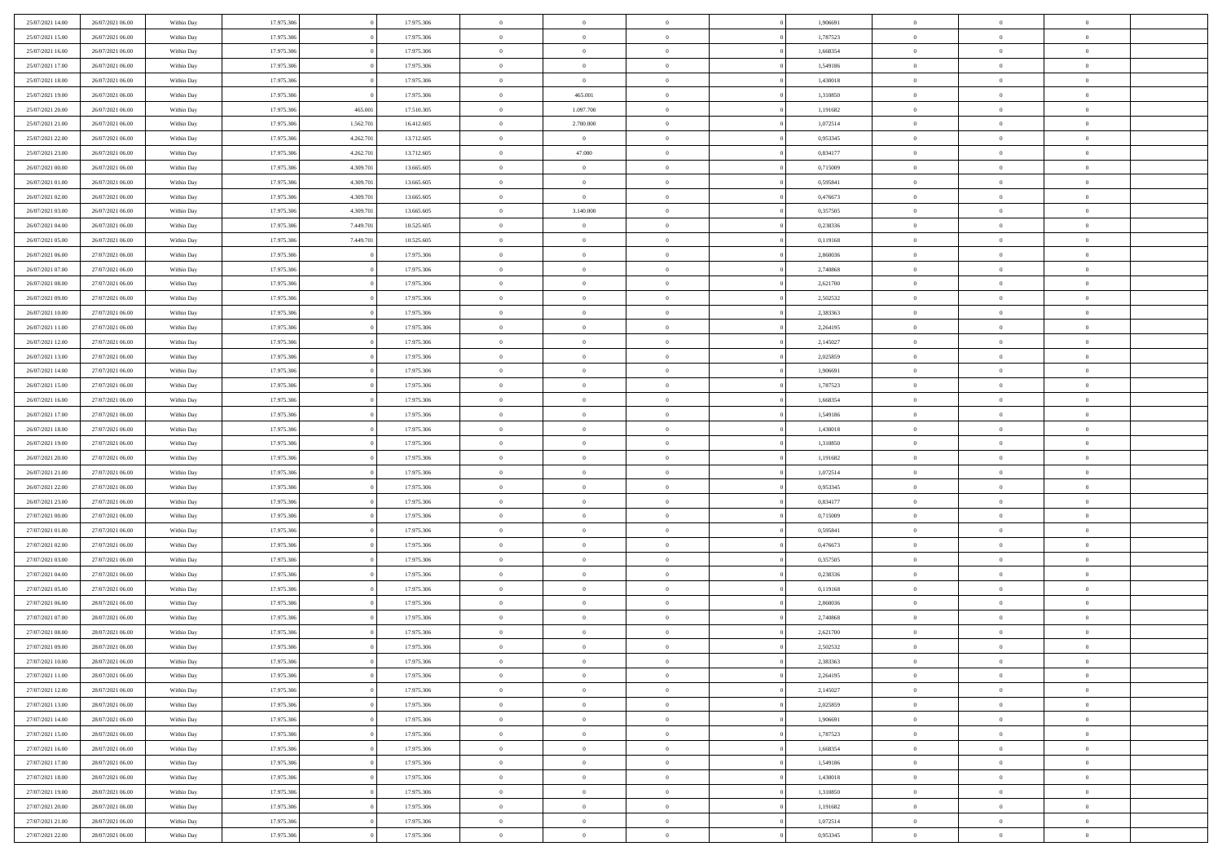| 25/07/2021 14:00                     | 26/07/2021 06:00                     | Within Day               | 17.975.306               |           | 17.975.306               | $\,$ 0                         | $\bf{0}$                         | $\theta$                         |          | 1,906691             | $\bf{0}$                 | $\overline{0}$                   | $\,0\,$                          |  |
|--------------------------------------|--------------------------------------|--------------------------|--------------------------|-----------|--------------------------|--------------------------------|----------------------------------|----------------------------------|----------|----------------------|--------------------------|----------------------------------|----------------------------------|--|
| 25/07/2021 15:00                     | 26/07/2021 06:00                     | Within Day               | 17.975.306               |           | 17.975.306               | $\overline{0}$                 | $\overline{0}$                   | $\overline{0}$                   |          | 1,787523             | $\overline{0}$           | $\overline{0}$                   | $\theta$                         |  |
| 25/07/2021 16:00                     | 26/07/2021 06:00                     | Within Day               | 17.975.306               |           | 17.975.306               | $\mathbf{0}$                   | $\overline{0}$                   | $\overline{0}$                   |          | 1,668354             | $\mathbf{0}$             | $\overline{0}$                   | $\overline{0}$                   |  |
| 25/07/2021 17:00                     | 26/07/2021 06:00                     | Within Day               | 17.975.306               |           | 17.975.306               | $\bf{0}$                       | $\overline{0}$                   | $\overline{0}$                   |          | 1,549186             | $\bf{0}$                 | $\overline{0}$                   | $\bf{0}$                         |  |
| 25/07/2021 18:00                     | 26/07/2021 06:00                     | Within Day               | 17.975.306               |           | 17.975.306               | $\bf{0}$                       | $\overline{0}$                   | $\overline{0}$                   |          | 1,430018             | $\bf{0}$                 | $\overline{0}$                   | $\,0\,$                          |  |
| 25/07/2021 19:00                     | 26/07/2021 06:00                     | Within Dav               | 17.975.306               |           | 17.975.306               | $\overline{0}$                 | 465.001                          | $\overline{0}$                   |          | 1,310850             | $\mathbf{0}$             | $\overline{0}$                   | $\overline{0}$                   |  |
| 25/07/2021 20:00                     | 26/07/2021 06:00                     | Within Day               | 17.975.306               | 465.001   | 17.510.305               | $\bf{0}$                       | 1.097.700                        | $\overline{0}$                   |          | 1,191682             | $\bf{0}$                 | $\overline{0}$                   | $\,0\,$                          |  |
| 25/07/2021 21:00                     | 26/07/2021 06:00                     | Within Day               | 17.975.306               | 1.562.701 | 16.412.605               | $\overline{0}$                 | 2.700.000                        | $\overline{0}$                   |          | 1,072514             | $\,$ 0 $\,$              | $\overline{0}$                   | $\theta$                         |  |
| 25/07/2021 22:00                     | 26/07/2021 06:00                     | Within Day               | 17.975.306               | 4.262.701 | 13.712.605               | $\overline{0}$                 | $\overline{0}$                   | $\overline{0}$                   |          | 0,953345             | $\mathbf{0}$             | $\overline{0}$                   | $\overline{0}$                   |  |
| 25/07/2021 23:00                     | 26/07/2021 06:00                     | Within Day               | 17.975.306               | 4.262.701 | 13.712.605               | $\bf{0}$                       | 47.000                           | $\overline{0}$                   |          | 0,834177             | $\bf{0}$                 | $\overline{0}$                   | $\,0\,$                          |  |
| 26/07/2021 00:00                     | 26/07/2021 06:00                     | Within Day               | 17.975.306               | 4.309.701 | 13.665.605               | $\bf{0}$                       | $\bf{0}$                         | $\overline{0}$                   |          | 0,715009             | $\bf{0}$                 | $\overline{0}$                   | $\overline{0}$                   |  |
| 26/07/2021 01:00                     | 26/07/2021 06:00                     | Within Dav               | 17.975.306               | 4.309.701 | 13.665.605               | $\mathbf{0}$                   | $\overline{0}$                   | $\overline{0}$                   |          | 0,595841             | $\mathbf{0}$             | $\overline{0}$                   | $\overline{0}$                   |  |
| 26/07/2021 02:00                     | 26/07/2021 06:00                     | Within Day               | 17.975.306               | 4.309.701 | 13.665.605               | $\bf{0}$                       | $\overline{0}$                   | $\bf{0}$                         |          | 0,476673             | $\bf{0}$                 | $\overline{0}$                   | $\bf{0}$                         |  |
| 26/07/2021 03:00                     | 26/07/2021 06:00                     | Within Day               | 17.975.306               | 4.309.701 | 13.665.605               | $\bf{0}$                       | 3.140.000                        | $\overline{0}$                   |          | 0,357505             | $\bf{0}$                 | $\mathbf{0}$                     | $\,0\,$                          |  |
| 26/07/2021 04:00                     | 26/07/2021 06:00                     | Within Dav               | 17.975.306               | 7.449.701 | 10.525.605               | $\overline{0}$                 | $\overline{0}$                   | $\overline{0}$                   |          | 0,238336             | $\mathbf{0}$             | $\overline{0}$                   | $\overline{0}$                   |  |
| 26/07/2021 05:00                     | 26/07/2021 06:00                     | Within Day               | 17.975.306               | 7.449.701 | 10.525.605               | $\bf{0}$                       | $\bf{0}$                         | $\overline{0}$                   |          | 0,119168             | $\bf{0}$                 | $\overline{0}$                   | $\bf{0}$                         |  |
| 26/07/2021 06:00                     | 27/07/2021 06:00                     | Within Day               | 17.975.306               |           | 17.975.306               | $\overline{0}$                 | $\overline{0}$                   | $\overline{0}$                   |          | 2,860036             | $\bf{0}$                 | $\mathbf{0}$                     | $\overline{0}$                   |  |
| 26/07/2021 07:00                     | 27/07/2021 06:00                     | Within Day               | 17.975.306               |           | 17.975.306               | $\mathbf{0}$                   | $\overline{0}$                   | $\overline{0}$                   |          | 2,740868             | $\mathbf{0}$             | $\overline{0}$                   | $\overline{0}$                   |  |
| 26/07/2021 08:00                     | 27/07/2021 06:00                     | Within Day               | 17.975.306               |           | 17.975.306               | $\bf{0}$                       | $\bf{0}$                         | $\overline{0}$                   |          | 2,621700             | $\bf{0}$                 | $\overline{0}$                   | $\,0\,$                          |  |
| 26/07/2021 09:00                     | 27/07/2021 06:00                     | Within Day               | 17.975.306               |           | 17.975.306               | $\overline{0}$                 | $\overline{0}$                   | $\overline{0}$                   |          | 2,502532             | $\bf{0}$                 | $\overline{0}$                   | $\overline{0}$                   |  |
| 26/07/2021 10:00                     | 27/07/2021 06:00                     | Within Day               | 17.975.306               |           | 17.975.306               | $\mathbf{0}$                   | $\overline{0}$                   | $\overline{0}$                   |          | 2,383363             | $\mathbf{0}$             | $\overline{0}$                   | $\overline{0}$                   |  |
| 26/07/2021 11:00                     | 27/07/2021 06:00                     | Within Day               | 17.975.306               |           | 17.975.306               | $\bf{0}$                       | $\overline{0}$                   | $\overline{0}$                   |          | 2,264195             | $\bf{0}$                 | $\overline{0}$                   | $\bf{0}$                         |  |
|                                      | 27/07/2021 06:00                     |                          | 17.975.306               |           | 17.975.306               | $\bf{0}$                       | $\bf{0}$                         | $\overline{0}$                   |          |                      |                          | $\overline{0}$                   | $\,0\,$                          |  |
| 26/07/2021 12:00<br>26/07/2021 13:00 | 27/07/2021 06:00                     | Within Day<br>Within Dav | 17.975.306               |           | 17.975.306               | $\mathbf{0}$                   | $\overline{0}$                   | $\overline{0}$                   |          | 2,145027<br>2,025859 | $\bf{0}$<br>$\mathbf{0}$ | $\overline{0}$                   | $\overline{0}$                   |  |
| 26/07/2021 14:00                     | 27/07/2021 06:00                     | Within Day               | 17.975.306               |           | 17.975.306               | $\bf{0}$                       | $\bf{0}$                         | $\overline{0}$                   |          | 1,906691             | $\bf{0}$                 | $\overline{0}$                   | $\bf{0}$                         |  |
|                                      |                                      |                          | 17.975.306               |           |                          | $\overline{0}$                 | $\overline{0}$                   | $\overline{0}$                   |          |                      |                          | $\mathbf{0}$                     | $\overline{0}$                   |  |
| 26/07/2021 15:00<br>26/07/2021 16:00 | 27/07/2021 06:00                     | Within Day               | 17.975.306               |           | 17.975.306               | $\mathbf{0}$                   |                                  |                                  |          | 1,787523             | $\bf{0}$<br>$\mathbf{0}$ |                                  | $\overline{0}$                   |  |
|                                      | 27/07/2021 06:00                     | Within Day               |                          |           | 17.975.306               |                                | $\overline{0}$                   | $\overline{0}$<br>$\overline{0}$ |          | 1,668354             |                          | $\overline{0}$<br>$\overline{0}$ |                                  |  |
| 26/07/2021 17:00                     | 27/07/2021 06:00                     | Within Day               | 17.975.306               |           | 17.975.306               | $\bf{0}$                       | $\bf{0}$                         |                                  |          | 1,549186             | $\bf{0}$                 |                                  | $\,0\,$                          |  |
| 26/07/2021 18:00                     | 27/07/2021 06:00                     | Within Day               | 17.975.306               |           | 17.975.306               | $\bf{0}$<br>$\mathbf{0}$       | $\overline{0}$                   | $\overline{0}$                   |          | 1,430018             | $\bf{0}$<br>$\mathbf{0}$ | $\overline{0}$                   | $\overline{0}$<br>$\overline{0}$ |  |
| 26/07/2021 19:00                     | 27/07/2021 06:00                     | Within Day               | 17.975.306               |           | 17.975.306               |                                | $\overline{0}$                   | $\overline{0}$                   |          | 1,310850             |                          | $\overline{0}$                   |                                  |  |
| 26/07/2021 20:00                     | 27/07/2021 06:00                     | Within Day               | 17.975.306               |           | 17.975.306               | $\bf{0}$                       | $\overline{0}$                   | $\overline{0}$                   |          | 1,191682             | $\,$ 0                   | $\overline{0}$                   | $\,$ 0 $\,$                      |  |
| 26/07/2021 21:00                     | 27/07/2021 06:00                     | Within Day               | 17.975.306               |           | 17.975.306               | $\bf{0}$<br>$\overline{0}$     | $\overline{0}$                   | $\overline{0}$                   |          | 1,072514             | $\bf{0}$<br>$\mathbf{0}$ | $\overline{0}$                   | $\bf{0}$<br>$\overline{0}$       |  |
| 26/07/2021 22:00                     | 27/07/2021 06:00                     | Within Dav               | 17.975.306               |           | 17.975.306               | $\bf{0}$                       | $\overline{0}$                   | $\overline{0}$                   |          | 0,953345             |                          | $\overline{0}$                   | $\theta$                         |  |
| 26/07/2021 23:00                     | 27/07/2021 06:00                     | Within Day               | 17.975.306               |           | 17.975.306               |                                | $\overline{0}$<br>$\overline{0}$ | $\theta$<br>$\overline{0}$       |          | 0,834177             | $\,$ 0                   | $\overline{0}$<br>$\overline{0}$ | $\overline{0}$                   |  |
| 27/07/2021 00:00<br>27/07/2021 01:00 | 27/07/2021 06:00<br>27/07/2021 06:00 | Within Day<br>Within Day | 17.975.306<br>17.975.306 |           | 17.975.306<br>17.975.306 | $\overline{0}$<br>$\mathbf{0}$ | $\overline{0}$                   | $\overline{0}$                   |          | 0,715009<br>0,595841 | $\bf{0}$<br>$\mathbf{0}$ | $\overline{0}$                   | $\overline{0}$                   |  |
|                                      |                                      |                          |                          |           |                          | $\bf{0}$                       | $\overline{0}$                   | $\theta$                         |          |                      | $\,$ 0                   | $\overline{0}$                   | $\theta$                         |  |
| 27/07/2021 02:00<br>27/07/2021 03:00 | 27/07/2021 06:00<br>27/07/2021 06:00 | Within Day               | 17.975.306<br>17.975.306 |           | 17.975.306<br>17.975.306 | $\bf{0}$                       | $\overline{0}$                   | $\overline{0}$                   |          | 0,476673<br>0,357505 | $\bf{0}$                 | $\overline{0}$                   | $\bf{0}$                         |  |
| 27/07/2021 04:00                     | 27/07/2021 06:00                     | Within Day<br>Within Day | 17.975.306               |           | 17.975.306               | $\mathbf{0}$                   | $\overline{0}$                   | $\overline{0}$                   |          | 0,238336             | $\mathbf{0}$             | $\overline{0}$                   | $\overline{0}$                   |  |
|                                      |                                      |                          |                          |           |                          | $\,0\,$                        |                                  | $\theta$                         |          |                      | $\,$ 0                   | $\overline{0}$                   | $\theta$                         |  |
| 27/07/2021 05:00<br>27/07/2021 06:00 | 27/07/2021 06:00<br>28/07/2021 06:00 | Within Day               | 17.975.306<br>17.975.306 |           | 17.975.306<br>17.975.306 | $\bf{0}$                       | $\overline{0}$<br>$\overline{0}$ | $\overline{0}$                   |          | 0,119168<br>2,860036 | $\bf{0}$                 | $\overline{0}$                   | $\bf{0}$                         |  |
| 27/07/2021 07:00                     | 28/07/2021 06:00                     | Within Day<br>Within Dav | 17.975.306               |           | 17.975.306               | $\mathbf{0}$                   | $\overline{0}$                   | $\overline{0}$                   |          | 2,740868             | $\mathbf{0}$             | $\overline{0}$                   | $\overline{0}$                   |  |
| 27/07/2021 08:00                     | 28/07/2021 06:00                     | Within Day               | 17.975.306               |           | 17.975.306               | $\bf{0}$                       | $\overline{0}$                   | $\theta$                         |          | 2,621700             | $\,$ 0                   | $\overline{0}$                   | $\theta$                         |  |
| 27/07/2021 09:00                     | 28/07/2021 06:00                     | Within Day               | 17.975.306               |           | 17.975.306               | $\bf{0}$                       | $\overline{0}$                   | $\overline{0}$                   |          | 2,502532             | $\bf{0}$                 | $\overline{0}$                   | $\bf{0}$                         |  |
| 27/07/2021 10:00                     | 28/07/2021 06:00                     | Within Day               | 17.975.306               |           | 17.975.306               | $\bf{0}$                       | $\overline{0}$                   | $\Omega$                         |          | 2,383363             | $\overline{0}$           | $\theta$                         | $\theta$                         |  |
| 27/07/2021 11:00                     | 28/07/2021 06:00                     | Within Day               | 17.975.306               |           | 17.975.306               | $\,0\,$                        | $\overline{0}$                   | $\theta$                         |          | 2,264195             | $\,$ 0 $\,$              | $\bf{0}$                         | $\theta$                         |  |
| 27/07/2021 12:00                     | 28/07/2021 06:00                     | Within Day               | 17.975.306               |           | 17.975.306               | $\overline{0}$                 | $\overline{0}$                   | $\overline{0}$                   |          | 2,145027             | $\overline{0}$           | $\overline{0}$                   | $\overline{0}$                   |  |
| 27/07/2021 13:00                     | 28/07/2021 06:00                     | Within Day               | 17.975.306               |           | 17.975.306               | $\bf{0}$                       | $\overline{0}$                   | $\overline{0}$                   |          | 2,025859             | $\overline{0}$           | $\bf{0}$                         | $\mathbf{0}$                     |  |
| 27/07/2021 14:00                     | 28/07/2021 06:00                     | Within Day               | 17.975.306               |           | 17.975.306               | $\bf{0}$                       | $\overline{0}$                   | $\overline{0}$                   | $\theta$ | 1,906691             | $\mathbf{0}$             | $\bf{0}$                         | $\,$ 0 $\,$                      |  |
| 27/07/2021 15:00                     | 28/07/2021 06:00                     | Within Day               | 17.975.306               |           | 17.975.306               | $\bf{0}$                       | $\overline{0}$                   | $\overline{0}$                   |          | 1,787523             | $\,$ 0 $\,$              | $\overline{0}$                   | $\overline{0}$                   |  |
| 27/07/2021 16:00                     | 28/07/2021 06:00                     | Within Day               | 17.975.306               |           | 17.975.306               | $\bf{0}$                       | $\overline{0}$                   | $\overline{0}$                   |          | 1,668354             | $\mathbf{0}$             | $\overline{0}$                   | $\overline{0}$                   |  |
|                                      |                                      |                          |                          |           |                          |                                |                                  |                                  |          |                      |                          |                                  |                                  |  |
| 27/07/2021 17:00                     | 28/07/2021 06:00                     | Within Day               | 17.975.306               |           | 17.975.306               | $\,0\,$                        | $\overline{0}$                   | $\overline{0}$<br>$\overline{0}$ | $\theta$ | 1,549186             | $\,$ 0 $\,$              | $\mathbf{0}$<br>$\overline{0}$   | $\,$ 0 $\,$                      |  |
| 27/07/2021 18:00                     | 28/07/2021 06:00                     | Within Day               | 17.975.306<br>17.975.306 |           | 17.975.306<br>17.975.306 | $\bf{0}$                       | $\overline{0}$                   |                                  |          | 1,430018             | $\overline{0}$           |                                  | $\overline{0}$                   |  |
| 27/07/2021 19:00                     | 28/07/2021 06:00                     | Within Day               |                          |           |                          | $\bf{0}$                       | $\overline{0}$                   | $\overline{0}$                   |          | 1,310850             | $\mathbf{0}$             | $\bf{0}$                         | $\overline{0}$                   |  |
| 27/07/2021 20:00                     | 28/07/2021 06:00                     | Within Day               | 17.975.306               |           | 17.975.306               | $\,$ 0 $\,$                    | $\overline{0}$                   | $\overline{0}$                   |          | 1,191682             | $\,$ 0 $\,$              | $\mathbf{0}$                     | $\,$ 0 $\,$                      |  |
| 27/07/2021 21:00                     | 28/07/2021 06:00                     | Within Day               | 17.975.306               |           | 17.975.306               | $\overline{0}$                 | $\overline{0}$                   | $\overline{0}$                   |          | 1,072514             | $\bf{0}$                 | $\mathbf{0}$                     | $\overline{0}$                   |  |
| 27/07/2021 22:00                     | 28/07/2021 06:00                     | Within Day               | 17.975.306               |           | 17.975.306               | $\mathbf{0}$                   | $\overline{0}$                   | $\overline{0}$                   |          | 0,953345             | $\mathbf{0}$             | $\overline{0}$                   | $\overline{0}$                   |  |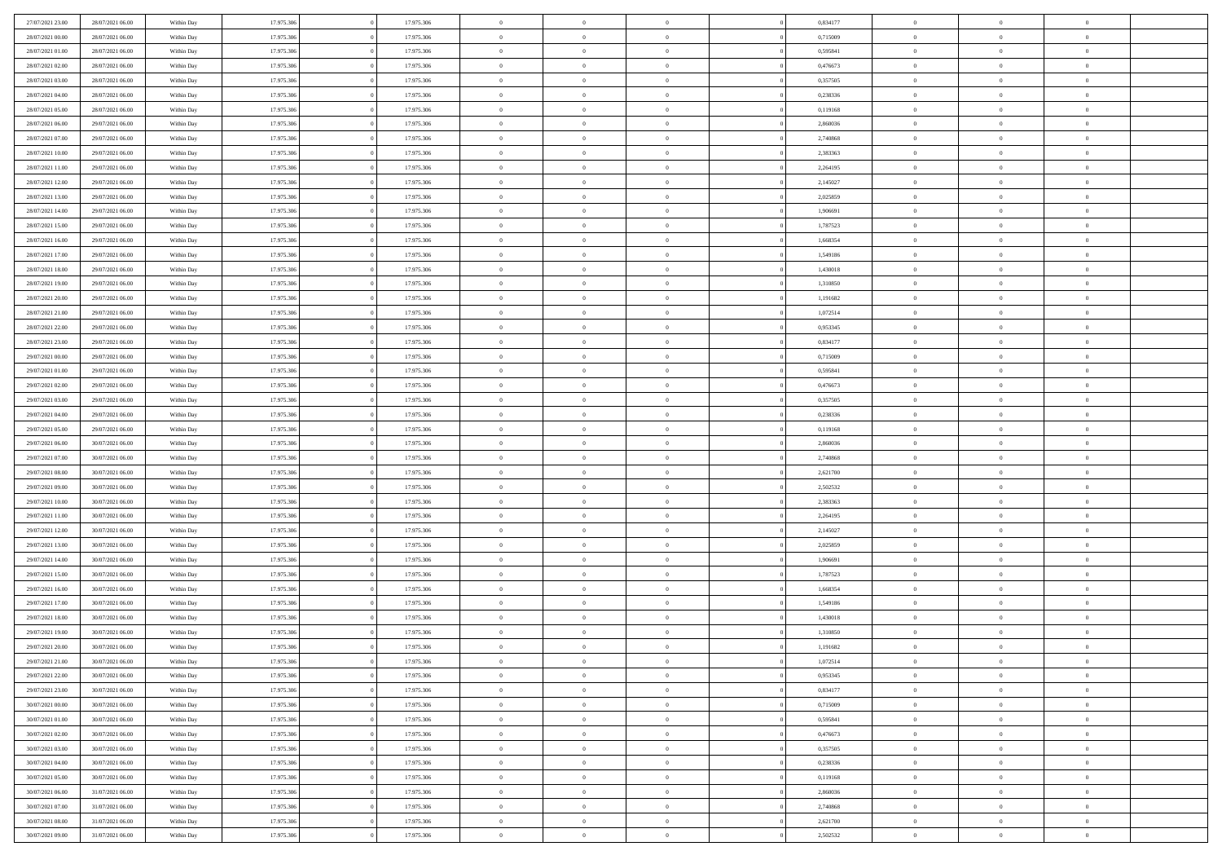| 27/07/2021 23:00 | 28/07/2021 06:00 | Within Day               | 17.975.306 |          | 17.975.306 | $\bf{0}$                 | $\bf{0}$       | $\theta$       |          | 0,834177 | $\bf{0}$                 | $\overline{0}$ | $\,0\,$                   |  |
|------------------|------------------|--------------------------|------------|----------|------------|--------------------------|----------------|----------------|----------|----------|--------------------------|----------------|---------------------------|--|
| 28/07/2021 00:00 | 28/07/2021 06:00 | Within Day               | 17.975.306 |          | 17.975.306 | $\overline{0}$           | $\overline{0}$ | $\overline{0}$ |          | 0,715009 | $\overline{0}$           | $\overline{0}$ | $\overline{0}$            |  |
| 28/07/2021 01:00 | 28/07/2021 06:00 | Within Day               | 17.975.306 |          | 17.975.306 | $\mathbf{0}$             | $\overline{0}$ | $\overline{0}$ |          | 0,595841 | $\mathbf{0}$             | $\overline{0}$ | $\overline{0}$            |  |
| 28/07/2021 02:00 | 28/07/2021 06:00 | Within Day               | 17.975.306 |          | 17.975.306 | $\bf{0}$                 | $\overline{0}$ | $\overline{0}$ |          | 0,476673 | $\bf{0}$                 | $\overline{0}$ | $\bf{0}$                  |  |
| 28/07/2021 03:00 | 28/07/2021 06:00 | Within Day               | 17.975.306 |          | 17.975.306 | $\bf{0}$                 | $\bf{0}$       | $\overline{0}$ |          | 0,357505 | $\bf{0}$                 | $\overline{0}$ | $\,0\,$                   |  |
| 28/07/2021 04:00 | 28/07/2021 06:00 | Within Dav               | 17.975.306 |          | 17.975.306 | $\overline{0}$           | $\overline{0}$ | $\overline{0}$ |          | 0,238336 | $\mathbf{0}$             | $\overline{0}$ | $\overline{0}$            |  |
| 28/07/2021 05:00 | 28/07/2021 06:00 | Within Day               | 17.975.306 |          | 17.975.306 | $\bf{0}$                 | $\overline{0}$ | $\overline{0}$ |          | 0,119168 | $\bf{0}$                 | $\overline{0}$ | $\bf{0}$                  |  |
| 28/07/2021 06:00 | 29/07/2021 06:00 | Within Day               | 17.975.306 |          | 17.975.306 | $\overline{0}$           | $\overline{0}$ | $\overline{0}$ |          | 2,860036 | $\,$ 0 $\,$              | $\overline{0}$ | $\overline{0}$            |  |
| 28/07/2021 07:00 | 29/07/2021 06:00 | Within Day               | 17.975.306 |          | 17.975.306 | $\mathbf{0}$             | $\overline{0}$ | $\overline{0}$ |          | 2,740868 | $\mathbf{0}$             | $\overline{0}$ | $\overline{0}$            |  |
| 28/07/2021 10:00 | 29/07/2021 06:00 | Within Day               | 17.975.306 |          | 17.975.306 | $\bf{0}$                 | $\bf{0}$       | $\overline{0}$ |          | 2,383363 | $\bf{0}$                 | $\overline{0}$ | $\,0\,$                   |  |
| 28/07/2021 11:00 | 29/07/2021 06:00 | Within Day               | 17.975.306 |          | 17.975.306 | $\overline{0}$           | $\overline{0}$ | $\overline{0}$ |          | 2,264195 | $\bf{0}$                 | $\overline{0}$ | $\overline{0}$            |  |
| 28/07/2021 12:00 | 29/07/2021 06:00 | Within Dav               | 17.975.306 |          | 17.975.306 | $\mathbf{0}$             | $\overline{0}$ | $\overline{0}$ |          | 2,145027 | $\mathbf{0}$             | $\overline{0}$ | $\overline{0}$            |  |
| 28/07/2021 13:00 | 29/07/2021 06:00 | Within Day               | 17.975.306 |          | 17.975.306 | $\bf{0}$                 | $\overline{0}$ | $\overline{0}$ |          | 2,025859 | $\bf{0}$                 | $\overline{0}$ | $\bf{0}$                  |  |
| 28/07/2021 14:00 | 29/07/2021 06:00 | Within Day               | 17.975.306 |          | 17.975.306 | $\bf{0}$                 | $\overline{0}$ | $\overline{0}$ |          | 1,906691 | $\bf{0}$                 | $\mathbf{0}$   | $\,0\,$                   |  |
| 28/07/2021 15:00 | 29/07/2021 06:00 | Within Dav               | 17.975.306 |          | 17.975.306 | $\overline{0}$           | $\overline{0}$ | $\overline{0}$ |          | 1,787523 | $\mathbf{0}$             | $\overline{0}$ | $\overline{0}$            |  |
| 28/07/2021 16:00 | 29/07/2021 06:00 | Within Day               | 17.975.306 |          | 17.975.306 | $\bf{0}$                 | $\bf{0}$       | $\overline{0}$ |          | 1,668354 | $\bf{0}$                 | $\overline{0}$ | $\bf{0}$                  |  |
| 28/07/2021 17:00 | 29/07/2021 06:00 |                          | 17.975.306 |          | 17.975.306 | $\overline{0}$           | $\overline{0}$ | $\overline{0}$ |          | 1,549186 | $\bf{0}$                 | $\mathbf{0}$   | $\overline{0}$            |  |
| 28/07/2021 18:00 | 29/07/2021 06:00 | Within Day<br>Within Day | 17.975.306 |          | 17.975.306 | $\mathbf{0}$             | $\overline{0}$ | $\overline{0}$ |          | 1,430018 | $\mathbf{0}$             | $\overline{0}$ | $\overline{0}$            |  |
| 28/07/2021 19:00 | 29/07/2021 06:00 | Within Day               | 17.975.306 |          | 17.975.306 | $\bf{0}$                 | $\bf{0}$       | $\overline{0}$ |          | 1,310850 | $\bf{0}$                 | $\overline{0}$ | $\,0\,$                   |  |
| 28/07/2021 20:00 | 29/07/2021 06:00 |                          | 17.975.306 |          | 17.975.306 | $\overline{0}$           | $\overline{0}$ | $\overline{0}$ |          | 1,191682 | $\bf{0}$                 | $\mathbf{0}$   | $\overline{0}$            |  |
| 28/07/2021 21:00 | 29/07/2021 06:00 | Within Day               | 17.975.306 |          | 17.975.306 | $\overline{0}$           | $\overline{0}$ | $\overline{0}$ |          | 1,072514 | $\mathbf{0}$             | $\overline{0}$ | $\overline{0}$            |  |
| 28/07/2021 22:00 | 29/07/2021 06:00 | Within Day               |            |          |            | $\bf{0}$                 |                |                |          |          | $\bf{0}$                 |                | $\bf{0}$                  |  |
|                  |                  | Within Day               | 17.975.306 |          | 17.975.306 |                          | $\overline{0}$ | $\overline{0}$ |          | 0,953345 |                          | $\overline{0}$ |                           |  |
| 28/07/2021 23:00 | 29/07/2021 06:00 | Within Day               | 17.975.306 |          | 17.975.306 | $\bf{0}$<br>$\mathbf{0}$ | $\bf{0}$       | $\overline{0}$ |          | 0,834177 | $\bf{0}$<br>$\mathbf{0}$ | $\bf{0}$       | $\,0\,$<br>$\overline{0}$ |  |
| 29/07/2021 00:00 | 29/07/2021 06:00 | Within Dav               | 17.975.306 |          | 17.975.306 |                          | $\overline{0}$ | $\overline{0}$ |          | 0,715009 |                          | $\overline{0}$ |                           |  |
| 29/07/2021 01:00 | 29/07/2021 06:00 | Within Day               | 17.975.306 |          | 17.975.306 | $\bf{0}$                 | $\bf{0}$       | $\overline{0}$ |          | 0,595841 | $\bf{0}$                 | $\overline{0}$ | $\bf{0}$                  |  |
| 29/07/2021 02:00 | 29/07/2021 06:00 | Within Day               | 17.975.306 |          | 17.975.306 | $\overline{0}$           | $\overline{0}$ | $\overline{0}$ |          | 0,476673 | $\bf{0}$                 | $\mathbf{0}$   | $\overline{0}$            |  |
| 29/07/2021 03:00 | 29/07/2021 06:00 | Within Day               | 17.975.306 |          | 17.975.306 | $\overline{0}$           | $\overline{0}$ | $\overline{0}$ |          | 0,357505 | $\mathbf{0}$             | $\overline{0}$ | $\overline{0}$            |  |
| 29/07/2021 04:00 | 29/07/2021 06:00 | Within Day               | 17.975.306 |          | 17.975.306 | $\bf{0}$                 | $\bf{0}$       | $\overline{0}$ |          | 0,238336 | $\bf{0}$                 | $\overline{0}$ | $\,0\,$                   |  |
| 29/07/2021 05:00 | 29/07/2021 06:00 | Within Day               | 17.975.306 |          | 17.975.306 | $\bf{0}$                 | $\overline{0}$ | $\overline{0}$ |          | 0,119168 | $\bf{0}$                 | $\bf{0}$       | $\overline{0}$            |  |
| 29/07/2021 06:00 | 30/07/2021 06:00 | Within Day               | 17.975.306 |          | 17.975.306 | $\mathbf{0}$             | $\overline{0}$ | $\overline{0}$ |          | 2,860036 | $\mathbf{0}$             | $\overline{0}$ | $\overline{0}$            |  |
| 29/07/2021 07:00 | 30/07/2021 06:00 | Within Day               | 17.975.306 |          | 17.975.306 | $\bf{0}$                 | $\overline{0}$ | $\overline{0}$ |          | 2,740868 | $\,$ 0                   | $\overline{0}$ | $\,$ 0 $\,$               |  |
| 29/07/2021 08:00 | 30/07/2021 06:00 | Within Day               | 17.975.306 |          | 17.975.306 | $\bf{0}$                 | $\overline{0}$ | $\overline{0}$ |          | 2,621700 | $\bf{0}$                 | $\bf{0}$       | $\bf{0}$                  |  |
| 29/07/2021 09:00 | 30/07/2021 06:00 | Within Dav               | 17.975.306 |          | 17.975.306 | $\overline{0}$           | $\overline{0}$ | $\overline{0}$ |          | 2,502532 | $\mathbf{0}$             | $\overline{0}$ | $\overline{0}$            |  |
| 29/07/2021 10:00 | 30/07/2021 06:00 | Within Day               | 17.975.306 |          | 17.975.306 | $\bf{0}$                 | $\overline{0}$ | $\theta$       |          | 2,383363 | $\,$ 0                   | $\overline{0}$ | $\theta$                  |  |
| 29/07/2021 11:00 | 30/07/2021 06:00 | Within Day               | 17.975.306 |          | 17.975.306 | $\overline{0}$           | $\overline{0}$ | $\overline{0}$ |          | 2,264195 | $\bf{0}$                 | $\overline{0}$ | $\overline{0}$            |  |
| 29/07/2021 12:00 | 30/07/2021 06:00 | Within Day               | 17.975.306 |          | 17.975.306 | $\mathbf{0}$             | $\overline{0}$ | $\overline{0}$ |          | 2,145027 | $\mathbf{0}$             | $\overline{0}$ | $\overline{0}$            |  |
| 29/07/2021 13:00 | 30/07/2021 06:00 | Within Day               | 17.975.306 |          | 17.975.306 | $\bf{0}$                 | $\overline{0}$ | $\theta$       |          | 2,025859 | $\,$ 0                   | $\overline{0}$ | $\theta$                  |  |
| 29/07/2021 14:00 | 30/07/2021 06:00 | Within Day               | 17.975.306 |          | 17.975.306 | $\bf{0}$                 | $\overline{0}$ | $\overline{0}$ |          | 1,906691 | $\bf{0}$                 | $\mathbf{0}$   | $\bf{0}$                  |  |
| 29/07/2021 15:00 | 30/07/2021 06:00 | Within Day               | 17.975.306 |          | 17.975.306 | $\mathbf{0}$             | $\overline{0}$ | $\overline{0}$ |          | 1,787523 | $\mathbf{0}$             | $\overline{0}$ | $\overline{0}$            |  |
| 29/07/2021 16:00 | 30/07/2021 06:00 | Within Day               | 17.975.306 |          | 17.975.306 | $\,0\,$                  | $\overline{0}$ | $\theta$       |          | 1,668354 | $\,$ 0                   | $\overline{0}$ | $\,$ 0 $\,$               |  |
| 29/07/2021 17:00 | 30/07/2021 06:00 | Within Day               | 17.975.306 |          | 17.975.306 | $\bf{0}$                 | $\overline{0}$ | $\overline{0}$ |          | 1,549186 | $\bf{0}$                 | $\overline{0}$ | $\bf{0}$                  |  |
| 29/07/2021 18:00 | 30/07/2021 06:00 | Within Day               | 17.975.306 |          | 17.975.306 | $\mathbf{0}$             | $\overline{0}$ | $\overline{0}$ |          | 1,430018 | $\mathbf{0}$             | $\overline{0}$ | $\overline{0}$            |  |
| 29/07/2021 19:00 | 30/07/2021 06:00 | Within Day               | 17.975.306 |          | 17.975.306 | $\bf{0}$                 | $\overline{0}$ | $\theta$       |          | 1,310850 | $\,$ 0                   | $\overline{0}$ | $\theta$                  |  |
| 29/07/2021 20:00 | 30/07/2021 06:00 | Within Day               | 17.975.306 |          | 17.975.306 | $\bf{0}$                 | $\overline{0}$ | $\overline{0}$ |          | 1,191682 | $\bf{0}$                 | $\overline{0}$ | $\bf{0}$                  |  |
| 29/07/2021 21:00 | 30/07/2021 06:00 | Within Day               | 17.975.306 |          | 17.975.306 | $\bf{0}$                 | $\overline{0}$ | $\Omega$       |          | 1,072514 | $\overline{0}$           | $\theta$       | $\theta$                  |  |
| 29/07/2021 22:00 | 30/07/2021 06:00 | Within Day               | 17.975.306 |          | 17.975.306 | $\,0\,$                  | $\overline{0}$ | $\theta$       |          | 0,953345 | $\,$ 0 $\,$              | $\bf{0}$       | $\theta$                  |  |
| 29/07/2021 23.00 | 30/07/2021 06:00 | Within Day               | 17.975.306 |          | 17.975.306 | $\overline{0}$           | $\overline{0}$ | $\overline{0}$ |          | 0,834177 | $\overline{0}$           | $\overline{0}$ | $\overline{0}$            |  |
| 30/07/2021 00:00 | 30/07/2021 06:00 | Within Day               | 17.975.306 |          | 17.975.306 | $\bf{0}$                 | $\overline{0}$ | $\overline{0}$ |          | 0,715009 | $\overline{0}$           | $\bf{0}$       | $\overline{0}$            |  |
| 30/07/2021 01:00 | 30/07/2021 06:00 | Within Day               | 17.975.306 |          | 17.975.306 | $\bf{0}$                 | $\overline{0}$ | $\overline{0}$ | $\theta$ | 0,595841 | $\bf{0}$                 | $\bf{0}$       | $\,$ 0 $\,$               |  |
| 30/07/2021 02:00 | 30/07/2021 06:00 | Within Day               | 17.975.306 |          | 17.975.306 | $\bf{0}$                 | $\overline{0}$ | $\overline{0}$ |          | 0,476673 | $\,$ 0 $\,$              | $\overline{0}$ | $\overline{0}$            |  |
| 30/07/2021 03:00 | 30/07/2021 06:00 | Within Day               | 17.975.306 |          | 17.975.306 | $\bf{0}$                 | $\overline{0}$ | $\overline{0}$ |          | 0,357505 | $\mathbf{0}$             | $\bf{0}$       | $\overline{0}$            |  |
| 30/07/2021 04:00 | 30/07/2021 06:00 | Within Day               | 17.975.306 | $\theta$ | 17.975.306 | $\,0\,$                  | $\overline{0}$ | $\overline{0}$ | $\theta$ | 0,238336 | $\,$ 0 $\,$              | $\bf{0}$       | $\,$ 0 $\,$               |  |
| 30/07/2021 05:00 | 30/07/2021 06:00 | Within Day               | 17.975.306 |          | 17.975.306 | $\bf{0}$                 | $\overline{0}$ | $\overline{0}$ |          | 0,119168 | $\overline{0}$           | $\overline{0}$ | $\overline{0}$            |  |
| 30/07/2021 06:00 | 31/07/2021 06:00 | Within Day               | 17.975.306 |          | 17.975.306 | $\bf{0}$                 | $\overline{0}$ | $\overline{0}$ |          | 2,860036 | $\overline{0}$           | $\bf{0}$       | $\overline{0}$            |  |
| 30/07/2021 07:00 | 31/07/2021 06:00 | Within Day               | 17.975.306 |          | 17.975.306 | $\,0\,$                  | $\overline{0}$ | $\overline{0}$ |          | 2,740868 | $\,$ 0 $\,$              | $\mathbf{0}$   | $\,$ 0 $\,$               |  |
| 30/07/2021 08:00 | 31/07/2021 06:00 | Within Day               | 17.975.306 |          | 17.975.306 | $\overline{0}$           | $\overline{0}$ | $\overline{0}$ |          | 2,621700 | $\bf{0}$                 | $\mathbf{0}$   | $\overline{0}$            |  |
| 30/07/2021 09:00 | 31/07/2021 06:00 | Within Day               | 17.975.306 |          | 17.975.306 | $\mathbf{0}$             | $\overline{0}$ | $\overline{0}$ |          | 2,502532 | $\mathbf{0}$             | $\overline{0}$ | $\overline{0}$            |  |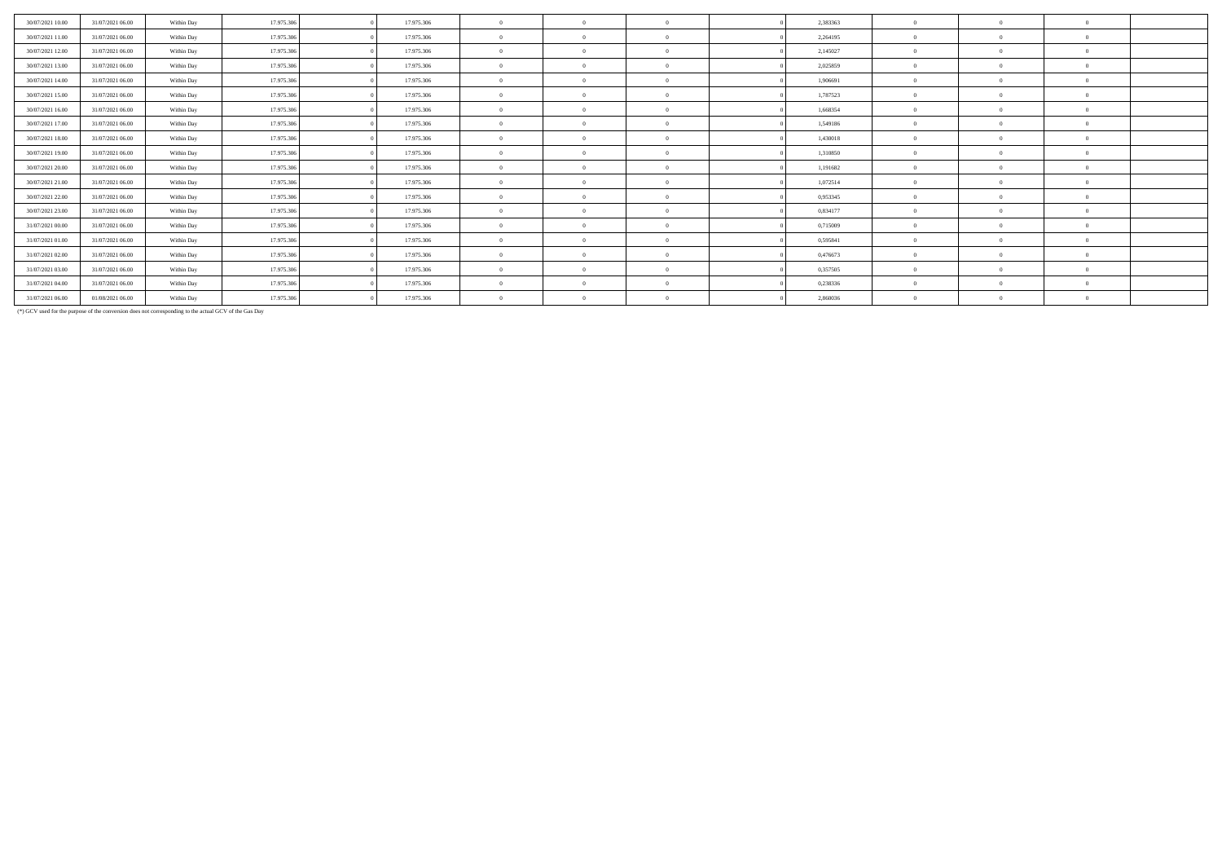| 30/07/2021 10:00 | 31/07/2021 06:00 | Within Day | 17.975.306 | 17.975.306 | $\theta$       | $\Omega$       | 2.383363 | $\theta$       | $\Omega$   | $\Omega$       |  |
|------------------|------------------|------------|------------|------------|----------------|----------------|----------|----------------|------------|----------------|--|
| 30/07/2021 11:00 | 31/07/2021 06:00 | Within Day | 17.975.306 | 17.975.306 | $\mathbf{0}$   | $\Omega$       | 2,264195 | $\Omega$       | $\sqrt{2}$ | $\Omega$       |  |
| 30/07/2021 12:00 | 31/07/2021 06:00 | Within Day | 17.975.306 | 17.975.306 | $\theta$       | $\Omega$       | 2,145027 | $\Omega$       |            | $\Omega$       |  |
| 30/07/2021 13:00 | 31/07/2021 06:00 | Within Day | 17.975.306 | 17.975.306 | $\mathbf{0}$   | $\Omega$       | 2,025859 | $\Omega$       |            | $\Omega$       |  |
| 30/07/2021 14:00 | 31/07/2021 06:00 | Within Day | 17.975.306 | 17.975.306 | $\theta$       | $\Omega$       | 1.906691 | $\theta$       | $\sqrt{2}$ | $\Omega$       |  |
| 30/07/2021 15:00 | 31/07/2021 06:00 | Within Day | 17.975.306 | 17.975.306 | $\mathbf{0}$   | $^{\circ}$     | 1,787523 | $\Omega$       |            | $\Omega$       |  |
| 30/07/2021 16:00 | 31/07/2021 06:00 | Within Day | 17.975.306 | 17.975.306 | $\overline{0}$ | $\overline{0}$ | 1,668354 | $\overline{0}$ | $\Omega$   | $\Omega$       |  |
| 30/07/2021 17:00 | 31/07/2021 06:00 | Within Day | 17.975.306 | 17.975.306 | $\mathbf{0}$   | $\Omega$       | 1,549186 | $\Omega$       | $\sqrt{2}$ | $\Omega$       |  |
| 30/07/2021 18:00 | 31/07/2021 06:00 | Within Day | 17.975.306 | 17.975.306 | $\theta$       | $\Omega$       | 1,430018 | $\sqrt{2}$     |            | $\Omega$       |  |
| 30/07/2021 19:00 | 31/07/2021 06:00 | Within Day | 17.975.306 | 17.975.306 | $\overline{0}$ | $\Omega$       | 1,310850 | $\overline{0}$ |            | $\Omega$       |  |
| 30/07/2021 20:00 | 31/07/2021 06:00 | Within Day | 17.975.306 | 17.975.306 | $\theta$       | $\Omega$       | 1.191682 | $\Omega$       |            | $\Omega$       |  |
| 30/07/2021 21:00 | 31/07/2021 06:00 | Within Day | 17.975.306 | 17.975.306 | $\mathbf{0}$   | $\Omega$       | 1,072514 | $\Omega$       | $\Omega$   | $\Omega$       |  |
| 30/07/2021 22.00 | 31/07/2021 06:00 | Within Day | 17.975.306 | 17.975.306 | $\overline{0}$ | $\Omega$       | 0,953345 | $\Omega$       | $\Omega$   | $\Omega$       |  |
| 30/07/2021 23.00 | 31/07/2021 06:00 | Within Day | 17.975.306 | 17.975.306 | $\mathbf{0}$   | $\Omega$       | 0,834177 | $\Omega$       | $\sqrt{2}$ | $\Omega$       |  |
| 31/07/2021 00:00 | 31/07/2021 06:00 | Within Day | 17.975.306 | 17.975.306 | $\mathbf{0}$   | $\Omega$       | 0,715009 | $\Omega$       |            | $\Omega$       |  |
| 31/07/2021 01:00 | 31/07/2021 06:00 | Within Day | 17.975.306 | 17.975.306 | $\overline{0}$ | $\Omega$       | 0,595841 | $\overline{0}$ | $\Omega$   | $\overline{0}$ |  |
| 31/07/2021 02:00 | 31/07/2021 06:00 | Within Day | 17.975.306 | 17.975.306 | $\mathbf{0}$   | $\Omega$       | 0.476673 | $\Omega$       |            | $\Omega$       |  |
| 31/07/2021 03:00 | 31/07/2021 06:00 | Within Day | 17.975.306 | 17.975.306 | $\mathbf{0}$   | $\Omega$       | 0,357505 | $\Omega$       | $\Omega$   | $\Omega$       |  |
| 31/07/2021 04:00 | 31/07/2021 06:00 | Within Day | 17.975.306 | 17.975.306 | $\overline{0}$ | $\Omega$       | 0,238336 | $\Omega$       | $\Omega$   | $\Omega$       |  |
| 31/07/2021 06:00 | 01/08/2021 06:00 | Within Day | 17.975.306 | 17.975.306 | $\mathbf{0}$   | $\Omega$       | 2.860036 | $\Omega$       | $\Omega$   | $\Omega$       |  |

(\*) GCV used for the purpose of the conversion does not corresponding to the actual GCV of the Gas Day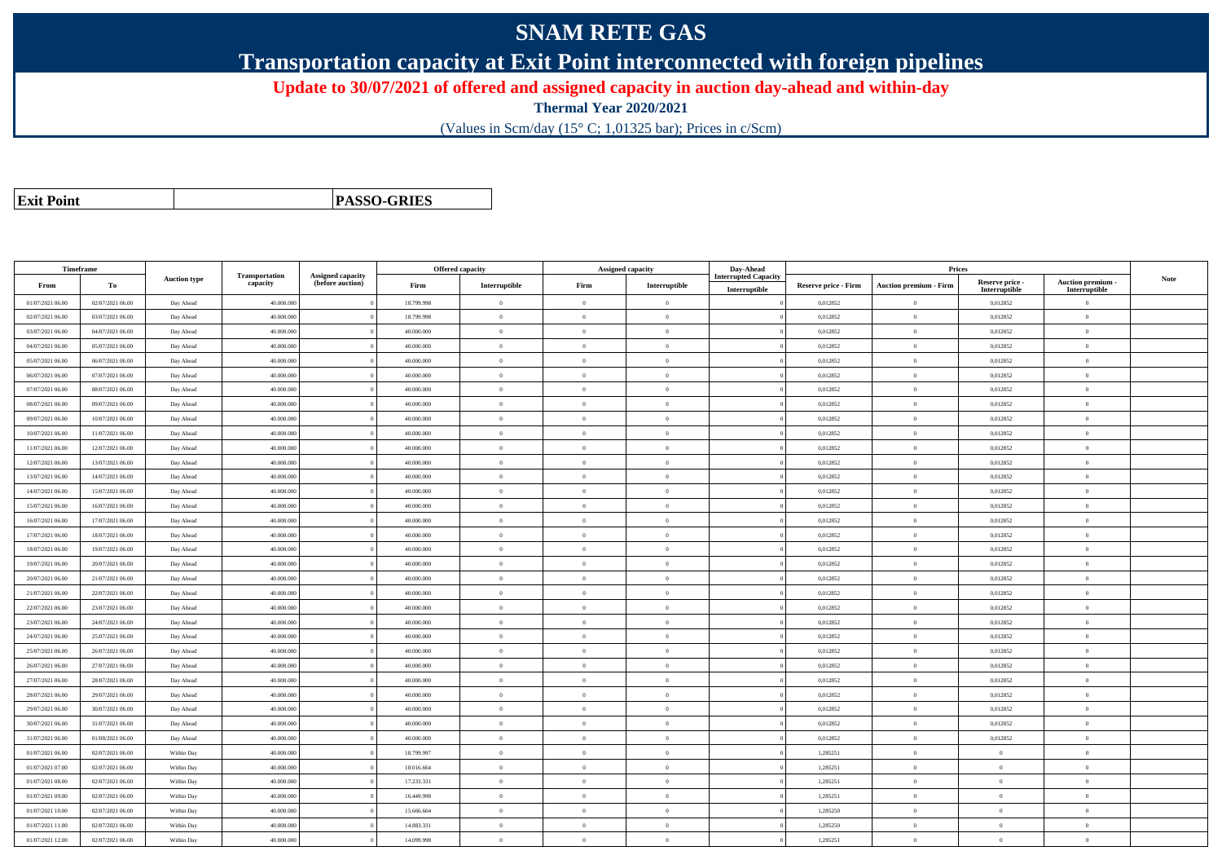## **SNAM RETE GAS**

**Transportation capacity at Exit Point interconnected with foreign pipelines**

**Update to 30/07/2021 of offered and assigned capacity in auction day-ahead and within-day**

**Thermal Year 2020/2021**

(Values in Scm/day (15° C; 1,01325 bar); Prices in c/Scm)

| <b>Exit Point</b> |
|-------------------|
|                   |

**PASSO-GRIES**

| Timeframe        |                  |                     |                            |                                       |            | <b>Offered capacity</b> |                | Assigned capacity | Day-Ahead                                    |                      | Prices                        |                                  |                                         |             |
|------------------|------------------|---------------------|----------------------------|---------------------------------------|------------|-------------------------|----------------|-------------------|----------------------------------------------|----------------------|-------------------------------|----------------------------------|-----------------------------------------|-------------|
| From             | То               | <b>Auction type</b> | Transportation<br>capacity | Assigned capacity<br>(before auction) | Firm       | Interruptible           | Firm           | Interruptible     | <b>Interrupted Capacity</b><br>Interruptible | Reserve price - Firm | <b>Auction premium - Firm</b> | Reserve price -<br>Interruptible | <b>Auction premium</b><br>Interruptible | <b>Note</b> |
| 01/07/2021 06:00 | 02/07/2021 06:00 | Day Ahead           | 40.000.000                 |                                       | 18.799.998 | $\overline{0}$          | $\theta$       | $\overline{0}$    |                                              | 0,012852             | $\bf{0}$                      | 0,012852                         | $\theta$                                |             |
| 02/07/2021 06:00 | 03/07/2021 06:00 | Day Ahead           | 40,000,000                 |                                       | 18,799,998 | $\overline{0}$          | $\theta$       | $\Omega$          |                                              | 0.012852             | $\theta$                      | 0.012852                         | $\Omega$                                |             |
| 03/07/2021 06:00 | 04/07/2021 06:00 | Day Ahead           | 40,000,000                 |                                       | 40,000,000 | $\overline{0}$          | $\Omega$       | $\theta$          |                                              | 0,012852             | $\overline{0}$                | 0,012852                         | $\overline{0}$                          |             |
| 04/07/2021 06:00 | 05/07/2021 06:00 | Day Ahead           | 40.000.000                 |                                       | 40.000.000 | $\overline{0}$          | $\Omega$       | $\Omega$          |                                              | 0,012852             | $\theta$                      | 0,012852                         | $\overline{0}$                          |             |
| 05/07/2021 06:00 | 06/07/2021 06:00 | Day Ahead           | 40.000.00                  |                                       | 40.000.000 | $\overline{0}$          | $\theta$       | $\Omega$          |                                              | 0,012852             | $\theta$                      | 0,012852                         | $\overline{0}$                          |             |
| 06/07/2021 06:00 | 07/07/2021 06:00 | Day Ahead           | 40,000,000                 |                                       | 40,000,000 | $\overline{0}$          | $\theta$       | $\overline{0}$    |                                              | 0.012852             | $\overline{0}$                | 0,012852                         | $\overline{0}$                          |             |
| 07/07/2021 06:00 | 08/07/2021 06:00 | Day Ahead           | 40,000,000                 |                                       | 40.000.000 | $\overline{0}$          | $\Omega$       | $\theta$          |                                              | 0,012852             | $\mathbf{0}$                  | 0,012852                         | $\Omega$                                |             |
| 08/07/2021 06:00 | 09/07/2021 06:00 | Day Ahead           | 40.000.00                  |                                       | 40.000.000 | $\overline{0}$          | $\theta$       | $\overline{0}$    |                                              | 0,012852             | $\theta$                      | 0,012852                         | $\mathbf{0}$                            |             |
| 09/07/2021 06:00 | 10/07/2021 06:00 | Day Ahead           | 40.000.000                 |                                       | 40.000.000 | $\mathbf{0}$            | $\theta$       | $\Omega$          |                                              | 0,012852             | $\theta$                      | 0,012852                         | $\mathbf{0}$                            |             |
| 10/07/2021 06:00 | 11/07/2021 06:00 | Day Ahead           | 40,000,000                 |                                       | 40.000.000 | $\overline{0}$          | $\overline{0}$ | $\theta$          |                                              | 0,012852             | $\theta$                      | 0,012852                         | $\overline{0}$                          |             |
| 11/07/2021 06:00 | 12/07/2021 06:00 | Day Ahead           | 40.000.00                  |                                       | 40.000.000 | $\overline{0}$          | $\theta$       | $\Omega$          |                                              | 0,012852             | $\theta$                      | 0,012852                         | $\overline{0}$                          |             |
| 12/07/2021 06:00 | 13/07/2021 06:00 | Day Ahead           | 40.000.000                 |                                       | 40.000.000 | $\overline{0}$          | $\theta$       | $\Omega$          |                                              | 0,012852             | $\theta$                      | 0,012852                         | $\mathbf{0}$                            |             |
| 13/07/2021 06:00 | 14/07/2021 06:00 | Day Ahead           | 40,000,000                 |                                       | 40,000,000 | $\overline{0}$          | $\theta$       | $\Omega$          |                                              | 0.012852             | $\theta$                      | 0,012852                         | $\theta$                                |             |
| 14/07/2021 06:00 | 15/07/2021 06:00 | Day Ahead           | 40.000.000                 |                                       | 40.000.000 | $\theta$                | $\Omega$       | $\Omega$          |                                              | 0,012852             | $\theta$                      | 0,012852                         | $\overline{0}$                          |             |
| 15/07/2021 06:00 | 16/07/2021 06:00 | Day Ahead           | 40.000.000                 |                                       | 40.000.000 | $\overline{0}$          | $\theta$       | $\Omega$          |                                              | 0,012852             | $\theta$                      | 0,012852                         | $\mathbf{0}$                            |             |
| 16/07/2021 06:00 | 17/07/2021 06:00 | Day Ahead           | 40.000.00                  |                                       | 40.000.000 | $\overline{0}$          | $\theta$       | $\Omega$          |                                              | 0,012852             | $\theta$                      | 0,012852                         | $\overline{0}$                          |             |
| 17/07/2021 06:00 | 18/07/2021 06:00 | Day Ahead           | 40,000,000                 |                                       | 40,000,000 | $\overline{0}$          | $\theta$       | $\overline{0}$    |                                              | 0.012852             | $\overline{0}$                | 0,012852                         | $\overline{0}$                          |             |
| 18/07/2021 06:00 | 19/07/2021 06:00 | Day Ahead           | 40.000.000                 |                                       | 40.000.000 | $\overline{0}$          | $\theta$       | $\Omega$          |                                              | 0,012852             | $\theta$                      | 0,012852                         | $\overline{0}$                          |             |
| 19/07/2021 06:00 | 20/07/2021 06:00 | Day Ahead           | 40.000.00                  |                                       | 40.000.000 | $\overline{0}$          | $\theta$       | $\Omega$          |                                              | 0,012852             | $\,$ 0 $\,$                   | 0,012852                         | $\mathbf{0}$                            |             |
| 20/07/2021 06:00 | 21/07/2021 06:00 | Day Ahead           | 40,000,000                 |                                       | 40,000,000 | $\overline{0}$          | $\Omega$       | $\theta$          |                                              | 0,012852             | $\theta$                      | 0,012852                         | $\overline{0}$                          |             |
| 21/07/2021 06:00 | 22/07/2021 06:00 | Day Ahead           | 40.000.000                 |                                       | 40.000.000 | $\bf{0}$                | $\overline{0}$ | $\theta$          |                                              | 0,012852             | $\,$ 0 $\,$                   | 0,012852                         | $\overline{0}$                          |             |
| 22/07/2021 06:00 | 23/07/2021 06:00 | Day Ahead           | 40.000.00                  |                                       | 40.000.000 | $\overline{0}$          | $\overline{0}$ | $\Omega$          |                                              | 0,012852             | $\theta$                      | 0,012852                         | $\overline{0}$                          |             |
| 23/07/2021 06:00 | 24/07/2021 06:00 | Day Ahead           | 40.000.000                 |                                       | 40.000.000 | $\overline{0}$          | $\theta$       | $\Omega$          |                                              | 0,012852             | $\bf{0}$                      | 0,012852                         | $\overline{0}$                          |             |
| 24/07/2021 06:00 | 25/07/2021 06:00 | Day Ahead           | 40,000,000                 |                                       | 40,000,000 | $\theta$                | $\Omega$       | $\Omega$          |                                              | 0,012852             | $\theta$                      | 0,012852                         | $\Omega$                                |             |
| 25/07/2021 06:00 | 26/07/2021 06:00 | Day Ahead           | 40,000,000                 |                                       | 40.000.000 | $\theta$                | $\Omega$       | $^{\circ}$        |                                              | 0,012852             | $\theta$                      | 0,012852                         | $\Omega$                                |             |
| 26/07/2021 06:00 | 27/07/2021 06:00 | Day Ahead           | 40.000.000                 |                                       | 40.000.000 | $\overline{0}$          | $\theta$       | $\overline{0}$    |                                              | 0,012852             | $\theta$                      | 0,012852                         | $\Omega$                                |             |
| 27/07/2021 06:00 | 28/07/2021 06:00 | Day Ahead           | 40,000,000                 |                                       | 40,000,000 | $\overline{0}$          | $\theta$       | $\theta$          |                                              | 0,012852             | $\theta$                      | 0,012852                         | $\Omega$                                |             |
| 28/07/2021 06:00 | 29/07/2021 06:00 | Day Ahead           | 40.000.000                 |                                       | 40.000.000 | $\overline{0}$          | $\theta$       | $\overline{0}$    |                                              | 0,012852             | $\,$ 0                        | 0,012852                         | $\overline{0}$                          |             |
| 29/07/2021 06:00 | 30/07/2021 06:00 | Day Ahead           | 40.000.000                 |                                       | 40.000.000 | $\overline{0}$          | $\theta$       | $\Omega$          |                                              | 0,012852             | $\theta$                      | 0,012852                         | $\overline{0}$                          |             |
| 30/07/2021 06:00 | 31/07/2021 06:00 | Day Ahead           | 40.000.000                 |                                       | 40.000.000 | $\overline{0}$          | $\theta$       | $\theta$          |                                              | 0,012852             | $\theta$                      | 0,012852                         | $\mathbf{0}$                            |             |
| 31/07/2021 06:00 | 01/08/2021 06:00 | Day Ahead           | 40,000,000                 |                                       | 40,000,000 | $\overline{0}$          | $\overline{0}$ | $\overline{0}$    |                                              | 0.012852             | $\overline{0}$                | 0,012852                         | $\overline{0}$                          |             |
| 01/07/2021 06:00 | 02/07/2021 06:00 | Within Day          | 40.000.000                 |                                       | 18.799.997 | $\bf{0}$                | $\overline{0}$ | $\Omega$          |                                              | 1,285251             | $\,$ 0 $\,$                   | $\bf{0}$                         | $\overline{0}$                          |             |
| 01/07/2021 07:00 | 02/07/2021 06:00 | Within Day          | 40.000.00                  |                                       | 18.016.664 | $\overline{0}$          | $\theta$       | $\Omega$          |                                              | 1,285251             | $\theta$                      | $\Omega$                         | $\mathbf{0}$                            |             |
| 01/07/2021 08:00 | 02/07/2021 06:00 | Within Day          | 40.000.000                 |                                       | 17.233.331 | $\overline{0}$          | $\theta$       | $\Omega$          |                                              | 1,285251             | $\theta$                      | $\Omega$                         | $\mathbf{0}$                            |             |
| 01/07/2021 09:00 | 02/07/2021 06:00 | Within Day          | 40,000,000                 |                                       | 16,449,998 | $\theta$                | $\theta$       | $\Omega$          |                                              | 1,285251             | $\theta$                      | $\theta$                         | $\Omega$                                |             |
| 01/07/2021 10:00 | 02/07/2021 06:00 | Within Day          | 40.000.00                  |                                       | 15.666.664 | $\overline{0}$          | $\theta$       | $\theta$          |                                              | 1,285250             | $\bf{0}$                      | $\theta$                         | $\theta$                                |             |
| 01/07/2021 11:00 | 02/07/2021 06:00 | Within Day          | 40.000.000                 |                                       | 14.883.331 | $\overline{0}$          | $\theta$       | $\overline{0}$    |                                              | 1,285250             | $\theta$                      | $\theta$                         | $\mathbf{0}$                            |             |
| 01/07/2021 12:00 | 02/07/2021 06:00 | Within Day          | 40,000,000                 |                                       | 14.099.998 | $\theta$                | $\theta$       | $\Omega$          |                                              | 1.285251             | $\theta$                      | $\Omega$                         | $\Omega$                                |             |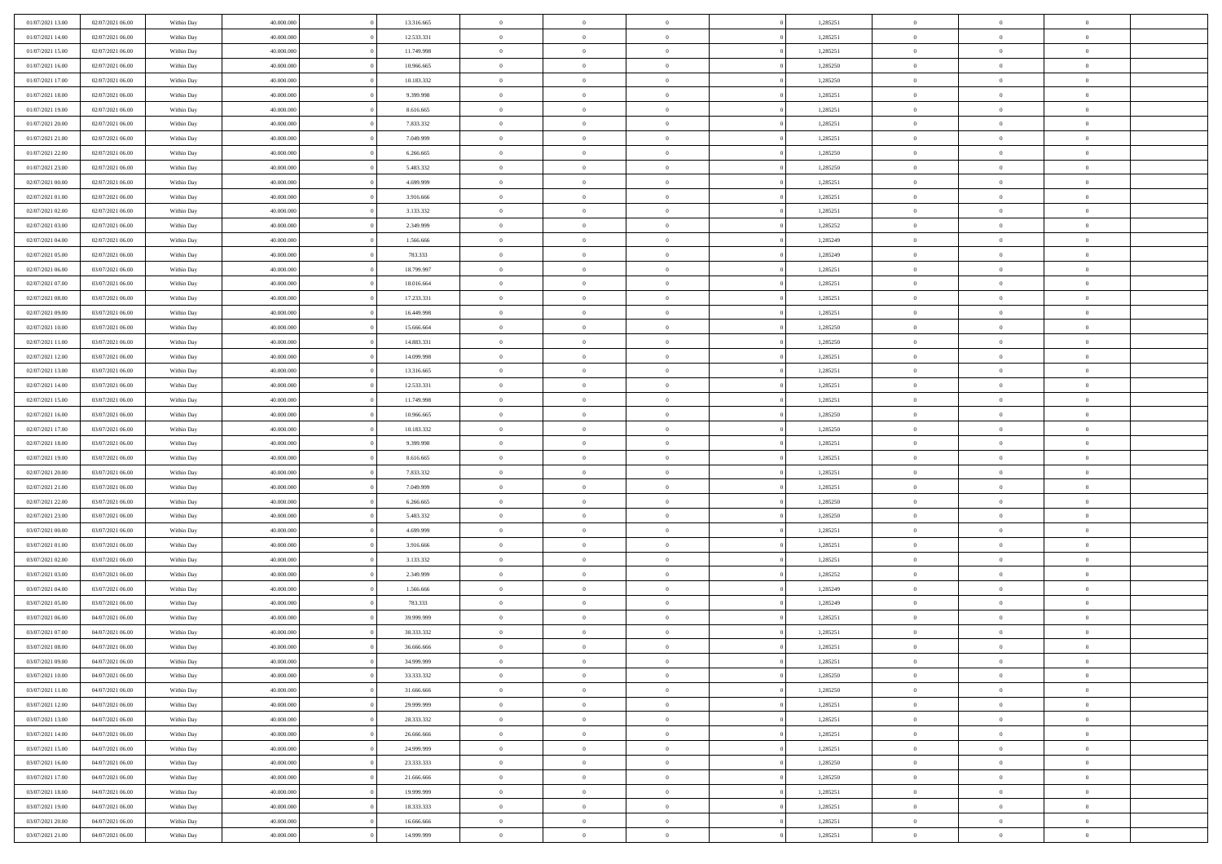| 01/07/2021 13:00                     | 02/07/2021 06:00                     | Within Day               | 40.000.000 | 13.316.665 | $\bf{0}$       | $\overline{0}$ | $\theta$       |          | 1,285251 | $\bf{0}$       | $\overline{0}$ | $\,0\,$        |  |
|--------------------------------------|--------------------------------------|--------------------------|------------|------------|----------------|----------------|----------------|----------|----------|----------------|----------------|----------------|--|
| 01/07/2021 14:00                     | 02/07/2021 06:00                     | Within Day               | 40,000,000 | 12.533.331 | $\overline{0}$ | $\overline{0}$ | $\overline{0}$ |          | 1,285251 | $\overline{0}$ | $\overline{0}$ | $\theta$       |  |
| 01/07/2021 15:00                     | 02/07/2021 06:00                     | Within Day               | 40.000.000 | 11.749.998 | $\mathbf{0}$   | $\overline{0}$ | $\overline{0}$ |          | 1,285251 | $\mathbf{0}$   | $\overline{0}$ | $\overline{0}$ |  |
| 01/07/2021 16:00                     | 02/07/2021 06:00                     | Within Day               | 40.000.000 | 10.966.665 | $\bf{0}$       | $\overline{0}$ | $\overline{0}$ |          | 1,285250 | $\bf{0}$       | $\overline{0}$ | $\overline{0}$ |  |
| 01/07/2021 17:00                     | 02/07/2021 06:00                     | Within Day               | 40,000,000 | 10.183.332 | $\bf{0}$       | $\bf{0}$       | $\overline{0}$ |          | 1,285250 | $\bf{0}$       | $\overline{0}$ | $\,0\,$        |  |
| 01/07/2021 18:00                     | 02/07/2021 06:00                     | Within Dav               | 40.000.000 | 9.399.998  | $\overline{0}$ | $\overline{0}$ | $\overline{0}$ |          | 1,285251 | $\mathbf{0}$   | $\overline{0}$ | $\overline{0}$ |  |
| 01/07/2021 19:00                     | 02/07/2021 06:00                     | Within Day               | 40.000.000 | 8.616.665  | $\bf{0}$       | $\overline{0}$ | $\overline{0}$ |          | 1,285251 | $\bf{0}$       | $\overline{0}$ | $\bf{0}$       |  |
| 01/07/2021 20:00                     | 02/07/2021 06:00                     | Within Day               | 40,000,000 | 7.833.332  | $\overline{0}$ | $\overline{0}$ | $\overline{0}$ |          | 1,285251 | $\,$ 0 $\,$    | $\overline{0}$ | $\theta$       |  |
| 01/07/2021 21:00                     | 02/07/2021 06:00                     | Within Day               | 40.000.000 | 7.049.999  | $\mathbf{0}$   | $\overline{0}$ | $\overline{0}$ |          | 1,285251 | $\mathbf{0}$   | $\overline{0}$ | $\overline{0}$ |  |
| 01/07/2021 22:00                     | 02/07/2021 06:00                     | Within Day               | 40.000.000 | 6.266.665  | $\bf{0}$       | $\bf{0}$       | $\overline{0}$ |          | 1,285250 | $\bf{0}$       | $\overline{0}$ | $\,0\,$        |  |
|                                      |                                      |                          | 40,000,000 | 5.483.332  | $\overline{0}$ | $\overline{0}$ | $\overline{0}$ |          | 1,285250 | $\bf{0}$       | $\overline{0}$ | $\overline{0}$ |  |
| 01/07/2021 23.00<br>02/07/2021 00:00 | 02/07/2021 06:00<br>02/07/2021 06:00 | Within Day<br>Within Dav | 40.000.000 | 4.699.999  | $\mathbf{0}$   | $\overline{0}$ | $\overline{0}$ |          | 1,285251 | $\mathbf{0}$   | $\overline{0}$ | $\overline{0}$ |  |
| 02/07/2021 01:00                     | 02/07/2021 06:00                     |                          | 40.000.000 | 3.916.666  | $\bf{0}$       | $\overline{0}$ | $\overline{0}$ |          | 1,285251 | $\bf{0}$       | $\overline{0}$ | $\overline{0}$ |  |
|                                      |                                      | Within Day               |            |            |                | $\overline{0}$ |                |          |          |                | $\mathbf{0}$   |                |  |
| 02/07/2021 02:00                     | 02/07/2021 06:00                     | Within Day               | 40.000.000 | 3.133.332  | $\bf{0}$       |                | $\overline{0}$ |          | 1,285251 | $\bf{0}$       |                | $\,0\,$        |  |
| 02/07/2021 03:00                     | 02/07/2021 06:00                     | Within Dav               | 40.000.000 | 2.349.999  | $\overline{0}$ | $\overline{0}$ | $\overline{0}$ |          | 1,285252 | $\mathbf{0}$   | $\overline{0}$ | $\overline{0}$ |  |
| 02/07/2021 04:00                     | 02/07/2021 06:00                     | Within Day               | 40.000.000 | 1.566.666  | $\bf{0}$       | $\bf{0}$       | $\overline{0}$ |          | 1,285249 | $\bf{0}$       | $\overline{0}$ | $\bf{0}$       |  |
| 02/07/2021 05:00                     | 02/07/2021 06:00                     | Within Day               | 40,000,000 | 783.333    | $\overline{0}$ | $\overline{0}$ | $\overline{0}$ |          | 1,285249 | $\,$ 0 $\,$    | $\mathbf{0}$   | $\overline{0}$ |  |
| 02/07/2021 06:00                     | 03/07/2021 06:00                     | Within Day               | 40.000.000 | 18.799.997 | $\mathbf{0}$   | $\overline{0}$ | $\overline{0}$ |          | 1,285251 | $\mathbf{0}$   | $\overline{0}$ | $\overline{0}$ |  |
| 02/07/2021 07:00                     | 03/07/2021 06:00                     | Within Day               | 40.000.000 | 18.016.664 | $\bf{0}$       | $\bf{0}$       | $\overline{0}$ |          | 1,285251 | $\bf{0}$       | $\overline{0}$ | $\,0\,$        |  |
| 02/07/2021 08:00                     | 03/07/2021 06:00                     | Within Day               | 40,000,000 | 17.233.331 | $\overline{0}$ | $\overline{0}$ | $\overline{0}$ |          | 1,285251 | $\bf{0}$       | $\mathbf{0}$   | $\overline{0}$ |  |
| 02/07/2021 09:00                     | 03/07/2021 06:00                     | Within Day               | 40.000.000 | 16.449.998 | $\mathbf{0}$   | $\overline{0}$ | $\overline{0}$ |          | 1,285251 | $\mathbf{0}$   | $\overline{0}$ | $\overline{0}$ |  |
| 02/07/2021 10:00                     | 03/07/2021 06:00                     | Within Day               | 40.000.000 | 15.666.664 | $\bf{0}$       | $\overline{0}$ | $\overline{0}$ |          | 1,285250 | $\bf{0}$       | $\overline{0}$ | $\bf{0}$       |  |
| 02/07/2021 11:00                     | 03/07/2021 06:00                     | Within Day               | 40,000,000 | 14.883.331 | $\bf{0}$       | $\bf{0}$       | $\overline{0}$ |          | 1,285250 | $\bf{0}$       | $\overline{0}$ | $\bf{0}$       |  |
| 02/07/2021 12:00                     | 03/07/2021 06:00                     | Within Dav               | 40.000.000 | 14.099.998 | $\mathbf{0}$   | $\overline{0}$ | $\overline{0}$ |          | 1,285251 | $\mathbf{0}$   | $\overline{0}$ | $\overline{0}$ |  |
| 02/07/2021 13:00                     | 03/07/2021 06:00                     | Within Day               | 40.000.000 | 13.316.665 | $\bf{0}$       | $\bf{0}$       | $\overline{0}$ |          | 1,285251 | $\bf{0}$       | $\overline{0}$ | $\bf{0}$       |  |
| 02/07/2021 14:00                     | 03/07/2021 06:00                     | Within Day               | 40,000,000 | 12.533.331 | $\overline{0}$ | $\overline{0}$ | $\overline{0}$ |          | 1,285251 | $\bf{0}$       | $\mathbf{0}$   | $\overline{0}$ |  |
| 02/07/2021 15:00                     | 03/07/2021 06:00                     | Within Day               | 40.000.000 | 11.749.998 | $\mathbf{0}$   | $\overline{0}$ | $\overline{0}$ |          | 1,285251 | $\mathbf{0}$   | $\overline{0}$ | $\overline{0}$ |  |
| 02/07/2021 16:00                     | 03/07/2021 06:00                     | Within Day               | 40.000.000 | 10.966.665 | $\bf{0}$       | $\bf{0}$       | $\overline{0}$ |          | 1,285250 | $\bf{0}$       | $\overline{0}$ | $\,0\,$        |  |
| 02/07/2021 17:00                     | 03/07/2021 06:00                     | Within Day               | 40,000,000 | 10.183.332 | $\bf{0}$       | $\overline{0}$ | $\overline{0}$ |          | 1,285250 | $\bf{0}$       | $\mathbf{0}$   | $\overline{0}$ |  |
| 02/07/2021 18:00                     | 03/07/2021 06:00                     | Within Dav               | 40.000.000 | 9.399.998  | $\mathbf{0}$   | $\overline{0}$ | $\overline{0}$ |          | 1,285251 | $\mathbf{0}$   | $\overline{0}$ | $\overline{0}$ |  |
| 02/07/2021 19:00                     | 03/07/2021 06:00                     | Within Day               | 40.000.000 | 8.616.665  | $\bf{0}$       | $\overline{0}$ | $\overline{0}$ |          | 1,285251 | $\,$ 0         | $\overline{0}$ | $\,$ 0 $\,$    |  |
| 02/07/2021 20:00                     | 03/07/2021 06:00                     | Within Day               | 40,000,000 | 7.833.332  | $\bf{0}$       | $\overline{0}$ | $\overline{0}$ |          | 1,285251 | $\bf{0}$       | $\mathbf{0}$   | $\overline{0}$ |  |
| 02/07/2021 21:00                     | 03/07/2021 06:00                     | Within Dav               | 40.000.000 | 7.049.999  | $\overline{0}$ | $\overline{0}$ | $\overline{0}$ |          | 1,285251 | $\mathbf{0}$   | $\overline{0}$ | $\overline{0}$ |  |
| 02/07/2021 22.00                     | 03/07/2021 06:00                     | Within Day               | 40.000.000 | 6.266.665  | $\bf{0}$       | $\overline{0}$ | $\theta$       |          | 1,285250 | $\,$ 0         | $\overline{0}$ | $\theta$       |  |
| 02/07/2021 23:00                     | 03/07/2021 06:00                     | Within Day               | 40,000,000 | 5.483.332  | $\overline{0}$ | $\overline{0}$ | $\overline{0}$ |          | 1,285250 | $\bf{0}$       | $\overline{0}$ | $\overline{0}$ |  |
| 03/07/2021 00:00                     | 03/07/2021 06:00                     | Within Day               | 40.000.000 | 4.699.999  | $\mathbf{0}$   | $\overline{0}$ | $\overline{0}$ |          | 1,285251 | $\mathbf{0}$   | $\overline{0}$ | $\overline{0}$ |  |
| 03/07/2021 01:00                     | 03/07/2021 06:00                     | Within Day               | 40.000.000 | 3.916.666  | $\bf{0}$       | $\overline{0}$ | $\theta$       |          | 1,285251 | $\,$ 0         | $\overline{0}$ | $\theta$       |  |
| 03/07/2021 02:00                     | 03/07/2021 06:00                     | Within Day               | 40,000,000 | 3.133.332  | $\bf{0}$       | $\overline{0}$ | $\overline{0}$ |          | 1,285251 | $\bf{0}$       | $\mathbf{0}$   | $\overline{0}$ |  |
| 03/07/2021 03:00                     | 03/07/2021 06:00                     | Within Dav               | 40.000.000 | 2.349.999  | $\mathbf{0}$   | $\overline{0}$ | $\overline{0}$ |          | 1,285252 | $\mathbf{0}$   | $\overline{0}$ | $\overline{0}$ |  |
| 03/07/2021 04:00                     | 03/07/2021 06:00                     | Within Day               | 40.000.000 | 1.566.666  | $\,0\,$        | $\overline{0}$ | $\theta$       |          | 1,285249 | $\,$ 0         | $\overline{0}$ | $\,$ 0 $\,$    |  |
| 03/07/2021 05:00                     | 03/07/2021 06:00                     | Within Day               | 40,000,000 | 783.333    | $\bf{0}$       | $\overline{0}$ | $\overline{0}$ |          | 1,285249 | $\bf{0}$       | $\overline{0}$ | $\overline{0}$ |  |
| 03/07/2021 06:00                     | 04/07/2021 06:00                     | Within Dav               | 40.000.000 | 39.999.999 | $\mathbf{0}$   | $\overline{0}$ | $\overline{0}$ |          | 1,285251 | $\mathbf{0}$   | $\overline{0}$ | $\overline{0}$ |  |
| 03/07/2021 07:00                     | 04/07/2021 06:00                     | Within Day               | 40.000.000 | 38.333.332 | $\bf{0}$       | $\overline{0}$ | $\theta$       |          | 1,285251 | $\,$ 0         | $\overline{0}$ | $\theta$       |  |
| 03/07/2021 08:00                     | 04/07/2021 06:00                     | Within Day               | 40,000,000 | 36.666.666 | $\bf{0}$       | $\overline{0}$ | $\overline{0}$ |          | 1,285251 | $\bf{0}$       | $\overline{0}$ | $\overline{0}$ |  |
| 03/07/2021 09:00                     | 04/07/2021 06:00                     | Within Day               | 40.000.000 | 34.999.999 | $\bf{0}$       | $\overline{0}$ | $\Omega$       |          | 1,285251 | $\overline{0}$ | $\theta$       | $\theta$       |  |
| 03/07/2021 10:00                     | 04/07/2021 06:00                     | Within Day               | 40.000.000 | 33.333.332 | $\,0\,$        | $\overline{0}$ | $\theta$       |          | 1,285250 | $\,$ 0 $\,$    | $\bf{0}$       | $\theta$       |  |
| 03/07/2021 11:00                     | 04/07/2021 06:00                     | Within Day               | 40.000.000 | 31.666.666 | $\overline{0}$ | $\overline{0}$ | $\overline{0}$ |          | 1,285250 | $\overline{0}$ | $\overline{0}$ | $\overline{0}$ |  |
| 03/07/2021 12:00                     | 04/07/2021 06:00                     | Within Day               | 40.000.000 | 29.999.999 | $\bf{0}$       | $\overline{0}$ | $\overline{0}$ |          | 1,285251 | $\overline{0}$ | $\bf{0}$       | $\overline{0}$ |  |
| 03/07/2021 13:00                     | 04/07/2021 06:00                     | Within Day               | 40.000.000 | 28.333.332 | $\bf{0}$       | $\overline{0}$ | $\overline{0}$ | $\theta$ | 1,285251 | $\,$ 0 $\,$    | $\bf{0}$       | $\,$ 0 $\,$    |  |
| 03/07/2021 14:00                     | 04/07/2021 06:00                     | Within Day               | 40.000.000 | 26.666.666 | $\bf{0}$       | $\overline{0}$ | $\overline{0}$ |          | 1,285251 | $\,$ 0 $\,$    | $\overline{0}$ | $\overline{0}$ |  |
| 03/07/2021 15:00                     | 04/07/2021 06:00                     | Within Day               | 40.000.000 | 24.999.999 | $\bf{0}$       | $\overline{0}$ | $\overline{0}$ |          | 1,285251 | $\mathbf{0}$   | $\overline{0}$ | $\overline{0}$ |  |
| 03/07/2021 16:00                     | 04/07/2021 06:00                     | Within Day               | 40.000.000 | 23.333.333 | $\,$ 0 $\,$    | $\overline{0}$ | $\overline{0}$ | $\theta$ | 1,285250 | $\,$ 0 $\,$    | $\bf{0}$       | $\,$ 0 $\,$    |  |
| 03/07/2021 17:00                     | 04/07/2021 06:00                     | Within Day               | 40.000.000 | 21.666.666 | $\bf{0}$       | $\overline{0}$ | $\overline{0}$ |          | 1,285250 | $\overline{0}$ | $\overline{0}$ | $\overline{0}$ |  |
| 03/07/2021 18:00                     | 04/07/2021 06:00                     | Within Day               | 40.000.000 | 19.999.999 | $\bf{0}$       | $\overline{0}$ | $\overline{0}$ |          | 1,285251 | $\overline{0}$ | $\bf{0}$       | $\overline{0}$ |  |
| 03/07/2021 19:00                     | 04/07/2021 06:00                     | Within Day               | 40.000.000 | 18.333.333 | $\,$ 0 $\,$    | $\overline{0}$ | $\overline{0}$ |          | 1,285251 | $\,$ 0 $\,$    | $\mathbf{0}$   | $\,$ 0 $\,$    |  |
| 03/07/2021 20:00                     | 04/07/2021 06:00                     | Within Day               | 40,000,000 | 16.666.666 | $\overline{0}$ | $\overline{0}$ | $\overline{0}$ |          | 1,285251 | $\bf{0}$       | $\mathbf{0}$   | $\overline{0}$ |  |
| 03/07/2021 21:00                     | 04/07/2021 06:00                     | Within Day               | 40.000.000 | 14.999.999 | $\bf{0}$       | $\overline{0}$ | $\overline{0}$ |          | 1,285251 | $\mathbf{0}$   | $\overline{0}$ | $\overline{0}$ |  |
|                                      |                                      |                          |            |            |                |                |                |          |          |                |                |                |  |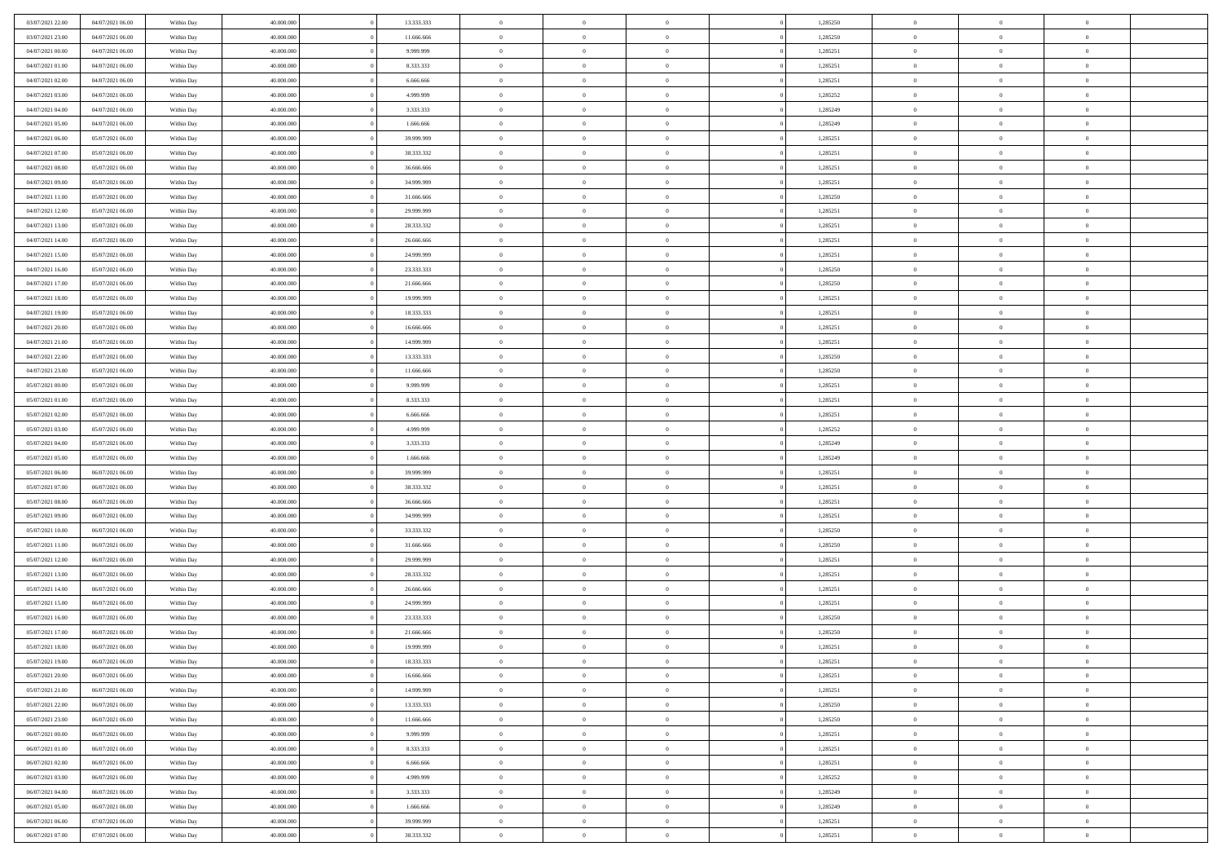| 03/07/2021 22.00                     | 04/07/2021 06:00                     | Within Day               | 40.000.000               | 13.333.333               | $\bf{0}$                       | $\bf{0}$                         | $\theta$                         |          | 1,285250             | $\bf{0}$                    | $\overline{0}$                   | $\,0\,$                          |  |
|--------------------------------------|--------------------------------------|--------------------------|--------------------------|--------------------------|--------------------------------|----------------------------------|----------------------------------|----------|----------------------|-----------------------------|----------------------------------|----------------------------------|--|
| 03/07/2021 23:00                     | 04/07/2021 06:00                     | Within Day               | 40,000,000               | 11.666.666               | $\overline{0}$                 | $\overline{0}$                   | $\overline{0}$                   |          | 1,285250             | $\overline{0}$              | $\overline{0}$                   | $\theta$                         |  |
| 04/07/2021 00:00                     | 04/07/2021 06:00                     | Within Day               | 40.000.000               | 9.999.999                | $\mathbf{0}$                   | $\overline{0}$                   | $\overline{0}$                   |          | 1,285251             | $\mathbf{0}$                | $\overline{0}$                   | $\overline{0}$                   |  |
| 04/07/2021 01:00                     | 04/07/2021 06:00                     | Within Day               | 40.000.000               | 8.333.333                | $\bf{0}$                       | $\overline{0}$                   | $\overline{0}$                   |          | 1,285251             | $\bf{0}$                    | $\overline{0}$                   | $\overline{0}$                   |  |
| 04/07/2021 02:00                     | 04/07/2021 06:00                     | Within Day               | 40,000,000               | 6.666.666                | $\bf{0}$                       | $\bf{0}$                         | $\overline{0}$                   |          | 1,285251             | $\bf{0}$                    | $\overline{0}$                   | $\,0\,$                          |  |
| 04/07/2021 03:00                     | 04/07/2021 06:00                     | Within Dav               | 40.000.000               | 4.999.999                | $\overline{0}$                 | $\overline{0}$                   | $\overline{0}$                   |          | 1,285252             | $\mathbf{0}$                | $\overline{0}$                   | $\overline{0}$                   |  |
| 04/07/2021 04:00                     | 04/07/2021 06:00                     | Within Day               | 40.000.000               | 3.333.333                | $\bf{0}$                       | $\overline{0}$                   | $\overline{0}$                   |          | 1,285249             | $\bf{0}$                    | $\overline{0}$                   | $\bf{0}$                         |  |
| 04/07/2021 05:00                     | 04/07/2021 06:00                     | Within Day               | 40,000,000               | 1.666.666                | $\overline{0}$                 | $\overline{0}$                   | $\overline{0}$                   |          | 1,285249             | $\,$ 0 $\,$                 | $\overline{0}$                   | $\theta$                         |  |
| 04/07/2021 06:00                     | 05/07/2021 06:00                     | Within Day               | 40.000.000               | 39.999.999               | $\overline{0}$                 | $\overline{0}$                   | $\overline{0}$                   |          | 1,285251             | $\mathbf{0}$                | $\overline{0}$                   | $\overline{0}$                   |  |
| 04/07/2021 07:00                     | 05/07/2021 06:00                     | Within Day               | 40.000.000               | 38.333.332               | $\bf{0}$                       | $\bf{0}$                         | $\overline{0}$                   |          | 1,285251             | $\bf{0}$                    | $\overline{0}$                   | $\,0\,$                          |  |
| 04/07/2021 08:00                     | 05/07/2021 06:00                     | Within Day               | 40,000,000               | 36,666,666               | $\overline{0}$                 | $\overline{0}$                   | $\overline{0}$                   |          | 1,285251             | $\bf{0}$                    | $\overline{0}$                   | $\overline{0}$                   |  |
| 04/07/2021 09:00                     | 05/07/2021 06:00                     | Within Dav               | 40.000.000               | 34.999.999               | $\mathbf{0}$                   | $\overline{0}$                   | $\overline{0}$                   |          | 1,285251             | $\mathbf{0}$                | $\overline{0}$                   | $\overline{0}$                   |  |
| 04/07/2021 11:00                     | 05/07/2021 06:00                     | Within Day               | 40.000.000               | 31.666.666               | $\bf{0}$                       | $\overline{0}$                   | $\overline{0}$                   |          | 1,285250             | $\bf{0}$                    | $\overline{0}$                   | $\overline{0}$                   |  |
| 04/07/2021 12:00                     | 05/07/2021 06:00                     | Within Day               | 40.000.000               | 29.999.999               | $\bf{0}$                       | $\overline{0}$                   | $\overline{0}$                   |          | 1,285251             | $\bf{0}$                    | $\overline{0}$                   | $\,0\,$                          |  |
| 04/07/2021 13:00                     | 05/07/2021 06:00                     | Within Dav               | 40.000.000               | 28.333.332               | $\overline{0}$                 | $\overline{0}$                   | $\overline{0}$                   |          | 1,285251             | $\mathbf{0}$                | $\overline{0}$                   | $\overline{0}$                   |  |
| 04/07/2021 14:00                     | 05/07/2021 06:00                     | Within Day               | 40.000.000               | 26.666.666               | $\bf{0}$                       | $\bf{0}$                         | $\overline{0}$                   |          | 1,285251             | $\bf{0}$                    | $\overline{0}$                   | $\bf{0}$                         |  |
| 04/07/2021 15:00                     | 05/07/2021 06:00                     |                          | 40,000,000               | 24.999.999               | $\overline{0}$                 | $\overline{0}$                   | $\overline{0}$                   |          | 1,285251             | $\,$ 0 $\,$                 | $\mathbf{0}$                     | $\overline{0}$                   |  |
| 04/07/2021 16:00                     | 05/07/2021 06:00                     | Within Day<br>Within Day | 40.000.000               | 23.333.333               | $\mathbf{0}$                   | $\overline{0}$                   | $\overline{0}$                   |          | 1,285250             | $\mathbf{0}$                | $\overline{0}$                   | $\overline{0}$                   |  |
| 04/07/2021 17.00                     | 05/07/2021 06:00                     | Within Day               | 40.000.000               | 21.666.666               | $\bf{0}$                       | $\bf{0}$                         | $\overline{0}$                   |          | 1,285250             | $\bf{0}$                    | $\overline{0}$                   | $\,0\,$                          |  |
| 04/07/2021 18:00                     | 05/07/2021 06:00                     |                          | 40,000,000               | 19.999.999               | $\overline{0}$                 | $\overline{0}$                   | $\overline{0}$                   |          | 1,285251             | $\bf{0}$                    | $\mathbf{0}$                     | $\overline{0}$                   |  |
| 04/07/2021 19:00                     | 05/07/2021 06:00                     | Within Day<br>Within Day | 40.000.000               | 18.333.333               | $\mathbf{0}$                   | $\overline{0}$                   | $\overline{0}$                   |          | 1,285251             | $\mathbf{0}$                | $\overline{0}$                   | $\overline{0}$                   |  |
| 04/07/2021 20:00                     | 05/07/2021 06:00                     | Within Day               | 40.000.000               | 16.666.666               | $\bf{0}$                       | $\overline{0}$                   | $\overline{0}$                   |          | 1,285251             | $\bf{0}$                    | $\overline{0}$                   | $\bf{0}$                         |  |
|                                      |                                      |                          | 40,000,000               | 14.999.999               | $\bf{0}$                       |                                  |                                  |          |                      |                             | $\overline{0}$                   | $\bf{0}$                         |  |
| 04/07/2021 21:00<br>04/07/2021 22:00 | 05/07/2021 06:00<br>05/07/2021 06:00 | Within Day<br>Within Dav | 40.000.000               | 13.333.333               | $\mathbf{0}$                   | $\overline{0}$<br>$\overline{0}$ | $\overline{0}$                   |          | 1,285251<br>1,285250 | $\,$ 0 $\,$<br>$\mathbf{0}$ | $\overline{0}$                   | $\overline{0}$                   |  |
|                                      | 05/07/2021 06:00                     |                          |                          |                          | $\bf{0}$                       |                                  | $\overline{0}$<br>$\overline{0}$ |          |                      | $\bf{0}$                    | $\overline{0}$                   | $\bf{0}$                         |  |
| 04/07/2021 23.00                     |                                      | Within Day               | 40.000.000<br>40,000,000 | 11.666.666               | $\overline{0}$                 | $\overline{0}$<br>$\overline{0}$ |                                  |          | 1,285250             |                             | $\mathbf{0}$                     | $\overline{0}$                   |  |
| 05/07/2021 00:00                     | 05/07/2021 06:00                     | Within Day               |                          | 9.999.999                |                                |                                  | $\overline{0}$                   |          | 1,285251             | $\bf{0}$                    |                                  |                                  |  |
| 05/07/2021 01:00                     | 05/07/2021 06:00                     | Within Day               | 40.000.000               | 8.333.333                | $\overline{0}$                 | $\overline{0}$                   | $\overline{0}$                   |          | 1,285251             | $\mathbf{0}$                | $\overline{0}$                   | $\overline{0}$                   |  |
| 05/07/2021 02:00                     | 05/07/2021 06:00                     | Within Day               | 40.000.000               | 6.666.666                | $\bf{0}$                       | $\overline{0}$                   | $\overline{0}$                   |          | 1,285251             | $\bf{0}$                    | $\overline{0}$                   | $\,0\,$                          |  |
| 05/07/2021 03:00                     | 05/07/2021 06:00                     | Within Day               | 40,000,000               | 4.999.999                | $\bf{0}$                       | $\overline{0}$                   | $\overline{0}$                   |          | 1,285252             | $\bf{0}$                    | $\mathbf{0}$                     | $\overline{0}$                   |  |
| 05/07/2021 04:00                     | 05/07/2021 06:00                     | Within Day               | 40.000.000               | 3.333.333                | $\mathbf{0}$                   | $\overline{0}$                   | $\overline{0}$                   |          | 1,285249             | $\mathbf{0}$                | $\overline{0}$                   | $\overline{0}$                   |  |
| 05/07/2021 05:00                     | 05/07/2021 06:00                     | Within Day               | 40.000.000               | 1.666.666                | $\bf{0}$                       | $\overline{0}$                   | $\overline{0}$                   |          | 1,285249             | $\,$ 0                      | $\overline{0}$                   | $\,$ 0 $\,$                      |  |
| 05/07/2021 06:00                     | 06/07/2021 06:00                     | Within Day               | 40,000,000               | 39.999.999               | $\bf{0}$                       | $\overline{0}$                   | $\overline{0}$                   |          | 1,285251             | $\bf{0}$                    | $\overline{0}$                   | $\overline{0}$                   |  |
| 05/07/2021 07:00                     | 06/07/2021 06:00                     | Within Dav               | 40.000.000               | 38.333.332               | $\overline{0}$                 | $\overline{0}$                   | $\overline{0}$                   |          | 1,285251             | $\mathbf{0}$                | $\overline{0}$                   | $\overline{0}$                   |  |
| 05/07/2021 08:00                     | 06/07/2021 06:00                     | Within Day               | 40.000.000               | 36.666.666               | $\bf{0}$                       | $\overline{0}$                   | $\theta$                         |          | 1,285251             | $\,$ 0                      | $\overline{0}$                   | $\theta$                         |  |
| 05/07/2021 09:00                     | 06/07/2021 06:00                     | Within Day               | 40,000,000               | 34.999.999               | $\overline{0}$<br>$\mathbf{0}$ | $\overline{0}$                   | $\overline{0}$                   |          | 1,285251             | $\bf{0}$<br>$\mathbf{0}$    | $\overline{0}$                   | $\overline{0}$<br>$\overline{0}$ |  |
| 05/07/2021 10:00                     | 06/07/2021 06:00                     | Within Day               | 40.000.000               | 33.333.332               | $\bf{0}$                       | $\overline{0}$                   | $\overline{0}$                   |          | 1,285250             |                             | $\overline{0}$<br>$\overline{0}$ | $\theta$                         |  |
| 05/07/2021 11:00                     | 06/07/2021 06:00                     | Within Day               | 40.000.000<br>40,000,000 | 31.666.666               | $\bf{0}$                       | $\overline{0}$                   | $\theta$<br>$\overline{0}$       |          | 1,285250             | $\,$ 0                      | $\mathbf{0}$                     |                                  |  |
| 05/07/2021 12:00<br>05/07/2021 13:00 | 06/07/2021 06:00<br>06/07/2021 06:00 | Within Day               | 40.000.000               | 29.999.999<br>28.333.332 | $\mathbf{0}$                   | $\overline{0}$<br>$\overline{0}$ | $\overline{0}$                   |          | 1,285251<br>1,285251 | $\bf{0}$<br>$\mathbf{0}$    | $\overline{0}$                   | $\overline{0}$<br>$\overline{0}$ |  |
|                                      |                                      | Within Day               |                          |                          |                                |                                  |                                  |          |                      |                             | $\overline{0}$                   |                                  |  |
| 05/07/2021 14:00                     | 06/07/2021 06:00                     | Within Day               | 40.000.000<br>40,000,000 | 26.666.666               | $\,0\,$<br>$\bf{0}$            | $\overline{0}$<br>$\overline{0}$ | $\overline{0}$<br>$\overline{0}$ |          | 1,285251             | $\,$ 0                      | $\overline{0}$                   | $\,$ 0 $\,$<br>$\overline{0}$    |  |
| 05/07/2021 15:00<br>05/07/2021 16:00 | 06/07/2021 06:00<br>06/07/2021 06:00 | Within Day<br>Within Dav | 40.000.000               | 24.999.999<br>23.333.333 | $\mathbf{0}$                   | $\overline{0}$                   | $\overline{0}$                   |          | 1,285251<br>1,285250 | $\bf{0}$<br>$\mathbf{0}$    | $\overline{0}$                   | $\overline{0}$                   |  |
| 05/07/2021 17:00                     | 06/07/2021 06:00                     | Within Day               | 40.000.000               | 21.666.666               | $\bf{0}$                       | $\overline{0}$                   | $\theta$                         |          | 1,285250             | $\,$ 0                      | $\overline{0}$                   | $\theta$                         |  |
| 05/07/2021 18:00                     | 06/07/2021 06:00                     |                          | 40,000,000               | 19.999.999               | $\bf{0}$                       | $\overline{0}$                   | $\overline{0}$                   |          | 1,285251             | $\bf{0}$                    | $\overline{0}$                   | $\overline{0}$                   |  |
| 05/07/2021 19:00                     | 06/07/2021 06:00                     | Within Day<br>Within Day | 40.000.000               | 18.333.333               | $\bf{0}$                       | $\overline{0}$                   | $\Omega$                         |          | 1,285251             | $\overline{0}$              | $\theta$                         | $\theta$                         |  |
| 05/07/2021 20:00                     | 06/07/2021 06:00                     | Within Day               | 40.000.000               | 16.666.666               | $\,0\,$                        | $\overline{0}$                   | $\theta$                         |          | 1,285251             | $\,$ 0 $\,$                 | $\bf{0}$                         | $\theta$                         |  |
| 05/07/2021 21:00                     | 06/07/2021 06:00                     |                          | 40.000.000               | 14.999.999               | $\overline{0}$                 | $\overline{0}$                   | $\overline{0}$                   |          | 1,285251             | $\overline{0}$              | $\overline{0}$                   | $\overline{0}$                   |  |
| 05/07/2021 22:00                     | 06/07/2021 06:00                     | Within Day               | 40.000.000               | 13.333.333               | $\bf{0}$                       | $\overline{0}$                   | $\overline{0}$                   |          | 1,285250             | $\overline{0}$              | $\bf{0}$                         | $\overline{0}$                   |  |
| 05/07/2021 23:00                     | 06/07/2021 06:00                     | Within Day<br>Within Day | 40.000.000               | 11.666.666               | $\bf{0}$                       | $\overline{0}$                   | $\overline{0}$                   | $\theta$ | 1,285250             | $\mathbf{0}$                | $\bf{0}$                         | $\,$ 0 $\,$                      |  |
| 06/07/2021 00:00                     | 06/07/2021 06:00                     |                          | 40,000,000               | 9.999.999                | $\bf{0}$                       | $\overline{0}$                   | $\overline{0}$                   |          | 1,285251             | $\,$ 0 $\,$                 | $\overline{0}$                   | $\overline{0}$                   |  |
| 06/07/2021 01:00                     | 06/07/2021 06:00                     | Within Day<br>Within Day | 40.000.000               | 8.333.333                | $\bf{0}$                       | $\overline{0}$                   | $\overline{0}$                   |          | 1,285251             | $\mathbf{0}$                | $\bf{0}$                         | $\overline{0}$                   |  |
|                                      |                                      |                          |                          |                          |                                |                                  |                                  |          |                      |                             |                                  |                                  |  |
| 06/07/2021 02:00                     | 06/07/2021 06:00                     | Within Day               | 40.000.000               | 6.666.666                | $\,$ 0 $\,$                    | $\overline{0}$                   | $\overline{0}$                   | $\theta$ | 1,285251             | $\,$ 0 $\,$                 | $\bf{0}$                         | $\,$ 0 $\,$                      |  |
| 06/07/2021 03:00                     | 06/07/2021 06:00                     | Within Day               | 40.000.000               | 4.999.999                | $\bf{0}$                       | $\overline{0}$                   | $\overline{0}$                   |          | 1,285252             | $\overline{0}$              | $\overline{0}$                   | $\overline{0}$                   |  |
| 06/07/2021 04:00                     | 06/07/2021 06:00                     | Within Day               | 40.000.000               | 3.333.333                | $\overline{0}$                 | $\overline{0}$                   | $\overline{0}$                   |          | 1,285249             | $\overline{0}$              | $\bf{0}$                         | $\overline{0}$                   |  |
| 06/07/2021 05:00                     | 06/07/2021 06:00                     | Within Day               | 40.000.000               | 1.666.666                | $\,$ 0 $\,$                    | $\overline{0}$                   | $\overline{0}$                   |          | 1,285249             | $\mathbf{0}$                | $\mathbf{0}$                     | $\,$ 0 $\,$                      |  |
| 06/07/2021 06:00                     | 07/07/2021 06:00                     | Within Day               | 40,000,000               | 39,999,999               | $\overline{0}$                 | $\overline{0}$                   | $\overline{0}$                   |          | 1,285251             | $\mathbf 0$                 | $\mathbf{0}$                     | $\overline{0}$                   |  |
| 06/07/2021 07:00                     | 07/07/2021 06:00                     | Within Day               | 40.000.000               | 38.333.332               | $\bf{0}$                       | $\overline{0}$                   | $\overline{0}$                   |          | 1,285251             | $\mathbf{0}$                | $\overline{0}$                   | $\overline{0}$                   |  |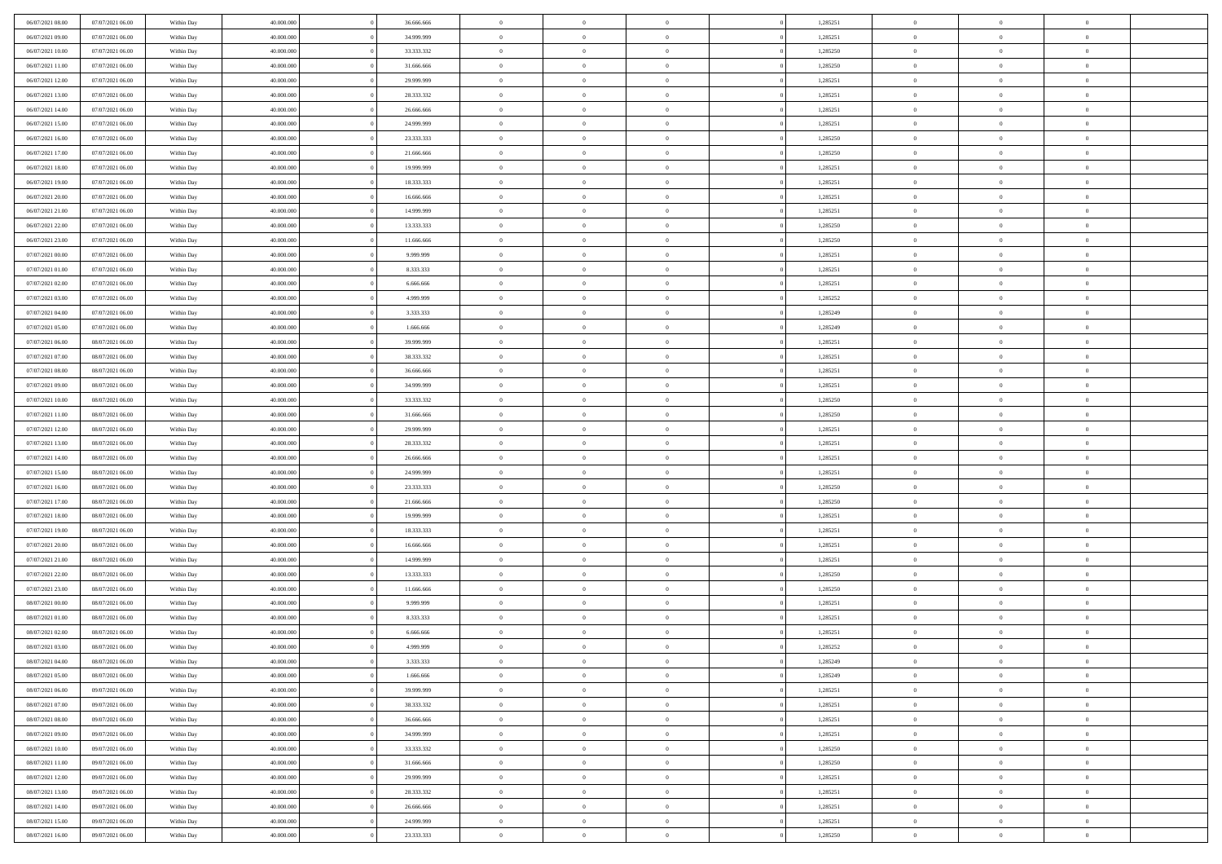| 06/07/2021 08:00                     | 07/07/2021 06:00                     | Within Day               | 40.000.000               |          | 36.666.666              | $\bf{0}$             | $\bf{0}$                         | $\theta$                   |          | 1,285251             | $\bf{0}$                   | $\overline{0}$             | $\,0\,$                    |  |
|--------------------------------------|--------------------------------------|--------------------------|--------------------------|----------|-------------------------|----------------------|----------------------------------|----------------------------|----------|----------------------|----------------------------|----------------------------|----------------------------|--|
| 06/07/2021 09:00                     | 07/07/2021 06:00                     | Within Day               | 40,000,000               |          | 34.999.999              | $\overline{0}$       | $\overline{0}$                   | $\overline{0}$             |          | 1,285251             | $\overline{0}$             | $\overline{0}$             | $\theta$                   |  |
| 06/07/2021 10:00                     | 07/07/2021 06:00                     | Within Day               | 40.000.000               |          | 33.333.332              | $\mathbf{0}$         | $\overline{0}$                   | $\overline{0}$             |          | 1,285250             | $\mathbf{0}$               | $\overline{0}$             | $\overline{0}$             |  |
| 06/07/2021 11:00                     | 07/07/2021 06:00                     | Within Day               | 40.000.000               |          | 31.666.666              | $\bf{0}$             | $\overline{0}$                   | $\overline{0}$             |          | 1,285250             | $\bf{0}$                   | $\overline{0}$             | $\overline{0}$             |  |
| 06/07/2021 12:00                     | 07/07/2021 06:00                     | Within Day               | 40,000,000               |          | 29.999.999              | $\bf{0}$             | $\bf{0}$                         | $\overline{0}$             |          | 1,285251             | $\bf{0}$                   | $\overline{0}$             | $\,0\,$                    |  |
| 06/07/2021 13:00                     | 07/07/2021 06:00                     | Within Dav               | 40.000.000               |          | 28.333.332              | $\overline{0}$       | $\overline{0}$                   | $\overline{0}$             |          | 1,285251             | $\mathbf{0}$               | $\overline{0}$             | $\overline{0}$             |  |
| 06/07/2021 14:00                     | 07/07/2021 06:00                     | Within Day               | 40.000.000               |          | 26.666.666              | $\bf{0}$             | $\overline{0}$                   | $\overline{0}$             |          | 1,285251             | $\bf{0}$                   | $\overline{0}$             | $\bf{0}$                   |  |
| 06/07/2021 15:00                     | 07/07/2021 06:00                     | Within Day               | 40,000,000               |          | 24.999.999              | $\overline{0}$       | $\overline{0}$                   | $\overline{0}$             |          | 1,285251             | $\,$ 0 $\,$                | $\overline{0}$             | $\theta$                   |  |
| 06/07/2021 16:00                     | 07/07/2021 06:00                     | Within Day               | 40.000.000               |          | 23.333.333              | $\mathbf{0}$         | $\overline{0}$                   | $\overline{0}$             |          | 1,285250             | $\mathbf{0}$               | $\overline{0}$             | $\overline{0}$             |  |
| 06/07/2021 17:00                     | 07/07/2021 06:00                     | Within Day               | 40.000.000               |          | 21.666.666              | $\bf{0}$             | $\overline{0}$                   | $\overline{0}$             |          | 1,285250             | $\bf{0}$                   | $\overline{0}$             | $\,0\,$                    |  |
| 06/07/2021 18:00                     | 07/07/2021 06:00                     | Within Day               | 40,000,000               |          | 19.999.999              | $\overline{0}$       | $\overline{0}$                   | $\overline{0}$             |          | 1,285251             | $\bf{0}$                   | $\overline{0}$             | $\overline{0}$             |  |
| 06/07/2021 19:00                     | 07/07/2021 06:00                     | Within Dav               | 40.000.000               |          | 18.333.333              | $\mathbf{0}$         | $\overline{0}$                   | $\overline{0}$             |          | 1,285251             | $\mathbf{0}$               | $\overline{0}$             | $\overline{0}$             |  |
| 06/07/2021 20:00                     | 07/07/2021 06:00                     | Within Day               | 40.000.000               |          | 16.666.666              | $\bf{0}$             | $\overline{0}$                   | $\overline{0}$             |          | 1,285251             | $\bf{0}$                   | $\overline{0}$             | $\overline{0}$             |  |
| 06/07/2021 21:00                     | 07/07/2021 06:00                     | Within Day               | 40.000.000               |          | 14.999.999              | $\bf{0}$             | $\overline{0}$                   | $\overline{0}$             |          | 1,285251             | $\bf{0}$                   | $\mathbf{0}$               | $\,0\,$                    |  |
| 06/07/2021 22:00                     | 07/07/2021 06:00                     | Within Dav               | 40.000.000               |          | 13.333.333              | $\overline{0}$       | $\overline{0}$                   | $\overline{0}$             |          | 1,285250             | $\mathbf{0}$               | $\overline{0}$             | $\overline{0}$             |  |
| 06/07/2021 23.00                     | 07/07/2021 06:00                     | Within Day               | 40.000.000               |          | 11.666.666              | $\bf{0}$             | $\overline{0}$                   | $\overline{0}$             |          | 1,285250             | $\bf{0}$                   | $\overline{0}$             | $\bf{0}$                   |  |
| 07/07/2021 00:00                     | 07/07/2021 06:00                     | Within Day               | 40,000,000               |          | 9.999.999               | $\overline{0}$       | $\overline{0}$                   | $\overline{0}$             |          | 1,285251             | $\bf{0}$                   | $\mathbf{0}$               | $\overline{0}$             |  |
| 07/07/2021 01:00                     | 07/07/2021 06:00                     | Within Day               | 40.000.000               |          | 8.333.333               | $\mathbf{0}$         | $\overline{0}$                   | $\overline{0}$             |          | 1,285251             | $\mathbf{0}$               | $\overline{0}$             | $\overline{0}$             |  |
| 07/07/2021 02.00                     | 07/07/2021 06:00                     | Within Day               | 40.000.000               |          | 6.666.666               | $\bf{0}$             | $\overline{0}$                   | $\overline{0}$             |          | 1,285251             | $\bf{0}$                   | $\overline{0}$             | $\,0\,$                    |  |
| 07/07/2021 03:00                     | 07/07/2021 06:00                     | Within Day               | 40,000,000               |          | 4.999.999               | $\overline{0}$       | $\overline{0}$                   | $\overline{0}$             |          | 1,285252             | $\bf{0}$                   | $\mathbf{0}$               | $\overline{0}$             |  |
| 07/07/2021 04:00                     | 07/07/2021 06:00                     | Within Day               | 40.000.000               |          | 3.333.333               | $\overline{0}$       | $\overline{0}$                   | $\overline{0}$             |          | 1,285249             | $\mathbf{0}$               | $\overline{0}$             | $\overline{0}$             |  |
| 07/07/2021 05:00                     | 07/07/2021 06:00                     | Within Day               | 40.000.000               |          | 1.666.666               | $\bf{0}$             | $\overline{0}$                   | $\overline{0}$             |          | 1,285249             | $\bf{0}$                   | $\overline{0}$             | $\bf{0}$                   |  |
| 07/07/2021 06:00                     | 08/07/2021 06:00                     | Within Day               | 40,000,000               |          | 39.999.999              | $\bf{0}$             | $\overline{0}$                   | $\overline{0}$             |          | 1,285251             | $\bf{0}$                   | $\overline{0}$             | $\bf{0}$                   |  |
| 07/07/2021 07:00                     | 08/07/2021 06:00                     | Within Dav               | 40.000.000               |          | 38.333.332              | $\mathbf{0}$         | $\overline{0}$                   | $\overline{0}$             |          | 1,285251             | $\mathbf{0}$               | $\overline{0}$             | $\overline{0}$             |  |
| 07/07/2021 08:00                     | 08/07/2021 06:00                     | Within Day               | 40.000.000               |          | 36.666.666              | $\bf{0}$             | $\overline{0}$                   | $\overline{0}$             |          | 1,285251             | $\bf{0}$                   | $\overline{0}$             | $\bf{0}$                   |  |
| 07/07/2021 09:00                     | 08/07/2021 06:00                     | Within Day               | 40,000,000               |          | 34.999.999              | $\overline{0}$       | $\overline{0}$                   | $\overline{0}$             |          | 1,285251             | $\bf{0}$                   | $\mathbf{0}$               | $\overline{0}$             |  |
| 07/07/2021 10:00                     | 08/07/2021 06:00                     | Within Day               | 40.000.000               |          | 33.333.332              | $\overline{0}$       | $\overline{0}$                   | $\overline{0}$             |          | 1,285250             | $\mathbf{0}$               | $\overline{0}$             | $\overline{0}$             |  |
| 07/07/2021 11:00                     | 08/07/2021 06:00                     | Within Day               | 40.000.000               |          | 31.666.666              | $\bf{0}$             | $\overline{0}$                   | $\overline{0}$             |          | 1,285250             | $\bf{0}$                   | $\overline{0}$             | $\bf{0}$                   |  |
| 07/07/2021 12:00                     | 08/07/2021 06:00                     | Within Day               | 40,000,000               |          | 29.999.999              | $\bf{0}$             | $\overline{0}$                   | $\overline{0}$             |          | 1,285251             | $\bf{0}$                   | $\mathbf{0}$               | $\overline{0}$             |  |
| 07/07/2021 13:00                     | 08/07/2021 06:00                     | Within Dav               | 40.000.000               |          | 28.333.332              | $\mathbf{0}$         | $\overline{0}$                   | $\overline{0}$             |          | 1,285251             | $\mathbf{0}$               | $\overline{0}$             | $\overline{0}$             |  |
| 07/07/2021 14:00                     | 08/07/2021 06:00                     | Within Day               | 40.000.000               |          | 26.666.666              | $\bf{0}$             | $\overline{0}$                   | $\overline{0}$             |          | 1,285251             | $\,$ 0                     | $\overline{0}$             | $\,$ 0 $\,$                |  |
| 07/07/2021 15:00                     | 08/07/2021 06:00                     | Within Day               | 40,000,000               |          | 24.999.999              | $\bf{0}$             | $\overline{0}$                   | $\overline{0}$             |          | 1,285251             | $\bf{0}$                   | $\overline{0}$             | $\overline{0}$             |  |
| 07/07/2021 16:00                     | 08/07/2021 06:00                     | Within Dav               | 40.000.000               |          | 23.333.333              | $\overline{0}$       | $\overline{0}$                   | $\overline{0}$             |          | 1,285250             | $\mathbf{0}$               | $\overline{0}$             | $\overline{0}$             |  |
| 07/07/2021 17:00                     | 08/07/2021 06:00                     | Within Day               | 40.000.000               |          | 21.666.666              | $\bf{0}$             | $\overline{0}$                   | $\overline{0}$             |          | 1,285250             | $\,$ 0                     | $\overline{0}$             | $\theta$                   |  |
| 07/07/2021 18:00                     | 08/07/2021 06:00                     | Within Day               | 40,000,000               |          | 19.999.999              | $\overline{0}$       | $\overline{0}$                   | $\overline{0}$             |          | 1,285251             | $\bf{0}$                   | $\overline{0}$             | $\overline{0}$             |  |
| 07/07/2021 19:00                     | 08/07/2021 06:00                     | Within Day               | 40.000.000               |          | 18.333.333              | $\mathbf{0}$         | $\overline{0}$                   | $\overline{0}$             |          | 1,285251             | $\mathbf{0}$               | $\overline{0}$             | $\overline{0}$             |  |
| 07/07/2021 20:00                     | 08/07/2021 06:00                     | Within Day               | 40.000.000               |          | 16.666.666              | $\bf{0}$             | $\overline{0}$                   | $\overline{0}$             |          | 1,285251             | $\,$ 0                     | $\overline{0}$             | $\theta$                   |  |
| 07/07/2021 21:00                     | 08/07/2021 06:00                     | Within Day               | 40,000,000               |          | 14.999.999              | $\bf{0}$             | $\overline{0}$                   | $\overline{0}$             |          | 1,285251             | $\bf{0}$                   | $\mathbf{0}$               | $\overline{0}$             |  |
| 07/07/2021 22:00                     | 08/07/2021 06:00                     | Within Dav               | 40.000.000               |          | 13.333.333              | $\mathbf{0}$         | $\overline{0}$                   | $\overline{0}$             |          | 1,285250             | $\mathbf{0}$               | $\overline{0}$             | $\overline{0}$             |  |
| 07/07/2021 23:00                     | 08/07/2021 06:00                     | Within Day               | 40.000.000               |          | 11.666.666              | $\,0\,$              | $\overline{0}$                   | $\overline{0}$             |          | 1,285250             | $\,$ 0                     | $\overline{0}$             | $\,$ 0 $\,$                |  |
| 08/07/2021 00:00                     | 08/07/2021 06:00                     | Within Day               | 40,000,000               |          | 9.999.999               | $\bf{0}$             | $\overline{0}$                   | $\overline{0}$             |          | 1,285251             | $\bf{0}$                   | $\overline{0}$             | $\overline{0}$             |  |
| 08/07/2021 01:00                     | 08/07/2021 06:00                     | Within Dav               | 40.000.000               |          | 8.333.333               | $\mathbf{0}$         | $\overline{0}$                   | $\overline{0}$             |          | 1,285251             | $\mathbf{0}$               | $\overline{0}$             | $\overline{0}$             |  |
| 08/07/2021 02:00                     | 08/07/2021 06:00                     | Within Day               | 40.000.000               |          | 6.666.666               | $\bf{0}$             | $\overline{0}$                   | $\overline{0}$             |          | 1,285251             | $\,$ 0                     | $\overline{0}$             | $\theta$                   |  |
| 08/07/2021 03:00<br>08/07/2021 04:00 | 08/07/2021 06:00<br>08/07/2021 06:00 | Within Day<br>Within Day | 40,000,000<br>40.000.000 |          | 4.999.999<br>3.333.333  | $\bf{0}$<br>$\bf{0}$ | $\overline{0}$<br>$\overline{0}$ | $\overline{0}$<br>$\Omega$ |          | 1,285252<br>1,285249 | $\bf{0}$<br>$\overline{0}$ | $\overline{0}$<br>$\theta$ | $\overline{0}$<br>$\theta$ |  |
|                                      |                                      |                          |                          |          |                         | $\,0\,$              |                                  | $\overline{0}$             |          |                      | $\,$ 0 $\,$                | $\bf{0}$                   | $\theta$                   |  |
| 08/07/2021 05:00<br>08/07/2021 06:00 | 08/07/2021 06:00<br>09/07/2021 06:00 | Within Day               | 40.000.000<br>40.000.000 |          | 1.666.666<br>39.999.999 | $\overline{0}$       | $\overline{0}$<br>$\overline{0}$ | $\overline{0}$             |          | 1,285249<br>1,285251 | $\overline{0}$             | $\overline{0}$             | $\overline{0}$             |  |
| 08/07/2021 07:00                     | 09/07/2021 06:00                     | Within Day<br>Within Day | 40.000.000               |          | 38.333.332              | $\bf{0}$             | $\overline{0}$                   | $\overline{0}$             |          | 1,285251             | $\overline{0}$             | $\bf{0}$                   | $\overline{0}$             |  |
| 08/07/2021 08:00                     | 09/07/2021 06:00                     | Within Day               | 40.000.000               |          | 36.666.666              | $\bf{0}$             | $\overline{0}$                   | $\overline{0}$             | $\theta$ | 1,285251             | $\mathbf{0}$               | $\bf{0}$                   | $\,$ 0 $\,$                |  |
| 08/07/2021 09:00                     | 09/07/2021 06:00                     | Within Day               | 40.000.000               |          | 34.999.999              | $\bf{0}$             | $\overline{0}$                   | $\overline{0}$             |          | 1,285251             | $\,$ 0 $\,$                | $\overline{0}$             | $\overline{0}$             |  |
| 08/07/2021 10:00                     | 09/07/2021 06:00                     | Within Day               | 40.000.000               |          | 33.333.332              | $\bf{0}$             | $\overline{0}$                   | $\overline{0}$             |          | 1,285250             | $\mathbf{0}$               | $\bf{0}$                   | $\overline{0}$             |  |
| 08/07/2021 11:00                     | 09/07/2021 06:00                     | Within Day               | 40.000.000               | $\theta$ | 31.666.666              | $\,$ 0 $\,$          | $\overline{0}$                   | $\overline{0}$             | $\theta$ | 1,285250             | $\mathbf{0}$               | $\bf{0}$                   | $\,$ 0 $\,$                |  |
| 08/07/2021 12:00                     | 09/07/2021 06:00                     | Within Day               | 40.000.000               |          | 29.999.999              | $\bf{0}$             | $\overline{0}$                   | $\overline{0}$             |          | 1,285251             | $\overline{0}$             | $\overline{0}$             | $\overline{0}$             |  |
| 08/07/2021 13:00                     | 09/07/2021 06:00                     | Within Day               | 40.000.000               |          | 28.333.332              | $\overline{0}$       | $\overline{0}$                   | $\overline{0}$             |          | 1,285251             | $\overline{0}$             | $\bf{0}$                   | $\overline{0}$             |  |
| 08/07/2021 14:00                     | 09/07/2021 06:00                     | Within Day               | 40.000.000               |          | 26.666.666              | $\,$ 0 $\,$          | $\overline{0}$                   | $\overline{0}$             |          | 1,285251             | $\mathbf{0}$               | $\bf{0}$                   | $\,$ 0 $\,$                |  |
| 08/07/2021 15:00                     | 09/07/2021 06:00                     | Within Day               | 40,000,000               |          | 24.999.999              | $\overline{0}$       | $\overline{0}$                   | $\overline{0}$             |          | 1,285251             | $\,$ 0 $\,$                | $\mathbf{0}$               | $\overline{0}$             |  |
| 08/07/2021 16:00                     | 09/07/2021 06:00                     | Within Day               | 40.000.000               |          | 23.333.333              | $\overline{0}$       | $\overline{0}$                   | $\overline{0}$             |          | 1,285250             | $\mathbf{0}$               | $\overline{0}$             | $\overline{0}$             |  |
|                                      |                                      |                          |                          |          |                         |                      |                                  |                            |          |                      |                            |                            |                            |  |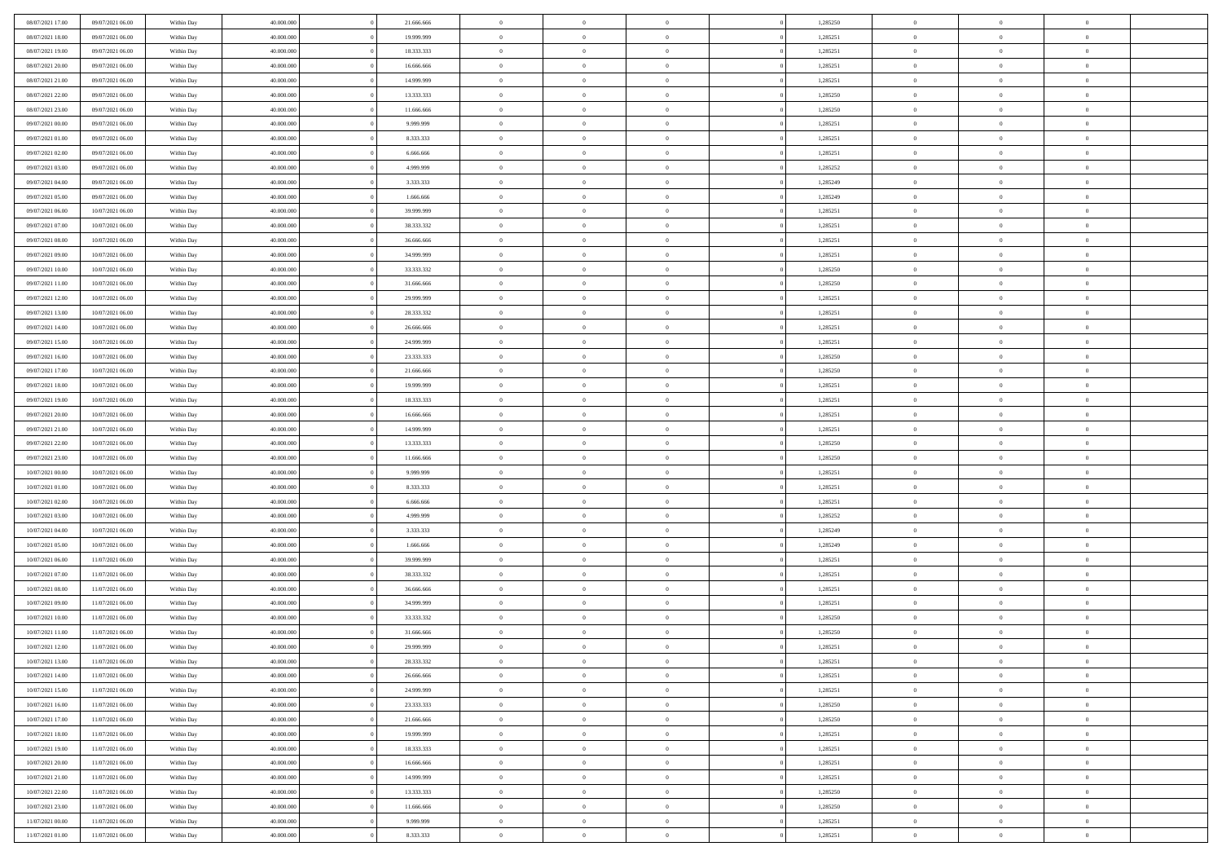| 08/07/2021 17:00                     | 09/07/2021 06:00                     | Within Day               | 40.000.000               | 21.666.666               | $\bf{0}$                   | $\overline{0}$                   | $\overline{0}$             | 1,285250             | $\bf{0}$                 | $\mathbf{0}$                     | $\bf{0}$                   |  |
|--------------------------------------|--------------------------------------|--------------------------|--------------------------|--------------------------|----------------------------|----------------------------------|----------------------------|----------------------|--------------------------|----------------------------------|----------------------------|--|
| 08/07/2021 18:00                     | 09/07/2021 06:00                     | Within Day               | 40.000.000               | 19.999.999               | $\overline{0}$             | $\overline{0}$                   | $\overline{0}$             | 1,285251             | $\overline{0}$           | $\overline{0}$                   | $\theta$                   |  |
| 08/07/2021 19:00                     | 09/07/2021 06:00                     | Within Day               | 40.000.000               | 18.333.333               | $\,$ 0 $\,$                | $\overline{0}$                   | $\bf{0}$                   | 1,285251             | $\,$ 0 $\,$              | $\overline{0}$                   | $\,$ 0 $\,$                |  |
| 08/07/2021 20:00                     | 09/07/2021 06:00                     | Within Day               | 40,000,000               | 16,666,666               | $\mathbf{0}$               | $\mathbf{0}$                     | $\overline{0}$             | 1,285251             | $\theta$                 | $\mathbf{0}$                     | $\theta$                   |  |
| 08/07/2021 21:00                     | 09/07/2021 06:00                     | Within Day               | 40.000.000               | 14.999.999               | $\overline{0}$             | $\overline{0}$                   | $\overline{0}$             | 1,285251             | $\overline{0}$           | $\overline{0}$                   | $\overline{0}$             |  |
| 08/07/2021 22:00                     | 09/07/2021 06:00                     | Within Day               | 40.000.000               | 13.333.333               | $\,$ 0 $\,$                | $\overline{0}$                   | $\bf{0}$                   | 1,285250             | $\,$ 0 $\,$              | $\overline{0}$                   | $\,$ 0 $\,$                |  |
| 08/07/2021 23:00                     | 09/07/2021 06:00                     | Within Day               | 40,000,000               | 11.666.666               | $\overline{0}$             | $\overline{0}$                   | $\overline{0}$             | 1,285250             | $\bf{0}$                 | $\mathbf{0}$                     | $\theta$                   |  |
| 09/07/2021 00:00                     | 09/07/2021 06:00                     | Within Day               | 40.000.000               | 9.999.999                | $\overline{0}$             | $\overline{0}$                   | $\overline{0}$             | 1,285251             | $\overline{0}$           | $\overline{0}$                   | $\overline{0}$             |  |
| 09/07/2021 01:00                     | 09/07/2021 06:00                     | Within Day               | 40.000.000               | 8.333.333                | $\,$ 0 $\,$                | $\overline{0}$                   | $\bf{0}$                   | 1,285251             | $\,$ 0 $\,$              | $\overline{0}$                   | $\,$ 0 $\,$                |  |
| 09/07/2021 02:00                     | 09/07/2021 06:00                     | Within Day               | 40,000,000               | 6.666.666                | $\overline{0}$             | $\mathbf{0}$                     | $\overline{0}$             | 1,285251             | $\overline{0}$           | $\mathbf{0}$                     | $\theta$                   |  |
| 09/07/2021 03:00                     | 09/07/2021 06:00                     | Within Day               | 40.000.000               | 4.999.999                | $\overline{0}$             | $\overline{0}$                   | $\overline{0}$             | 1,285252             | $\overline{0}$           | $\overline{0}$                   | $\overline{0}$             |  |
| 09/07/2021 04:00                     | 09/07/2021 06:00                     | Within Day               | 40.000.000               | 3.333.333                | $\,$ 0 $\,$                | $\overline{0}$                   | $\bf{0}$                   | 1,285249             | $\,$ 0 $\,$              | $\overline{0}$                   | $\,$ 0 $\,$                |  |
| 09/07/2021 05:00                     | 09/07/2021 06:00                     | Within Day               | 40.000.000               | 1.666.666                | $\overline{0}$             | $\overline{0}$                   | $\overline{0}$             | 1,285249             | $\bf{0}$                 | $\overline{0}$                   | $\theta$                   |  |
| 09/07/2021 06:00                     | 10/07/2021 06:00                     | Within Day               | 40.000.000               | 39.999.999               | $\overline{0}$             | $\overline{0}$                   | $\overline{0}$             | 1,285251             | $\overline{0}$           | $\overline{0}$                   | $\overline{0}$             |  |
| 09/07/2021 07:00                     | 10/07/2021 06:00                     | Within Day               | 40.000.000               | 38.333.332               | $\,$ 0 $\,$                | $\overline{0}$                   | $\bf{0}$                   | 1,285251             | $\,$ 0 $\,$              | $\overline{0}$                   | $\,$ 0 $\,$                |  |
| 09/07/2021 08:00                     | 10/07/2021 06:00                     | Within Day               | 40,000,000               | 36,666,666               | $\overline{0}$             | $\mathbf{0}$                     | $\overline{0}$             | 1,285251             | $\overline{0}$           | $\mathbf{0}$                     | $\theta$                   |  |
| 09/07/2021 09:00                     | 10/07/2021 06:00                     | Within Day               | 40.000.000               | 34.999.999               | $\overline{0}$             | $\overline{0}$                   | $\overline{0}$             | 1,285251             | $\overline{0}$           | $\overline{0}$                   | $\overline{0}$             |  |
| 09/07/2021 10:00                     | 10/07/2021 06:00                     | Within Day               | 40.000.000               | 33.333.332               | $\,$ 0 $\,$                | $\overline{0}$                   | $\bf{0}$                   | 1,285250             | $\,$ 0 $\,$              | $\overline{0}$                   | $\,$ 0 $\,$                |  |
| 09/07/2021 11:00                     | 10/07/2021 06:00                     | Within Day               | 40,000,000               | 31,666,666               | $\bf{0}$                   | $\mathbf{0}$                     | $\overline{0}$             | 1,285250             | $\theta$                 | $\mathbf{0}$                     | $\theta$                   |  |
| 09/07/2021 12:00                     | 10/07/2021 06:00                     | Within Day               | 40.000.000               | 29.999.999               | $\overline{0}$             | $\overline{0}$                   | $\overline{0}$             | 1,285251             | $\overline{0}$           | $\overline{0}$                   | $\overline{0}$             |  |
| 09/07/2021 13:00                     | 10/07/2021 06:00                     | Within Day               | 40.000.000               | 28.333.332               | $\,$ 0 $\,$                | $\overline{0}$                   | $\bf{0}$                   | 1,285251             | $\,$ 0 $\,$              | $\overline{0}$                   | $\,$ 0 $\,$                |  |
| 09/07/2021 14:00                     | 10/07/2021 06:00                     | Within Day               | 40,000,000               | 26,666,666               | $\overline{0}$             | $\overline{0}$                   | $\overline{0}$             | 1,285251             | $\bf{0}$                 | $\mathbf{0}$                     | $\overline{0}$             |  |
| 09/07/2021 15:00                     | 10/07/2021 06:00                     | Within Day               | 40.000.000               | 24.999.999               | $\overline{0}$             | $\overline{0}$                   | $\overline{0}$             | 1,285251             | $\mathbf{0}$             | $\overline{0}$                   | $\overline{0}$             |  |
| 09/07/2021 16:00                     | 10/07/2021 06:00                     | Within Day               | 40.000.000               | 23.333.333               | $\,$ 0 $\,$                | $\overline{0}$                   | $\bf{0}$                   | 1,285250             | $\,$ 0 $\,$              | $\overline{0}$                   | $\,$ 0 $\,$                |  |
| 09/07/2021 17:00                     | 10/07/2021 06:00                     | Within Day               | 40,000,000               | 21.666.666               | $\overline{0}$             | $\mathbf{0}$                     | $\overline{0}$             | 1,285250             | $\overline{0}$           | $\mathbf{0}$                     | $\theta$                   |  |
| 09/07/2021 18:00                     | 10/07/2021 06:00                     | Within Day               | 40.000.000               | 19.999.999               | $\overline{0}$             | $\overline{0}$                   | $\overline{0}$             | 1,285251             | $\mathbf{0}$             | $\overline{0}$                   | $\overline{0}$             |  |
| 09/07/2021 19:00                     | 10/07/2021 06:00                     | Within Day               | 40.000.000               | 18.333.333               | $\,$ 0 $\,$                | $\overline{0}$                   | $\bf{0}$                   | 1,285251             | $\,$ 0 $\,$              | $\overline{0}$                   | $\,$ 0 $\,$                |  |
| 09/07/2021 20:00                     | 10/07/2021 06:00                     | Within Day               | 40.000.000               | 16,666,666               | $\overline{0}$             | $\overline{0}$                   | $\overline{0}$             | 1,285251             | $\bf{0}$                 | $\overline{0}$                   | $\bf{0}$                   |  |
| 09/07/2021 21:00                     | 10/07/2021 06:00                     | Within Day               | 40.000.000               | 14.999.999               | $\overline{0}$             | $\overline{0}$                   | $\overline{0}$             | 1,285251             | $\mathbf{0}$             | $\overline{0}$                   | $\overline{0}$             |  |
| 09/07/2021 22:00                     | 10/07/2021 06:00                     | Within Day               | 40.000.000               | 13.333.333               | $\,$ 0 $\,$                | $\overline{0}$                   | $\bf{0}$                   | 1,285250             | $\,$ 0 $\,$              | $\overline{0}$                   | $\,$ 0 $\,$                |  |
| 09/07/2021 23:00                     | 10/07/2021 06:00                     | Within Day               | 40.000.000               | 11.666.666               | $\,0\,$                    | $\overline{0}$                   | $\bf{0}$                   | 1,285250             | $\,$ 0 $\,$              | $\overline{0}$                   | $\bf{0}$                   |  |
| 10/07/2021 00:00                     | 10/07/2021 06:00                     | Within Day               | 40.000.000               | 9.999.999                | $\overline{0}$             | $\overline{0}$                   | $\overline{0}$             | 1,285251             | $\mathbf{0}$             | $\overline{0}$                   | $\overline{0}$             |  |
| 10/07/2021 01:00                     | 10/07/2021 06:00                     | Within Day               | 40.000.000               | 8.333.333                | $\,$ 0 $\,$                | $\overline{0}$                   | $\bf{0}$                   | 1,285251             | $\,$ 0 $\,$              | $\overline{0}$                   | $\,$ 0 $\,$                |  |
| 10/07/2021 02:00                     | 10/07/2021 06:00                     | Within Day               | 40.000.000               | 6.666.666                | $\,0\,$                    | $\overline{0}$                   | $\bf{0}$                   | 1,285251             | $\bf{0}$                 | $\overline{0}$                   | $\bf{0}$                   |  |
| 10/07/2021 03:00                     | 10/07/2021 06:00                     | Within Day               | 40.000.000               | 4.999.999                | $\overline{0}$             | $\overline{0}$                   | $\overline{0}$             | 1,285252             | $\mathbf{0}$             | $\overline{0}$                   | $\overline{0}$             |  |
| 10/07/2021 04:00                     | 10/07/2021 06:00                     | Within Day               | 40.000.000               | 3.333.333                | $\,$ 0 $\,$                | $\overline{0}$                   | $\bf{0}$                   | 1,285249             | $\,$ 0 $\,$              | $\overline{0}$                   | $\,$ 0 $\,$                |  |
| 10/07/2021 05:00<br>10/07/2021 06:00 | 10/07/2021 06:00<br>11/07/2021 06:00 | Within Day<br>Within Day | 40.000.000<br>40.000.000 | 1.666.666<br>39.999.999  | $\bf{0}$<br>$\overline{0}$ | $\overline{0}$<br>$\overline{0}$ | $\bf{0}$<br>$\overline{0}$ | 1,285249<br>1,285251 | $\bf{0}$<br>$\mathbf{0}$ | $\overline{0}$<br>$\overline{0}$ | $\bf{0}$<br>$\overline{0}$ |  |
| 10/07/2021 07:00                     | 11/07/2021 06:00                     | Within Day               | 40.000.000               | 38.333.332               | $\,$ 0 $\,$                | $\overline{0}$                   | $\bf{0}$                   | 1,285251             | $\,$ 0 $\,$              | $\overline{0}$                   | $\,$ 0 $\,$                |  |
|                                      |                                      |                          |                          |                          | $\mathbf{0}$               | $\overline{0}$                   | $\overline{0}$             |                      | $\bf{0}$                 | $\overline{0}$                   | $\bf{0}$                   |  |
| 10/07/2021 08:00<br>10/07/2021 09:00 | 11/07/2021 06:00<br>11/07/2021 06:00 | Within Day<br>Within Day | 40.000.000<br>40.000.000 | 36.666.666<br>34.999.999 | $\overline{0}$             | $\overline{0}$                   | $\overline{0}$             | 1,285251<br>1,285251 | $\mathbf{0}$             | $\overline{0}$                   | $\overline{0}$             |  |
| 10/07/2021 10:00                     | 11/07/2021 06:00                     | Within Day               | 40.000.000               | 33.333.332               | $\,$ 0 $\,$                | $\overline{0}$                   | $\bf{0}$                   | 1,285250             | $\,$ 0 $\,$              | $\overline{0}$                   | $\,$ 0 $\,$                |  |
| 10/07/2021 11:00                     | 11/07/2021 06:00                     | Within Day               | 40.000.000               | 31.666.666               | $\bf{0}$                   | $\overline{0}$                   | $\bf{0}$                   | 1,285250             | $\bf{0}$                 | $\overline{0}$                   | $\bf{0}$                   |  |
| 10/07/2021 12:00                     | 11/07/2021 06:00                     | Within Day               | 40.000.000               | 29.999.999               | $\mathbf{0}$               | $\overline{0}$                   | $\overline{0}$             | 1,285251             | $\theta$                 | $\overline{0}$                   | $\overline{0}$             |  |
| 10/07/2021 13:00                     | 11/07/2021 06:00                     | Within Day               | 40.000.000               | 28.333.332               | $\mathbf{0}$               | $\overline{0}$                   | $\theta$                   | 1,285251             | $\theta$                 | $\overline{0}$                   | $\theta$                   |  |
| 10/07/2021 14:00                     | 11/07/2021 06:00                     | Within Day               | 40.000.000               | 26.666.666               | $\bf{0}$                   | $\overline{0}$                   | $\overline{0}$             | 1,285251             | $\mathbf{0}$             | $\overline{0}$                   | $\bf{0}$                   |  |
| 10/07/2021 15:00                     | 11/07/2021 06:00                     | Within Day               | 40.000.000               | 24.999.999               | $\overline{0}$             | $\overline{0}$                   | $\overline{0}$             | 1,285251             | $\overline{0}$           | $\overline{0}$                   | $\overline{0}$             |  |
| 10/07/2021 16:00                     | 11/07/2021 06:00                     | Within Day               | 40.000.000               | 23.333.333               | $\,$ 0 $\,$                | $\overline{0}$                   | $\overline{0}$             | 1,285250             | $\,$ 0 $\,$              | $\bf{0}$                         | $\,$ 0 $\,$                |  |
| 10/07/2021 17:00                     | 11/07/2021 06:00                     | Within Day               | 40.000.000               | 21.666.666               | $\overline{0}$             | $\overline{0}$                   | $\overline{0}$             | 1,285250             | $\mathbf{0}$             | $\overline{0}$                   | $\overline{0}$             |  |
| 10/07/2021 18:00                     | 11/07/2021 06:00                     | Within Day               | 40.000.000               | 19.999.999               | $\overline{0}$             | $\overline{0}$                   | $\overline{0}$             | 1,285251             | $\mathbf{0}$             | $\overline{0}$                   | $\overline{0}$             |  |
| 10/07/2021 19:00                     | 11/07/2021 06:00                     | Within Day               | 40.000.000               | 18.333.333               | $\,$ 0                     | $\overline{0}$                   | $\overline{0}$             | 1,285251             | $\,$ 0 $\,$              | $\,$ 0 $\,$                      | $\,$ 0 $\,$                |  |
| 10/07/2021 20:00                     | 11/07/2021 06:00                     | Within Day               | 40.000.000               | 16.666.666               | $\overline{0}$             | $\overline{0}$                   | $\overline{0}$             | 1,285251             | $\overline{0}$           | $\overline{0}$                   | $\overline{0}$             |  |
| 10/07/2021 21:00                     | 11/07/2021 06:00                     | Within Day               | 40.000.000               | 14.999.999               | $\overline{0}$             | $\overline{0}$                   | $\overline{0}$             | 1,285251             | $\overline{0}$           | $\overline{0}$                   | $\overline{0}$             |  |
| 10/07/2021 22:00                     | 11/07/2021 06:00                     | Within Day               | 40.000.000               | 13.333.333               | $\,$ 0                     | $\overline{0}$                   | $\overline{0}$             | 1,285250             | $\,$ 0 $\,$              | $\,$ 0 $\,$                      | $\overline{0}$             |  |
| 10/07/2021 23:00                     | 11/07/2021 06:00                     | Within Day               | 40.000.000               | 11.666.666               | $\bf{0}$                   | $\overline{0}$                   | $\overline{0}$             | 1,285250             | $\mathbf{0}$             | $\overline{0}$                   | $\bf{0}$                   |  |
| 11/07/2021 00:00                     | 11/07/2021 06:00                     | Within Day               | 40.000.000               | 9.999.999                | $\mathbf{0}$               | $\overline{0}$                   | $\overline{0}$             | 1,285251             | $\mathbf{0}$             | $\overline{0}$                   | $\overline{0}$             |  |
| 11/07/2021 01:00                     | 11/07/2021 06:00                     | Within Day               | 40.000.000               | 8.333.333                | $\,$ 0                     | $\overline{0}$                   | $\overline{0}$             | 1,285251             | $\,$ 0 $\,$              | $\overline{0}$                   | $\bf{0}$                   |  |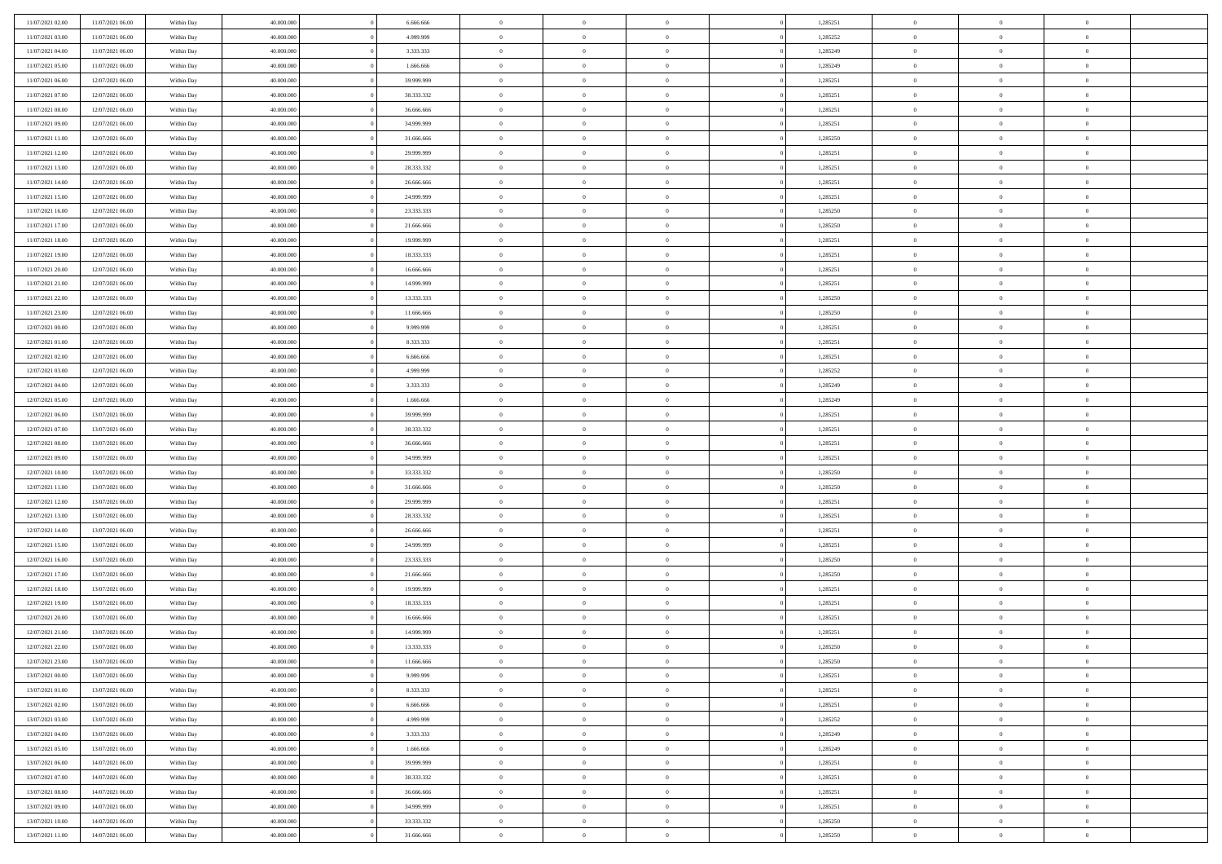| 11/07/2021 02:00 | 11/07/2021 06:00 | Within Day | 40,000,000 | 6.666.666  | $\bf{0}$       | $\overline{0}$ | $\Omega$       | 1,285251 | $\mathbf{0}$   | $\overline{0}$ | $\overline{0}$ |  |
|------------------|------------------|------------|------------|------------|----------------|----------------|----------------|----------|----------------|----------------|----------------|--|
| 11/07/2021 03:00 | 11/07/2021 06:00 | Within Dav | 40.000.000 | 4.999.999  | $\overline{0}$ | $\overline{0}$ | $\overline{0}$ | 1,285252 | $\mathbf{0}$   | $\bf{0}$       | $\overline{0}$ |  |
| 11/07/2021 04:00 | 11/07/2021 06:00 | Within Day | 40.000.000 | 3.333.333  | $\theta$       | $\overline{0}$ | $\overline{0}$ | 1,285249 | $\,$ 0         | $\overline{0}$ | $\,$ 0 $\,$    |  |
| 11/07/2021 05:00 | 11/07/2021 06:00 | Within Day | 40.000.000 | 1.666.666  | $\mathbf{0}$   | $\overline{0}$ | $\mathbf{0}$   | 1,285249 | $\bf{0}$       | $\mathbf{0}$   | $\theta$       |  |
| 11/07/2021 06:00 | 12/07/2021 06:00 | Within Dav | 40.000.000 | 39.999.999 | $\overline{0}$ | $\overline{0}$ | $\overline{0}$ | 1,285251 | $\mathbf{0}$   | $\bf{0}$       | $\overline{0}$ |  |
| 11/07/2021 07:00 | 12/07/2021 06:00 | Within Day | 40.000.000 | 38.333.332 | $\theta$       | $\overline{0}$ | $\overline{0}$ | 1,285251 | $\,$ 0         | $\overline{0}$ | $\,$ 0 $\,$    |  |
| 11/07/2021 08:00 | 12/07/2021 06:00 | Within Day | 40,000,000 | 36,666,666 | $\bf{0}$       | $\overline{0}$ | $\mathbf{0}$   | 1,285251 | $\bf{0}$       | $\overline{0}$ | $\theta$       |  |
| 11/07/2021 09:00 | 12/07/2021 06:00 | Within Dav | 40.000.000 | 34.999.999 | $\overline{0}$ | $\overline{0}$ | $\overline{0}$ | 1,285251 | $\mathbf{0}$   | $\bf{0}$       | $\overline{0}$ |  |
| 11/07/2021 11:00 | 12/07/2021 06:00 | Within Day | 40.000.000 | 31.666.666 | $\theta$       | $\overline{0}$ | $\overline{0}$ | 1,285250 | $\,$ 0         | $\overline{0}$ | $\,$ 0 $\,$    |  |
| 11/07/2021 12:00 | 12/07/2021 06:00 | Within Day | 40,000,000 | 29,999,999 | $\overline{0}$ | $\overline{0}$ | $\mathbf{0}$   | 1,285251 | $\theta$       | $\mathbf{0}$   | $\theta$       |  |
| 11/07/2021 13:00 | 12/07/2021 06:00 | Within Day | 40.000.000 | 28.333.332 | $\mathbf{0}$   | $\overline{0}$ | $\overline{0}$ | 1,285251 | $\mathbf{0}$   | $\bf{0}$       | $\overline{0}$ |  |
| 11/07/2021 14:00 | 12/07/2021 06:00 | Within Day | 40.000.000 | 26.666.666 | $\theta$       | $\overline{0}$ | $\overline{0}$ | 1,285251 | $\,$ 0 $\,$    | $\overline{0}$ | $\,$ 0 $\,$    |  |
| 11/07/2021 15:00 | 12/07/2021 06:00 | Within Day | 40.000.000 | 24,999,999 | $\theta$       | $\overline{0}$ | $\mathbf{0}$   | 1,285251 | $\bf{0}$       | $\mathbf{0}$   | $\theta$       |  |
| 11/07/2021 16:00 | 12/07/2021 06:00 | Within Dav | 40.000.000 | 23.333.333 | $\overline{0}$ | $\overline{0}$ | $\overline{0}$ | 1,285250 | $\mathbf{0}$   | $\bf{0}$       | $\overline{0}$ |  |
| 11/07/2021 17:00 | 12/07/2021 06:00 | Within Day | 40.000.000 | 21.666.666 | $\theta$       | $\overline{0}$ | $\bf{0}$       | 1,285250 | $\,$ 0         | $\overline{0}$ | $\,$ 0 $\,$    |  |
| 11/07/2021 18:00 | 12/07/2021 06:00 | Within Day | 40,000,000 | 19,999,999 | $\bf{0}$       | $\overline{0}$ | $\mathbf{0}$   | 1,285251 | $\bf{0}$       | $\overline{0}$ | $\bf{0}$       |  |
| 11/07/2021 19:00 | 12/07/2021 06:00 | Within Dav | 40.000.000 | 18.333.333 | $\overline{0}$ | $\overline{0}$ | $\overline{0}$ | 1,285251 | $\mathbf{0}$   | $\bf{0}$       | $\overline{0}$ |  |
| 11/07/2021 20:00 | 12/07/2021 06:00 | Within Day | 40.000.000 | 16.666.666 | $\theta$       | $\overline{0}$ | $\overline{0}$ | 1,285251 | $\,$ 0         | $\overline{0}$ | $\,$ 0 $\,$    |  |
| 11/07/2021 21:00 | 12/07/2021 06:00 | Within Day | 40,000,000 | 14,999,999 | $\overline{0}$ | $\overline{0}$ | $\mathbf{0}$   | 1,285251 | $\theta$       | $\mathbf{0}$   | $\theta$       |  |
| 11/07/2021 22:00 | 12/07/2021 06:00 | Within Dav | 40.000.000 | 13.333.333 | $\overline{0}$ | $\overline{0}$ | $\overline{0}$ | 1,285250 | $\mathbf{0}$   | $\bf{0}$       | $\overline{0}$ |  |
| 11/07/2021 23:00 | 12/07/2021 06:00 | Within Day | 40.000.000 | 11.666.666 | $\theta$       | $\overline{0}$ | $\overline{0}$ | 1,285250 | $\,$ 0 $\,$    | $\overline{0}$ | $\,$ 0 $\,$    |  |
| 12/07/2021 00:00 | 12/07/2021 06:00 | Within Day | 40.000.000 | 9.999.999  | $\theta$       | $\overline{0}$ | $\mathbf{0}$   | 1,285251 | $\bf{0}$       | $\mathbf{0}$   | $\theta$       |  |
| 12/07/2021 01:00 | 12/07/2021 06:00 | Within Dav | 40.000.000 | 8.333.333  | $\mathbf{0}$   | $\overline{0}$ | $\overline{0}$ | 1,285251 | $\mathbf{0}$   | $\bf{0}$       | $\overline{0}$ |  |
| 12/07/2021 02:00 | 12/07/2021 06:00 | Within Day | 40.000.000 | 6.666.666  | $\theta$       | $\overline{0}$ | $\overline{0}$ | 1,285251 | $\,$ 0         | $\overline{0}$ | $\,$ 0 $\,$    |  |
| 12/07/2021 03:00 | 12/07/2021 06:00 | Within Day | 40,000,000 | 4.999.999  | $\bf{0}$       | $\overline{0}$ | $\mathbf{0}$   | 1,285252 | $\bf{0}$       | $\overline{0}$ | $\bf{0}$       |  |
| 12/07/2021 04:00 | 12/07/2021 06:00 | Within Dav | 40.000.000 | 3.333.333  | $\overline{0}$ | $\overline{0}$ | $\overline{0}$ | 1,285249 | $\mathbf{0}$   | $\bf{0}$       | $\overline{0}$ |  |
| 12/07/2021 05:00 | 12/07/2021 06:00 | Within Day | 40.000.000 | 1.666.666  | $\theta$       | $\overline{0}$ | $\overline{0}$ | 1,285249 | $\,$ 0 $\,$    | $\overline{0}$ | $\,$ 0 $\,$    |  |
| 12/07/2021 06:00 | 13/07/2021 06:00 | Within Day | 40,000,000 | 39,999,999 | $\mathbf{0}$   | $\overline{0}$ | $\mathbf{0}$   | 1,285251 | $\theta$       | $\mathbf{0}$   | $\theta$       |  |
| 12/07/2021 07:00 | 13/07/2021 06:00 | Within Dav | 40.000.000 | 38.333.332 | $\mathbf{0}$   | $\overline{0}$ | $\overline{0}$ | 1,285251 | $\mathbf{0}$   | $\bf{0}$       | $\overline{0}$ |  |
| 12/07/2021 08:00 | 13/07/2021 06:00 | Within Day | 40.000.000 | 36.666.666 | $\theta$       | $\overline{0}$ | $\overline{0}$ | 1,285251 | $\,$ 0         | $\overline{0}$ | $\,$ 0 $\,$    |  |
| 12/07/2021 09:00 | 13/07/2021 06:00 | Within Day | 40.000.000 | 34.999.999 | $\,$ 0 $\,$    | $\overline{0}$ | $\overline{0}$ | 1,285251 | $\bf{0}$       | $\overline{0}$ | $\,0\,$        |  |
| 12/07/2021 10:00 | 13/07/2021 06:00 | Within Dav | 40.000.000 | 33.333.332 | $\overline{0}$ | $\overline{0}$ | $\overline{0}$ | 1,285250 | $\mathbf{0}$   | $\bf{0}$       | $\overline{0}$ |  |
| 12/07/2021 11:00 | 13/07/2021 06:00 | Within Day | 40.000.000 | 31.666.666 | $\,$ 0 $\,$    | $\overline{0}$ | $\overline{0}$ | 1,285250 | $\,$ 0 $\,$    | $\overline{0}$ | $\,$ 0 $\,$    |  |
| 12/07/2021 12:00 | 13/07/2021 06:00 | Within Day | 40.000.000 | 29.999.999 | $\,$ 0 $\,$    | $\overline{0}$ | $\overline{0}$ | 1,285251 | $\bf{0}$       | $\overline{0}$ | $\bf{0}$       |  |
| 12/07/2021 13:00 | 13/07/2021 06:00 | Within Dav | 40.000.000 | 28.333.332 | $\overline{0}$ | $\overline{0}$ | $\overline{0}$ | 1,285251 | $\mathbf{0}$   | $\bf{0}$       | $\overline{0}$ |  |
| 12/07/2021 14:00 | 13/07/2021 06:00 | Within Day | 40.000.000 | 26.666.666 | $\theta$       | $\overline{0}$ | $\overline{0}$ | 1,285251 | $\,$ 0         | $\overline{0}$ | $\,$ 0 $\,$    |  |
| 12/07/2021 15:00 | 13/07/2021 06:00 | Within Day | 40.000.000 | 24.999.999 | $\,$ 0 $\,$    | $\overline{0}$ | $\overline{0}$ | 1,285251 | $\bf{0}$       | $\overline{0}$ | $\,0\,$        |  |
| 12/07/2021 16:00 | 13/07/2021 06:00 | Within Day | 40.000.000 | 23.333.333 | $\overline{0}$ | $\overline{0}$ | $\overline{0}$ | 1,285250 | $\mathbf{0}$   | $\bf{0}$       | $\overline{0}$ |  |
| 12/07/2021 17:00 | 13/07/2021 06:00 | Within Day | 40.000.000 | 21.666.666 | $\theta$       | $\overline{0}$ | $\overline{0}$ | 1,285250 | $\,$ 0 $\,$    | $\overline{0}$ | $\,$ 0 $\,$    |  |
| 12/07/2021 18:00 | 13/07/2021 06:00 | Within Day | 40.000.000 | 19.999.999 | $\,$ 0 $\,$    | $\overline{0}$ | $\overline{0}$ | 1,285251 | $\bf{0}$       | $\overline{0}$ | $\,0\,$        |  |
| 12/07/2021 19:00 | 13/07/2021 06:00 | Within Day | 40.000.000 | 18.333.333 | $\overline{0}$ | $\overline{0}$ | $\overline{0}$ | 1,285251 | $\mathbf{0}$   | $\bf{0}$       | $\overline{0}$ |  |
| 12/07/2021 20:00 | 13/07/2021 06:00 | Within Day | 40.000.000 | 16.666.666 | $\theta$       | $\overline{0}$ | $\overline{0}$ | 1,285251 | $\,$ 0         | $\overline{0}$ | $\,$ 0 $\,$    |  |
| 12/07/2021 21:00 | 13/07/2021 06:00 | Within Day | 40.000.000 | 14.999.999 | $\,$ 0 $\,$    | $\overline{0}$ | $\overline{0}$ | 1,285251 | $\bf{0}$       | $\overline{0}$ | $\bf{0}$       |  |
| 12/07/2021 22:00 | 13/07/2021 06:00 | Within Day | 40.000.000 | 13.333.333 | $\theta$       | $\overline{0}$ | $\overline{0}$ | 1,285250 | $\mathbf{0}$   | $\bf{0}$       | $\overline{0}$ |  |
| 12/07/2021 23:00 | 13/07/2021 06:00 | Within Day | 40.000.000 | 11.666.666 | $\theta$       | $\overline{0}$ | $\overline{0}$ | 1,285250 | $\overline{0}$ | $\overline{0}$ | $\theta$       |  |
| 13/07/2021 00:00 | 13/07/2021 06:00 | Within Day | 40.000.000 | 9.999.999  | $\bf{0}$       | $\overline{0}$ | $\overline{0}$ | 1,285251 | $\mathbf{0}$   | $\overline{0}$ | $\bf{0}$       |  |
| 13/07/2021 01:00 | 13/07/2021 06:00 | Within Day | 40.000.000 | 8.333.333  | $\overline{0}$ | $\overline{0}$ | $\overline{0}$ | 1,285251 | $\overline{0}$ | $\overline{0}$ | $\overline{0}$ |  |
| 13/07/2021 02:00 | 13/07/2021 06:00 | Within Day | 40.000.000 | 6.666.666  | $\,$ 0 $\,$    | $\overline{0}$ | $\overline{0}$ | 1,285251 | $\,$ 0 $\,$    | $\,$ 0 $\,$    | $\,$ 0 $\,$    |  |
| 13/07/2021 03:00 | 13/07/2021 06:00 | Within Day | 40.000.000 | 4.999.999  | $\bf{0}$       | $\overline{0}$ | $\overline{0}$ | 1,285252 | $\mathbf{0}$   | $\overline{0}$ | $\mathbf{0}$   |  |
| 13/07/2021 04:00 | 13/07/2021 06:00 | Within Day | 40.000.000 | 3.333.333  | $\mathbf{0}$   | $\overline{0}$ | $\overline{0}$ | 1,285249 | $\,$ 0 $\,$    | $\bf{0}$       | $\mathbf{0}$   |  |
| 13/07/2021 05:00 | 13/07/2021 06:00 | Within Day | 40.000.000 | 1.666.666  | $\,$ 0         | $\overline{0}$ | $\overline{0}$ | 1,285249 | $\,$ 0 $\,$    | $\overline{0}$ | $\,$ 0 $\,$    |  |
| 13/07/2021 06:00 | 14/07/2021 06:00 | Within Day | 40.000.000 | 39.999.999 | $\bf{0}$       | $\overline{0}$ | $\overline{0}$ | 1,285251 | $\overline{0}$ | $\overline{0}$ | $\overline{0}$ |  |
| 13/07/2021 07:00 | 14/07/2021 06:00 | Within Day | 40.000.000 | 38.333.332 | $\,$ 0 $\,$    | $\overline{0}$ | $\overline{0}$ | 1,285251 | $\,$ 0 $\,$    | $\bf{0}$       | $\overline{0}$ |  |
| 13/07/2021 08:00 | 14/07/2021 06:00 | Within Day | 40.000.000 | 36.666.666 | $\,$ 0         | $\overline{0}$ | $\overline{0}$ | 1,285251 | $\,$ 0 $\,$    | $\,$ 0 $\,$    | $\,$ 0 $\,$    |  |
| 13/07/2021 09:00 | 14/07/2021 06:00 | Within Day | 40.000.000 | 34.999.999 | $\bf{0}$       | $\overline{0}$ | $\overline{0}$ | 1,285251 | $\mathbf{0}$   | $\overline{0}$ | $\bf{0}$       |  |
| 13/07/2021 10:00 | 14/07/2021 06:00 | Within Day | 40.000.000 | 33.333.332 | $\mathbf{0}$   | $\overline{0}$ | $\overline{0}$ | 1,285250 | $\overline{0}$ | $\bf{0}$       | $\overline{0}$ |  |
| 13/07/2021 11:00 | 14/07/2021 06:00 | Within Day | 40.000.000 | 31.666.666 | $\,$ 0 $\,$    | $\overline{0}$ | $\overline{0}$ | 1,285250 | $\,$ 0 $\,$    | $\overline{0}$ | $\,$ 0 $\,$    |  |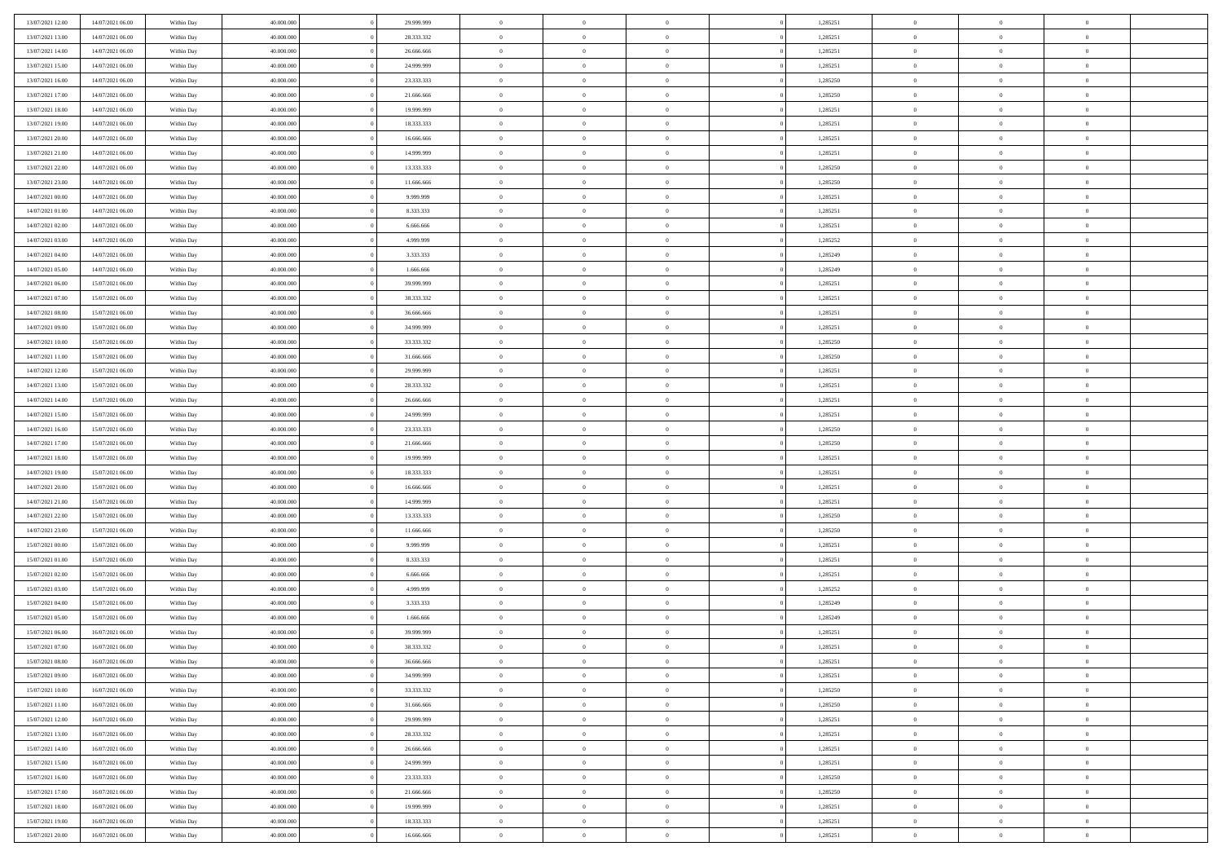| 13/07/2021 12:00                     | 14/07/2021 06:00                     | Within Day               | 40,000,000               | 29.999.999               | $\overline{0}$           | $\overline{0}$                   | $\Omega$                   |          | 1,285251             | $\bf{0}$                   | $\mathbf{0}$                     | $\overline{0}$             |  |
|--------------------------------------|--------------------------------------|--------------------------|--------------------------|--------------------------|--------------------------|----------------------------------|----------------------------|----------|----------------------|----------------------------|----------------------------------|----------------------------|--|
| 13/07/2021 13:00                     | 14/07/2021 06:00                     | Within Day               | 40.000.000               | 28.333.332               | $\overline{0}$           | $\overline{0}$                   | $\overline{0}$             |          | 1,285251             | $\overline{0}$             | $\overline{0}$                   | $\overline{0}$             |  |
| 13/07/2021 14:00                     | 14/07/2021 06:00                     | Within Day               | 40.000.000               | 26.666.666               | $\bf{0}$                 | $\overline{0}$                   | $\bf{0}$                   |          | 1,285251             | $\,$ 0                     | $\overline{0}$                   | $\,$ 0 $\,$                |  |
| 13/07/2021 15:00                     | 14/07/2021 06:00                     | Within Day               | 40.000.000               | 24.999.999               | $\bf{0}$                 | $\overline{0}$                   | $\Omega$                   |          | 1,285251             | $\theta$                   | $\mathbf{0}$                     | $\theta$                   |  |
| 13/07/2021 16:00                     | 14/07/2021 06:00                     | Within Day               | 40.000.000               | 23.333.333               | $\bf{0}$                 | $\overline{0}$                   | $\overline{0}$             |          | 1,285250             | $\mathbf{0}$               | $\bf{0}$                         | $\overline{0}$             |  |
| 13/07/2021 17:00                     | 14/07/2021 06:00                     | Within Day               | 40.000.000               | 21.666.666               | $\bf{0}$                 | $\overline{0}$                   | $\bf{0}$                   |          | 1,285250             | $\,$ 0                     | $\overline{0}$                   | $\,$ 0 $\,$                |  |
| 13/07/2021 18:00                     | 14/07/2021 06:00                     | Within Day               | 40.000.000               | 19,999,999               | $\bf{0}$                 | $\overline{0}$                   | $\overline{0}$             |          | 1,285251             | $\bf{0}$                   | $\mathbf{0}$                     | $\theta$                   |  |
| 13/07/2021 19:00                     | 14/07/2021 06:00                     | Within Day               | 40.000.000               | 18.333.333               | $\overline{0}$           | $\overline{0}$                   | $\overline{0}$             |          | 1,285251             | $\overline{0}$             | $\overline{0}$                   | $\overline{0}$             |  |
| 13/07/2021 20:00                     | 14/07/2021 06:00                     | Within Day               | 40.000.000               | 16.666.666               | $\bf{0}$                 | $\overline{0}$                   | $\bf{0}$                   |          | 1,285251             | $\,$ 0                     | $\overline{0}$                   | $\,$ 0 $\,$                |  |
| 13/07/2021 21:00                     | 14/07/2021 06:00                     | Within Day               | 40.000.000               | 14.999.999               | $\bf{0}$                 | $\overline{0}$                   | $\overline{0}$             |          | 1,285251             | $\theta$                   | $\mathbf{0}$                     | $\theta$                   |  |
| 13/07/2021 22:00                     | 14/07/2021 06:00                     | Within Day               | 40.000.000               | 13.333.333               | $\overline{0}$           | $\overline{0}$                   | $\overline{0}$             |          | 1,285250             | $\overline{0}$             | $\overline{0}$                   | $\overline{0}$             |  |
| 13/07/2021 23:00                     | 14/07/2021 06:00                     | Within Day               | 40.000.000               | 11.666.666               | $\bf{0}$                 | $\overline{0}$                   | $\bf{0}$                   |          | 1,285250             | $\,$ 0                     | $\overline{0}$                   | $\,$ 0 $\,$                |  |
| 14/07/2021 00:00                     | 14/07/2021 06:00                     | Within Day               | 40.000.000               | 9.999.999                | $\bf{0}$                 | $\overline{0}$                   | $\Omega$                   |          | 1,285251             | $\theta$                   | $\mathbf{0}$                     | $\theta$                   |  |
| 14/07/2021 01:00                     | 14/07/2021 06:00                     | Within Day               | 40.000.000               | 8.333.333                | $\overline{0}$           | $\overline{0}$                   | $\overline{0}$             |          | 1,285251             | $\overline{0}$             | $\overline{0}$                   | $\overline{0}$             |  |
| 14/07/2021 02:00                     | 14/07/2021 06:00                     | Within Day               | 40.000.000               | 6.666.666                | $\bf{0}$                 | $\overline{0}$                   | $\bf{0}$                   |          | 1,285251             | $\,$ 0                     | $\overline{0}$                   | $\,$ 0 $\,$                |  |
| 14/07/2021 03:00                     | 14/07/2021 06:00                     | Within Day               | 40.000.000               | 4.999.999                | $\bf{0}$                 | $\overline{0}$                   | $\overline{0}$             |          | 1,285252             | $\bf{0}$                   | $\mathbf{0}$                     | $\theta$                   |  |
| 14/07/2021 04:00                     | 14/07/2021 06:00                     | Within Day               | 40.000.000               | 3.333.333                | $\overline{0}$           | $\overline{0}$                   | $\overline{0}$             |          | 1,285249             | $\mathbf{0}$               | $\overline{0}$                   | $\overline{0}$             |  |
| 14/07/2021 05:00                     | 14/07/2021 06:00                     | Within Day               | 40.000.000               | 1.666.666                | $\bf{0}$                 | $\overline{0}$                   | $\bf{0}$                   |          | 1,285249             | $\,$ 0                     | $\overline{0}$                   | $\,$ 0 $\,$                |  |
| 14/07/2021 06:00                     | 15/07/2021 06:00                     | Within Day               | 40.000.000               | 39,999,999               | $\bf{0}$                 | $\overline{0}$                   | $\overline{0}$             |          | 1,285251             | $\theta$                   | $\mathbf{0}$                     | $\theta$                   |  |
| 14/07/2021 07:00                     | 15/07/2021 06:00                     | Within Day               | 40.000.000               | 38.333.332               | $\overline{0}$           | $\overline{0}$                   | $\overline{0}$             |          | 1,285251             | $\mathbf{0}$               | $\overline{0}$                   | $\overline{0}$             |  |
| 14/07/2021 08:00                     | 15/07/2021 06:00                     | Within Day               | 40.000.000               | 36.666.666               | $\bf{0}$                 | $\overline{0}$                   | $\bf{0}$                   |          | 1,285251             | $\,$ 0                     | $\overline{0}$                   | $\,$ 0 $\,$                |  |
| 14/07/2021 09:00                     | 15/07/2021 06:00                     | Within Day               | 40.000.000               | 34,999,999               | $\bf{0}$                 | $\overline{0}$                   | $\Omega$                   |          | 1,285251             | $\theta$                   | $\mathbf{0}$                     | $\theta$                   |  |
| 14/07/2021 10:00                     | 15/07/2021 06:00                     | Within Day               | 40.000.000               | 33.333.332               | $\overline{0}$           | $\overline{0}$                   | $\overline{0}$             |          | 1,285250             | $\overline{0}$             | $\overline{0}$                   | $\overline{0}$             |  |
| 14/07/2021 11:00                     | 15/07/2021 06:00                     | Within Day               | 40.000.000               | 31.666.666               | $\bf{0}$                 | $\overline{0}$                   | $\bf{0}$                   |          | 1,285250             | $\,$ 0                     | $\overline{0}$                   | $\,$ 0 $\,$                |  |
| 14/07/2021 12:00                     | 15/07/2021 06:00                     | Within Day               | 40.000.000               | 29.999.999               | $\bf{0}$                 | $\overline{0}$                   | $\overline{0}$             |          | 1,285251             | $\bf{0}$                   | $\overline{0}$                   | $\theta$                   |  |
| 14/07/2021 13:00                     | 15/07/2021 06:00                     | Within Day               | 40.000.000               | 28.333.332               | $\overline{0}$           | $\overline{0}$                   | $\overline{0}$             |          | 1,285251             | $\mathbf{0}$               | $\overline{0}$                   | $\overline{0}$             |  |
| 14/07/2021 14:00                     | 15/07/2021 06:00                     | Within Day               | 40.000.000               | 26.666.666               | $\bf{0}$                 | $\overline{0}$                   | $\bf{0}$                   |          | 1,285251             | $\,$ 0                     | $\overline{0}$                   | $\,$ 0 $\,$                |  |
| 14/07/2021 15:00                     | 15/07/2021 06:00                     | Within Day               | 40.000.000               | 24.999.999               | $\bf{0}$                 | $\overline{0}$                   | $\Omega$                   |          | 1,285251             | $\theta$                   | $\mathbf{0}$                     | $\theta$                   |  |
| 14/07/2021 16:00                     | 15/07/2021 06:00                     | Within Day               | 40.000.000               | 23.333.333               | $\overline{0}$           | $\overline{0}$                   | $\overline{0}$             |          | 1,285250             | $\overline{0}$             | $\overline{0}$                   | $\overline{0}$             |  |
| 14/07/2021 17:00                     | 15/07/2021 06:00                     | Within Day               | 40.000.000               | 21.666.666               | $\bf{0}$                 | $\overline{0}$                   | $\bf{0}$                   |          | 1,285250             | $\,$ 0                     | $\overline{0}$                   | $\,$ 0 $\,$                |  |
| 14/07/2021 18:00                     | 15/07/2021 06:00                     | Within Day               | 40.000.000               | 19.999.999               | $\bf{0}$                 | $\overline{0}$                   | $\overline{0}$             |          | 1,285251             | $\bf{0}$                   | $\overline{0}$                   | $\,0\,$                    |  |
| 14/07/2021 19:00                     | 15/07/2021 06:00                     | Within Day               | 40.000.000               | 18.333.333               | $\overline{0}$           | $\overline{0}$                   | $\overline{0}$             |          | 1,285251             | $\mathbf{0}$               | $\overline{0}$                   | $\overline{0}$             |  |
| 14/07/2021 20:00                     | 15/07/2021 06:00                     | Within Day               | 40.000.000               | 16.666.666               | $\bf{0}$                 | $\overline{0}$                   | $\bf{0}$                   |          | 1,285251             | $\,$ 0                     | $\overline{0}$                   | $\,$ 0 $\,$                |  |
| 14/07/2021 21:00                     | 15/07/2021 06:00                     | Within Day               | 40.000.000               | 14.999.999               | $\bf{0}$                 | $\overline{0}$                   | $\bf{0}$                   |          | 1,285251             | $\bf{0}$                   | $\overline{0}$                   | $\bf{0}$                   |  |
| 14/07/2021 22.00                     | 15/07/2021 06:00                     | Within Day               | 40.000.000               | 13.333.333               | $\overline{0}$           | $\overline{0}$                   | $\overline{0}$             |          | 1,285250             | $\mathbf{0}$               | $\overline{0}$                   | $\overline{0}$             |  |
| 14/07/2021 23:00                     | 15/07/2021 06:00                     | Within Day               | 40.000.000               | 11.666.666               | $\bf{0}$                 | $\overline{0}$                   | $\bf{0}$                   |          | 1,285250             | $\,$ 0                     | $\overline{0}$                   | $\,$ 0 $\,$                |  |
| 15/07/2021 00:00                     | 15/07/2021 06:00                     | Within Day               | 40.000.000               | 9.999.999                | $\bf{0}$                 | $\bf{0}$                         | $\overline{0}$             |          | 1,285251             | $\bf{0}$                   | $\overline{0}$                   | $\,0\,$                    |  |
| 15/07/2021 01:00                     | 15/07/2021 06:00                     | Within Day               | 40.000.000               | 8.333.333                | $\overline{0}$           | $\overline{0}$                   | $\overline{0}$             |          | 1,285251             | $\overline{0}$             | $\overline{0}$                   | $\overline{0}$             |  |
| 15/07/2021 02:00                     | 15/07/2021 06:00                     | Within Day               | 40.000.000               | 6.666.666                | $\bf{0}$                 | $\overline{0}$                   | $\bf{0}$                   |          | 1,285251             | $\,$ 0                     | $\overline{0}$                   | $\,$ 0 $\,$                |  |
| 15/07/2021 03:00                     | 15/07/2021 06:00                     | Within Day               | 40.000.000               | 4.999.999                | $\bf{0}$                 | $\bf{0}$                         | $\overline{0}$             |          | 1,285252             | $\bf{0}$                   | $\overline{0}$                   | $\,0\,$                    |  |
| 15/07/2021 04:00                     | 15/07/2021 06:00                     | Within Day               | 40.000.000               | 3.333.333                | $\overline{0}$           | $\overline{0}$                   | $\overline{0}$             |          | 1,285249             | $\mathbf{0}$               | $\overline{0}$                   | $\overline{0}$             |  |
| 15/07/2021 05:00                     | 15/07/2021 06:00                     | Within Day               | 40.000.000               | 1.666.666                | $\bf{0}$                 | $\overline{0}$                   | $\bf{0}$                   |          | 1,285249             | $\,$ 0                     | $\overline{0}$                   | $\,$ 0 $\,$                |  |
| 15/07/2021 06:00<br>15/07/2021 07:00 | 16/07/2021 06:00<br>16/07/2021 06:00 | Within Day<br>Within Day | 40.000.000<br>40.000.000 | 39.999.999<br>38.333.332 | $\bf{0}$<br>$\mathbf{0}$ | $\overline{0}$<br>$\overline{0}$ | $\bf{0}$<br>$\overline{0}$ |          | 1,285251<br>1,285251 | $\bf{0}$<br>$\mathbf{0}$   | $\overline{0}$<br>$\overline{0}$ | $\bf{0}$<br>$\overline{0}$ |  |
| 15/07/2021 08:00                     | 16/07/2021 06:00                     | Within Day               | 40.000.000               | 36.666.666               | $\bf{0}$                 | $\overline{0}$                   | $\theta$                   |          | 1,285251             | $\overline{0}$             | $\overline{0}$                   | $\theta$                   |  |
|                                      | 16/07/2021 06:00                     |                          | 40.000.000               |                          | $\bf{0}$                 |                                  |                            |          |                      |                            |                                  | $\bf{0}$                   |  |
| 15/07/2021 09:00<br>15/07/2021 10:00 | 16/07/2021 06:00                     | Within Day<br>Within Day | 40.000.000               | 34.999.999<br>33.333.332 | $\overline{0}$           | $\overline{0}$<br>$\overline{0}$ | $\bf{0}$<br>$\overline{0}$ |          | 1,285251<br>1,285250 | $\bf{0}$<br>$\overline{0}$ | $\overline{0}$<br>$\overline{0}$ | $\overline{0}$             |  |
| 15/07/2021 11:00                     | 16/07/2021 06:00                     | Within Day               | 40.000.000               | 31.666.666               | $\,$ 0 $\,$              | $\overline{0}$                   | $\overline{0}$             |          | 1,285250             | $\mathbf{0}$               | $\,$ 0 $\,$                      | $\,$ 0 $\,$                |  |
| 15/07/2021 12:00                     | 16/07/2021 06:00                     | Within Day               | 40.000.000               | 29.999.999               | $\bf{0}$                 | $\overline{0}$                   | $\overline{0}$             |          | 1,285251             | $\bf{0}$                   | $\overline{0}$                   | $\bf{0}$                   |  |
| 15/07/2021 13:00                     | 16/07/2021 06:00                     | Within Day               | 40.000.000               | 28.333.332               | $\overline{0}$           | $\overline{0}$                   | $\overline{0}$             |          | 1,285251             | $\overline{0}$             | $\bf{0}$                         | $\overline{0}$             |  |
| 15/07/2021 14:00                     | 16/07/2021 06:00                     | Within Day               | 40.000.000               | 26.666.666               | $\,$ 0 $\,$              | $\overline{0}$                   | $\overline{0}$             |          | 1,285251             | $\,$ 0 $\,$                | $\overline{0}$                   | $\,$ 0 $\,$                |  |
| 15/07/2021 15:00                     | 16/07/2021 06:00                     | Within Day               | 40.000.000               | 24.999.999               | $\overline{0}$           | $\overline{0}$                   | $\overline{0}$             | $\Omega$ | 1,285251             | $\overline{0}$             | $\overline{0}$                   | $\overline{0}$             |  |
| 15/07/2021 16:00                     | 16/07/2021 06:00                     | Within Day               | 40.000.000               | 23.333.333               | $\overline{0}$           | $\overline{0}$                   | $\overline{0}$             |          | 1,285250             | $\overline{0}$             | $\bf{0}$                         | $\overline{0}$             |  |
| 15/07/2021 17:00                     | 16/07/2021 06:00                     | Within Day               | 40.000.000               | 21.666.666               | $\,$ 0 $\,$              | $\overline{0}$                   | $\overline{0}$             |          | 1,285250             | $\,$ 0 $\,$                | $\,$ 0 $\,$                      | $\,$ 0 $\,$                |  |
| 15/07/2021 18:00                     | 16/07/2021 06:00                     | Within Day               | 40.000.000               | 19.999.999               | $\bf{0}$                 | $\bf{0}$                         | $\overline{0}$             |          | 1,285251             | $\bf{0}$                   | $\overline{0}$                   | $\bf{0}$                   |  |
| 15/07/2021 19:00                     | 16/07/2021 06:00                     | Within Day               | 40.000.000               | 18.333.333               | $\overline{0}$           | $\overline{0}$                   | $\overline{0}$             |          | 1,285251             | $\mathbf{0}$               | $\bf{0}$                         | $\overline{0}$             |  |
| 15/07/2021 20:00                     | 16/07/2021 06:00                     | Within Day               | 40.000.000               | 16.666.666               | $\,0\,$                  | $\overline{0}$                   | $\overline{0}$             |          | 1,285251             | $\,$ 0                     | $\overline{0}$                   | $\,$ 0 $\,$                |  |
|                                      |                                      |                          |                          |                          |                          |                                  |                            |          |                      |                            |                                  |                            |  |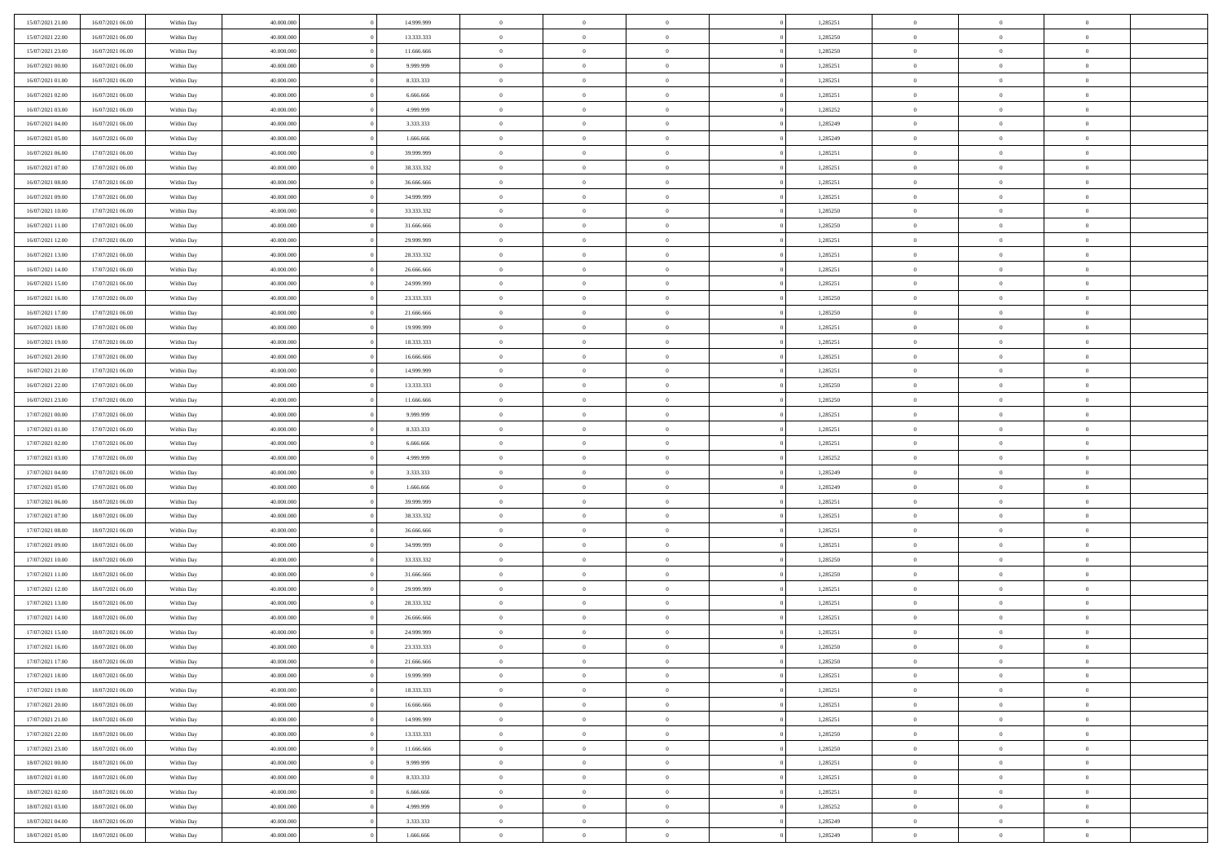| 15/07/2021 21:00 | 16/07/2021 06:00 | Within Day               | 40.000.000 | 14.999.999 | $\,$ 0 $\,$    | $\overline{0}$                    | $\overline{0}$ |          | 1,285251 | $\bf{0}$       | $\overline{0}$ | $\,0\,$        |  |
|------------------|------------------|--------------------------|------------|------------|----------------|-----------------------------------|----------------|----------|----------|----------------|----------------|----------------|--|
| 15/07/2021 22.00 | 16/07/2021 06:00 | Within Day               | 40,000,000 | 13.333.333 | $\overline{0}$ | $\overline{0}$                    | $\mathbf{0}$   |          | 1,285250 | $\theta$       | $\overline{0}$ | $\theta$       |  |
| 15/07/2021 23:00 | 16/07/2021 06:00 | Within Day               | 40.000.000 | 11.666.666 | $\theta$       | $\overline{0}$                    | $\overline{0}$ |          | 1,285250 | $\mathbf{0}$   | $\overline{0}$ | $\overline{0}$ |  |
| 16/07/2021 00:00 | 16/07/2021 06:00 | Within Day               | 40.000.000 | 9.999.999  | $\bf{0}$       | $\overline{0}$                    | $\overline{0}$ |          | 1,285251 | $\mathbf{0}$   | $\overline{0}$ | $\bf{0}$       |  |
| 16/07/2021 01:00 | 16/07/2021 06:00 | Within Day               | 40,000,000 | 8.333.333  | $\bf{0}$       | $\overline{0}$                    | $\mathbf{0}$   |          | 1,285251 | $\bf{0}$       | $\overline{0}$ | $\bf{0}$       |  |
| 16/07/2021 02:00 | 16/07/2021 06:00 | Within Day               | 40.000.000 | 6.666.666  | $\overline{0}$ | $\overline{0}$                    | $\overline{0}$ |          | 1,285251 | $\mathbf{0}$   | $\overline{0}$ | $\overline{0}$ |  |
| 16/07/2021 03:00 | 16/07/2021 06:00 | Within Day               | 40.000.000 | 4.999.999  | $\,$ 0 $\,$    | $\overline{0}$                    | $\overline{0}$ |          | 1,285252 | $\bf{0}$       | $\overline{0}$ | $\bf{0}$       |  |
|                  |                  |                          | 40,000,000 | 3.333.333  | $\overline{0}$ | $\overline{0}$                    | $\mathbf{0}$   |          |          | $\,$ 0 $\,$    | $\overline{0}$ | $\overline{0}$ |  |
| 16/07/2021 04:00 | 16/07/2021 06:00 | Within Day               |            |            |                |                                   |                |          | 1,285249 |                |                |                |  |
| 16/07/2021 05:00 | 16/07/2021 06:00 | Within Day               | 40.000.000 | 1.666.666  | $\overline{0}$ | $\overline{0}$                    | $\mathbf{0}$   |          | 1,285249 | $\mathbf{0}$   | $\overline{0}$ | $\overline{0}$ |  |
| 16/07/2021 06:00 | 17/07/2021 06:00 | Within Day               | 40.000.000 | 39.999.999 | $\,$ 0 $\,$    | $\overline{0}$                    | $\Omega$       |          | 1,285251 | $\bf{0}$       | $\overline{0}$ | $\bf{0}$       |  |
| 16/07/2021 07:00 | 17/07/2021 06:00 | Within Day               | 40,000,000 | 38.333.332 | $\bf{0}$       | $\overline{0}$                    | $\mathbf{0}$   |          | 1,285251 | $\bf{0}$       | $\overline{0}$ | $\overline{0}$ |  |
| 16/07/2021 08:00 | 17/07/2021 06:00 | Within Day               | 40.000.000 | 36.666.666 | $\theta$       | $\overline{0}$                    | $\overline{0}$ |          | 1,285251 | $\mathbf{0}$   | $\overline{0}$ | $\overline{0}$ |  |
| 16/07/2021 09:00 | 17/07/2021 06:00 | Within Day               | 40.000.000 | 34.999.999 | $\bf{0}$       | $\overline{0}$                    | $\overline{0}$ |          | 1,285251 | $\bf{0}$       | $\overline{0}$ | $\overline{0}$ |  |
| 16/07/2021 10:00 | 17/07/2021 06:00 | Within Day               | 40,000,000 | 33.333.332 | $\bf{0}$       | $\overline{0}$                    | $\mathbf{0}$   |          | 1,285250 | $\bf{0}$       | $\mathbf{0}$   | $\bf{0}$       |  |
| 16/07/2021 11:00 | 17/07/2021 06:00 | Within Day               | 40.000.000 | 31.666.666 | $\overline{0}$ | $\overline{0}$                    | $\overline{0}$ |          | 1,285250 | $\mathbf{0}$   | $\overline{0}$ | $\overline{0}$ |  |
| 16/07/2021 12:00 | 17/07/2021 06:00 | Within Day               | 40.000.000 | 29.999.999 | $\,$ 0 $\,$    | $\overline{0}$                    | $\Omega$       |          | 1,285251 | $\bf{0}$       | $\overline{0}$ | $\bf{0}$       |  |
| 16/07/2021 13:00 | 17/07/2021 06:00 | Within Day               | 40,000,000 | 28.333.332 | $\,$ 0         | $\overline{0}$                    | $\mathbf{0}$   |          | 1,285251 | $\,$ 0 $\,$    | $\overline{0}$ | $\overline{0}$ |  |
| 16/07/2021 14:00 | 17/07/2021 06:00 | Within Day               | 40.000.000 | 26.666.666 | $\theta$       | $\overline{0}$                    | $\mathbf{0}$   |          | 1,285251 | $\mathbf{0}$   | $\overline{0}$ | $\overline{0}$ |  |
| 16/07/2021 15:00 | 17/07/2021 06:00 | Within Day               | 40.000.000 | 24.999.999 | $\,$ 0 $\,$    | $\overline{0}$                    | $\Omega$       |          | 1,285251 | $\bf{0}$       | $\overline{0}$ | $\bf{0}$       |  |
| 16/07/2021 16:00 | 17/07/2021 06:00 | Within Day               | 40,000,000 | 23.333.333 | $\bf{0}$       | $\overline{0}$                    | $\mathbf{0}$   |          | 1,285250 | $\bf{0}$       | $\overline{0}$ | $\overline{0}$ |  |
| 16/07/2021 17:00 | 17/07/2021 06:00 | Within Day               | 40.000.000 | 21.666.666 | $\theta$       | $\overline{0}$                    | $\overline{0}$ |          | 1,285250 | $\mathbf{0}$   | $\overline{0}$ | $\overline{0}$ |  |
| 16/07/2021 18:00 | 17/07/2021 06:00 | Within Day               | 40.000.000 | 19.999.999 | $\,$ 0 $\,$    | $\overline{0}$                    | $\overline{0}$ |          | 1,285251 | $\bf{0}$       | $\overline{0}$ | $\bf{0}$       |  |
| 16/07/2021 19:00 | 17/07/2021 06:00 | Within Day               | 40,000,000 | 18.333.333 | $\bf{0}$       | $\overline{0}$                    | $\mathbf{0}$   |          | 1,285251 | $\,$ 0 $\,$    | $\overline{0}$ | $\overline{0}$ |  |
| 16/07/2021 20:00 | 17/07/2021 06:00 | Within Day               | 40.000.000 | 16.666.666 | $\theta$       | $\overline{0}$                    | $\mathbf{0}$   |          | 1,285251 | $\mathbf{0}$   | $\overline{0}$ | $\overline{0}$ |  |
| 16/07/2021 21:00 | 17/07/2021 06:00 | Within Day               | 40.000.000 | 14.999.999 | $\,$ 0 $\,$    | $\overline{0}$                    | $\overline{0}$ |          | 1,285251 | $\bf{0}$       | $\overline{0}$ | $\bf{0}$       |  |
| 16/07/2021 22:00 | 17/07/2021 06:00 | Within Day               | 40,000,000 | 13.333.333 | $\,$ 0         | $\overline{0}$                    | $\mathbf{0}$   |          | 1,285250 | $\mathbf{0}$   | $\overline{0}$ | $\overline{0}$ |  |
| 16/07/2021 23:00 | 17/07/2021 06:00 | Within Day               | 40.000.000 | 11.666.666 | $\overline{0}$ | $\overline{0}$                    | $\mathbf{0}$   |          | 1,285250 | $\mathbf{0}$   | $\overline{0}$ | $\overline{0}$ |  |
| 17/07/2021 00:00 | 17/07/2021 06:00 | Within Day               | 40.000.000 | 9.999.999  | $\,$ 0 $\,$    | $\overline{0}$                    | $\Omega$       |          | 1,285251 | $\bf{0}$       | $\overline{0}$ | $\bf{0}$       |  |
| 17/07/2021 01:00 | 17/07/2021 06:00 | Within Day               | 40,000,000 | 8.333.333  | $\bf{0}$       | $\overline{0}$                    | $\mathbf{0}$   |          | 1,285251 | $\mathbf{0}$   | $\overline{0}$ | $\overline{0}$ |  |
| 17/07/2021 02:00 | 17/07/2021 06:00 | Within Day               | 40.000.000 | 6.666.666  | $\theta$       | $\overline{0}$                    | $\overline{0}$ |          | 1,285251 | $\mathbf{0}$   | $\overline{0}$ | $\overline{0}$ |  |
| 17/07/2021 03:00 | 17/07/2021 06:00 | Within Day               | 40.000.000 | 4.999.999  | $\,$ 0 $\,$    | $\overline{0}$                    | $\overline{0}$ |          | 1,285252 | $\,$ 0         | $\overline{0}$ | $\,$ 0 $\,$    |  |
| 17/07/2021 04:00 | 17/07/2021 06:00 | Within Day               | 40,000,000 | 3.333.333  | $\,$ 0         | $\overline{0}$                    | $\mathbf{0}$   |          | 1,285249 | $\bf{0}$       | $\overline{0}$ | $\overline{0}$ |  |
| 17/07/2021 05:00 | 17/07/2021 06:00 | Within Day               | 40.000.000 | 1.666.666  | $\overline{0}$ | $\overline{0}$                    | $\overline{0}$ |          | 1,285249 | $\mathbf{0}$   | $\overline{0}$ | $\overline{0}$ |  |
| 17/07/2021 06:00 | 18/07/2021 06:00 | Within Day               | 40.000.000 | 39.999.999 | $\theta$       | $\overline{0}$                    | $\overline{0}$ |          | 1,285251 | $\,$ 0         | $\overline{0}$ | $\theta$       |  |
| 17/07/2021 07:00 | 18/07/2021 06:00 | Within Day               | 40,000,000 | 38.333.332 | $\overline{0}$ | $\overline{0}$                    | $\mathbf{0}$   |          | 1,285251 | $\overline{0}$ | $\overline{0}$ | $\overline{0}$ |  |
| 17/07/2021 08:00 | 18/07/2021 06:00 | Within Day               | 40.000.000 | 36.666.666 | $\theta$       | $\overline{0}$                    | $\mathbf{0}$   |          | 1,285251 | $\mathbf{0}$   | $\overline{0}$ | $\overline{0}$ |  |
| 17/07/2021 09:00 | 18/07/2021 06:00 | Within Day               | 40.000.000 | 34.999.999 | $\theta$       | $\overline{0}$                    | $\overline{0}$ |          | 1,285251 | $\,$ 0         | $\overline{0}$ | $\,$ 0 $\,$    |  |
| 17/07/2021 10:00 | 18/07/2021 06:00 | Within Day               | 40,000,000 | 33.333.332 | $\bf{0}$       | $\overline{0}$                    | $\mathbf{0}$   |          | 1,285250 | $\bf{0}$       | $\overline{0}$ | $\bf{0}$       |  |
| 17/07/2021 11:00 | 18/07/2021 06:00 | Within Day               | 40.000.000 | 31.666.666 | $\theta$       | $\overline{0}$                    | $\overline{0}$ |          | 1,285250 | $\mathbf{0}$   | $\overline{0}$ | $\overline{0}$ |  |
| 17/07/2021 12:00 | 18/07/2021 06:00 | Within Day               | 40.000.000 | 29.999.999 | $\,$ 0 $\,$    | $\overline{0}$                    | $\overline{0}$ |          | 1,285251 | $\,$ 0         | $\overline{0}$ | $\,$ 0 $\,$    |  |
| 17/07/2021 13:00 | 18/07/2021 06:00 | Within Day               | 40,000,000 | 28.333.332 | $\bf{0}$       | $\,$ 0 $\,$                       | $\overline{0}$ |          | 1,285251 | $\,$ 0 $\,$    | $\overline{0}$ | $\bf{0}$       |  |
| 17/07/2021 14:00 | 18/07/2021 06:00 | Within Day               | 40.000.000 | 26.666.666 | $\theta$       | $\overline{0}$                    | $\overline{0}$ |          | 1,285251 | $\mathbf{0}$   | $\overline{0}$ | $\overline{0}$ |  |
| 17/07/2021 15:00 | 18/07/2021 06:00 | Within Day               | 40.000.000 | 24.999.999 | $\theta$       | $\overline{0}$                    | $\overline{0}$ |          | 1,285251 | $\,$ 0         | $\overline{0}$ | $\,$ 0 $\,$    |  |
| 17/07/2021 16:00 | 18/07/2021 06:00 | Within Day               | 40,000,000 | 23.333.333 | $\bf{0}$       | $\overline{0}$                    | $\mathbf{0}$   |          | 1,285250 | $\mathbf{0}$   | $\overline{0}$ | $\bf{0}$       |  |
| 17/07/2021 17:00 | 18/07/2021 06:00 | Within Day               | 40.000.000 | 21.666.666 | $\overline{0}$ | $\theta$                          |                |          | 1,285250 | $\overline{0}$ | $\theta$       | $\theta$       |  |
| 17/07/2021 18:00 | 18/07/2021 06:00 | Within Day               | 40.000.000 | 19.999.999 | $\,$ 0 $\,$    | $\overline{0}$                    | $\overline{0}$ |          | 1,285251 | $\,$ 0 $\,$    | $\bf{0}$       | $\,$ 0 $\,$    |  |
| 17/07/2021 19:00 | 18/07/2021 06:00 | Within Day               | 40,000,000 | 18.333.333 | $\bf{0}$       | $\hspace{0.1cm} 0 \hspace{0.1cm}$ | $\overline{0}$ |          | 1,285251 | $\,$ 0 $\,$    | $\overline{0}$ | $\overline{0}$ |  |
| 17/07/2021 20:00 | 18/07/2021 06:00 | Within Day               | 40.000.000 | 16.666.666 | $\mathbf{0}$   | $\overline{0}$                    | $\overline{0}$ |          | 1,285251 | $\,$ 0 $\,$    | $\bf{0}$       | $\overline{0}$ |  |
| 17/07/2021 21:00 | 18/07/2021 06:00 | Within Day               | 40.000.000 | 14.999.999 | $\,$ 0 $\,$    | $\overline{0}$                    | $\overline{0}$ | $\theta$ | 1,285251 | $\,$ 0 $\,$    | $\bf{0}$       | $\,$ 0 $\,$    |  |
| 17/07/2021 22:00 | 18/07/2021 06:00 | Within Day               | 40.000.000 | 13.333.333 | $\,$ 0 $\,$    | $\,$ 0 $\,$                       | $\overline{0}$ |          | 1,285250 | $\,$ 0 $\,$    | $\overline{0}$ | $\overline{0}$ |  |
| 17/07/2021 23:00 | 18/07/2021 06:00 | Within Day               | 40.000.000 | 11.666.666 | $\overline{0}$ | $\overline{0}$                    | $\overline{0}$ |          | 1,285250 | $\mathbf{0}$   | $\bf{0}$       | $\overline{0}$ |  |
| 18/07/2021 00:00 | 18/07/2021 06:00 | Within Day               | 40.000.000 | 9.999.999  | $\,$ 0 $\,$    | $\overline{0}$                    | $\overline{0}$ |          | 1,285251 | $\,$ 0 $\,$    | $\bf{0}$       | $\,$ 0 $\,$    |  |
| 18/07/2021 01:00 | 18/07/2021 06:00 |                          | 40.000.000 | 8.333.333  | $\overline{0}$ | $\overline{0}$                    | $\overline{0}$ |          | 1,285251 | $\,$ 0 $\,$    | $\overline{0}$ | $\overline{0}$ |  |
| 18/07/2021 02:00 | 18/07/2021 06:00 | Within Day<br>Within Day | 40.000.000 | 6.666.666  | $\mathbf{0}$   | $\overline{0}$                    | $\overline{0}$ |          | 1,285251 | $\,$ 0 $\,$    | $\bf{0}$       | $\overline{0}$ |  |
|                  |                  |                          |            |            |                |                                   |                |          |          |                |                |                |  |
| 18/07/2021 03:00 | 18/07/2021 06:00 | Within Day               | 40.000.000 | 4.999.999  | $\,$ 0 $\,$    | $\overline{0}$                    | $\overline{0}$ |          | 1,285252 | $\,$ 0 $\,$    | $\bf{0}$       | $\,$ 0 $\,$    |  |
| 18/07/2021 04:00 | 18/07/2021 06:00 | Within Day               | 40,000,000 | 3.333.333  | $\,$ 0 $\,$    | $\,$ 0 $\,$                       | $\overline{0}$ |          | 1,285249 | $\,$ 0 $\,$    | $\overline{0}$ | $\overline{0}$ |  |
| 18/07/2021 05:00 | 18/07/2021 06:00 | Within Day               | 40.000.000 | 1.666.666  | $\theta$       | $\overline{0}$                    | $\overline{0}$ |          | 1,285249 | $\,$ 0 $\,$    | $\mathbf{0}$   | $\overline{0}$ |  |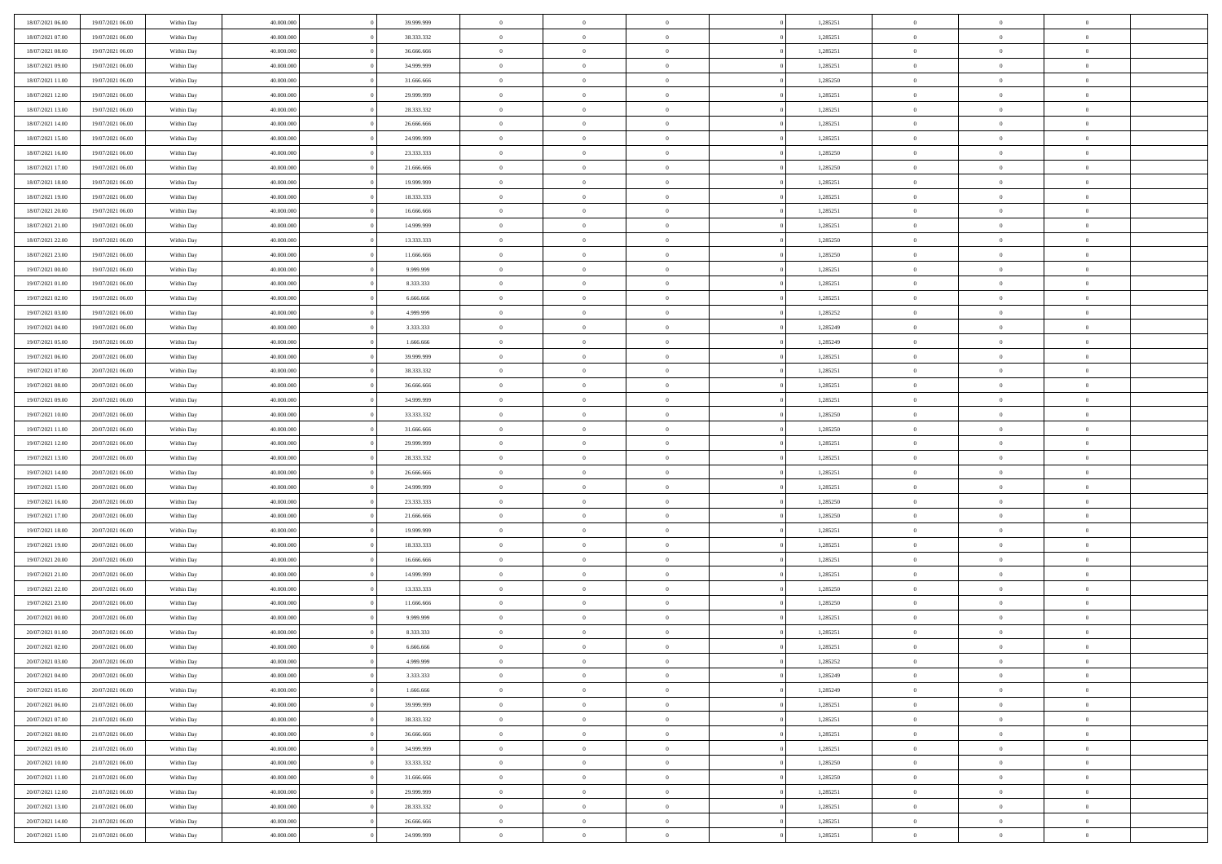| 18/07/2021 06:00 | 19/07/2021 06:00 | Within Day | 40,000,000 | 39,999,999 | $\overline{0}$ | $\overline{0}$ | $\Omega$       | 1,285251 | $\bf{0}$       | $\mathbf{0}$   | $\overline{0}$ |  |
|------------------|------------------|------------|------------|------------|----------------|----------------|----------------|----------|----------------|----------------|----------------|--|
| 18/07/2021 07:00 | 19/07/2021 06:00 | Within Day | 40.000.000 | 38.333.332 | $\overline{0}$ | $\overline{0}$ | $\overline{0}$ | 1,285251 | $\overline{0}$ | $\overline{0}$ | $\overline{0}$ |  |
| 18/07/2021 08:00 | 19/07/2021 06:00 | Within Day | 40.000.000 | 36.666.666 | $\,$ 0         | $\overline{0}$ | $\bf{0}$       | 1,285251 | $\,$ 0         | $\overline{0}$ | $\,$ 0 $\,$    |  |
| 18/07/2021 09:00 | 19/07/2021 06:00 | Within Day | 40.000.000 | 34,999,999 | $\bf{0}$       | $\overline{0}$ | $\Omega$       | 1,285251 | $\bf{0}$       | $\mathbf{0}$   | $\theta$       |  |
| 18/07/2021 11:00 | 19/07/2021 06:00 | Within Day | 40.000.000 | 31.666.666 | $\bf{0}$       | $\overline{0}$ | $\overline{0}$ | 1,285250 | $\mathbf{0}$   | $\bf{0}$       | $\overline{0}$ |  |
| 18/07/2021 12:00 | 19/07/2021 06:00 | Within Day | 40.000.000 | 29.999.999 | $\bf{0}$       | $\overline{0}$ | $\bf{0}$       | 1,285251 | $\,$ 0         | $\overline{0}$ | $\,$ 0 $\,$    |  |
| 18/07/2021 13:00 | 19/07/2021 06:00 | Within Day | 40.000.000 | 28.333.332 | $\bf{0}$       | $\overline{0}$ | $\overline{0}$ | 1,285251 | $\bf{0}$       | $\mathbf{0}$   | $\theta$       |  |
| 18/07/2021 14:00 | 19/07/2021 06:00 | Within Day | 40.000.000 | 26.666.666 | $\overline{0}$ | $\overline{0}$ | $\overline{0}$ | 1,285251 | $\overline{0}$ | $\overline{0}$ | $\overline{0}$ |  |
| 18/07/2021 15:00 | 19/07/2021 06:00 | Within Day | 40.000.000 | 24.999.999 | $\bf{0}$       | $\overline{0}$ | $\bf{0}$       | 1,285251 | $\,$ 0         | $\overline{0}$ | $\,$ 0 $\,$    |  |
| 18/07/2021 16:00 | 19/07/2021 06:00 | Within Day | 40.000.000 | 23.333.333 | $\overline{0}$ | $\overline{0}$ | $\overline{0}$ | 1,285250 | $\theta$       | $\mathbf{0}$   | $\theta$       |  |
| 18/07/2021 17:00 | 19/07/2021 06:00 | Within Day | 40.000.000 | 21.666.666 | $\overline{0}$ | $\overline{0}$ | $\overline{0}$ | 1,285250 | $\mathbf{0}$   | $\overline{0}$ | $\overline{0}$ |  |
| 18/07/2021 18:00 | 19/07/2021 06:00 | Within Day | 40.000.000 | 19.999.999 | $\bf{0}$       | $\overline{0}$ | $\bf{0}$       | 1,285251 | $\,$ 0         | $\overline{0}$ | $\,$ 0 $\,$    |  |
| 18/07/2021 19:00 | 19/07/2021 06:00 | Within Day | 40.000.000 | 18.333.333 | $\bf{0}$       | $\overline{0}$ | $\Omega$       | 1,285251 | $\theta$       | $\mathbf{0}$   | $\theta$       |  |
| 18/07/2021 20:00 | 19/07/2021 06:00 | Within Day | 40.000.000 | 16.666.666 | $\overline{0}$ | $\overline{0}$ | $\overline{0}$ | 1,285251 | $\overline{0}$ | $\overline{0}$ | $\overline{0}$ |  |
| 18/07/2021 21:00 | 19/07/2021 06:00 | Within Day | 40.000.000 | 14.999.999 | $\bf{0}$       | $\overline{0}$ | $\bf{0}$       | 1,285251 | $\,$ 0         | $\overline{0}$ | $\,$ 0 $\,$    |  |
| 18/07/2021 22:00 | 19/07/2021 06:00 | Within Day | 40.000.000 | 13.333.333 | $\bf{0}$       | $\overline{0}$ | $\overline{0}$ | 1,285250 | $\bf{0}$       | $\mathbf{0}$   | $\theta$       |  |
| 18/07/2021 23:00 | 19/07/2021 06:00 | Within Day | 40.000.000 | 11.666.666 | $\overline{0}$ | $\overline{0}$ | $\overline{0}$ | 1,285250 | $\mathbf{0}$   | $\overline{0}$ | $\overline{0}$ |  |
| 19/07/2021 00:00 | 19/07/2021 06:00 | Within Day | 40.000.000 | 9.999.999  | $\bf{0}$       | $\overline{0}$ | $\bf{0}$       | 1,285251 | $\,$ 0         | $\overline{0}$ | $\,$ 0 $\,$    |  |
| 19/07/2021 01:00 | 19/07/2021 06:00 | Within Day | 40.000.000 | 8.333.333  | $\bf{0}$       | $\overline{0}$ | $\Omega$       | 1,285251 | $\theta$       | $\mathbf{0}$   | $\theta$       |  |
| 19/07/2021 02:00 | 19/07/2021 06:00 | Within Day | 40.000.000 | 6.666.666  | $\overline{0}$ | $\overline{0}$ | $\overline{0}$ | 1,285251 | $\mathbf{0}$   | $\overline{0}$ | $\overline{0}$ |  |
| 19/07/2021 03:00 | 19/07/2021 06:00 | Within Day | 40.000.000 | 4.999.999  | $\bf{0}$       | $\overline{0}$ | $\bf{0}$       | 1,285252 | $\,$ 0         | $\overline{0}$ | $\,$ 0 $\,$    |  |
| 19/07/2021 04:00 | 19/07/2021 06:00 | Within Day | 40.000.000 | 3.333.333  | $\bf{0}$       | $\overline{0}$ | $\Omega$       | 1,285249 | $\bf{0}$       | $\mathbf{0}$   | $\theta$       |  |
| 19/07/2021 05:00 | 19/07/2021 06:00 | Within Day | 40.000.000 | 1.666.666  | $\overline{0}$ | $\overline{0}$ | $\overline{0}$ | 1,285249 | $\overline{0}$ | $\overline{0}$ | $\overline{0}$ |  |
| 19/07/2021 06:00 | 20/07/2021 06:00 | Within Day | 40.000.000 | 39.999.999 | $\bf{0}$       | $\overline{0}$ | $\bf{0}$       | 1,285251 | $\,$ 0         | $\overline{0}$ | $\,$ 0 $\,$    |  |
| 19/07/2021 07:00 | 20/07/2021 06:00 | Within Day | 40.000.000 | 38.333.332 | $\bf{0}$       | $\overline{0}$ | $\overline{0}$ | 1,285251 | $\bf{0}$       | $\overline{0}$ | $\theta$       |  |
| 19/07/2021 08:00 | 20/07/2021 06:00 | Within Day | 40.000.000 | 36.666.666 | $\overline{0}$ | $\overline{0}$ | $\overline{0}$ | 1,285251 | $\mathbf{0}$   | $\overline{0}$ | $\overline{0}$ |  |
| 19/07/2021 09:00 | 20/07/2021 06:00 | Within Day | 40.000.000 | 34.999.999 | $\bf{0}$       | $\overline{0}$ | $\bf{0}$       | 1,285251 | $\,$ 0         | $\overline{0}$ | $\,$ 0 $\,$    |  |
| 19/07/2021 10:00 | 20/07/2021 06:00 | Within Day | 40.000.000 | 33.333.332 | $\bf{0}$       | $\overline{0}$ | $\Omega$       | 1.285250 | $\theta$       | $\mathbf{0}$   | $\theta$       |  |
| 19/07/2021 11:00 | 20/07/2021 06:00 | Within Day | 40.000.000 | 31.666.666 | $\overline{0}$ | $\overline{0}$ | $\overline{0}$ | 1,285250 | $\overline{0}$ | $\overline{0}$ | $\overline{0}$ |  |
| 19/07/2021 12:00 | 20/07/2021 06:00 | Within Day | 40.000.000 | 29.999.999 | $\bf{0}$       | $\overline{0}$ | $\bf{0}$       | 1,285251 | $\,$ 0         | $\overline{0}$ | $\,$ 0 $\,$    |  |
| 19/07/2021 13:00 | 20/07/2021 06:00 | Within Day | 40.000.000 | 28.333.332 | $\bf{0}$       | $\bf{0}$       | $\overline{0}$ | 1,285251 | $\bf{0}$       | $\overline{0}$ | $\,0\,$        |  |
| 19/07/2021 14:00 | 20/07/2021 06:00 | Within Day | 40.000.000 | 26.666.666 | $\overline{0}$ | $\overline{0}$ | $\overline{0}$ | 1,285251 | $\mathbf{0}$   | $\overline{0}$ | $\overline{0}$ |  |
| 19/07/2021 15:00 | 20/07/2021 06:00 | Within Day | 40.000.000 | 24.999.999 | $\bf{0}$       | $\overline{0}$ | $\bf{0}$       | 1,285251 | $\,$ 0         | $\overline{0}$ | $\,$ 0 $\,$    |  |
| 19/07/2021 16:00 | 20/07/2021 06:00 | Within Day | 40.000.000 | 23.333.333 | $\bf{0}$       | $\overline{0}$ | $\bf{0}$       | 1,285250 | $\bf{0}$       | $\overline{0}$ | $\bf{0}$       |  |
| 19/07/2021 17:00 | 20/07/2021 06:00 | Within Day | 40.000.000 | 21.666.666 | $\overline{0}$ | $\overline{0}$ | $\overline{0}$ | 1,285250 | $\mathbf{0}$   | $\overline{0}$ | $\overline{0}$ |  |
| 19/07/2021 18:00 | 20/07/2021 06:00 | Within Day | 40.000.000 | 19.999.999 | $\bf{0}$       | $\overline{0}$ | $\bf{0}$       | 1,285251 | $\,$ 0         | $\overline{0}$ | $\,$ 0 $\,$    |  |
| 19/07/2021 19:00 | 20/07/2021 06:00 | Within Day | 40.000.000 | 18.333.333 | $\bf{0}$       | $\bf{0}$       | $\overline{0}$ | 1,285251 | $\bf{0}$       | $\overline{0}$ | $\,0\,$        |  |
| 19/07/2021 20:00 | 20/07/2021 06:00 | Within Day | 40.000.000 | 16.666.666 | $\overline{0}$ | $\overline{0}$ | $\overline{0}$ | 1,285251 | $\overline{0}$ | $\overline{0}$ | $\overline{0}$ |  |
| 19/07/2021 21:00 | 20/07/2021 06:00 | Within Day | 40.000.000 | 14.999.999 | $\bf{0}$       | $\overline{0}$ | $\bf{0}$       | 1,285251 | $\,$ 0         | $\overline{0}$ | $\,$ 0 $\,$    |  |
| 19/07/2021 22.00 | 20/07/2021 06:00 | Within Day | 40.000.000 | 13.333.333 | $\bf{0}$       | $\overline{0}$ | $\overline{0}$ | 1,285250 | $\bf{0}$       | $\overline{0}$ | $\,0\,$        |  |
| 19/07/2021 23:00 | 20/07/2021 06:00 | Within Day | 40.000.000 | 11.666.666 | $\overline{0}$ | $\overline{0}$ | $\overline{0}$ | 1,285250 | $\mathbf{0}$   | $\overline{0}$ | $\overline{0}$ |  |
| 20/07/2021 00:00 | 20/07/2021 06:00 | Within Day | 40.000.000 | 9.999.999  | $\bf{0}$       | $\overline{0}$ | $\bf{0}$       | 1,285251 | $\,$ 0         | $\overline{0}$ | $\,$ 0 $\,$    |  |
| 20/07/2021 01:00 | 20/07/2021 06:00 | Within Day | 40.000.000 | 8.333.333  | $\bf{0}$       | $\overline{0}$ | $\bf{0}$       | 1,285251 | $\bf{0}$       | $\overline{0}$ | $\overline{0}$ |  |
| 20/07/2021 02:00 | 20/07/2021 06:00 | Within Day | 40.000.000 | 6.666.666  | $\mathbf{0}$   | $\overline{0}$ | $\overline{0}$ | 1,285251 | $\mathbf{0}$   | $\bf{0}$       | $\overline{0}$ |  |
| 20/07/2021 03:00 | 20/07/2021 06:00 | Within Day | 40.000.000 | 4.999.999  | $\bf{0}$       | $\overline{0}$ | $\theta$       | 1,285252 | $\overline{0}$ | $\overline{0}$ | $\theta$       |  |
| 20/07/2021 04:00 | 20/07/2021 06:00 | Within Day | 40.000.000 | 3.333.333  | $\bf{0}$       | $\overline{0}$ | $\overline{0}$ | 1,285249 | $\bf{0}$       | $\overline{0}$ | $\bf{0}$       |  |
| 20/07/2021 05:00 | 20/07/2021 06:00 | Within Day | 40.000.000 | 1.666.666  | $\overline{0}$ | $\overline{0}$ | $\overline{0}$ | 1,285249 | $\overline{0}$ | $\overline{0}$ | $\overline{0}$ |  |
| 20/07/2021 06:00 | 21/07/2021 06:00 | Within Day | 40.000.000 | 39.999.999 | $\,$ 0 $\,$    | $\overline{0}$ | $\overline{0}$ | 1,285251 | $\mathbf{0}$   | $\,$ 0 $\,$    | $\,$ 0 $\,$    |  |
| 20/07/2021 07:00 | 21/07/2021 06:00 | Within Day | 40.000.000 | 38.333.332 | $\bf{0}$       | $\overline{0}$ | $\overline{0}$ | 1,285251 | $\bf{0}$       | $\overline{0}$ | $\overline{0}$ |  |
| 20/07/2021 08:00 | 21/07/2021 06:00 | Within Day | 40.000.000 | 36.666.666 | $\bf{0}$       | $\overline{0}$ | $\overline{0}$ | 1,285251 | $\overline{0}$ | $\bf{0}$       | $\overline{0}$ |  |
| 20/07/2021 09:00 | 21/07/2021 06:00 | Within Day | 40.000.000 | 34.999.999 | $\,$ 0 $\,$    | $\overline{0}$ | $\overline{0}$ | 1,285251 | $\mathbf{0}$   | $\overline{0}$ | $\,$ 0 $\,$    |  |
| 20/07/2021 10:00 | 21/07/2021 06:00 | Within Day | 40.000.000 | 33.333.332 | $\overline{0}$ | $\overline{0}$ | $\overline{0}$ | 1,285250 | $\overline{0}$ | $\overline{0}$ | $\overline{0}$ |  |
| 20/07/2021 11:00 | 21/07/2021 06:00 | Within Day | 40.000.000 | 31.666.666 | $\overline{0}$ | $\overline{0}$ | $\overline{0}$ | 1,285250 | $\overline{0}$ | $\bf{0}$       | $\overline{0}$ |  |
| 20/07/2021 12:00 | 21/07/2021 06:00 | Within Day | 40.000.000 | 29.999.999 | $\,$ 0 $\,$    | $\overline{0}$ | $\overline{0}$ | 1,285251 | $\mathbf{0}$   | $\,$ 0 $\,$    | $\overline{0}$ |  |
| 20/07/2021 13:00 | 21/07/2021 06:00 | Within Day | 40.000.000 | 28.333.332 | $\bf{0}$       | $\overline{0}$ | $\overline{0}$ | 1,285251 | $\bf{0}$       | $\overline{0}$ | $\mathbf{0}$   |  |
| 20/07/2021 14:00 | 21/07/2021 06:00 | Within Day | 40.000.000 | 26.666.666 | $\overline{0}$ | $\overline{0}$ | $\overline{0}$ | 1,285251 | $\mathbf{0}$   | $\bf{0}$       | $\overline{0}$ |  |
| 20/07/2021 15:00 | 21/07/2021 06:00 | Within Day | 40.000.000 | 24.999.999 | $\,0\,$        | $\overline{0}$ | $\overline{0}$ | 1,285251 | $\,$ 0         | $\overline{0}$ | $\,$ 0 $\,$    |  |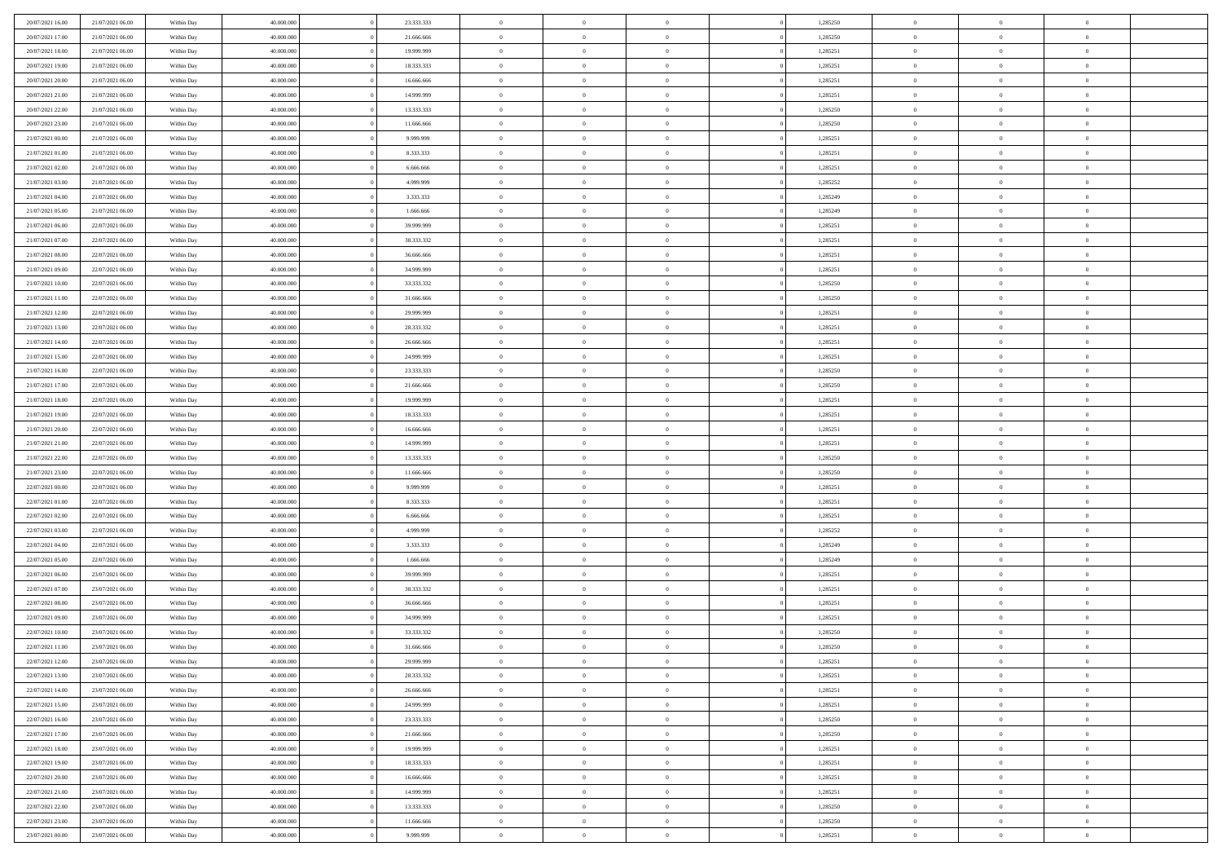| 20/07/2021 16:00                     | 21/07/2021 06:00                     | Within Day               | 40.000.000               | 23.333.333               | $\bf{0}$                 | $\overline{0}$                   | $\overline{0}$                   | 1,285250             | $\bf{0}$             | $\mathbf{0}$                     | $\overline{0}$             |  |
|--------------------------------------|--------------------------------------|--------------------------|--------------------------|--------------------------|--------------------------|----------------------------------|----------------------------------|----------------------|----------------------|----------------------------------|----------------------------|--|
| 20/07/2021 17:00                     | 21/07/2021 06:00                     | Within Day               | 40.000.000               | 21.666.666               | $\overline{0}$           | $\overline{0}$                   | $\overline{0}$                   | 1,285250             | $\overline{0}$       | $\overline{0}$                   | $\theta$                   |  |
| 20/07/2021 18:00                     | 21/07/2021 06:00                     | Within Day               | 40.000.000               | 19.999.999               | $\,$ 0 $\,$              | $\overline{0}$                   | $\bf{0}$                         | 1,285251             | $\,$ 0 $\,$          | $\overline{0}$                   | $\,$ 0 $\,$                |  |
| 20/07/2021 19:00                     | 21/07/2021 06:00                     | Within Day               | 40,000,000               | 18.333.333               | $\mathbf{0}$             | $\overline{0}$                   | $\overline{0}$                   | 1,285251             | $\theta$             | $\mathbf{0}$                     | $\theta$                   |  |
| 20/07/2021 20:00                     | 21/07/2021 06:00                     | Within Day               | 40.000.000               | 16.666.666               | $\bf{0}$                 | $\overline{0}$                   | $\overline{0}$                   | 1,285251             | $\overline{0}$       | $\overline{0}$                   | $\overline{0}$             |  |
| 20/07/2021 21:00                     | 21/07/2021 06:00                     | Within Day               | 40.000.000               | 14.999.999               | $\,$ 0 $\,$              | $\overline{0}$                   | $\bf{0}$                         | 1,285251             | $\,$ 0 $\,$          | $\overline{0}$                   | $\,$ 0 $\,$                |  |
| 20/07/2021 22:00                     | 21/07/2021 06:00                     | Within Day               | 40,000,000               | 13.333.333               | $\bf{0}$                 | $\overline{0}$                   | $\overline{0}$                   | 1,285250             | $\bf{0}$             | $\mathbf{0}$                     | $\theta$                   |  |
| 20/07/2021 23:00                     | 21/07/2021 06:00                     | Within Day               | 40.000.000               | 11.666.666               | $\overline{0}$           | $\overline{0}$                   | $\overline{0}$                   | 1,285250             | $\mathbf{0}$         | $\overline{0}$                   | $\overline{0}$             |  |
| 21/07/2021 00:00                     | 21/07/2021 06:00                     | Within Day               | 40.000.000               | 9.999.999                | $\,$ 0 $\,$              | $\overline{0}$                   | $\bf{0}$                         | 1,285251             | $\,$ 0 $\,$          | $\overline{0}$                   | $\,$ 0 $\,$                |  |
| 21/07/2021 01:00                     | 21/07/2021 06:00                     | Within Day               | 40,000,000               | 8.333.333                | $\overline{0}$           | $\overline{0}$                   | $\overline{0}$                   | 1,285251             | $\overline{0}$       | $\mathbf{0}$                     | $\theta$                   |  |
| 21/07/2021 02:00                     | 21/07/2021 06:00                     | Within Day               | 40.000.000               | 6.666.666                | $\bf{0}$                 | $\overline{0}$                   | $\overline{0}$                   | 1,285251             | $\overline{0}$       | $\overline{0}$                   | $\overline{0}$             |  |
| 21/07/2021 03:00                     | 21/07/2021 06:00                     | Within Day               | 40.000.000               | 4.999.999                | $\,$ 0 $\,$              | $\overline{0}$                   | $\bf{0}$                         | 1,285252             | $\,$ 0 $\,$          | $\overline{0}$                   | $\,$ 0 $\,$                |  |
| 21/07/2021 04:00                     | 21/07/2021 06:00                     | Within Day               | 40.000.000               | 3.333.333                | $\overline{0}$           | $\overline{0}$                   | $\overline{0}$                   | 1,285249             | $\bf{0}$             | $\overline{0}$                   | $\bf{0}$                   |  |
| 21/07/2021 05:00                     | 21/07/2021 06:00                     | Within Day               | 40.000.000               | 1.666.666                | $\overline{0}$           | $\overline{0}$                   | $\overline{0}$                   | 1,285249             | $\mathbf{0}$         | $\overline{0}$                   | $\overline{0}$             |  |
| 21/07/2021 06:00                     | 22/07/2021 06:00                     | Within Day               | 40.000.000               | 39.999.999               | $\,$ 0 $\,$              | $\overline{0}$                   | $\bf{0}$                         | 1,285251             | $\,$ 0 $\,$          | $\overline{0}$                   | $\,$ 0 $\,$                |  |
| 21/07/2021 07:00                     | 22/07/2021 06:00                     | Within Day               | 40,000,000               | 38.333.332               | $\overline{0}$           | $\mathbf{0}$                     | $\overline{0}$                   | 1,285251             | $\overline{0}$       | $\mathbf{0}$                     | $\theta$                   |  |
| 21/07/2021 08:00                     | 22/07/2021 06:00                     | Within Day               | 40.000.000               | 36.666.666               | $\overline{0}$           | $\overline{0}$                   | $\overline{0}$                   | 1,285251             | $\mathbf{0}$         | $\overline{0}$                   | $\overline{0}$             |  |
| 21/07/2021 09:00                     | 22/07/2021 06:00                     | Within Day               | 40.000.000               | 34.999.999               | $\,$ 0 $\,$              | $\overline{0}$                   | $\bf{0}$                         | 1,285251             | $\,$ 0 $\,$          | $\overline{0}$                   | $\,$ 0 $\,$                |  |
| 21/07/2021 10:00                     | 22/07/2021 06:00                     | Within Day               | 40,000,000               | 33.333.332               | $\mathbf{0}$             | $\mathbf{0}$                     | $\overline{0}$                   | 1,285250             | $\theta$             | $\mathbf{0}$                     | $\theta$                   |  |
| 21/07/2021 11:00                     | 22/07/2021 06:00                     | Within Day               | 40.000.000               | 31.666.666               | $\overline{0}$           | $\overline{0}$                   | $\overline{0}$                   | 1,285250             | $\mathbf{0}$         | $\overline{0}$                   | $\overline{0}$             |  |
| 21/07/2021 12:00                     | 22/07/2021 06:00                     | Within Day               | 40.000.000               | 29.999.999               | $\,$ 0 $\,$              | $\overline{0}$                   | $\bf{0}$                         | 1,285251             | $\,$ 0 $\,$          | $\overline{0}$                   | $\,$ 0 $\,$                |  |
| 21/07/2021 13:00                     | 22/07/2021 06:00                     | Within Day               | 40,000,000               | 28.333.332               | $\overline{0}$           | $\overline{0}$                   | $\overline{0}$                   | 1,285251             | $\mathbf{0}$         | $\mathbf{0}$                     | $\theta$                   |  |
| 21/07/2021 14:00                     | 22/07/2021 06:00                     | Within Day               | 40.000.000               | 26.666.666               | $\overline{0}$           | $\overline{0}$                   | $\overline{0}$                   | 1,285251             | $\mathbf{0}$         | $\overline{0}$                   | $\overline{0}$             |  |
| 21/07/2021 15:00                     | 22/07/2021 06:00                     | Within Day               | 40.000.000               | 24.999.999               | $\,$ 0 $\,$              | $\overline{0}$                   | $\bf{0}$                         | 1,285251             | $\,$ 0 $\,$          | $\overline{0}$                   | $\,$ 0 $\,$                |  |
| 21/07/2021 16:00                     | 22/07/2021 06:00                     | Within Day               | 40,000,000               | 23.333.333               | $\overline{0}$           | $\overline{0}$                   | $\overline{0}$                   | 1,285250             | $\overline{0}$       | $\mathbf{0}$                     | $\theta$                   |  |
| 21/07/2021 17:00                     | 22/07/2021 06:00                     | Within Day               | 40.000.000               | 21.666.666               | $\overline{0}$           | $\overline{0}$                   | $\overline{0}$                   | 1,285250             | $\mathbf{0}$         | $\overline{0}$                   | $\overline{0}$             |  |
| 21/07/2021 18:00                     | 22/07/2021 06:00                     | Within Day               | 40.000.000               | 19.999.999               | $\,$ 0 $\,$              | $\overline{0}$                   | $\bf{0}$                         | 1,285251             | $\,$ 0 $\,$          | $\overline{0}$                   | $\,$ 0 $\,$                |  |
| 21/07/2021 19:00                     | 22/07/2021 06:00                     | Within Day               | 40.000.000               | 18.333.333               | $\bf{0}$                 | $\overline{0}$                   | $\overline{0}$                   | 1,285251             | $\bf{0}$             | $\overline{0}$                   | $\bf{0}$                   |  |
| 21/07/2021 20:00                     | 22/07/2021 06:00                     | Within Day               | 40.000.000               | 16.666.666               | $\overline{0}$           | $\overline{0}$                   | $\overline{0}$                   | 1,285251             | $\mathbf{0}$         | $\overline{0}$                   | $\overline{0}$             |  |
| 21/07/2021 21:00                     | 22/07/2021 06:00                     | Within Day               | 40.000.000               | 14.999.999               | $\,$ 0 $\,$              | $\overline{0}$                   | $\bf{0}$                         | 1,285251             | $\,$ 0 $\,$          | $\overline{0}$                   | $\,$ 0 $\,$                |  |
| 21/07/2021 22:00                     | 22/07/2021 06:00                     | Within Day               | 40.000.000               | 13.333.333               | $\,0\,$                  | $\overline{0}$                   | $\bf{0}$                         | 1,285250             | $\,$ 0 $\,$          | $\overline{0}$                   | $\bf{0}$                   |  |
| 21/07/2021 23:00                     | 22/07/2021 06:00                     | Within Day               | 40.000.000               | 11.666.666               | $\overline{0}$           | $\overline{0}$                   | $\overline{0}$                   | 1,285250             | $\mathbf{0}$         | $\overline{0}$                   | $\overline{0}$             |  |
| 22/07/2021 00:00                     | 22/07/2021 06:00                     | Within Day               | 40.000.000               | 9.999.999                | $\,$ 0 $\,$              | $\overline{0}$                   | $\bf{0}$                         | 1,285251             | $\,$ 0 $\,$          | $\overline{0}$                   | $\,$ 0 $\,$                |  |
| 22/07/2021 01:00                     | 22/07/2021 06:00                     | Within Day               | 40.000.000               | 8.333.333                | $\,0\,$                  | $\overline{0}$                   | $\bf{0}$                         | 1,285251             | $\bf{0}$             | $\overline{0}$                   | $\bf{0}$                   |  |
| 22/07/2021 02:00                     | 22/07/2021 06:00                     | Within Day               | 40.000.000               | 6.666.666                | $\overline{0}$           | $\overline{0}$                   | $\overline{0}$                   | 1,285251             | $\mathbf{0}$         | $\overline{0}$                   | $\overline{0}$             |  |
| 22/07/2021 03:00                     | 22/07/2021 06:00                     | Within Day               | 40.000.000               | 4.999.999                | $\,$ 0 $\,$              | $\overline{0}$                   | $\bf{0}$                         | 1,285252             | $\,$ 0 $\,$          | $\overline{0}$                   | $\,$ 0 $\,$                |  |
| 22/07/2021 04:00                     | 22/07/2021 06:00                     | Within Day               | 40.000.000               | 3.333.333                | $\bf{0}$                 | $\overline{0}$                   | $\bf{0}$                         | 1,285249             | $\bf{0}$             | $\overline{0}$                   | $\bf{0}$                   |  |
| 22/07/2021 05:00                     | 22/07/2021 06:00                     | Within Day               | 40.000.000               | 1.666.666                | $\overline{0}$           | $\overline{0}$                   | $\overline{0}$                   | 1,285249             | $\mathbf{0}$         | $\overline{0}$                   | $\overline{0}$             |  |
| 22/07/2021 06:00                     | 23/07/2021 06:00                     | Within Day               | 40.000.000               | 39.999.999               | $\,$ 0 $\,$              | $\overline{0}$                   | $\bf{0}$                         | 1,285251             | $\,$ 0 $\,$          | $\overline{0}$                   | $\,$ 0 $\,$                |  |
| 22/07/2021 07:00                     | 23/07/2021 06:00                     | Within Day               | 40.000.000               | 38.333.332               | $\,0\,$                  | $\overline{0}$                   | $\overline{0}$                   | 1,285251             | $\bf{0}$             | $\overline{0}$                   | $\bf{0}$                   |  |
| 22/07/2021 08:00                     | 23/07/2021 06:00                     | Within Day               | 40.000.000               | 36.666.666               | $\overline{0}$           | $\overline{0}$                   | $\overline{0}$                   | 1,285251             | $\mathbf{0}$         | $\overline{0}$                   | $\overline{0}$             |  |
| 22/07/2021 09:00                     | 23/07/2021 06:00<br>23/07/2021 06:00 | Within Day               | 40.000.000               | 34.999.999               | $\,$ 0 $\,$              | $\overline{0}$                   | $\bf{0}$                         | 1,285251             | $\,$ 0 $\,$          | $\overline{0}$                   | $\,$ 0 $\,$                |  |
| 22/07/2021 10:00<br>22/07/2021 11:00 | 23/07/2021 06:00                     | Within Day<br>Within Day | 40.000.000<br>40.000.000 | 33.333.332<br>31.666.666 | $\bf{0}$<br>$\mathbf{0}$ | $\overline{0}$<br>$\overline{0}$ | $\overline{0}$<br>$\overline{0}$ | 1,285250<br>1,285250 | $\bf{0}$<br>$\theta$ | $\overline{0}$<br>$\overline{0}$ | $\bf{0}$<br>$\overline{0}$ |  |
| 22/07/2021 12:00                     | 23/07/2021 06:00                     | Within Day               | 40.000.000               | 29.999.999               | $\mathbf{0}$             | $\overline{0}$                   | $\theta$                         | 1,285251             | $\theta$             | $\overline{0}$                   | $\theta$                   |  |
| 22/07/2021 13:00                     | 23/07/2021 06:00                     | Within Day               | 40.000.000               | 28.333.332               | $\bf{0}$                 | $\overline{0}$                   | $\overline{0}$                   | 1,285251             | $\mathbf{0}$         | $\overline{0}$                   | $\bf{0}$                   |  |
| 22/07/2021 14:00                     | 23/07/2021 06:00                     | Within Day               | 40.000.000               | 26.666.666               | $\overline{0}$           | $\overline{0}$                   | $\overline{0}$                   | 1,285251             | $\overline{0}$       | $\overline{0}$                   | $\overline{0}$             |  |
| 22/07/2021 15:00                     | 23/07/2021 06:00                     | Within Day               | 40.000.000               | 24.999.999               | $\,$ 0                   | $\overline{0}$                   | $\overline{0}$                   | 1,285251             | $\,$ 0 $\,$          | $\,$ 0 $\,$                      | $\,$ 0 $\,$                |  |
| 22/07/2021 16:00                     | 23/07/2021 06:00                     | Within Day               | 40.000.000               | 23.333.333               | $\bf{0}$                 | $\overline{0}$                   | $\overline{0}$                   | 1,285250             | $\mathbf{0}$         | $\overline{0}$                   | $\bf{0}$                   |  |
| 22/07/2021 17:00                     | 23/07/2021 06:00                     | Within Day               | 40.000.000               | 21.666.666               | $\overline{0}$           | $\overline{0}$                   | $\overline{0}$                   | 1,285250             | $\mathbf{0}$         | $\overline{0}$                   | $\overline{0}$             |  |
| 22/07/2021 18:00                     | 23/07/2021 06:00                     | Within Day               | 40.000.000               | 19.999.999               | $\,$ 0                   | $\overline{0}$                   | $\overline{0}$                   | 1,285251             | $\,$ 0 $\,$          | $\overline{0}$                   | $\,$ 0 $\,$                |  |
| 22/07/2021 19:00                     | 23/07/2021 06:00                     | Within Day               | 40.000.000               | 18.333.333               | $\overline{0}$           | $\overline{0}$                   | $\overline{0}$                   | 1,285251             | $\overline{0}$       | $\overline{0}$                   | $\bf{0}$                   |  |
| 22/07/2021 20:00                     | 23/07/2021 06:00                     | Within Day               | 40.000.000               | 16.666.666               | $\mathbf{0}$             | $\overline{0}$                   | $\overline{0}$                   | 1,285251             | $\overline{0}$       | $\overline{0}$                   | $\overline{0}$             |  |
| 22/07/2021 21:00                     | 23/07/2021 06:00                     | Within Day               | 40.000.000               | 14.999.999               | $\,$ 0                   | $\overline{0}$                   | $\overline{0}$                   | 1,285251             | $\,$ 0 $\,$          | $\,$ 0 $\,$                      | $\,$ 0 $\,$                |  |
| 22/07/2021 22:00                     | 23/07/2021 06:00                     | Within Day               | 40.000.000               | 13.333.333               | $\bf{0}$                 | $\overline{0}$                   | $\overline{0}$                   | 1,285250             | $\mathbf{0}$         | $\overline{0}$                   | $\bf{0}$                   |  |
| 22/07/2021 23:00                     | 23/07/2021 06:00                     | Within Day               | 40.000.000               | 11.666.666               | $\mathbf{0}$             | $\overline{0}$                   | $\overline{0}$                   | 1,285250             | $\overline{0}$       | $\overline{0}$                   | $\overline{0}$             |  |
| 23/07/2021 00:00                     | 23/07/2021 06:00                     | Within Day               | 40.000.000               | 9.999.999                | $\,$ 0 $\,$              | $\overline{0}$                   | $\overline{0}$                   | 1,285251             | $\,$ 0 $\,$          | $\overline{0}$                   | $\,$ 0 $\,$                |  |
|                                      |                                      |                          |                          |                          |                          |                                  |                                  |                      |                      |                                  |                            |  |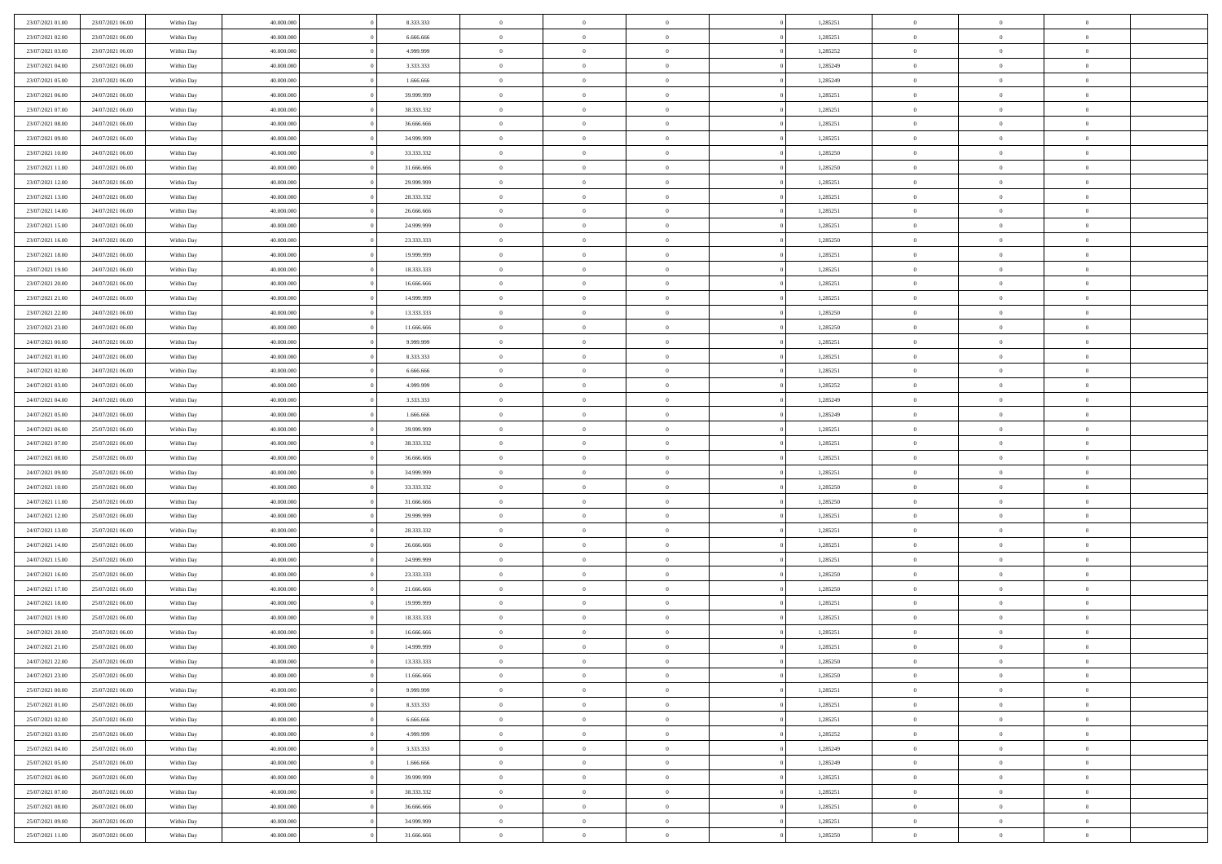| 23/07/2021 01:00 | 23/07/2021 06:00 | Within Day | 40,000,000 | 8.333.333  | $\overline{0}$ | $\overline{0}$ | $\Omega$       | 1,285251 | $\bf{0}$       | $\mathbf{0}$   | $\overline{0}$ |  |
|------------------|------------------|------------|------------|------------|----------------|----------------|----------------|----------|----------------|----------------|----------------|--|
| 23/07/2021 02:00 | 23/07/2021 06:00 | Within Day | 40.000.000 | 6.666.666  | $\mathbf{0}$   | $\overline{0}$ | $\overline{0}$ | 1,285251 | $\mathbf{0}$   | $\overline{0}$ | $\overline{0}$ |  |
| 23/07/2021 03:00 | 23/07/2021 06:00 | Within Day | 40.000.000 | 4.999.999  | $\bf{0}$       | $\overline{0}$ | $\bf{0}$       | 1,285252 | $\,$ 0         | $\overline{0}$ | $\,$ 0 $\,$    |  |
| 23/07/2021 04:00 | 23/07/2021 06:00 | Within Day | 40.000.000 | 3.333.333  | $\bf{0}$       | $\overline{0}$ | $\Omega$       | 1,285249 | $\bf{0}$       | $\mathbf{0}$   | $\theta$       |  |
| 23/07/2021 05:00 | 23/07/2021 06:00 | Within Day | 40.000.000 | 1.666.666  | $\bf{0}$       | $\overline{0}$ | $\overline{0}$ | 1,285249 | $\mathbf{0}$   | $\bf{0}$       | $\overline{0}$ |  |
| 23/07/2021 06:00 | 24/07/2021 06:00 | Within Day | 40.000.000 | 39.999.999 | $\bf{0}$       | $\overline{0}$ | $\bf{0}$       | 1,285251 | $\,$ 0         | $\overline{0}$ | $\,$ 0 $\,$    |  |
| 23/07/2021 07:00 | 24/07/2021 06:00 | Within Day | 40.000.000 | 38.333.332 | $\bf{0}$       | $\overline{0}$ | $\overline{0}$ | 1,285251 | $\bf{0}$       | $\overline{0}$ | $\theta$       |  |
| 23/07/2021 08:00 | 24/07/2021 06:00 | Within Day | 40.000.000 | 36.666.666 | $\overline{0}$ | $\overline{0}$ | $\overline{0}$ | 1,285251 | $\overline{0}$ | $\overline{0}$ | $\overline{0}$ |  |
| 23/07/2021 09:00 | 24/07/2021 06:00 | Within Day | 40.000.000 | 34.999.999 | $\bf{0}$       | $\overline{0}$ | $\bf{0}$       | 1,285251 | $\,$ 0         | $\overline{0}$ | $\,$ 0 $\,$    |  |
| 23/07/2021 10:00 | 24/07/2021 06:00 | Within Day | 40.000.000 | 33.333.332 | $\overline{0}$ | $\overline{0}$ | $\overline{0}$ | 1,285250 | $\theta$       | $\mathbf{0}$   | $\theta$       |  |
| 23/07/2021 11:00 | 24/07/2021 06:00 | Within Day | 40.000.000 | 31.666.666 | $\overline{0}$ | $\overline{0}$ | $\overline{0}$ | 1,285250 | $\mathbf{0}$   | $\overline{0}$ | $\overline{0}$ |  |
| 23/07/2021 12:00 | 24/07/2021 06:00 | Within Day | 40.000.000 | 29.999.999 | $\bf{0}$       | $\overline{0}$ | $\bf{0}$       | 1,285251 | $\,$ 0         | $\overline{0}$ | $\,$ 0 $\,$    |  |
| 23/07/2021 13:00 | 24/07/2021 06:00 | Within Day | 40.000.000 | 28.333.332 | $\bf{0}$       | $\overline{0}$ | $\Omega$       | 1,285251 | $\theta$       | $\mathbf{0}$   | $\theta$       |  |
| 23/07/2021 14:00 | 24/07/2021 06:00 | Within Day | 40.000.000 | 26.666.666 | $\overline{0}$ | $\overline{0}$ | $\overline{0}$ | 1,285251 | $\overline{0}$ | $\overline{0}$ | $\overline{0}$ |  |
| 23/07/2021 15:00 | 24/07/2021 06:00 | Within Day | 40.000.000 | 24.999.999 | $\bf{0}$       | $\overline{0}$ | $\bf{0}$       | 1,285251 | $\,$ 0         | $\overline{0}$ | $\,$ 0 $\,$    |  |
| 23/07/2021 16:00 | 24/07/2021 06:00 | Within Day | 40.000.000 | 23.333.333 | $\bf{0}$       | $\overline{0}$ | $\overline{0}$ | 1,285250 | $\bf{0}$       | $\mathbf{0}$   | $\theta$       |  |
| 23/07/2021 18:00 | 24/07/2021 06:00 | Within Day | 40.000.000 | 19.999.999 | $\overline{0}$ | $\overline{0}$ | $\overline{0}$ | 1,285251 | $\mathbf{0}$   | $\overline{0}$ | $\overline{0}$ |  |
| 23/07/2021 19:00 | 24/07/2021 06:00 | Within Day | 40.000.000 | 18.333.333 | $\bf{0}$       | $\overline{0}$ | $\bf{0}$       | 1,285251 | $\,$ 0         | $\overline{0}$ | $\,$ 0 $\,$    |  |
| 23/07/2021 20:00 | 24/07/2021 06:00 | Within Day | 40.000.000 | 16,666,666 | $\bf{0}$       | $\overline{0}$ | $\overline{0}$ | 1,285251 | $\theta$       | $\mathbf{0}$   | $\theta$       |  |
| 23/07/2021 21:00 | 24/07/2021 06:00 | Within Day | 40.000.000 | 14.999.999 | $\overline{0}$ | $\overline{0}$ | $\overline{0}$ | 1,285251 | $\mathbf{0}$   | $\overline{0}$ | $\overline{0}$ |  |
| 23/07/2021 22:00 | 24/07/2021 06:00 | Within Day | 40.000.000 | 13.333.333 | $\bf{0}$       | $\overline{0}$ | $\bf{0}$       | 1,285250 | $\,$ 0         | $\overline{0}$ | $\,$ 0 $\,$    |  |
| 23/07/2021 23:00 | 24/07/2021 06:00 | Within Day | 40.000.000 | 11.666.666 | $\bf{0}$       | $\overline{0}$ | $\Omega$       | 1,285250 | $\theta$       | $\mathbf{0}$   | $\theta$       |  |
| 24/07/2021 00:00 | 24/07/2021 06:00 | Within Day | 40.000.000 | 9.999.999  | $\overline{0}$ | $\overline{0}$ | $\overline{0}$ | 1,285251 | $\overline{0}$ | $\overline{0}$ | $\overline{0}$ |  |
| 24/07/2021 01:00 | 24/07/2021 06:00 | Within Day | 40.000.000 | 8.333.333  | $\bf{0}$       | $\overline{0}$ | $\bf{0}$       | 1,285251 | $\,$ 0         | $\overline{0}$ | $\,$ 0 $\,$    |  |
| 24/07/2021 02.00 | 24/07/2021 06:00 | Within Day | 40.000.000 | 6.666.666  | $\bf{0}$       | $\overline{0}$ | $\overline{0}$ | 1,285251 | $\bf{0}$       | $\overline{0}$ | $\bf{0}$       |  |
| 24/07/2021 03:00 | 24/07/2021 06:00 | Within Day | 40.000.000 | 4.999.999  | $\overline{0}$ | $\overline{0}$ | $\overline{0}$ | 1,285252 | $\mathbf{0}$   | $\overline{0}$ | $\overline{0}$ |  |
| 24/07/2021 04:00 | 24/07/2021 06:00 | Within Day | 40.000.000 | 3.333.333  | $\bf{0}$       | $\overline{0}$ | $\bf{0}$       | 1,285249 | $\,$ 0         | $\overline{0}$ | $\,$ 0 $\,$    |  |
| 24/07/2021 05:00 | 24/07/2021 06:00 | Within Day | 40.000.000 | 1.666.666  | $\bf{0}$       | $\overline{0}$ | $\Omega$       | 1,285249 | $\theta$       | $\mathbf{0}$   | $\theta$       |  |
| 24/07/2021 06:00 | 25/07/2021 06:00 | Within Day | 40.000.000 | 39.999.999 | $\overline{0}$ | $\overline{0}$ | $\overline{0}$ | 1,285251 | $\overline{0}$ | $\overline{0}$ | $\overline{0}$ |  |
| 24/07/2021 07:00 | 25/07/2021 06:00 | Within Day | 40.000.000 | 38.333.332 | $\bf{0}$       | $\overline{0}$ | $\bf{0}$       | 1,285251 | $\,$ 0         | $\overline{0}$ | $\,$ 0 $\,$    |  |
| 24/07/2021 08:00 | 25/07/2021 06:00 | Within Day | 40.000.000 | 36.666.666 | $\bf{0}$       | $\overline{0}$ | $\overline{0}$ | 1,285251 | $\bf{0}$       | $\overline{0}$ | $\,0\,$        |  |
| 24/07/2021 09:00 | 25/07/2021 06:00 | Within Day | 40.000.000 | 34.999.999 | $\overline{0}$ | $\overline{0}$ | $\overline{0}$ | 1,285251 | $\mathbf{0}$   | $\overline{0}$ | $\overline{0}$ |  |
| 24/07/2021 10:00 | 25/07/2021 06:00 | Within Day | 40.000.000 | 33.333.332 | $\bf{0}$       | $\overline{0}$ | $\bf{0}$       | 1,285250 | $\,$ 0         | $\overline{0}$ | $\,$ 0 $\,$    |  |
| 24/07/2021 11:00 | 25/07/2021 06:00 | Within Day | 40.000.000 | 31.666.666 | $\bf{0}$       | $\overline{0}$ | $\bf{0}$       | 1,285250 | $\bf{0}$       | $\overline{0}$ | $\bf{0}$       |  |
| 24/07/2021 12:00 | 25/07/2021 06:00 | Within Day | 40.000.000 | 29.999.999 | $\overline{0}$ | $\overline{0}$ | $\overline{0}$ | 1,285251 | $\mathbf{0}$   | $\overline{0}$ | $\overline{0}$ |  |
| 24/07/2021 13:00 | 25/07/2021 06:00 | Within Day | 40.000.000 | 28.333.332 | $\bf{0}$       | $\overline{0}$ | $\bf{0}$       | 1,285251 | $\,$ 0         | $\overline{0}$ | $\,$ 0 $\,$    |  |
| 24/07/2021 14:00 | 25/07/2021 06:00 | Within Day | 40.000.000 | 26.666.666 | $\bf{0}$       | $\overline{0}$ | $\overline{0}$ | 1,285251 | $\bf{0}$       | $\overline{0}$ | $\,0\,$        |  |
| 24/07/2021 15:00 | 25/07/2021 06:00 | Within Day | 40.000.000 | 24.999.999 | $\overline{0}$ | $\overline{0}$ | $\overline{0}$ | 1,285251 | $\overline{0}$ | $\overline{0}$ | $\overline{0}$ |  |
| 24/07/2021 16:00 | 25/07/2021 06:00 | Within Day | 40.000.000 | 23.333.333 | $\bf{0}$       | $\overline{0}$ | $\bf{0}$       | 1,285250 | $\,$ 0         | $\overline{0}$ | $\,$ 0 $\,$    |  |
| 24/07/2021 17.00 | 25/07/2021 06:00 | Within Day | 40.000.000 | 21.666.666 | $\bf{0}$       | $\overline{0}$ | $\overline{0}$ | 1,285250 | $\bf{0}$       | $\overline{0}$ | $\,0\,$        |  |
| 24/07/2021 18:00 | 25/07/2021 06:00 | Within Day | 40.000.000 | 19.999.999 | $\overline{0}$ | $\overline{0}$ | $\overline{0}$ | 1,285251 | $\mathbf{0}$   | $\overline{0}$ | $\overline{0}$ |  |
| 24/07/2021 19:00 | 25/07/2021 06:00 | Within Day | 40.000.000 | 18.333.333 | $\bf{0}$       | $\overline{0}$ | $\bf{0}$       | 1,285251 | $\,$ 0         | $\overline{0}$ | $\,$ 0 $\,$    |  |
| 24/07/2021 20:00 | 25/07/2021 06:00 | Within Day | 40.000.000 | 16.666.666 | $\bf{0}$       | $\overline{0}$ | $\bf{0}$       | 1,285251 | $\bf{0}$       | $\overline{0}$ | $\overline{0}$ |  |
| 24/07/2021 21:00 | 25/07/2021 06:00 | Within Day | 40.000.000 | 14.999.999 | $\mathbf{0}$   | $\overline{0}$ | $\overline{0}$ | 1,285251 | $\mathbf{0}$   | $\bf{0}$       | $\overline{0}$ |  |
| 24/07/2021 22:00 | 25/07/2021 06:00 | Within Day | 40.000.000 | 13.333.333 | $\bf{0}$       | $\overline{0}$ | $\theta$       | 1,285250 | $\overline{0}$ | $\overline{0}$ | $\theta$       |  |
| 24/07/2021 23.00 | 25/07/2021 06:00 | Within Day | 40.000.000 | 11.666.666 | $\bf{0}$       | $\bf{0}$       | $\bf{0}$       | 1,285250 | $\bf{0}$       | $\overline{0}$ | $\bf{0}$       |  |
| 25/07/2021 00:00 | 25/07/2021 06:00 | Within Day | 40.000.000 | 9.999.999  | $\overline{0}$ | $\overline{0}$ | $\overline{0}$ | 1,285251 | $\overline{0}$ | $\overline{0}$ | $\overline{0}$ |  |
| 25/07/2021 01:00 | 25/07/2021 06:00 | Within Day | 40.000.000 | 8.333.333  | $\,$ 0 $\,$    | $\overline{0}$ | $\overline{0}$ | 1,285251 | $\mathbf{0}$   | $\,$ 0 $\,$    | $\,$ 0 $\,$    |  |
| 25/07/2021 02:00 | 25/07/2021 06:00 | Within Day | 40.000.000 | 6.666.666  | $\bf{0}$       | $\overline{0}$ | $\overline{0}$ | 1,285251 | $\bf{0}$       | $\overline{0}$ | $\bf{0}$       |  |
| 25/07/2021 03:00 | 25/07/2021 06:00 | Within Day | 40.000.000 | 4.999.999  | $\bf{0}$       | $\overline{0}$ | $\overline{0}$ | 1,285252 | $\overline{0}$ | $\bf{0}$       | $\overline{0}$ |  |
| 25/07/2021 04:00 | 25/07/2021 06:00 | Within Day | 40.000.000 | 3.333.333  | $\,$ 0 $\,$    | $\overline{0}$ | $\overline{0}$ | 1,285249 | $\mathbf{0}$   | $\overline{0}$ | $\,$ 0 $\,$    |  |
| 25/07/2021 05:00 | 25/07/2021 06:00 | Within Day | 40.000.000 | 1.666.666  | $\overline{0}$ | $\overline{0}$ | $\overline{0}$ | 1,285249 | $\overline{0}$ | $\overline{0}$ | $\overline{0}$ |  |
| 25/07/2021 06:00 | 26/07/2021 06:00 | Within Day | 40.000.000 | 39.999.999 | $\overline{0}$ | $\overline{0}$ | $\overline{0}$ | 1,285251 | $\overline{0}$ | $\bf{0}$       | $\overline{0}$ |  |
| 25/07/2021 07:00 | 26/07/2021 06:00 | Within Day | 40.000.000 | 38.333.332 | $\,$ 0 $\,$    | $\overline{0}$ | $\overline{0}$ | 1,285251 | $\mathbf{0}$   | $\,$ 0 $\,$    | $\overline{0}$ |  |
| 25/07/2021 08:00 | 26/07/2021 06:00 | Within Day | 40.000.000 | 36.666.666 | $\bf{0}$       | $\bf{0}$       | $\overline{0}$ | 1,285251 | $\bf{0}$       | $\overline{0}$ | $\bf{0}$       |  |
| 25/07/2021 09:00 | 26/07/2021 06:00 | Within Day | 40.000.000 | 34.999.999 | $\overline{0}$ | $\overline{0}$ | $\overline{0}$ | 1,285251 | $\mathbf{0}$   | $\bf{0}$       | $\overline{0}$ |  |
| 25/07/2021 11:00 | 26/07/2021 06:00 | Within Day | 40.000.000 | 31.666.666 | $\,0\,$        | $\overline{0}$ | $\overline{0}$ | 1,285250 | $\,$ 0         | $\overline{0}$ | $\,$ 0 $\,$    |  |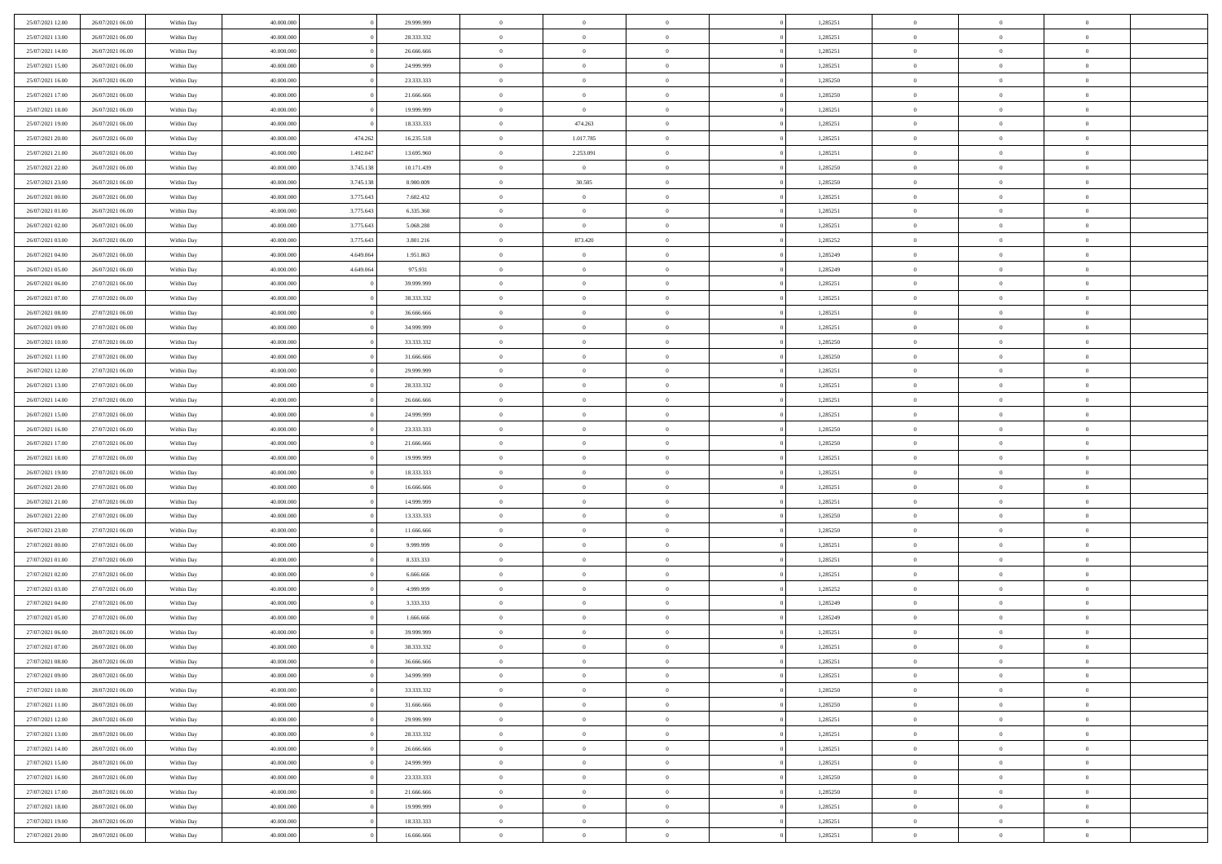| 25/07/2021 12:00 | 26/07/2021 06:00 | Within Day | 40.000.000 |           | 29.999.999 | $\bf{0}$       | $\bf{0}$       | $\theta$       |          | 1,285251 | $\bf{0}$       | $\overline{0}$ | $\,0\,$        |  |
|------------------|------------------|------------|------------|-----------|------------|----------------|----------------|----------------|----------|----------|----------------|----------------|----------------|--|
| 25/07/2021 13:00 | 26/07/2021 06:00 | Within Day | 40,000,000 |           | 28.333.332 | $\overline{0}$ | $\overline{0}$ | $\overline{0}$ |          | 1,285251 | $\theta$       | $\overline{0}$ | $\theta$       |  |
| 25/07/2021 14:00 | 26/07/2021 06:00 | Within Day | 40.000.000 |           | 26.666.666 | $\overline{0}$ | $\overline{0}$ | $\overline{0}$ |          | 1,285251 | $\mathbf{0}$   | $\overline{0}$ | $\overline{0}$ |  |
| 25/07/2021 15:00 | 26/07/2021 06:00 | Within Day | 40.000.000 |           | 24.999.999 | $\bf{0}$       | $\overline{0}$ | $\overline{0}$ |          | 1,285251 | $\bf{0}$       | $\overline{0}$ | $\overline{0}$ |  |
| 25/07/2021 16:00 | 26/07/2021 06:00 | Within Day | 40,000,000 |           | 23.333.333 | $\bf{0}$       | $\bf{0}$       | $\overline{0}$ |          | 1,285250 | $\bf{0}$       | $\overline{0}$ | $\,0\,$        |  |
| 25/07/2021 17:00 | 26/07/2021 06:00 | Within Dav | 40.000.000 |           | 21.666.666 | $\overline{0}$ | $\overline{0}$ | $\overline{0}$ |          | 1,285250 | $\mathbf{0}$   | $\overline{0}$ | $\overline{0}$ |  |
| 25/07/2021 18:00 | 26/07/2021 06:00 | Within Day | 40.000.000 |           | 19.999.999 | $\bf{0}$       | $\overline{0}$ | $\overline{0}$ |          | 1,285251 | $\bf{0}$       | $\overline{0}$ | $\bf{0}$       |  |
| 25/07/2021 19:00 | 26/07/2021 06:00 | Within Day | 40,000,000 |           | 18.333.333 | $\overline{0}$ | 474.263        | $\overline{0}$ |          | 1,285251 | $\,$ 0 $\,$    | $\overline{0}$ | $\theta$       |  |
| 25/07/2021 20:00 | 26/07/2021 06:00 | Within Day | 40.000.000 | 474.262   | 16.235.518 | $\overline{0}$ | 1.017.785      | $\overline{0}$ |          | 1,285251 | $\mathbf{0}$   | $\overline{0}$ | $\overline{0}$ |  |
| 25/07/2021 21:00 | 26/07/2021 06:00 | Within Day | 40.000.000 | 1.492.047 | 13.695.960 | $\bf{0}$       | 2.253.091      | $\overline{0}$ |          | 1,285251 | $\bf{0}$       | $\overline{0}$ | $\,0\,$        |  |
| 25/07/2021 22.00 | 26/07/2021 06:00 | Within Day | 40,000,000 | 3.745.138 | 10.171.439 | $\bf{0}$       | $\overline{0}$ | $\overline{0}$ |          | 1,285250 | $\bf{0}$       | $\overline{0}$ | $\overline{0}$ |  |
| 25/07/2021 23:00 | 26/07/2021 06:00 | Within Dav | 40.000.000 | 3.745.138 | 8.900.009  | $\overline{0}$ | 30.505         | $\overline{0}$ |          | 1,285250 | $\mathbf{0}$   | $\overline{0}$ | $\overline{0}$ |  |
| 26/07/2021 00:00 | 26/07/2021 06:00 | Within Day | 40.000.000 | 3.775.643 | 7.602.432  | $\bf{0}$       | $\overline{0}$ | $\overline{0}$ |          | 1,285251 | $\bf{0}$       | $\overline{0}$ | $\overline{0}$ |  |
| 26/07/2021 01:00 | 26/07/2021 06:00 | Within Day | 40.000.000 | 3.775.643 | 6.335.360  | $\bf{0}$       | $\bf{0}$       | $\overline{0}$ |          | 1,285251 | $\bf{0}$       | $\overline{0}$ | $\bf{0}$       |  |
| 26/07/2021 02:00 | 26/07/2021 06:00 | Within Dav | 40.000.000 | 3.775.643 | 5.068.288  | $\bf{0}$       | $\overline{0}$ | $\overline{0}$ |          | 1,285251 | $\mathbf{0}$   | $\overline{0}$ | $\overline{0}$ |  |
| 26/07/2021 03:00 | 26/07/2021 06:00 | Within Day | 40.000.000 | 3.775.643 | 3.801.216  | $\bf{0}$       | 873.420        | $\overline{0}$ |          | 1,285252 | $\bf{0}$       | $\overline{0}$ | $\bf{0}$       |  |
| 26/07/2021 04:00 | 26/07/2021 06:00 | Within Day | 40,000,000 | 4.649.064 | 1.951.863  | $\bf{0}$       | $\overline{0}$ | $\overline{0}$ |          | 1,285249 | $\bf{0}$       | $\mathbf{0}$   | $\overline{0}$ |  |
| 26/07/2021 05:00 | 26/07/2021 06:00 | Within Day | 40.000.000 | 4.649.064 | 975.931    | $\mathbf{0}$   | $\overline{0}$ | $\overline{0}$ |          | 1,285249 | $\mathbf{0}$   | $\overline{0}$ | $\overline{0}$ |  |
| 26/07/2021 06:00 | 27/07/2021 06:00 | Within Day | 40.000.000 |           | 39.999.999 | $\bf{0}$       | $\bf{0}$       | $\overline{0}$ |          | 1,285251 | $\bf{0}$       | $\overline{0}$ | $\,0\,$        |  |
| 26/07/2021 07:00 | 27/07/2021 06:00 | Within Day | 40,000,000 |           | 38.333.332 | $\overline{0}$ | $\overline{0}$ | $\overline{0}$ |          | 1,285251 | $\bf{0}$       | $\overline{0}$ | $\overline{0}$ |  |
| 26/07/2021 08:00 | 27/07/2021 06:00 | Within Day | 40.000.000 |           | 36.666.666 | $\overline{0}$ | $\overline{0}$ | $\overline{0}$ |          | 1,285251 | $\mathbf{0}$   | $\overline{0}$ | $\overline{0}$ |  |
| 26/07/2021 09:00 | 27/07/2021 06:00 | Within Day | 40.000.000 |           | 34.999.999 | $\bf{0}$       | $\overline{0}$ | $\overline{0}$ |          | 1,285251 | $\bf{0}$       | $\overline{0}$ | $\bf{0}$       |  |
| 26/07/2021 10:00 | 27/07/2021 06:00 | Within Day | 40,000,000 |           | 33.333.332 | $\bf{0}$       | $\bf{0}$       | $\overline{0}$ |          | 1,285250 | $\bf{0}$       | $\overline{0}$ | $\overline{0}$ |  |
| 26/07/2021 11:00 | 27/07/2021 06:00 | Within Dav | 40.000.000 |           | 31.666.666 | $\mathbf{0}$   | $\overline{0}$ | $\overline{0}$ |          | 1,285250 | $\mathbf{0}$   | $\overline{0}$ | $\overline{0}$ |  |
| 26/07/2021 12:00 | 27/07/2021 06:00 | Within Day | 40.000.000 |           | 29.999.999 | $\bf{0}$       | $\overline{0}$ | $\overline{0}$ |          | 1,285251 | $\bf{0}$       | $\overline{0}$ | $\bf{0}$       |  |
| 26/07/2021 13:00 | 27/07/2021 06:00 | Within Day | 40,000,000 |           | 28.333.332 | $\overline{0}$ | $\overline{0}$ | $\overline{0}$ |          | 1,285251 | $\bf{0}$       | $\mathbf{0}$   | $\overline{0}$ |  |
| 26/07/2021 14:00 | 27/07/2021 06:00 | Within Day | 40.000.000 |           | 26.666.666 | $\overline{0}$ | $\overline{0}$ | $\overline{0}$ |          | 1,285251 | $\mathbf{0}$   | $\overline{0}$ | $\overline{0}$ |  |
| 26/07/2021 15:00 | 27/07/2021 06:00 | Within Day | 40.000.000 |           | 24.999.999 | $\bf{0}$       | $\overline{0}$ | $\overline{0}$ |          | 1,285251 | $\bf{0}$       | $\overline{0}$ | $\bf{0}$       |  |
| 26/07/2021 16:00 | 27/07/2021 06:00 | Within Day | 40,000,000 |           | 23.333.333 | $\bf{0}$       | $\overline{0}$ | $\overline{0}$ |          | 1,285250 | $\bf{0}$       | $\mathbf{0}$   | $\overline{0}$ |  |
| 26/07/2021 17:00 | 27/07/2021 06:00 | Within Day | 40.000.000 |           | 21.666.666 | $\mathbf{0}$   | $\overline{0}$ | $\overline{0}$ |          | 1,285250 | $\mathbf{0}$   | $\overline{0}$ | $\overline{0}$ |  |
| 26/07/2021 18:00 | 27/07/2021 06:00 | Within Day | 40.000.000 |           | 19.999.999 | $\bf{0}$       | $\overline{0}$ | $\overline{0}$ |          | 1,285251 | $\,$ 0         | $\overline{0}$ | $\,$ 0 $\,$    |  |
| 26/07/2021 19:00 | 27/07/2021 06:00 | Within Day | 40,000,000 |           | 18.333.333 | $\bf{0}$       | $\overline{0}$ | $\overline{0}$ |          | 1,285251 | $\bf{0}$       | $\overline{0}$ | $\overline{0}$ |  |
| 26/07/2021 20:00 | 27/07/2021 06:00 | Within Dav | 40.000.000 |           | 16.666.666 | $\overline{0}$ | $\overline{0}$ | $\overline{0}$ |          | 1,285251 | $\mathbf{0}$   | $\overline{0}$ | $\overline{0}$ |  |
| 26/07/2021 21:00 | 27/07/2021 06:00 | Within Day | 40.000.000 |           | 14.999.999 | $\bf{0}$       | $\overline{0}$ | $\theta$       |          | 1,285251 | $\,$ 0         | $\overline{0}$ | $\theta$       |  |
| 26/07/2021 22.00 | 27/07/2021 06:00 | Within Day | 40,000,000 |           | 13.333.333 | $\overline{0}$ | $\overline{0}$ | $\overline{0}$ |          | 1,285250 | $\bf{0}$       | $\overline{0}$ | $\overline{0}$ |  |
| 26/07/2021 23:00 | 27/07/2021 06:00 | Within Day | 40.000.000 |           | 11.666.666 | $\mathbf{0}$   | $\overline{0}$ | $\overline{0}$ |          | 1,285250 | $\mathbf{0}$   | $\overline{0}$ | $\overline{0}$ |  |
| 27/07/2021 00:00 | 27/07/2021 06:00 | Within Day | 40.000.000 |           | 9.999.999  | $\bf{0}$       | $\overline{0}$ | $\theta$       |          | 1,285251 | $\,$ 0         | $\overline{0}$ | $\theta$       |  |
| 27/07/2021 01:00 | 27/07/2021 06:00 | Within Day | 40,000,000 |           | 8.333.333  | $\bf{0}$       | $\overline{0}$ | $\overline{0}$ |          | 1,285251 | $\bf{0}$       | $\mathbf{0}$   | $\overline{0}$ |  |
| 27/07/2021 02:00 | 27/07/2021 06:00 | Within Day | 40.000.000 |           | 6.666.666  | $\mathbf{0}$   | $\overline{0}$ | $\overline{0}$ |          | 1,285251 | $\mathbf{0}$   | $\overline{0}$ | $\overline{0}$ |  |
| 27/07/2021 03:00 | 27/07/2021 06:00 | Within Day | 40.000.000 |           | 4.999.999  | $\,0\,$        | $\overline{0}$ | $\theta$       |          | 1,285252 | $\,$ 0         | $\overline{0}$ | $\,$ 0 $\,$    |  |
| 27/07/2021 04:00 | 27/07/2021 06:00 | Within Day | 40,000,000 |           | 3.333.333  | $\bf{0}$       | $\overline{0}$ | $\overline{0}$ |          | 1,285249 | $\bf{0}$       | $\overline{0}$ | $\overline{0}$ |  |
| 27/07/2021 05:00 | 27/07/2021 06:00 | Within Dav | 40.000.000 |           | 1.666.666  | $\mathbf{0}$   | $\overline{0}$ | $\overline{0}$ |          | 1,285249 | $\mathbf{0}$   | $\overline{0}$ | $\overline{0}$ |  |
| 27/07/2021 06:00 | 28/07/2021 06:00 | Within Day | 40.000.000 |           | 39.999.999 | $\bf{0}$       | $\overline{0}$ | $\theta$       |          | 1,285251 | $\,$ 0         | $\overline{0}$ | $\theta$       |  |
| 27/07/2021 07:00 | 28/07/2021 06:00 | Within Day | 40,000,000 |           | 38.333.332 | $\bf{0}$       | $\overline{0}$ | $\overline{0}$ |          | 1,285251 | $\bf{0}$       | $\overline{0}$ | $\overline{0}$ |  |
| 27/07/2021 08:00 | 28/07/2021 06:00 | Within Day | 40.000.000 |           | 36.666.666 | $\bf{0}$       | $\overline{0}$ | $\Omega$       |          | 1,285251 | $\overline{0}$ | $\bf{0}$       | $\theta$       |  |
| 27/07/2021 09:00 | 28/07/2021 06:00 | Within Day | 40.000.000 |           | 34.999.999 | $\,0\,$        | $\overline{0}$ | $\theta$       |          | 1,285251 | $\,$ 0 $\,$    | $\bf{0}$       | $\theta$       |  |
| 27/07/2021 10:00 | 28/07/2021 06:00 | Within Day | 40,000,000 |           | 33.333.332 | $\overline{0}$ | $\overline{0}$ | $\overline{0}$ |          | 1,285250 | $\overline{0}$ | $\overline{0}$ | $\overline{0}$ |  |
| 27/07/2021 11:00 | 28/07/2021 06:00 | Within Day | 40.000.000 |           | 31.666.666 | $\bf{0}$       | $\overline{0}$ | $\overline{0}$ |          | 1,285250 | $\overline{0}$ | $\bf{0}$       | $\overline{0}$ |  |
| 27/07/2021 12:00 | 28/07/2021 06:00 | Within Day | 40.000.000 |           | 29.999.999 | $\bf{0}$       | $\overline{0}$ | $\overline{0}$ | $\theta$ | 1,285251 | $\,$ 0 $\,$    | $\bf{0}$       | $\,$ 0 $\,$    |  |
| 27/07/2021 13:00 | 28/07/2021 06:00 | Within Day | 40,000,000 |           | 28.333.332 | $\bf{0}$       | $\overline{0}$ | $\overline{0}$ |          | 1,285251 | $\,$ 0 $\,$    | $\overline{0}$ | $\overline{0}$ |  |
| 27/07/2021 14:00 | 28/07/2021 06:00 | Within Day | 40.000.000 |           | 26.666.666 | $\bf{0}$       | $\overline{0}$ | $\overline{0}$ |          | 1,285251 | $\mathbf{0}$   | $\overline{0}$ | $\overline{0}$ |  |
| 27/07/2021 15:00 | 28/07/2021 06:00 | Within Day | 40.000.000 |           | 24.999.999 | $\,$ 0 $\,$    | $\overline{0}$ | $\overline{0}$ | $\theta$ | 1,285251 | $\,$ 0 $\,$    | $\mathbf{0}$   | $\,$ 0 $\,$    |  |
| 27/07/2021 16:00 | 28/07/2021 06:00 | Within Day | 40.000.000 |           | 23.333.333 | $\bf{0}$       | $\overline{0}$ | $\overline{0}$ |          | 1,285250 | $\overline{0}$ | $\overline{0}$ | $\overline{0}$ |  |
| 27/07/2021 17:00 | 28/07/2021 06:00 | Within Day | 40.000.000 |           | 21.666.666 | $\bf{0}$       | $\overline{0}$ | $\overline{0}$ |          | 1,285250 | $\mathbf{0}$   | $\bf{0}$       | $\overline{0}$ |  |
| 27/07/2021 18:00 | 28/07/2021 06:00 | Within Day | 40.000.000 |           | 19.999.999 | $\,$ 0 $\,$    | $\overline{0}$ | $\overline{0}$ |          | 1,285251 | $\,$ 0 $\,$    | $\mathbf{0}$   | $\,$ 0 $\,$    |  |
| 27/07/2021 19:00 | 28/07/2021 06:00 | Within Day | 40,000,000 |           | 18.333.333 | $\overline{0}$ | $\overline{0}$ | $\overline{0}$ |          | 1,285251 | $\bf{0}$       | $\mathbf{0}$   | $\overline{0}$ |  |
| 27/07/2021 20:00 | 28/07/2021 06:00 | Within Day | 40.000.000 |           | 16.666.666 | $\bf{0}$       | $\overline{0}$ | $\overline{0}$ |          | 1,285251 | $\mathbf{0}$   | $\overline{0}$ | $\overline{0}$ |  |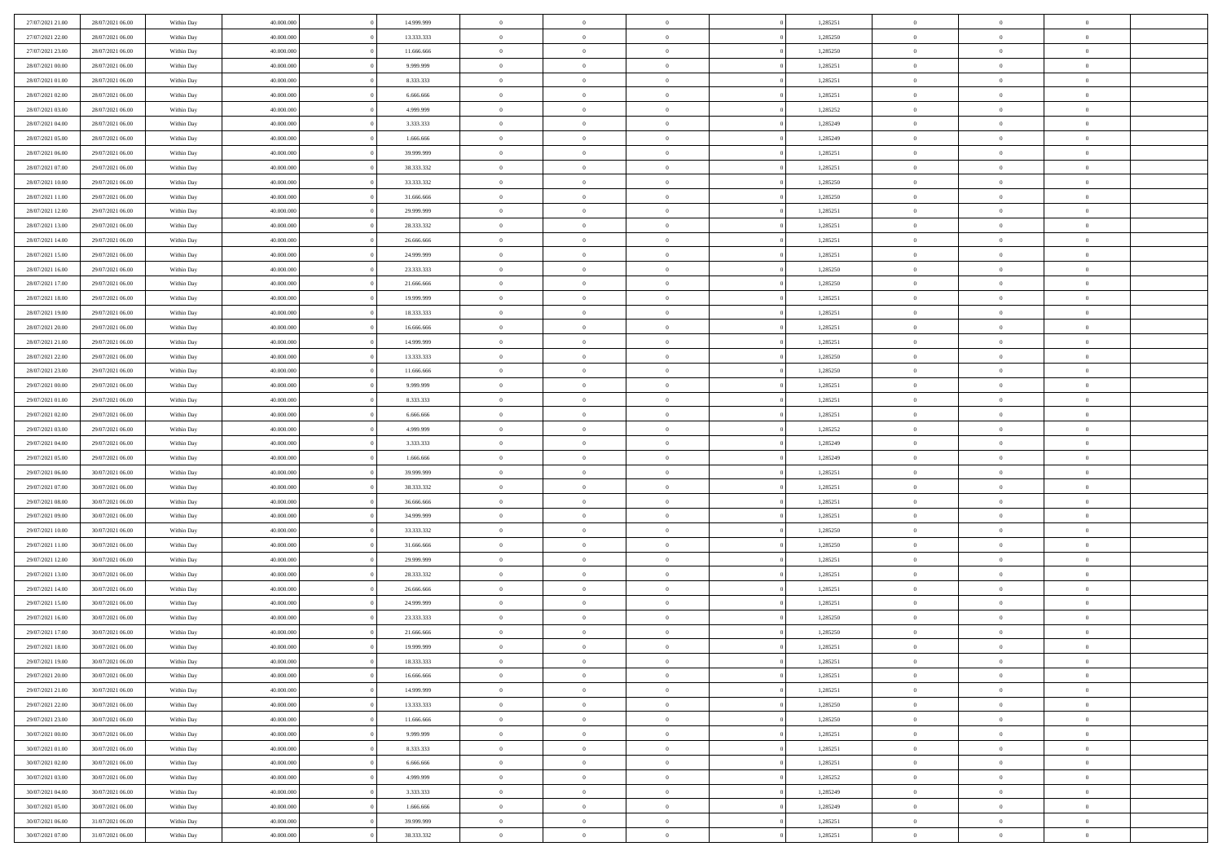| 27/07/2021 21:00                     | 28/07/2021 06:00                     | Within Day               | 40.000.000               | 14.999.999               | $\theta$                  | $\overline{0}$                   | $\overline{0}$             | 1,285251             | $\bf{0}$                 | $\mathbf{0}$                     | $\bf{0}$                   |  |
|--------------------------------------|--------------------------------------|--------------------------|--------------------------|--------------------------|---------------------------|----------------------------------|----------------------------|----------------------|--------------------------|----------------------------------|----------------------------|--|
| 27/07/2021 22.00                     | 28/07/2021 06:00                     | Within Day               | 40.000.000               | 13.333.333               | $\overline{0}$            | $\overline{0}$                   | $\overline{0}$             | 1,285250             | $\mathbf{0}$             | $\overline{0}$                   | $\theta$                   |  |
| 27/07/2021 23:00                     | 28/07/2021 06:00                     | Within Day               | 40.000.000               | 11.666.666               | $\,$ 0 $\,$               | $\overline{0}$                   | $\bf{0}$                   | 1,285250             | $\,$ 0 $\,$              | $\overline{0}$                   | $\,$ 0 $\,$                |  |
| 28/07/2021 00:00                     | 28/07/2021 06:00                     | Within Day               | 40,000,000               | 9.999.999                | $\mathbf{0}$              | $\overline{0}$                   | $\overline{0}$             | 1,285251             | $\theta$                 | $\mathbf{0}$                     | $\theta$                   |  |
| 28/07/2021 01:00                     | 28/07/2021 06:00                     | Within Day               | 40.000.000               | 8.333.333                | $\bf{0}$                  | $\overline{0}$                   | $\overline{0}$             | 1,285251             | $\overline{0}$           | $\overline{0}$                   | $\overline{0}$             |  |
| 28/07/2021 02:00                     | 28/07/2021 06:00                     | Within Day               | 40.000.000               | 6.666.666                | $\,$ 0 $\,$               | $\overline{0}$                   | $\bf{0}$                   | 1,285251             | $\,$ 0 $\,$              | $\overline{0}$                   | $\,$ 0 $\,$                |  |
| 28/07/2021 03:00                     | 28/07/2021 06:00                     | Within Day               | 40,000,000               | 4.999.999                | $\bf{0}$                  | $\overline{0}$                   | $\overline{0}$             | 1,285252             | $\bf{0}$                 | $\mathbf{0}$                     | $\theta$                   |  |
| 28/07/2021 04:00                     | 28/07/2021 06:00                     | Within Day               | 40.000.000               | 3.333.333                | $\overline{0}$            | $\overline{0}$                   | $\overline{0}$             | 1,285249             | $\mathbf{0}$             | $\overline{0}$                   | $\overline{0}$             |  |
| 28/07/2021 05:00                     | 28/07/2021 06:00                     | Within Day               | 40.000.000               | 1.666.666                | $\,$ 0 $\,$               | $\overline{0}$                   | $\bf{0}$                   | 1,285249             | $\,$ 0 $\,$              | $\overline{0}$                   | $\,$ 0 $\,$                |  |
| 28/07/2021 06:00                     | 29/07/2021 06:00                     | Within Day               | 40,000,000               | 39.999.999               | $\overline{0}$            | $\overline{0}$                   | $\overline{0}$             | 1,285251             | $\overline{0}$           | $\mathbf{0}$                     | $\theta$                   |  |
| 28/07/2021 07:00                     | 29/07/2021 06:00                     | Within Day               | 40.000.000               | 38.333.332               | $\overline{0}$            | $\overline{0}$                   | $\overline{0}$             | 1,285251             | $\overline{0}$           | $\overline{0}$                   | $\overline{0}$             |  |
| 28/07/2021 10:00                     | 29/07/2021 06:00                     | Within Day               | 40.000.000               | 33.333.332               | $\,$ 0 $\,$               | $\overline{0}$                   | $\bf{0}$                   | 1,285250             | $\,$ 0 $\,$              | $\overline{0}$                   | $\,$ 0 $\,$                |  |
| 28/07/2021 11:00                     | 29/07/2021 06:00                     | Within Day               | 40.000.000               | 31.666.666               | $\overline{0}$            | $\overline{0}$                   | $\overline{0}$             | 1,285250             | $\bf{0}$                 | $\overline{0}$                   | $\bf{0}$                   |  |
| 28/07/2021 12:00                     | 29/07/2021 06:00                     | Within Day               | 40.000.000               | 29.999.999               | $\overline{0}$            | $\overline{0}$                   | $\overline{0}$             | 1,285251             | $\overline{0}$           | $\overline{0}$                   | $\overline{0}$             |  |
| 28/07/2021 13:00                     | 29/07/2021 06:00                     | Within Day               | 40.000.000               | 28.333.332               | $\,$ 0 $\,$               | $\overline{0}$                   | $\bf{0}$                   | 1,285251             | $\,$ 0 $\,$              | $\overline{0}$                   | $\,$ 0 $\,$                |  |
| 28/07/2021 14:00                     | 29/07/2021 06:00                     | Within Day               | 40,000,000               | 26,666,666               | $\overline{0}$            | $\mathbf{0}$                     | $\overline{0}$             | 1,285251             | $\overline{0}$           | $\mathbf{0}$                     | $\theta$                   |  |
| 28/07/2021 15:00                     | 29/07/2021 06:00                     | Within Day               | 40.000.000               | 24.999.999               | $\overline{0}$            | $\overline{0}$                   | $\overline{0}$             | 1,285251             | $\overline{0}$           | $\overline{0}$                   | $\overline{0}$             |  |
| 28/07/2021 16:00                     | 29/07/2021 06:00                     | Within Day               | 40.000.000               | 23.333.333               | $\,$ 0 $\,$               | $\overline{0}$                   | $\bf{0}$                   | 1,285250             | $\,$ 0 $\,$              | $\overline{0}$                   | $\,$ 0 $\,$                |  |
| 28/07/2021 17:00                     | 29/07/2021 06:00                     | Within Day               | 40,000,000               | 21.666.666               | $\mathbf{0}$              | $\mathbf{0}$                     | $\overline{0}$             | 1,285250             | $\theta$                 | $\mathbf{0}$                     | $\theta$                   |  |
| 28/07/2021 18:00                     | 29/07/2021 06:00                     | Within Day               | 40.000.000               | 19.999.999               | $\overline{0}$            | $\overline{0}$                   | $\overline{0}$             | 1,285251             | $\overline{0}$           | $\overline{0}$                   | $\overline{0}$             |  |
| 28/07/2021 19:00                     | 29/07/2021 06:00                     | Within Day               | 40.000.000               | 18.333.333               | $\,$ 0 $\,$               | $\overline{0}$                   | $\bf{0}$                   | 1,285251             | $\,$ 0 $\,$              | $\overline{0}$                   | $\,$ 0 $\,$                |  |
| 28/07/2021 20:00                     | 29/07/2021 06:00                     | Within Day               | 40,000,000               | 16,666,666               | $\overline{0}$            | $\overline{0}$                   | $\overline{0}$             | 1,285251             | $\mathbf{0}$             | $\mathbf{0}$                     | $\overline{0}$             |  |
| 28/07/2021 21:00                     | 29/07/2021 06:00                     | Within Day               | 40.000.000               | 14.999.999               | $\overline{0}$            | $\overline{0}$                   | $\overline{0}$             | 1,285251             | $\overline{0}$           | $\overline{0}$                   | $\overline{0}$             |  |
| 28/07/2021 22:00                     | 29/07/2021 06:00                     | Within Day               | 40.000.000               | 13.333.333               | $\,$ 0 $\,$               | $\overline{0}$                   | $\bf{0}$                   | 1,285250             | $\,$ 0 $\,$              | $\overline{0}$                   | $\,$ 0 $\,$                |  |
| 28/07/2021 23:00                     | 29/07/2021 06:00                     | Within Day               | 40,000,000               | 11.666.666               | $\overline{0}$            | $\overline{0}$                   | $\overline{0}$             | 1,285250             | $\overline{0}$           | $\mathbf{0}$                     | $\theta$                   |  |
| 29/07/2021 00:00                     | 29/07/2021 06:00                     | Within Day               | 40.000.000               | 9.999.999                | $\overline{0}$            | $\overline{0}$                   | $\overline{0}$             | 1,285251             | $\overline{0}$           | $\overline{0}$                   | $\overline{0}$             |  |
| 29/07/2021 01:00                     | 29/07/2021 06:00                     | Within Day               | 40.000.000               | 8.333.333                | $\,$ 0 $\,$               | $\overline{0}$                   | $\bf{0}$                   | 1,285251             | $\,$ 0 $\,$              | $\overline{0}$                   | $\,$ 0 $\,$                |  |
| 29/07/2021 02:00                     | 29/07/2021 06:00                     | Within Day               | 40.000.000               | 6.666.666                | $\bf{0}$                  | $\overline{0}$                   | $\overline{0}$             | 1,285251             | $\bf{0}$                 | $\overline{0}$                   | $\bf{0}$                   |  |
| 29/07/2021 03:00                     | 29/07/2021 06:00                     | Within Day               | 40.000.000               | 4.999.999                | $\overline{0}$            | $\overline{0}$                   | $\overline{0}$             | 1,285252             | $\overline{0}$           | $\overline{0}$                   | $\overline{0}$             |  |
| 29/07/2021 04:00                     | 29/07/2021 06:00                     | Within Day               | 40.000.000               | 3.333.333                | $\,$ 0 $\,$               | $\overline{0}$                   | $\bf{0}$                   | 1,285249             | $\,$ 0 $\,$              | $\overline{0}$                   | $\,$ 0 $\,$                |  |
| 29/07/2021 05:00                     | 29/07/2021 06:00                     | Within Day               | 40.000.000               | 1.666.666                | $\,0\,$                   | $\overline{0}$                   | $\bf{0}$                   | 1,285249             | $\,$ 0 $\,$              | $\overline{0}$                   | $\bf{0}$                   |  |
| 29/07/2021 06:00                     | 30/07/2021 06:00                     | Within Day               | 40.000.000               | 39.999.999               | $\overline{0}$            | $\overline{0}$                   | $\overline{0}$             | 1,285251             | $\mathbf{0}$             | $\overline{0}$                   | $\overline{0}$             |  |
| 29/07/2021 07:00                     | 30/07/2021 06:00                     | Within Day               | 40.000.000               | 38.333.332               | $\,$ 0 $\,$               | $\overline{0}$                   | $\bf{0}$                   | 1,285251             | $\,$ 0 $\,$              | $\overline{0}$                   | $\,$ 0 $\,$                |  |
| 29/07/2021 08:00<br>29/07/2021 09:00 | 30/07/2021 06:00<br>30/07/2021 06:00 | Within Day<br>Within Day | 40.000.000<br>40.000.000 | 36.666.666<br>34.999.999 | $\,0\,$<br>$\overline{0}$ | $\overline{0}$<br>$\overline{0}$ | $\bf{0}$<br>$\overline{0}$ | 1,285251<br>1,285251 | $\bf{0}$<br>$\mathbf{0}$ | $\overline{0}$<br>$\overline{0}$ | $\bf{0}$<br>$\overline{0}$ |  |
| 29/07/2021 10:00                     | 30/07/2021 06:00                     | Within Day               | 40.000.000               | 33.333.332               | $\,$ 0 $\,$               | $\overline{0}$                   | $\bf{0}$                   | 1,285250             | $\,$ 0 $\,$              | $\overline{0}$                   | $\,$ 0 $\,$                |  |
| 29/07/2021 11:00                     | 30/07/2021 06:00                     | Within Day               | 40.000.000               | 31.666.666               | $\bf{0}$                  | $\overline{0}$                   | $\bf{0}$                   | 1,285250             | $\bf{0}$                 | $\overline{0}$                   | $\bf{0}$                   |  |
| 29/07/2021 12:00                     | 30/07/2021 06:00                     | Within Day               | 40.000.000               | 29.999.999               | $\overline{0}$            | $\overline{0}$                   | $\overline{0}$             | 1,285251             | $\mathbf{0}$             | $\overline{0}$                   | $\overline{0}$             |  |
| 29/07/2021 13:00                     | 30/07/2021 06:00                     | Within Day               | 40.000.000               | 28.333.332               | $\,$ 0 $\,$               | $\overline{0}$                   | $\bf{0}$                   | 1,285251             | $\,$ 0 $\,$              | $\overline{0}$                   | $\,$ 0 $\,$                |  |
| 29/07/2021 14:00                     | 30/07/2021 06:00                     | Within Day               | 40.000.000               | 26.666.666               | $\,0\,$                   | $\overline{0}$                   | $\overline{0}$             | 1,285251             | $\bf{0}$                 | $\overline{0}$                   | $\bf{0}$                   |  |
| 29/07/2021 15:00                     | 30/07/2021 06:00                     | Within Day               | 40.000.000               | 24.999.999               | $\overline{0}$            | $\overline{0}$                   | $\overline{0}$             | 1,285251             | $\mathbf{0}$             | $\overline{0}$                   | $\overline{0}$             |  |
| 29/07/2021 16:00                     | 30/07/2021 06:00                     | Within Day               | 40.000.000               | 23.333.333               | $\,$ 0 $\,$               | $\overline{0}$                   | $\bf{0}$                   | 1,285250             | $\,$ 0 $\,$              | $\overline{0}$                   | $\,$ 0 $\,$                |  |
| 29/07/2021 17:00                     | 30/07/2021 06:00                     | Within Day               | 40.000.000               | 21.666.666               | $\bf{0}$                  | $\overline{0}$                   | $\bf{0}$                   | 1,285250             | $\bf{0}$                 | $\overline{0}$                   | $\bf{0}$                   |  |
| 29/07/2021 18:00                     | 30/07/2021 06:00                     | Within Day               | 40.000.000               | 19.999.999               | $\mathbf{0}$              | $\overline{0}$                   | $\overline{0}$             | 1,285251             | $\theta$                 | $\overline{0}$                   | $\overline{0}$             |  |
| 29/07/2021 19:00                     | 30/07/2021 06:00                     | Within Day               | 40.000.000               | 18.333.333               | $\mathbf{0}$              | $\overline{0}$                   | $\theta$                   | 1,285251             | $\theta$                 | $\overline{0}$                   | $\theta$                   |  |
| 29/07/2021 20:00                     | 30/07/2021 06:00                     | Within Day               | 40.000.000               | 16.666.666               | $\bf{0}$                  | $\overline{0}$                   | $\overline{0}$             | 1,285251             | $\mathbf{0}$             | $\overline{0}$                   | $\bf{0}$                   |  |
| 29/07/2021 21:00                     | 30/07/2021 06:00                     | Within Day               | 40.000.000               | 14.999.999               | $\overline{0}$            | $\overline{0}$                   | $\overline{0}$             | 1,285251             | $\overline{0}$           | $\overline{0}$                   | $\overline{0}$             |  |
| 29/07/2021 22:00                     | 30/07/2021 06:00                     | Within Day               | 40.000.000               | 13.333.333               | $\,$ 0                    | $\overline{0}$                   | $\overline{0}$             | 1,285250             | $\,$ 0 $\,$              | $\,$ 0 $\,$                      | $\,$ 0 $\,$                |  |
| 29/07/2021 23:00                     | 30/07/2021 06:00                     | Within Day               | 40.000.000               | 11.666.666               | $\bf{0}$                  | $\overline{0}$                   | $\overline{0}$             | 1,285250             | $\mathbf{0}$             | $\overline{0}$                   | $\overline{0}$             |  |
| 30/07/2021 00:00                     | 30/07/2021 06:00                     | Within Day               | 40.000.000               | 9.999.999                | $\bf{0}$                  | $\overline{0}$                   | $\overline{0}$             | 1,285251             | $\mathbf{0}$             | $\overline{0}$                   | $\overline{0}$             |  |
| 30/07/2021 01:00                     | 30/07/2021 06:00                     | Within Day               | 40.000.000               | 8.333.333                | $\,$ 0                    | $\overline{0}$                   | $\overline{0}$             | 1,285251             | $\,$ 0 $\,$              | $\overline{0}$                   | $\,$ 0 $\,$                |  |
| 30/07/2021 02:00                     | 30/07/2021 06:00                     | Within Day               | 40.000.000               | 6.666.666                | $\overline{0}$            | $\overline{0}$                   | $\overline{0}$             | 1,285251             | $\overline{0}$           | $\overline{0}$                   | $\overline{0}$             |  |
| 30/07/2021 03:00                     | 30/07/2021 06:00                     | Within Day               | 40.000.000               | 4.999.999                | $\mathbf{0}$              | $\overline{0}$                   | $\overline{0}$             | 1,285252             | $\overline{0}$           | $\overline{0}$                   | $\overline{0}$             |  |
| 30/07/2021 04:00                     | 30/07/2021 06:00                     | Within Day               | 40.000.000               | 3.333.333                | $\,$ 0                    | $\overline{0}$                   | $\overline{0}$             | 1,285249             | $\,$ 0 $\,$              | $\,$ 0 $\,$                      | $\,$ 0 $\,$                |  |
| 30/07/2021 05:00                     | 30/07/2021 06:00                     | Within Day               | 40.000.000               | 1.666.666                | $\bf{0}$                  | $\overline{0}$                   | $\overline{0}$             | 1,285249             | $\mathbf{0}$             | $\overline{0}$                   | $\bf{0}$                   |  |
| 30/07/2021 06:00                     | 31/07/2021 06:00                     | Within Day               | 40.000.000               | 39.999.999               | $\mathbf{0}$              | $\overline{0}$                   | $\overline{0}$             | 1,285251             | $\overline{0}$           | $\overline{0}$                   | $\overline{0}$             |  |
| 30/07/2021 07:00                     | 31/07/2021 06:00                     | Within Day               | 40.000.000               | 38.333.332               | $\,$ 0 $\,$               | $\overline{0}$                   | $\overline{0}$             | 1,285251             | $\,$ 0 $\,$              | $\overline{0}$                   | $\,$ 0 $\,$                |  |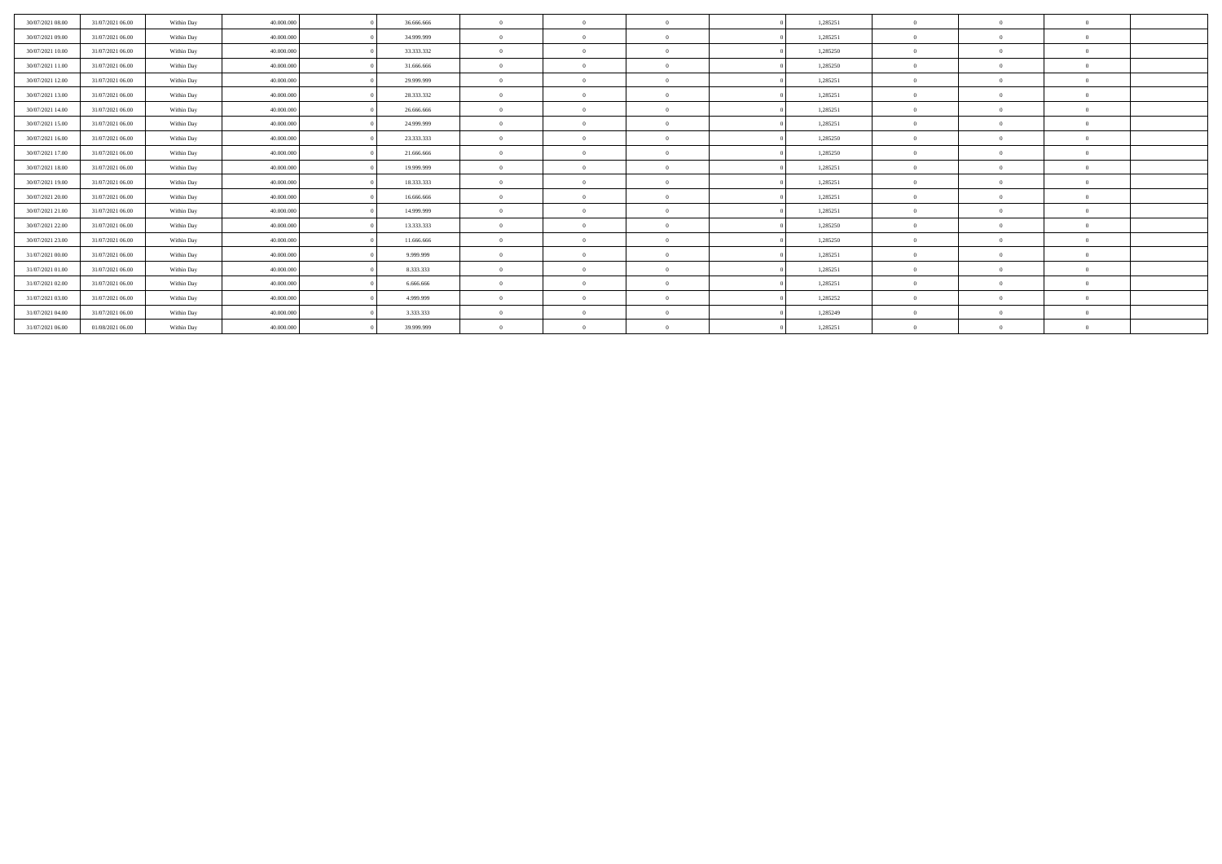| 30/07/2021 08:00 | 31/07/2021 06:00 | Within Day | 40,000,000 | 36,666,666 |                | $\Omega$       |          | 1,285251 |          |                |          |  |
|------------------|------------------|------------|------------|------------|----------------|----------------|----------|----------|----------|----------------|----------|--|
| 30/07/2021 09:00 | 31/07/2021 06:00 | Within Day | 40,000,000 | 34,999,999 |                | $\Omega$       |          | 1,285251 |          |                |          |  |
| 30/07/2021 10:00 | 31/07/2021 06:00 | Within Day | 40,000,000 | 33.333.332 | $\theta$       | $\Omega$       | $\Omega$ | 1,285250 | $\Omega$ | $\Omega$       | $\Omega$ |  |
| 30/07/2021 11:00 | 31/07/2021 06:00 | Within Day | 40,000,000 | 31,666,666 | $\Omega$       | $\Omega$       | $\Omega$ | 1,285250 | $\Omega$ | $\theta$       | $\Omega$ |  |
| 30/07/2021 12:00 | 31/07/2021 06:00 | Within Day | 40,000,000 | 29.999.999 | $\Omega$       | $\Omega$       | $\Omega$ | 1.285251 | $\Omega$ |                | $\Omega$ |  |
| 30/07/2021 13:00 | 31/07/2021 06:00 | Within Day | 40,000,000 | 28.333.332 | $\theta$       | $\Omega$       | $\Omega$ | 1,285251 | $\Omega$ |                | $\Omega$ |  |
| 30/07/2021 14:00 | 31/07/2021 06:00 | Within Day | 40,000,000 | 26,666,666 | $\Omega$       | $\Omega$       | $\Omega$ | 1,285251 | $\Omega$ | $\Omega$       | $\Omega$ |  |
| 30/07/2021 15:00 | 31/07/2021 06:00 | Within Day | 40,000,000 | 24.999.999 |                | $\Omega$       |          | 1,285251 |          |                | $\Omega$ |  |
| 30/07/2021 16:00 | 31/07/2021 06:00 | Within Day | 40,000,000 | 23.333.333 | $\Omega$       | $\Omega$       | $\Omega$ | 1,285250 | $\Omega$ |                | $\Omega$ |  |
| 30/07/2021 17:00 | 31/07/2021 06:00 | Within Day | 40,000,000 | 21.666.666 | $\Omega$       | $\Omega$       | $\Omega$ | 1,285250 | $\Omega$ | $\theta$       | $\Omega$ |  |
| 30/07/2021 18:00 | 31/07/2021 06:00 | Within Day | 40,000,000 | 19,999,999 | $\overline{0}$ | $\Omega$       | $\Omega$ | 1,285251 | $\bf{0}$ | $^{\circ}$     | $\theta$ |  |
| 30/07/2021 19:00 | 31/07/2021 06:00 | Within Day | 40,000,000 | 18.333.333 | $\Omega$       | $\Omega$       | $\Omega$ | 1,285251 | $\Omega$ |                | $\Omega$ |  |
| 30/07/2021 20:00 | 31/07/2021 06:00 | Within Day | 40,000,000 | 16.666.666 | $\theta$       | $\overline{0}$ | $\Omega$ | 1,285251 | $\Omega$ | $\Omega$       | $\Omega$ |  |
| 30/07/2021 21:00 | 31/07/2021 06:00 | Within Day | 40,000,000 | 14.999.999 |                | $\Omega$       | $\Omega$ | 1,285251 | $\Omega$ |                | $\Omega$ |  |
| 30/07/2021 22:00 | 31/07/2021 06:00 | Within Day | 40,000,000 | 13.333.333 | $\Omega$       | $\Omega$       | $\Omega$ | 1,285250 | $\Omega$ |                | $\Omega$ |  |
| 30/07/2021 23:00 | 31/07/2021 06:00 | Within Day | 40,000,000 | 11.666.666 | $\Omega$       | $\Omega$       | $\Omega$ | 1,285250 | $\Omega$ | $\Omega$       | $\Omega$ |  |
| 31/07/2021 00:00 | 31/07/2021 06:00 | Within Day | 40,000,000 | 9.999.999  | $\Omega$       | $\Omega$       | $\Omega$ | 1,285251 | $\Omega$ |                | $\Omega$ |  |
| 31/07/2021 01:00 | 31/07/2021 06:00 | Within Day | 40,000,000 | 8.333.333  | $\Omega$       | $\Omega$       | $\Omega$ | 1,285251 | $\Omega$ |                | $\Omega$ |  |
| 31/07/2021 02:00 | 31/07/2021 06:00 | Within Day | 40,000,000 | 6.666.666  | $\theta$       | $\overline{0}$ | $\Omega$ | 1,285251 | $\theta$ | $\overline{0}$ | $\Omega$ |  |
| 31/07/2021 03:00 | 31/07/2021 06:00 | Within Day | 40,000,000 | 4.999.999  | $\Omega$       | $\theta$       | $\Omega$ | 1,285252 | $\bf{0}$ |                | $\Omega$ |  |
| 31/07/2021 04:00 | 31/07/2021 06:00 | Within Day | 40.000.000 | 3.333.333  | $\Omega$       | $\theta$       |          | 1,285249 | $\Omega$ |                |          |  |
| 31/07/2021 06:00 | 01/08/2021 06:00 | Within Day | 40.000.000 | 39.999.999 |                | $\Omega$       |          | 1,285251 |          |                |          |  |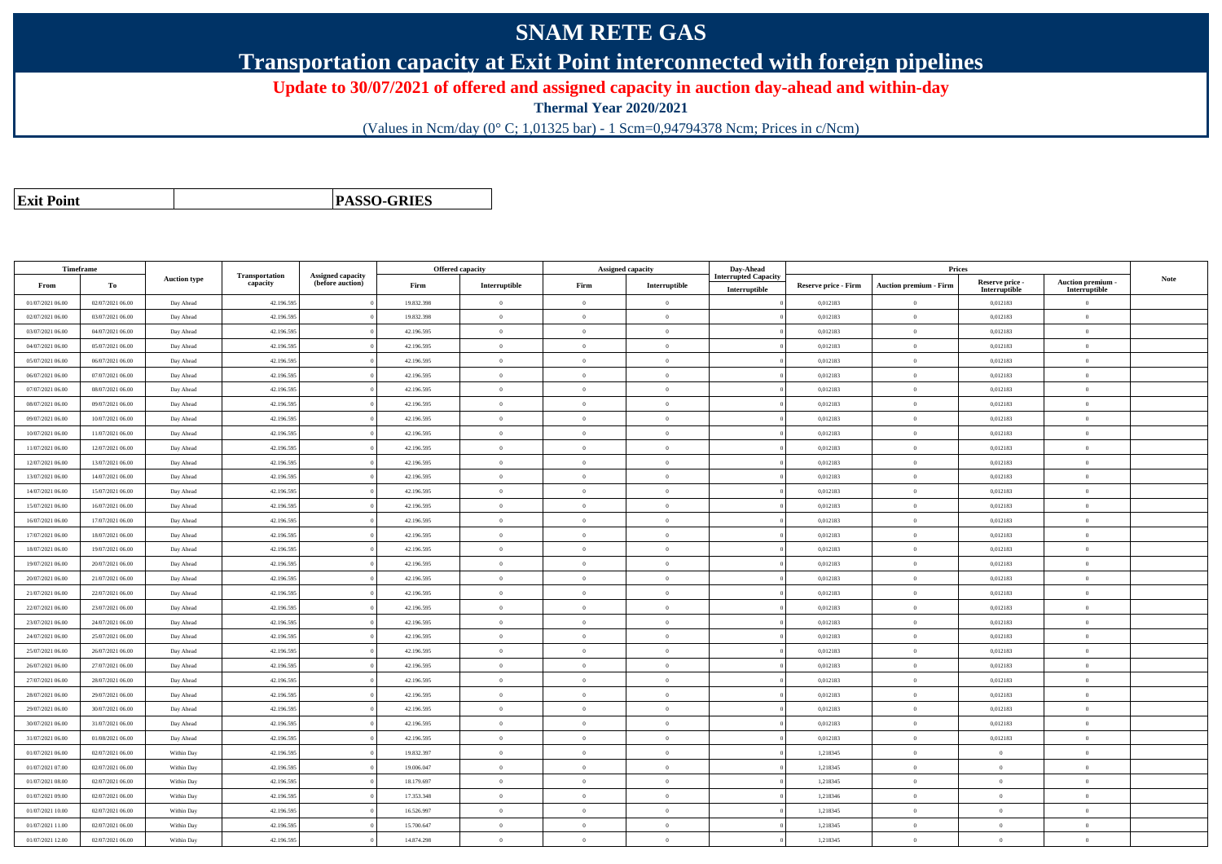## **SNAM RETE GAS**

**Transportation capacity at Exit Point interconnected with foreign pipelines**

**Update to 30/07/2021 of offered and assigned capacity in auction day-ahead and within-day**

**Thermal Year 2020/2021**

(Values in Ncm/day (0° C; 1,01325 bar) - 1 Scm=0,94794378 Ncm; Prices in c/Ncm)

**Exit Point**

**PASSO-GRIES**

| Timeframe        |                  |                     |                            |                                       |            | Offered capacity |                | Assigned capacity | Day-Ahead                                    |                             | Prices                        |                           |                                 |             |
|------------------|------------------|---------------------|----------------------------|---------------------------------------|------------|------------------|----------------|-------------------|----------------------------------------------|-----------------------------|-------------------------------|---------------------------|---------------------------------|-------------|
| From             | To               | <b>Auction type</b> | Transportation<br>capacity | Assigned capacity<br>(before auction) | Firm       | Interruptible    | Firm           | Interruptible     | <b>Interrupted Capacity</b><br>Interruptible | <b>Reserve price - Firm</b> | <b>Auction premium - Firm</b> | Reserve price -           | Auction premium -               | <b>Note</b> |
| 01/07/2021 06:00 | 02/07/2021 06:00 | Day Ahead           | 42.196.595                 |                                       | 19.832.398 | $\overline{0}$   | $\theta$       | $\overline{0}$    |                                              | 0,012183                    | $\theta$                      | Interruptible<br>0,012183 | Interruptible<br>$\overline{0}$ |             |
| 02/07/2021 06:00 | 03/07/2021 06:00 | Day Ahead           | 42.196.59                  |                                       | 19.832.398 | $\Omega$         | $\theta$       | $\Omega$          |                                              | 0,012183                    | $\Omega$                      | 0,012183                  | $\overline{0}$                  |             |
| 03/07/2021 06:00 | 04/07/2021 06:00 | Day Ahead           | 42.196.595                 |                                       | 42.196.595 | $\overline{0}$   | $\overline{0}$ | $\overline{0}$    |                                              | 0,012183                    | $\overline{0}$                | 0.012183                  | $\overline{0}$                  |             |
| 04/07/2021 06:00 | 05/07/2021 06:00 | Day Ahead           | 42.196.595                 |                                       | 42.196.595 | $\bf{0}$         | $\overline{0}$ | $\overline{0}$    |                                              | 0,012183                    | $\mathbf{0}$                  | 0,012183                  | $\overline{0}$                  |             |
| 05/07/2021 06:00 | 06/07/2021 06:00 | Day Ahead           | 42.196.59                  |                                       | 42.196.595 | $\Omega$         | $\theta$       | $\theta$          |                                              | 0,012183                    | $\overline{0}$                | 0,012183                  | $\overline{0}$                  |             |
| 06/07/2021 06:00 | 07/07/2021 06:00 | Day Ahead           | 42.196.595                 |                                       | 42.196.595 | $\bf{0}$         | $\theta$       | $\overline{0}$    |                                              | 0,012183                    | $\overline{0}$                | 0,012183                  | $\overline{0}$                  |             |
| 07/07/2021 06:00 | 08/07/2021 06:00 | Day Ahead           | 42.196.595                 |                                       | 42.196.595 | $\Omega$         | $\theta$       | $\sim$            |                                              | 0,012183                    | $\Omega$                      | 0,012183                  | $\theta$                        |             |
| 08/07/2021 06:00 | 09/07/2021 06:00 | Day Ahead           | 42.196.59                  |                                       | 42.196.595 | $\theta$         | $\theta$       | $\overline{0}$    |                                              | 0,012183                    | $\overline{0}$                | 0,012183                  | $\overline{0}$                  |             |
| 09/07/2021 06:00 | 10/07/2021 06:00 | Day Ahead           | 42.196.595                 |                                       | 42.196.595 | $\theta$         | $\theta$       | $\overline{0}$    |                                              | 0,012183                    | $\overline{0}$                | 0,012183                  | $\overline{0}$                  |             |
| 10/07/2021 06:00 | 11/07/2021 06:00 | Day Ahead           | 42.196.595                 |                                       | 42.196.595 | $\bf{0}$         | $\overline{0}$ | $\overline{0}$    |                                              | 0,012183                    | $\overline{0}$                | 0,012183                  | $\overline{0}$                  |             |
| 11/07/2021 06:00 | 12/07/2021 06:00 | Day Ahead           | 42.196.59                  |                                       | 42.196.595 | $\Omega$         | $\theta$       | $\overline{0}$    |                                              | 0,012183                    | $\theta$                      | 0,012183                  | $\overline{0}$                  |             |
| 12/07/2021 06:00 | 13/07/2021 06:00 | Day Ahead           | 42.196.595                 |                                       | 42.196.595 | $\bf{0}$         | $\theta$       | $\overline{0}$    |                                              | 0,012183                    | $\overline{0}$                | 0,012183                  | $\overline{0}$                  |             |
| 13/07/2021 06:00 | 14/07/2021 06:00 | Day Ahead           | 42.196.595                 |                                       | 42.196.595 | $\theta$         | $\Omega$       | $\overline{0}$    |                                              | 0.012183                    | $\theta$                      | 0.012183                  | $\Omega$                        |             |
| 14/07/2021 06:00 | 15/07/2021 06:00 | Day Ahead           | 42.196.59                  |                                       | 42.196.595 | $\overline{0}$   | $\bf{0}$       | $\overline{0}$    |                                              | 0,012183                    | $\overline{0}$                | 0,012183                  | $\bf{0}$                        |             |
| 15/07/2021 06:00 | 16/07/2021 06:00 | Day Ahead           | 42.196.59                  |                                       | 42.196.595 | $\bf{0}$         | $\theta$       | $\overline{0}$    |                                              | 0,012183                    | $\overline{0}$                | 0,012183                  | $\overline{0}$                  |             |
| 16/07/2021 06:00 | 17/07/2021 06:00 | Day Ahead           | 42.196.59                  |                                       | 42.196.595 | $\overline{0}$   | $\theta$       | $\overline{0}$    |                                              | 0,012183                    | $\overline{0}$                | 0,012183                  | $\overline{0}$                  |             |
| 17/07/2021 06:00 | 18/07/2021 06:00 | Day Ahead           | 42.196.59                  |                                       | 42.196.595 | $\theta$         | $\overline{0}$ | $\overline{0}$    |                                              | 0,012183                    | $\overline{0}$                | 0,012183                  | $\theta$                        |             |
| 18/07/2021 06:00 | 19/07/2021 06:00 | Day Ahead           | 42.196.595                 |                                       | 42.196.595 | $\mathbf{0}$     | $\theta$       | $\overline{0}$    |                                              | 0,012183                    | $\mathbf{0}$                  | 0,012183                  | $\overline{0}$                  |             |
| 19/07/2021 06:00 | 20/07/2021 06:00 | Day Ahead           | 42.196.595                 |                                       | 42.196.595 | $\theta$         | $\theta$       | $\Omega$          |                                              | 0,012183                    | $\theta$                      | 0,012183                  | $\overline{0}$                  |             |
| 20/07/2021 06:00 | 21/07/2021 06:00 | Day Ahead           | 42.196.595                 |                                       | 42.196.595 | $\theta$         | $\theta$       | $\overline{0}$    |                                              | 0,012183                    | $\overline{0}$                | 0,012183                  | $\Omega$                        |             |
| 21/07/2021 06:00 | 22/07/2021 06:00 | Day Ahead           | 42.196.595                 |                                       | 42.196.595 | $\bf{0}$         | $\theta$       | $\overline{0}$    |                                              | 0,012183                    | $\overline{0}$                | 0,012183                  | $\overline{0}$                  |             |
| 22/07/2021 06:00 | 23/07/2021 06:00 | Day Ahead           | 42.196.59                  |                                       | 42.196.595 | $\theta$         | $\overline{0}$ | $\theta$          |                                              | 0,012183                    | $\overline{0}$                | 0,012183                  | $\overline{0}$                  |             |
| 23/07/2021 06:00 | 24/07/2021 06:00 | Day Ahead           | 42.196.595                 |                                       | 42.196.595 | $\overline{0}$   | $\theta$       | $\overline{0}$    |                                              | 0,012183                    | $\overline{0}$                | 0,012183                  | $\overline{0}$                  |             |
| 24/07/2021 06:00 | 25/07/2021 06:00 | Day Ahead           | 42.196.595                 |                                       | 42.196.595 | $\theta$         | $\theta$       | $\overline{0}$    |                                              | 0,012183                    | $\theta$                      | 0,012183                  | $\overline{0}$                  |             |
| 25/07/2021 06:00 | 26/07/2021 06:00 | Day Ahead           | 42.196.59                  |                                       | 42.196.595 | $\bf{0}$         | $\overline{0}$ | $\overline{0}$    |                                              | 0,012183                    | $\overline{0}$                | 0,012183                  | $\overline{0}$                  |             |
| 26/07/2021 06:00 | 27/07/2021 06:00 | Day Ahead           | 42.196.595                 |                                       | 42.196.595 | $\overline{0}$   | $\theta$       | $\overline{0}$    |                                              | 0,012183                    | $\overline{0}$                | 0.012183                  | $\theta$                        |             |
| 27/07/2021 06:00 | 28/07/2021 06:00 | Day Ahead           | 42.196.595                 |                                       | 42.196.595 | $\overline{0}$   | $\overline{0}$ | $\overline{0}$    |                                              | 0,012183                    | $\overline{0}$                | 0,012183                  | $\bf{0}$                        |             |
| 28/07/2021 06:00 | 29/07/2021 06:00 | Day Ahead           | 42.196.59                  |                                       | 42.196.595 | $\bf{0}$         | $\overline{0}$ | $\overline{0}$    |                                              | 0,012183                    | $\overline{0}$                | 0,012183                  | $\overline{0}$                  |             |
| 29/07/2021 06:00 | 30/07/2021 06:00 | Day Ahead           | 42.196.595                 |                                       | 42.196.595 | $\bf{0}$         | $\overline{0}$ | $\overline{0}$    |                                              | 0,012183                    | $\overline{0}$                | 0,012183                  | $\overline{0}$                  |             |
| 30/07/2021 06:00 | 31/07/2021 06:00 | Day Ahead           | 42.196.595                 |                                       | 42.196.595 | $\theta$         | $\theta$       | $\overline{0}$    |                                              | 0,012183                    | $\Omega$                      | 0,012183                  | $\theta$                        |             |
| 31/07/2021 06:00 | 01/08/2021 06:00 | Day Ahead           | 42.196.595                 |                                       | 42.196.595 | $\theta$         | $\overline{0}$ | $\overline{0}$    |                                              | 0,012183                    | $\overline{0}$                | 0,012183                  | $\overline{0}$                  |             |
| 01/07/2021 06:00 | 02/07/2021 06:00 | Within Day          | 42.196.595                 |                                       | 19.832.397 | $\theta$         | $\theta$       | $\overline{0}$    |                                              | 1,218345                    | $\overline{0}$                | $\bf{0}$                  | $\overline{0}$                  |             |
| 01/07/2021 07:00 | 02/07/2021 06:00 | Within Day          | 42.196.595                 |                                       | 19,006,047 | $\overline{0}$   | $\overline{0}$ | $\overline{0}$    |                                              | 1.218345                    | $\overline{0}$                | $\overline{0}$            | $\mathbf{0}$                    |             |
| 01/07/2021 08:00 | 02/07/2021 06:00 | Within Day          | 42.196.595                 |                                       | 18.179.697 | $\theta$         | $\theta$       | $\overline{0}$    |                                              | 1,218345                    | $\Omega$                      | $\overline{0}$            | $\Omega$                        |             |
| 01/07/2021 09:00 | 02/07/2021 06:00 | Within Day          | 42.196.595                 |                                       | 17.353.348 | $\theta$         | $\theta$       | $\overline{0}$    |                                              | 1,218346                    | $\theta$                      | $\overline{0}$            | $\overline{0}$                  |             |
| 01/07/2021 10:00 | 02/07/2021 06:00 | Within Day          | 42.196.595                 |                                       | 16.526.997 | $\mathbf{0}$     | $\theta$       | $\overline{0}$    |                                              | 1,218345                    | $\Omega$                      | $\overline{0}$            | $\Omega$                        |             |
| 01/07/2021 11:00 | 02/07/2021 06:00 | Within Day          | 42.196.595                 |                                       | 15.700.647 | $\theta$         | $\theta$       | $\overline{0}$    |                                              | 1,218345                    | $\overline{0}$                | $\overline{0}$            | $\Omega$                        |             |
| 01/07/2021 12:00 | 02/07/2021 06:00 | Within Day          | 42.196.595                 |                                       | 14.874.298 | $\theta$         | $\theta$       | $\overline{0}$    |                                              | 1,218345                    | $\theta$                      | $\overline{0}$            | $\overline{0}$                  |             |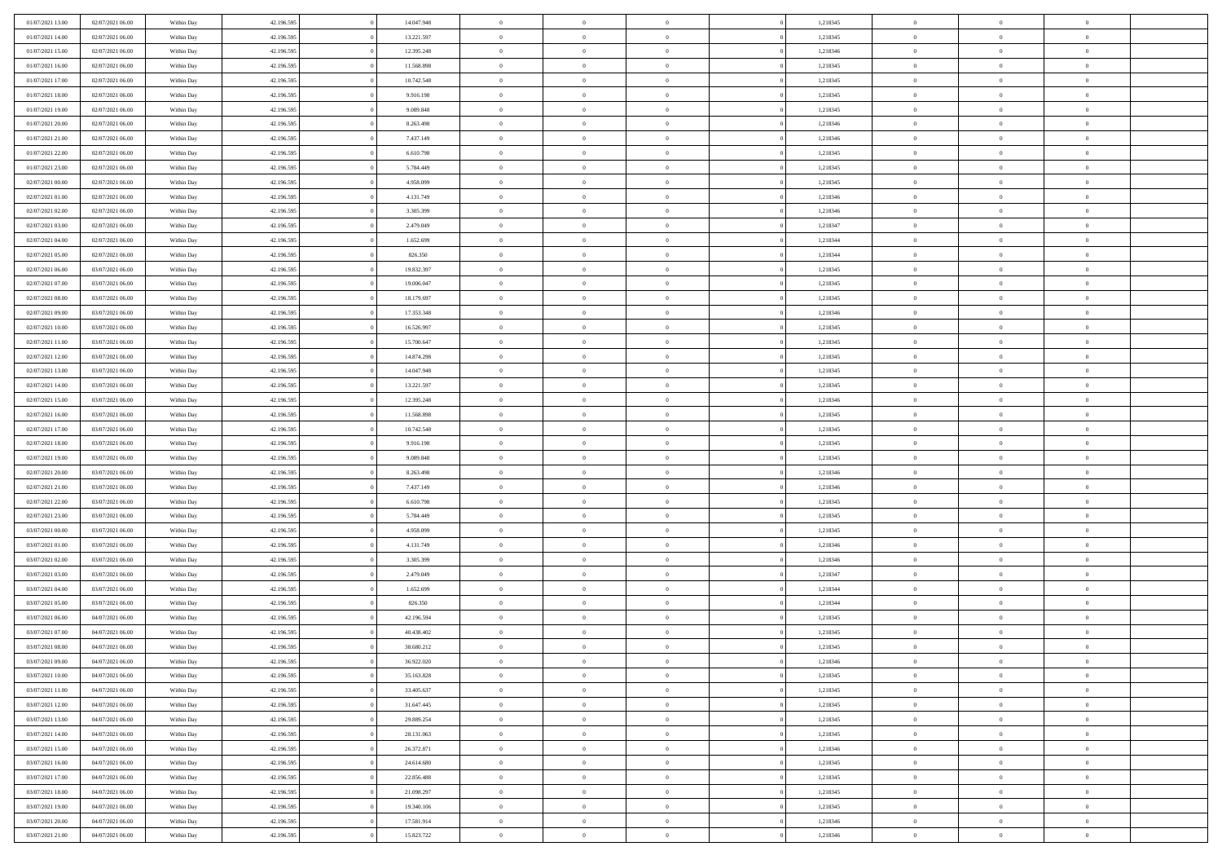| 01/07/2021 13:00 | 02/07/2021 06:00 | Within Day | 42.196.595 | 14.047.948 | $\bf{0}$       | $\overline{0}$ | $\theta$       |          | 1,218345 | $\bf{0}$       | $\overline{0}$ | $\,0\,$        |  |
|------------------|------------------|------------|------------|------------|----------------|----------------|----------------|----------|----------|----------------|----------------|----------------|--|
| 01/07/2021 14:00 | 02/07/2021 06:00 | Within Day | 42.196.595 | 13.221.597 | $\theta$       | $\overline{0}$ | $\overline{0}$ |          | 1,218345 | $\overline{0}$ | $\overline{0}$ | $\theta$       |  |
| 01/07/2021 15:00 | 02/07/2021 06:00 | Within Day | 42.196.595 | 12.395.248 | $\mathbf{0}$   | $\overline{0}$ | $\overline{0}$ |          | 1,218346 | $\mathbf{0}$   | $\overline{0}$ | $\overline{0}$ |  |
| 01/07/2021 16:00 | 02/07/2021 06:00 | Within Day | 42.196.595 | 11.568.898 | $\bf{0}$       | $\overline{0}$ | $\overline{0}$ |          | 1,218345 | $\bf{0}$       | $\overline{0}$ | $\overline{0}$ |  |
| 01/07/2021 17:00 | 02/07/2021 06:00 | Within Day | 42.196.595 | 10.742.548 | $\bf{0}$       | $\bf{0}$       | $\overline{0}$ |          | 1,218345 | $\bf{0}$       | $\overline{0}$ | $\,0\,$        |  |
| 01/07/2021 18:00 | 02/07/2021 06:00 | Within Dav | 42.196.595 | 9.916.198  | $\overline{0}$ | $\overline{0}$ | $\overline{0}$ |          | 1,218345 | $\mathbf{0}$   | $\overline{0}$ | $\overline{0}$ |  |
|                  |                  |            |            |            |                |                |                |          |          |                |                |                |  |
| 01/07/2021 19:00 | 02/07/2021 06:00 | Within Day | 42.196.595 | 9.089.848  | $\bf{0}$       | $\bf{0}$       | $\overline{0}$ |          | 1,218345 | $\bf{0}$       | $\overline{0}$ | $\bf{0}$       |  |
| 01/07/2021 20:00 | 02/07/2021 06:00 | Within Day | 42.196.595 | 8.263.498  | $\overline{0}$ | $\overline{0}$ | $\overline{0}$ |          | 1,218346 | $\,$ 0 $\,$    | $\overline{0}$ | $\overline{0}$ |  |
| 01/07/2021 21:00 | 02/07/2021 06:00 | Within Day | 42.196.595 | 7.437.149  | $\overline{0}$ | $\overline{0}$ | $\overline{0}$ |          | 1,218346 | $\mathbf{0}$   | $\overline{0}$ | $\overline{0}$ |  |
| 01/07/2021 22.00 | 02/07/2021 06:00 | Within Day | 42.196.595 | 6.610.798  | $\bf{0}$       | $\bf{0}$       | $\overline{0}$ |          | 1,218345 | $\bf{0}$       | $\overline{0}$ | $\,0\,$        |  |
| 01/07/2021 23.00 | 02/07/2021 06:00 | Within Day | 42.196.595 | 5.784.449  | $\overline{0}$ | $\overline{0}$ | $\overline{0}$ |          | 1,218345 | $\bf{0}$       | $\overline{0}$ | $\overline{0}$ |  |
| 02/07/2021 00:00 | 02/07/2021 06:00 | Within Dav | 42.196.595 | 4.958.099  | $\mathbf{0}$   | $\overline{0}$ | $\overline{0}$ |          | 1,218345 | $\mathbf{0}$   | $\overline{0}$ | $\overline{0}$ |  |
| 02/07/2021 01:00 | 02/07/2021 06:00 | Within Day | 42.196.595 | 4.131.749  | $\bf{0}$       | $\overline{0}$ | $\overline{0}$ |          | 1,218346 | $\bf{0}$       | $\overline{0}$ | $\overline{0}$ |  |
| 02/07/2021 02:00 | 02/07/2021 06:00 | Within Day | 42.196.595 | 3.305.399  | $\bf{0}$       | $\overline{0}$ | $\overline{0}$ |          | 1,218346 | $\bf{0}$       | $\mathbf{0}$   | $\,0\,$        |  |
| 02/07/2021 03:00 | 02/07/2021 06:00 | Within Dav | 42.196.595 | 2.479.049  | $\overline{0}$ | $\overline{0}$ | $\overline{0}$ |          | 1,218347 | $\mathbf{0}$   | $\overline{0}$ | $\overline{0}$ |  |
| 02/07/2021 04:00 | 02/07/2021 06:00 | Within Day | 42.196.595 | 1.652.699  | $\bf{0}$       | $\bf{0}$       | $\overline{0}$ |          | 1,218344 | $\bf{0}$       | $\overline{0}$ | $\bf{0}$       |  |
| 02/07/2021 05:00 | 02/07/2021 06:00 | Within Day | 42.196.595 | 826.350    | $\overline{0}$ | $\overline{0}$ | $\overline{0}$ |          | 1,218344 | $\bf{0}$       | $\overline{0}$ | $\overline{0}$ |  |
| 02/07/2021 06:00 | 03/07/2021 06:00 | Within Day | 42.196.595 | 19.832.397 | $\mathbf{0}$   | $\overline{0}$ | $\overline{0}$ |          | 1,218345 | $\mathbf{0}$   | $\overline{0}$ | $\overline{0}$ |  |
| 02/07/2021 07:00 | 03/07/2021 06:00 | Within Day | 42.196.595 | 19.006.047 | $\bf{0}$       | $\bf{0}$       | $\overline{0}$ |          | 1,218345 | $\bf{0}$       | $\overline{0}$ | $\,0\,$        |  |
| 02/07/2021 08:00 | 03/07/2021 06:00 | Within Day | 42.196.595 | 18.179.697 | $\overline{0}$ | $\overline{0}$ | $\overline{0}$ |          | 1,218345 | $\bf{0}$       | $\overline{0}$ | $\overline{0}$ |  |
| 02/07/2021 09:00 | 03/07/2021 06:00 | Within Day | 42.196.595 | 17.353.348 | $\overline{0}$ | $\overline{0}$ | $\overline{0}$ |          | 1,218346 | $\mathbf{0}$   | $\overline{0}$ | $\overline{0}$ |  |
| 02/07/2021 10:00 | 03/07/2021 06:00 | Within Day | 42.196.595 | 16.526.997 | $\bf{0}$       | $\overline{0}$ | $\overline{0}$ |          | 1,218345 | $\bf{0}$       | $\overline{0}$ | $\bf{0}$       |  |
| 02/07/2021 11:00 | 03/07/2021 06:00 | Within Day | 42.196.595 | 15.700.647 | $\bf{0}$       | $\bf{0}$       | $\overline{0}$ |          | 1,218345 | $\,$ 0 $\,$    | $\overline{0}$ | $\bf{0}$       |  |
| 02/07/2021 12:00 | 03/07/2021 06:00 | Within Dav | 42.196.595 | 14.874.298 | $\mathbf{0}$   | $\overline{0}$ | $\overline{0}$ |          | 1,218345 | $\mathbf{0}$   | $\overline{0}$ | $\overline{0}$ |  |
| 02/07/2021 13:00 | 03/07/2021 06:00 | Within Day | 42.196.595 | 14.047.948 | $\bf{0}$       | $\bf{0}$       | $\overline{0}$ |          | 1,218345 | $\bf{0}$       | $\overline{0}$ | $\bf{0}$       |  |
| 02/07/2021 14:00 | 03/07/2021 06:00 | Within Day | 42.196.595 | 13.221.597 | $\overline{0}$ | $\overline{0}$ | $\overline{0}$ |          | 1,218345 | $\bf{0}$       | $\mathbf{0}$   | $\overline{0}$ |  |
| 02/07/2021 15:00 | 03/07/2021 06:00 | Within Day | 42.196.595 | 12.395.248 | $\overline{0}$ | $\overline{0}$ | $\overline{0}$ |          | 1,218346 | $\mathbf{0}$   | $\overline{0}$ | $\overline{0}$ |  |
| 02/07/2021 16:00 | 03/07/2021 06:00 | Within Day | 42.196.595 | 11.568.898 | $\bf{0}$       | $\overline{0}$ | $\overline{0}$ |          | 1,218345 | $\bf{0}$       | $\overline{0}$ | $\,0\,$        |  |
|                  |                  |            |            |            | $\bf{0}$       |                | $\overline{0}$ |          |          |                | $\mathbf{0}$   | $\overline{0}$ |  |
| 02/07/2021 17:00 | 03/07/2021 06:00 | Within Day | 42.196.595 | 10.742.548 |                | $\overline{0}$ |                |          | 1,218345 | $\bf{0}$       |                |                |  |
| 02/07/2021 18:00 | 03/07/2021 06:00 | Within Day | 42.196.595 | 9.916.198  | $\mathbf{0}$   | $\overline{0}$ | $\overline{0}$ |          | 1,218345 | $\mathbf{0}$   | $\overline{0}$ | $\overline{0}$ |  |
| 02/07/2021 19:00 | 03/07/2021 06:00 | Within Day | 42.196.595 | 9.089.848  | $\bf{0}$       | $\overline{0}$ | $\overline{0}$ |          | 1,218345 | $\,$ 0         | $\overline{0}$ | $\,$ 0 $\,$    |  |
| 02/07/2021 20:00 | 03/07/2021 06:00 | Within Day | 42.196.595 | 8.263.498  | $\bf{0}$       | $\overline{0}$ | $\overline{0}$ |          | 1,218346 | $\bf{0}$       | $\overline{0}$ | $\overline{0}$ |  |
| 02/07/2021 21:00 | 03/07/2021 06:00 | Within Dav | 42.196.595 | 7.437.149  | $\overline{0}$ | $\overline{0}$ | $\overline{0}$ |          | 1,218346 | $\mathbf{0}$   | $\overline{0}$ | $\overline{0}$ |  |
| 02/07/2021 22:00 | 03/07/2021 06:00 | Within Day | 42.196.595 | 6.610.798  | $\bf{0}$       | $\overline{0}$ | $\overline{0}$ |          | 1,218345 | $\,$ 0         | $\overline{0}$ | $\theta$       |  |
| 02/07/2021 23:00 | 03/07/2021 06:00 | Within Day | 42.196.595 | 5.784.449  | $\overline{0}$ | $\overline{0}$ | $\overline{0}$ |          | 1,218345 | $\bf{0}$       | $\overline{0}$ | $\overline{0}$ |  |
| 03/07/2021 00:00 | 03/07/2021 06:00 | Within Day | 42.196.595 | 4.958.099  | $\mathbf{0}$   | $\overline{0}$ | $\overline{0}$ |          | 1,218345 | $\mathbf{0}$   | $\overline{0}$ | $\overline{0}$ |  |
| 03/07/2021 01:00 | 03/07/2021 06:00 | Within Day | 42.196.595 | 4.131.749  | $\bf{0}$       | $\overline{0}$ | $\overline{0}$ |          | 1,218346 | $\,$ 0         | $\overline{0}$ | $\theta$       |  |
| 03/07/2021 02:00 | 03/07/2021 06:00 | Within Day | 42.196.595 | 3.305.399  | $\bf{0}$       | $\overline{0}$ | $\overline{0}$ |          | 1,218346 | $\bf{0}$       | $\mathbf{0}$   | $\overline{0}$ |  |
| 03/07/2021 03:00 | 03/07/2021 06:00 | Within Day | 42.196.595 | 2.479.049  | $\mathbf{0}$   | $\overline{0}$ | $\overline{0}$ |          | 1,218347 | $\mathbf{0}$   | $\overline{0}$ | $\overline{0}$ |  |
| 03/07/2021 04:00 | 03/07/2021 06:00 | Within Day | 42.196.595 | 1.652.699  | $\,0\,$        | $\overline{0}$ | $\overline{0}$ |          | 1,218344 | $\,$ 0         | $\overline{0}$ | $\,$ 0 $\,$    |  |
| 03/07/2021 05:00 | 03/07/2021 06:00 | Within Day | 42.196.595 | 826.350    | $\bf{0}$       | $\overline{0}$ | $\overline{0}$ |          | 1,218344 | $\bf{0}$       | $\overline{0}$ | $\overline{0}$ |  |
| 03/07/2021 06:00 | 04/07/2021 06:00 | Within Day | 42.196.595 | 42.196.594 | $\mathbf{0}$   | $\overline{0}$ | $\overline{0}$ |          | 1,218345 | $\mathbf{0}$   | $\overline{0}$ | $\overline{0}$ |  |
| 03/07/2021 07:00 | 04/07/2021 06:00 | Within Day | 42.196.595 | 40.438.402 | $\bf{0}$       | $\overline{0}$ | $\overline{0}$ |          | 1,218345 | $\,$ 0         | $\overline{0}$ | $\theta$       |  |
| 03/07/2021 08:00 | 04/07/2021 06:00 | Within Day | 42.196.595 | 38.680.212 | $\bf{0}$       | $\overline{0}$ | $\overline{0}$ |          | 1,218345 | $\bf{0}$       | $\overline{0}$ | $\overline{0}$ |  |
| 03/07/2021 09:00 | 04/07/2021 06:00 | Within Day | 42.196.595 | 36.922.020 | $\bf{0}$       | $\overline{0}$ | $\Omega$       |          | 1,218346 | $\overline{0}$ | $\theta$       | $\theta$       |  |
| 03/07/2021 10:00 | 04/07/2021 06:00 | Within Day | 42.196.595 | 35.163.828 | $\,0\,$        | $\overline{0}$ | $\overline{0}$ |          | 1,218345 | $\,$ 0 $\,$    | $\bf{0}$       | $\theta$       |  |
| 03/07/2021 11:00 | 04/07/2021 06:00 | Within Day | 42.196.595 | 33.405.637 | $\overline{0}$ | $\overline{0}$ | $\overline{0}$ |          | 1,218345 | $\overline{0}$ | $\overline{0}$ | $\overline{0}$ |  |
| 03/07/2021 12:00 | 04/07/2021 06:00 | Within Day | 42.196.595 | 31.647.445 | $\bf{0}$       | $\overline{0}$ | $\overline{0}$ |          | 1,218345 | $\overline{0}$ | $\bf{0}$       | $\mathbf{0}$   |  |
| 03/07/2021 13:00 | 04/07/2021 06:00 | Within Day | 42.196.595 | 29.889.254 | $\bf{0}$       | $\overline{0}$ | $\overline{0}$ | $\theta$ | 1,218345 | $\,$ 0 $\,$    | $\bf{0}$       | $\,$ 0 $\,$    |  |
| 03/07/2021 14:00 | 04/07/2021 06:00 | Within Day | 42.196.595 | 28.131.063 | $\bf{0}$       | $\overline{0}$ | $\overline{0}$ |          | 1,218345 | $\,$ 0 $\,$    | $\overline{0}$ | $\overline{0}$ |  |
| 03/07/2021 15:00 | 04/07/2021 06:00 | Within Day | 42.196.595 | 26.372.871 | $\bf{0}$       | $\overline{0}$ | $\overline{0}$ |          | 1,218346 | $\mathbf{0}$   | $\overline{0}$ | $\overline{0}$ |  |
| 03/07/2021 16:00 | 04/07/2021 06:00 | Within Day | 42.196.595 | 24.614.680 | $\,0\,$        | $\overline{0}$ | $\overline{0}$ | $\theta$ | 1,218345 | $\,$ 0 $\,$    | $\mathbf{0}$   | $\,$ 0 $\,$    |  |
| 03/07/2021 17:00 | 04/07/2021 06:00 | Within Day | 42.196.595 | 22.856.488 | $\bf{0}$       | $\overline{0}$ | $\overline{0}$ |          | 1,218345 | $\overline{0}$ | $\overline{0}$ | $\overline{0}$ |  |
| 03/07/2021 18:00 | 04/07/2021 06:00 | Within Day | 42.196.595 | 21.098.297 | $\bf{0}$       | $\overline{0}$ | $\overline{0}$ |          | 1,218345 | $\mathbf{0}$   | $\overline{0}$ | $\overline{0}$ |  |
| 03/07/2021 19:00 | 04/07/2021 06:00 | Within Day | 42.196.595 | 19.340.106 | $\,0\,$        | $\overline{0}$ | $\overline{0}$ |          | 1,218345 | $\,$ 0 $\,$    | $\mathbf{0}$   | $\,$ 0 $\,$    |  |
| 03/07/2021 20:00 | 04/07/2021 06:00 | Within Day | 42.196.595 | 17.581.914 | $\overline{0}$ | $\overline{0}$ | $\overline{0}$ |          | 1,218346 | $\bf{0}$       | $\mathbf{0}$   | $\overline{0}$ |  |
| 03/07/2021 21:00 | 04/07/2021 06:00 | Within Day | 42.196.595 | 15.823.722 | $\bf{0}$       | $\overline{0}$ | $\overline{0}$ |          | 1,218346 | $\mathbf{0}$   | $\overline{0}$ | $\overline{0}$ |  |
|                  |                  |            |            |            |                |                |                |          |          |                |                |                |  |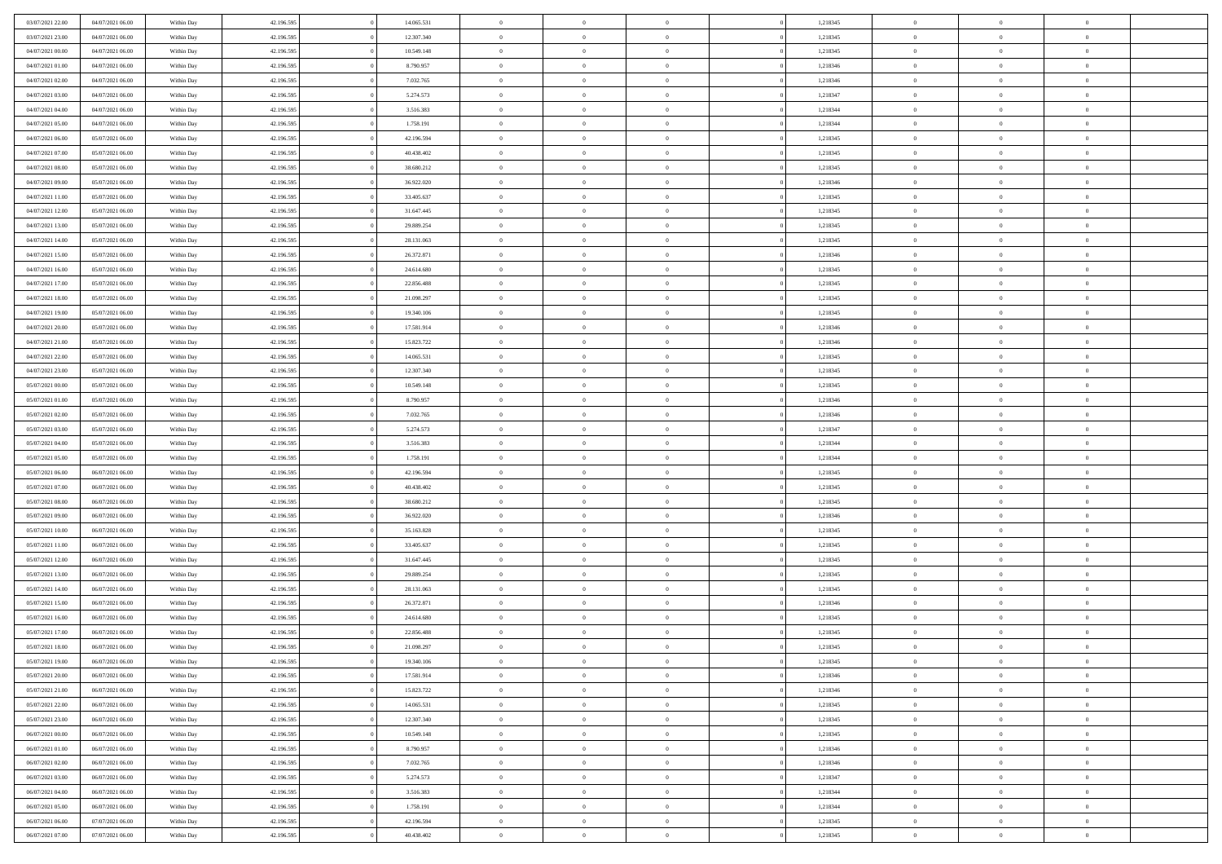| 03/07/2021 22.00 | 04/07/2021 06:00 | Within Day | 42.196.595 | 14.065.531 | $\bf{0}$       | $\bf{0}$       | $\overline{0}$ |          | 1,218345 | $\bf{0}$       | $\overline{0}$ | $\,0\,$        |  |
|------------------|------------------|------------|------------|------------|----------------|----------------|----------------|----------|----------|----------------|----------------|----------------|--|
| 03/07/2021 23:00 | 04/07/2021 06:00 | Within Day | 42.196.595 | 12.307.340 | $\overline{0}$ | $\overline{0}$ | $\overline{0}$ |          | 1,218345 | $\overline{0}$ | $\overline{0}$ | $\theta$       |  |
| 04/07/2021 00:00 | 04/07/2021 06:00 | Within Day | 42.196.595 | 10.549.148 | $\mathbf{0}$   | $\overline{0}$ | $\overline{0}$ |          | 1,218345 | $\mathbf{0}$   | $\overline{0}$ | $\overline{0}$ |  |
| 04/07/2021 01:00 | 04/07/2021 06:00 | Within Day | 42.196.595 | 8.790.957  | $\bf{0}$       | $\overline{0}$ | $\overline{0}$ |          | 1,218346 | $\bf{0}$       | $\overline{0}$ | $\overline{0}$ |  |
| 04/07/2021 02:00 | 04/07/2021 06:00 | Within Day | 42.196.595 | 7.032.765  | $\bf{0}$       | $\bf{0}$       | $\overline{0}$ |          | 1,218346 | $\bf{0}$       | $\bf{0}$       | $\,0\,$        |  |
| 04/07/2021 03:00 | 04/07/2021 06:00 | Within Dav | 42.196.595 | 5.274.573  | $\overline{0}$ | $\overline{0}$ | $\overline{0}$ |          | 1,218347 | $\mathbf{0}$   | $\overline{0}$ | $\overline{0}$ |  |
|                  |                  |            |            |            |                |                |                |          |          |                |                |                |  |
| 04/07/2021 04:00 | 04/07/2021 06:00 | Within Day | 42.196.595 | 3.516.383  | $\bf{0}$       | $\overline{0}$ | $\overline{0}$ |          | 1,218344 | $\bf{0}$       | $\overline{0}$ | $\bf{0}$       |  |
| 04/07/2021 05:00 | 04/07/2021 06:00 | Within Day | 42.196.595 | 1.758.191  | $\overline{0}$ | $\overline{0}$ | $\overline{0}$ |          | 1,218344 | $\,$ 0 $\,$    | $\overline{0}$ | $\overline{0}$ |  |
| 04/07/2021 06:00 | 05/07/2021 06:00 | Within Day | 42.196.595 | 42.196.594 | $\overline{0}$ | $\overline{0}$ | $\overline{0}$ |          | 1,218345 | $\mathbf{0}$   | $\overline{0}$ | $\overline{0}$ |  |
| 04/07/2021 07:00 | 05/07/2021 06:00 | Within Day | 42.196.595 | 40.438.402 | $\bf{0}$       | $\bf{0}$       | $\overline{0}$ |          | 1,218345 | $\bf{0}$       | $\overline{0}$ | $\,0\,$        |  |
| 04/07/2021 08:00 | 05/07/2021 06:00 | Within Day | 42.196.595 | 38.680.212 | $\bf{0}$       | $\overline{0}$ | $\overline{0}$ |          | 1,218345 | $\bf{0}$       | $\overline{0}$ | $\overline{0}$ |  |
| 04/07/2021 09:00 | 05/07/2021 06:00 | Within Dav | 42.196.595 | 36.922.020 | $\mathbf{0}$   | $\overline{0}$ | $\overline{0}$ |          | 1,218346 | $\mathbf{0}$   | $\overline{0}$ | $\overline{0}$ |  |
| 04/07/2021 11:00 | 05/07/2021 06:00 | Within Day | 42.196.595 | 33.405.637 | $\bf{0}$       | $\overline{0}$ | $\overline{0}$ |          | 1,218345 | $\bf{0}$       | $\overline{0}$ | $\overline{0}$ |  |
| 04/07/2021 12:00 | 05/07/2021 06:00 | Within Day | 42.196.595 | 31.647.445 | $\bf{0}$       | $\overline{0}$ | $\overline{0}$ |          | 1,218345 | $\bf{0}$       | $\mathbf{0}$   | $\,0\,$        |  |
| 04/07/2021 13:00 | 05/07/2021 06:00 | Within Dav | 42.196.595 | 29.889.254 | $\overline{0}$ | $\overline{0}$ | $\overline{0}$ |          | 1,218345 | $\mathbf{0}$   | $\overline{0}$ | $\overline{0}$ |  |
| 04/07/2021 14:00 | 05/07/2021 06:00 | Within Day | 42.196.595 | 28.131.063 | $\bf{0}$       | $\overline{0}$ | $\overline{0}$ |          | 1,218345 | $\bf{0}$       | $\overline{0}$ | $\bf{0}$       |  |
| 04/07/2021 15:00 | 05/07/2021 06:00 | Within Day | 42.196.595 | 26.372.871 | $\overline{0}$ | $\overline{0}$ | $\overline{0}$ |          | 1,218346 | $\bf{0}$       | $\overline{0}$ | $\overline{0}$ |  |
| 04/07/2021 16:00 | 05/07/2021 06:00 | Within Day | 42.196.595 | 24.614.680 | $\mathbf{0}$   | $\overline{0}$ | $\overline{0}$ |          | 1,218345 | $\mathbf{0}$   | $\overline{0}$ | $\overline{0}$ |  |
| 04/07/2021 17.00 | 05/07/2021 06:00 | Within Day | 42.196.595 | 22.856.488 | $\bf{0}$       | $\overline{0}$ | $\overline{0}$ |          | 1,218345 | $\bf{0}$       | $\overline{0}$ | $\,0\,$        |  |
| 04/07/2021 18:00 | 05/07/2021 06:00 | Within Day | 42.196.595 | 21.098.297 | $\overline{0}$ | $\overline{0}$ | $\overline{0}$ |          | 1,218345 | $\bf{0}$       | $\mathbf{0}$   | $\overline{0}$ |  |
| 04/07/2021 19:00 | 05/07/2021 06:00 | Within Day | 42.196.595 | 19.340.106 | $\overline{0}$ | $\overline{0}$ | $\overline{0}$ |          | 1,218345 | $\mathbf{0}$   | $\overline{0}$ | $\overline{0}$ |  |
| 04/07/2021 20:00 | 05/07/2021 06:00 | Within Day | 42.196.595 | 17.581.914 | $\bf{0}$       | $\overline{0}$ | $\overline{0}$ |          | 1,218346 | $\bf{0}$       | $\overline{0}$ | $\bf{0}$       |  |
| 04/07/2021 21:00 | 05/07/2021 06:00 | Within Day | 42.196.595 | 15.823.722 | $\bf{0}$       | $\overline{0}$ | $\overline{0}$ |          | 1,218346 | $\,$ 0 $\,$    | $\bf{0}$       | $\bf{0}$       |  |
| 04/07/2021 22:00 | 05/07/2021 06:00 | Within Dav | 42.196.595 | 14.065.531 | $\mathbf{0}$   | $\overline{0}$ | $\overline{0}$ |          | 1,218345 | $\mathbf{0}$   | $\overline{0}$ | $\overline{0}$ |  |
| 04/07/2021 23:00 | 05/07/2021 06:00 | Within Day | 42.196.595 | 12.307.340 | $\bf{0}$       | $\overline{0}$ | $\overline{0}$ |          | 1,218345 | $\bf{0}$       | $\overline{0}$ | $\bf{0}$       |  |
| 05/07/2021 00:00 | 05/07/2021 06:00 | Within Day | 42.196.595 | 10.549.148 | $\overline{0}$ | $\overline{0}$ | $\overline{0}$ |          | 1,218345 | $\bf{0}$       | $\mathbf{0}$   | $\overline{0}$ |  |
| 05/07/2021 01:00 | 05/07/2021 06:00 | Within Day | 42.196.595 | 8.790.957  | $\overline{0}$ | $\overline{0}$ | $\overline{0}$ |          | 1,218346 | $\mathbf{0}$   | $\overline{0}$ | $\overline{0}$ |  |
| 05/07/2021 02:00 | 05/07/2021 06:00 | Within Day | 42.196.595 | 7.032.765  | $\bf{0}$       | $\overline{0}$ | $\overline{0}$ |          | 1,218346 | $\bf{0}$       | $\overline{0}$ | $\,0\,$        |  |
|                  |                  |            |            |            | $\bf{0}$       |                | $\overline{0}$ |          |          |                | $\mathbf{0}$   | $\overline{0}$ |  |
| 05/07/2021 03:00 | 05/07/2021 06:00 | Within Day | 42.196.595 | 5.274.573  |                | $\overline{0}$ |                |          | 1,218347 | $\bf{0}$       |                |                |  |
| 05/07/2021 04:00 | 05/07/2021 06:00 | Within Day | 42.196.595 | 3.516.383  | $\mathbf{0}$   | $\overline{0}$ | $\overline{0}$ |          | 1,218344 | $\mathbf{0}$   | $\overline{0}$ | $\overline{0}$ |  |
| 05/07/2021 05:00 | 05/07/2021 06:00 | Within Day | 42.196.595 | 1.758.191  | $\bf{0}$       | $\overline{0}$ | $\overline{0}$ |          | 1,218344 | $\,$ 0         | $\overline{0}$ | $\,$ 0 $\,$    |  |
| 05/07/2021 06:00 | 06/07/2021 06:00 | Within Day | 42.196.595 | 42.196.594 | $\bf{0}$       | $\overline{0}$ | $\overline{0}$ |          | 1,218345 | $\bf{0}$       | $\bf{0}$       | $\overline{0}$ |  |
| 05/07/2021 07:00 | 06/07/2021 06:00 | Within Dav | 42.196.595 | 40.438.402 | $\overline{0}$ | $\overline{0}$ | $\overline{0}$ |          | 1,218345 | $\mathbf{0}$   | $\overline{0}$ | $\overline{0}$ |  |
| 05/07/2021 08:00 | 06/07/2021 06:00 | Within Day | 42.196.595 | 38.680.212 | $\bf{0}$       | $\overline{0}$ | $\theta$       |          | 1,218345 | $\,$ 0         | $\overline{0}$ | $\theta$       |  |
| 05/07/2021 09:00 | 06/07/2021 06:00 | Within Day | 42.196.595 | 36.922.020 | $\overline{0}$ | $\overline{0}$ | $\overline{0}$ |          | 1,218346 | $\bf{0}$       | $\overline{0}$ | $\overline{0}$ |  |
| 05/07/2021 10:00 | 06/07/2021 06:00 | Within Day | 42.196.595 | 35.163.828 | $\mathbf{0}$   | $\overline{0}$ | $\overline{0}$ |          | 1,218345 | $\mathbf{0}$   | $\overline{0}$ | $\overline{0}$ |  |
| 05/07/2021 11:00 | 06/07/2021 06:00 | Within Day | 42.196.595 | 33.405.637 | $\bf{0}$       | $\overline{0}$ | $\theta$       |          | 1,218345 | $\,$ 0         | $\overline{0}$ | $\theta$       |  |
| 05/07/2021 12:00 | 06/07/2021 06:00 | Within Day | 42.196.595 | 31.647.445 | $\bf{0}$       | $\overline{0}$ | $\overline{0}$ |          | 1,218345 | $\bf{0}$       | $\mathbf{0}$   | $\overline{0}$ |  |
| 05/07/2021 13:00 | 06/07/2021 06:00 | Within Day | 42.196.595 | 29.889.254 | $\mathbf{0}$   | $\overline{0}$ | $\overline{0}$ |          | 1,218345 | $\mathbf{0}$   | $\overline{0}$ | $\overline{0}$ |  |
| 05/07/2021 14:00 | 06/07/2021 06:00 | Within Day | 42.196.595 | 28.131.063 | $\,0\,$        | $\overline{0}$ | $\theta$       |          | 1,218345 | $\,$ 0         | $\overline{0}$ | $\,$ 0 $\,$    |  |
| 05/07/2021 15:00 | 06/07/2021 06:00 | Within Day | 42.196.595 | 26.372.871 | $\bf{0}$       | $\overline{0}$ | $\overline{0}$ |          | 1,218346 | $\bf{0}$       | $\overline{0}$ | $\overline{0}$ |  |
| 05/07/2021 16:00 | 06/07/2021 06:00 | Within Day | 42.196.595 | 24.614.680 | $\mathbf{0}$   | $\overline{0}$ | $\overline{0}$ |          | 1,218345 | $\mathbf{0}$   | $\overline{0}$ | $\overline{0}$ |  |
| 05/07/2021 17:00 | 06/07/2021 06:00 | Within Day | 42.196.595 | 22.856.488 | $\bf{0}$       | $\overline{0}$ | $\theta$       |          | 1,218345 | $\,$ 0         | $\overline{0}$ | $\theta$       |  |
| 05/07/2021 18:00 | 06/07/2021 06:00 | Within Day | 42.196.595 | 21.098.297 | $\bf{0}$       | $\overline{0}$ | $\overline{0}$ |          | 1,218345 | $\bf{0}$       | $\overline{0}$ | $\overline{0}$ |  |
| 05/07/2021 19:00 | 06/07/2021 06:00 | Within Day | 42.196.595 | 19.340.106 | $\bf{0}$       | $\overline{0}$ | $\Omega$       |          | 1,218345 | $\overline{0}$ | $\theta$       | $\theta$       |  |
| 05/07/2021 20:00 | 06/07/2021 06:00 | Within Day | 42.196.595 | 17.581.914 | $\,0\,$        | $\overline{0}$ | $\theta$       |          | 1,218346 | $\,$ 0 $\,$    | $\bf{0}$       | $\theta$       |  |
| 05/07/2021 21:00 | 06/07/2021 06:00 | Within Day | 42.196.595 | 15.823.722 | $\overline{0}$ | $\overline{0}$ | $\overline{0}$ |          | 1,218346 | $\overline{0}$ | $\overline{0}$ | $\overline{0}$ |  |
| 05/07/2021 22:00 | 06/07/2021 06:00 | Within Day | 42.196.595 | 14.065.531 | $\bf{0}$       | $\overline{0}$ | $\overline{0}$ |          | 1,218345 | $\overline{0}$ | $\bf{0}$       | $\mathbf{0}$   |  |
| 05/07/2021 23:00 | 06/07/2021 06:00 | Within Day | 42.196.595 | 12.307.340 | $\bf{0}$       | $\overline{0}$ | $\overline{0}$ | $\theta$ | 1,218345 | $\,$ 0 $\,$    | $\bf{0}$       | $\,$ 0 $\,$    |  |
| 06/07/2021 00:00 | 06/07/2021 06:00 | Within Day | 42.196.595 | 10.549.148 | $\bf{0}$       | $\overline{0}$ | $\overline{0}$ |          | 1,218345 | $\,$ 0 $\,$    | $\overline{0}$ | $\overline{0}$ |  |
| 06/07/2021 01:00 | 06/07/2021 06:00 | Within Day | 42.196.595 | 8.790.957  | $\bf{0}$       | $\overline{0}$ | $\overline{0}$ |          | 1,218346 | $\mathbf{0}$   | $\overline{0}$ | $\overline{0}$ |  |
| 06/07/2021 02:00 | 06/07/2021 06:00 | Within Day | 42.196.595 | 7.032.765  | $\,0\,$        | $\overline{0}$ | $\overline{0}$ | $\theta$ | 1,218346 | $\,$ 0 $\,$    | $\mathbf{0}$   | $\,$ 0 $\,$    |  |
| 06/07/2021 03:00 | 06/07/2021 06:00 | Within Day | 42.196.595 | 5.274.573  | $\bf{0}$       | $\overline{0}$ | $\overline{0}$ |          | 1,218347 | $\overline{0}$ | $\overline{0}$ | $\overline{0}$ |  |
| 06/07/2021 04:00 | 06/07/2021 06:00 | Within Day | 42.196.595 | 3.516.383  | $\bf{0}$       | $\overline{0}$ | $\overline{0}$ |          | 1,218344 | $\mathbf{0}$   | $\overline{0}$ | $\overline{0}$ |  |
| 06/07/2021 05:00 | 06/07/2021 06:00 | Within Day | 42.196.595 | 1.758.191  | $\,0\,$        | $\overline{0}$ | $\overline{0}$ |          | 1,218344 | $\,$ 0 $\,$    | $\mathbf{0}$   | $\,$ 0 $\,$    |  |
| 06/07/2021 06:00 | 07/07/2021 06:00 | Within Day | 42.196.595 | 42.196.594 | $\overline{0}$ | $\overline{0}$ | $\overline{0}$ |          | 1,218345 | $\mathbf{0}$   | $\mathbf{0}$   | $\overline{0}$ |  |
| 06/07/2021 07:00 | 07/07/2021 06:00 | Within Day | 42.196.595 | 40.438.402 | $\bf{0}$       | $\overline{0}$ | $\overline{0}$ |          | 1,218345 | $\mathbf{0}$   | $\overline{0}$ | $\overline{0}$ |  |
|                  |                  |            |            |            |                |                |                |          |          |                |                |                |  |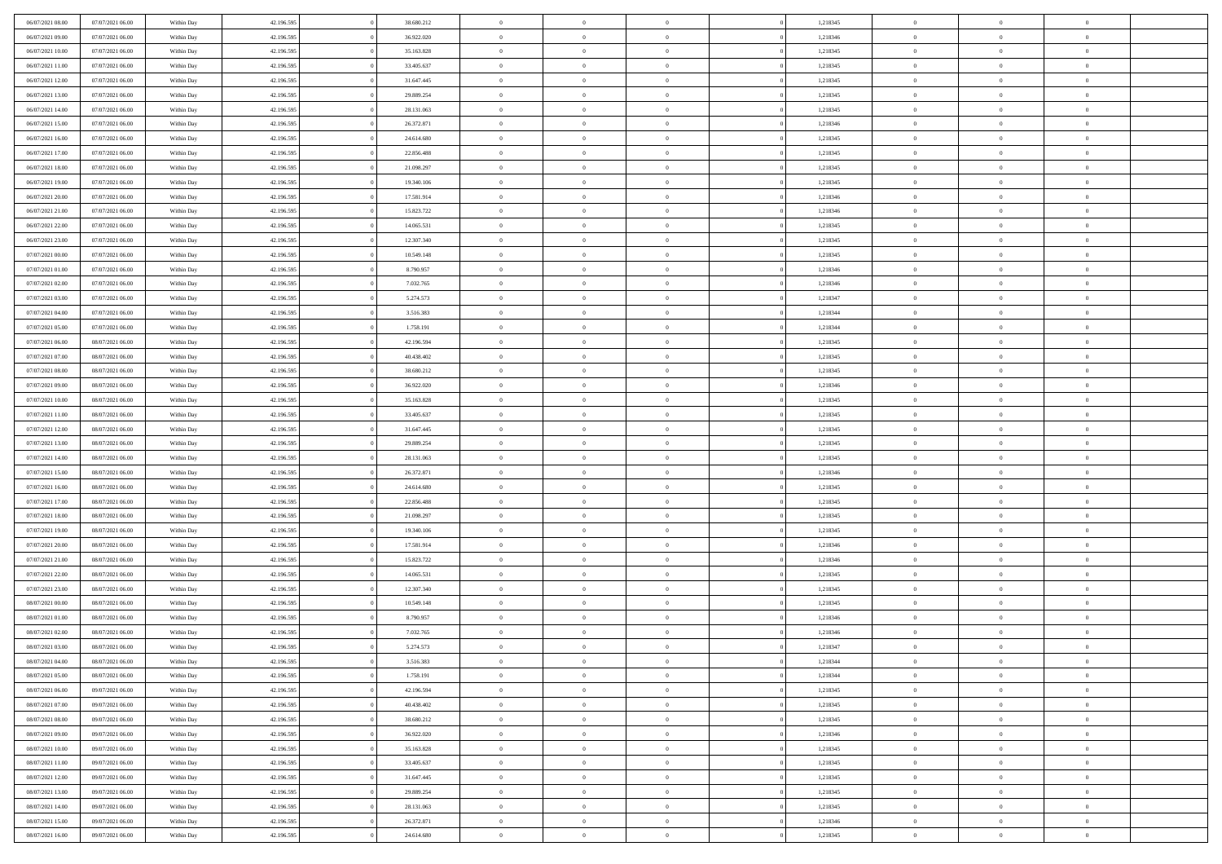| 06/07/2021 08:00 | 07/07/2021 06:00 | Within Day | 42.196.595 |          | 38.680.212 | $\bf{0}$       | $\bf{0}$       | $\theta$       |          | 1,218345 | $\bf{0}$                 | $\overline{0}$ | $\,0\,$        |  |
|------------------|------------------|------------|------------|----------|------------|----------------|----------------|----------------|----------|----------|--------------------------|----------------|----------------|--|
| 06/07/2021 09:00 | 07/07/2021 06:00 | Within Day | 42.196.595 |          | 36.922.020 | $\overline{0}$ | $\overline{0}$ | $\overline{0}$ |          | 1,218346 | $\overline{0}$           | $\overline{0}$ | $\theta$       |  |
| 06/07/2021 10:00 | 07/07/2021 06:00 | Within Day | 42.196.595 |          | 35.163.828 | $\mathbf{0}$   | $\overline{0}$ | $\overline{0}$ |          | 1,218345 | $\mathbf{0}$             | $\overline{0}$ | $\overline{0}$ |  |
| 06/07/2021 11:00 | 07/07/2021 06:00 | Within Day | 42.196.595 |          | 33.405.637 | $\bf{0}$       | $\overline{0}$ | $\overline{0}$ |          | 1,218345 | $\bf{0}$                 | $\overline{0}$ | $\overline{0}$ |  |
| 06/07/2021 12:00 | 07/07/2021 06:00 | Within Day | 42.196.595 |          | 31.647.445 | $\bf{0}$       | $\overline{0}$ | $\overline{0}$ |          | 1,218345 | $\bf{0}$                 | $\bf{0}$       | $\,0\,$        |  |
| 06/07/2021 13:00 | 07/07/2021 06:00 | Within Dav | 42.196.595 |          | 29.889.254 | $\overline{0}$ | $\overline{0}$ | $\overline{0}$ |          | 1,218345 | $\mathbf{0}$             | $\overline{0}$ | $\overline{0}$ |  |
| 06/07/2021 14:00 | 07/07/2021 06:00 | Within Day | 42.196.595 |          | 28.131.063 | $\bf{0}$       | $\overline{0}$ | $\overline{0}$ |          | 1,218345 | $\bf{0}$                 | $\overline{0}$ | $\bf{0}$       |  |
| 06/07/2021 15:00 | 07/07/2021 06:00 | Within Day | 42.196.595 |          | 26.372.871 | $\overline{0}$ | $\overline{0}$ | $\overline{0}$ |          | 1,218346 | $\,$ 0 $\,$              | $\overline{0}$ | $\overline{0}$ |  |
| 06/07/2021 16:00 | 07/07/2021 06:00 | Within Day | 42.196.595 |          | 24.614.680 | $\overline{0}$ | $\overline{0}$ | $\overline{0}$ |          | 1,218345 | $\mathbf{0}$             | $\overline{0}$ | $\overline{0}$ |  |
|                  | 07/07/2021 06:00 |            | 42.196.595 |          | 22.856.488 | $\bf{0}$       | $\overline{0}$ | $\overline{0}$ |          | 1,218345 | $\bf{0}$                 | $\overline{0}$ | $\,0\,$        |  |
| 06/07/2021 17:00 |                  | Within Day |            |          |            | $\overline{0}$ | $\overline{0}$ |                |          |          |                          | $\overline{0}$ | $\overline{0}$ |  |
| 06/07/2021 18:00 | 07/07/2021 06:00 | Within Day | 42.196.595 |          | 21.098.297 | $\mathbf{0}$   |                | $\overline{0}$ |          | 1,218345 | $\bf{0}$<br>$\mathbf{0}$ |                | $\overline{0}$ |  |
| 06/07/2021 19:00 | 07/07/2021 06:00 | Within Dav | 42.196.595 |          | 19.340.106 |                | $\overline{0}$ | $\overline{0}$ |          | 1,218345 |                          | $\overline{0}$ |                |  |
| 06/07/2021 20:00 | 07/07/2021 06:00 | Within Day | 42.196.595 |          | 17.581.914 | $\bf{0}$       | $\overline{0}$ | $\overline{0}$ |          | 1,218346 | $\bf{0}$                 | $\overline{0}$ | $\overline{0}$ |  |
| 06/07/2021 21:00 | 07/07/2021 06:00 | Within Day | 42.196.595 |          | 15.823.722 | $\bf{0}$       | $\overline{0}$ | $\overline{0}$ |          | 1,218346 | $\bf{0}$                 | $\mathbf{0}$   | $\,0\,$        |  |
| 06/07/2021 22:00 | 07/07/2021 06:00 | Within Dav | 42.196.595 |          | 14.065.531 | $\overline{0}$ | $\overline{0}$ | $\overline{0}$ |          | 1,218345 | $\mathbf{0}$             | $\overline{0}$ | $\overline{0}$ |  |
| 06/07/2021 23.00 | 07/07/2021 06:00 | Within Day | 42.196.595 |          | 12.307.340 | $\bf{0}$       | $\overline{0}$ | $\overline{0}$ |          | 1,218345 | $\bf{0}$                 | $\overline{0}$ | $\bf{0}$       |  |
| 07/07/2021 00:00 | 07/07/2021 06:00 | Within Day | 42.196.595 |          | 10.549.148 | $\overline{0}$ | $\overline{0}$ | $\overline{0}$ |          | 1,218345 | $\bf{0}$                 | $\overline{0}$ | $\overline{0}$ |  |
| 07/07/2021 01:00 | 07/07/2021 06:00 | Within Day | 42.196.595 |          | 8.790.957  | $\mathbf{0}$   | $\overline{0}$ | $\overline{0}$ |          | 1,218346 | $\mathbf{0}$             | $\overline{0}$ | $\overline{0}$ |  |
| 07/07/2021 02.00 | 07/07/2021 06:00 | Within Day | 42.196.595 |          | 7.032.765  | $\bf{0}$       | $\overline{0}$ | $\overline{0}$ |          | 1,218346 | $\bf{0}$                 | $\overline{0}$ | $\,0\,$        |  |
| 07/07/2021 03:00 | 07/07/2021 06:00 | Within Day | 42.196.595 |          | 5.274.573  | $\overline{0}$ | $\overline{0}$ | $\overline{0}$ |          | 1,218347 | $\bf{0}$                 | $\mathbf{0}$   | $\overline{0}$ |  |
| 07/07/2021 04:00 | 07/07/2021 06:00 | Within Day | 42.196.595 |          | 3.516.383  | $\overline{0}$ | $\overline{0}$ | $\overline{0}$ |          | 1,218344 | $\mathbf{0}$             | $\overline{0}$ | $\overline{0}$ |  |
| 07/07/2021 05:00 | 07/07/2021 06:00 | Within Day | 42.196.595 |          | 1.758.191  | $\bf{0}$       | $\overline{0}$ | $\overline{0}$ |          | 1,218344 | $\bf{0}$                 | $\overline{0}$ | $\overline{0}$ |  |
| 07/07/2021 06:00 | 08/07/2021 06:00 | Within Day | 42.196.595 |          | 42.196.594 | $\bf{0}$       | $\overline{0}$ | $\overline{0}$ |          | 1,218345 | $\,$ 0 $\,$              | $\bf{0}$       | $\bf{0}$       |  |
| 07/07/2021 07:00 | 08/07/2021 06:00 | Within Dav | 42.196.595 |          | 40.438.402 | $\overline{0}$ | $\overline{0}$ | $\overline{0}$ |          | 1,218345 | $\mathbf{0}$             | $\overline{0}$ | $\overline{0}$ |  |
| 07/07/2021 08:00 | 08/07/2021 06:00 | Within Day | 42.196.595 |          | 38.680.212 | $\bf{0}$       | $\bf{0}$       | $\overline{0}$ |          | 1,218345 | $\bf{0}$                 | $\overline{0}$ | $\bf{0}$       |  |
| 07/07/2021 09:00 | 08/07/2021 06:00 | Within Day | 42.196.595 |          | 36.922.020 | $\overline{0}$ | $\overline{0}$ | $\overline{0}$ |          | 1,218346 | $\bf{0}$                 | $\mathbf{0}$   | $\overline{0}$ |  |
| 07/07/2021 10:00 | 08/07/2021 06:00 | Within Day | 42.196.595 |          | 35.163.828 | $\overline{0}$ | $\overline{0}$ | $\overline{0}$ |          | 1,218345 | $\mathbf{0}$             | $\overline{0}$ | $\overline{0}$ |  |
| 07/07/2021 11:00 | 08/07/2021 06:00 | Within Day | 42.196.595 |          | 33.405.637 | $\bf{0}$       | $\bf{0}$       | $\overline{0}$ |          | 1,218345 | $\bf{0}$                 | $\overline{0}$ | $\bf{0}$       |  |
| 07/07/2021 12:00 | 08/07/2021 06:00 | Within Day | 42.196.595 |          | 31.647.445 | $\bf{0}$       | $\overline{0}$ | $\overline{0}$ |          | 1,218345 | $\bf{0}$                 | $\mathbf{0}$   | $\overline{0}$ |  |
| 07/07/2021 13:00 | 08/07/2021 06:00 | Within Day | 42.196.595 |          | 29.889.254 | $\mathbf{0}$   | $\overline{0}$ | $\overline{0}$ |          | 1,218345 | $\mathbf{0}$             | $\overline{0}$ | $\overline{0}$ |  |
| 07/07/2021 14:00 | 08/07/2021 06:00 | Within Day | 42.196.595 |          | 28.131.063 | $\bf{0}$       | $\overline{0}$ | $\overline{0}$ |          | 1,218345 | $\,$ 0                   | $\overline{0}$ | $\,$ 0 $\,$    |  |
| 07/07/2021 15:00 | 08/07/2021 06:00 | Within Day | 42.196.595 |          | 26.372.871 | $\bf{0}$       | $\overline{0}$ | $\overline{0}$ |          | 1,218346 | $\bf{0}$                 | $\bf{0}$       | $\overline{0}$ |  |
| 07/07/2021 16:00 | 08/07/2021 06:00 | Within Dav | 42.196.595 |          | 24.614.680 | $\overline{0}$ | $\overline{0}$ | $\overline{0}$ |          | 1,218345 | $\mathbf{0}$             | $\overline{0}$ | $\overline{0}$ |  |
| 07/07/2021 17:00 | 08/07/2021 06:00 | Within Day | 42.196.595 |          | 22.856.488 | $\bf{0}$       | $\overline{0}$ | $\theta$       |          | 1,218345 | $\,$ 0                   | $\overline{0}$ | $\theta$       |  |
| 07/07/2021 18:00 | 08/07/2021 06:00 | Within Day | 42.196.595 |          | 21.098.297 | $\overline{0}$ | $\overline{0}$ | $\overline{0}$ |          | 1,218345 | $\bf{0}$                 | $\overline{0}$ | $\overline{0}$ |  |
| 07/07/2021 19:00 | 08/07/2021 06:00 | Within Day | 42.196.595 |          | 19.340.106 | $\mathbf{0}$   | $\overline{0}$ | $\overline{0}$ |          | 1,218345 | $\mathbf{0}$             | $\overline{0}$ | $\overline{0}$ |  |
| 07/07/2021 20:00 | 08/07/2021 06:00 | Within Day | 42.196.595 |          | 17.581.914 | $\bf{0}$       | $\overline{0}$ | $\theta$       |          | 1,218346 | $\,$ 0                   | $\overline{0}$ | $\theta$       |  |
| 07/07/2021 21:00 | 08/07/2021 06:00 | Within Day | 42.196.595 |          | 15.823.722 | $\bf{0}$       | $\overline{0}$ | $\overline{0}$ |          | 1,218346 | $\bf{0}$                 | $\mathbf{0}$   | $\overline{0}$ |  |
| 07/07/2021 22:00 | 08/07/2021 06:00 | Within Day | 42.196.595 |          | 14.065.531 | $\mathbf{0}$   | $\overline{0}$ | $\overline{0}$ |          | 1,218345 | $\mathbf{0}$             | $\overline{0}$ | $\overline{0}$ |  |
| 07/07/2021 23:00 | 08/07/2021 06:00 | Within Day | 42.196.595 |          | 12.307.340 | $\,0\,$        | $\overline{0}$ | $\theta$       |          | 1,218345 | $\,$ 0                   | $\overline{0}$ | $\,$ 0 $\,$    |  |
| 08/07/2021 00:00 | 08/07/2021 06:00 | Within Day | 42.196.595 |          | 10.549.148 | $\bf{0}$       | $\overline{0}$ | $\overline{0}$ |          | 1,218345 | $\bf{0}$                 | $\overline{0}$ | $\overline{0}$ |  |
| 08/07/2021 01:00 | 08/07/2021 06:00 | Within Day | 42.196.595 |          | 8.790.957  | $\mathbf{0}$   | $\overline{0}$ | $\overline{0}$ |          | 1,218346 | $\mathbf{0}$             | $\overline{0}$ | $\overline{0}$ |  |
| 08/07/2021 02:00 | 08/07/2021 06:00 | Within Day | 42.196.595 |          | 7.032.765  | $\bf{0}$       | $\overline{0}$ | $\theta$       |          | 1,218346 | $\,$ 0                   | $\overline{0}$ | $\theta$       |  |
| 08/07/2021 03:00 | 08/07/2021 06:00 | Within Day | 42.196.595 |          | 5.274.573  | $\bf{0}$       | $\overline{0}$ | $\overline{0}$ |          | 1,218347 | $\bf{0}$                 | $\overline{0}$ | $\overline{0}$ |  |
| 08/07/2021 04:00 | 08/07/2021 06:00 | Within Day | 42.196.595 |          | 3.516.383  | $\bf{0}$       | $\overline{0}$ | $\Omega$       |          | 1,218344 | $\overline{0}$           | $\theta$       | $\theta$       |  |
| 08/07/2021 05:00 | 08/07/2021 06:00 | Within Day | 42.196.595 |          | 1.758.191  | $\,0\,$        | $\overline{0}$ | $\theta$       |          | 1,218344 | $\,$ 0 $\,$              | $\bf{0}$       | $\theta$       |  |
| 08/07/2021 06:00 | 09/07/2021 06:00 | Within Day | 42.196.595 |          | 42.196.594 | $\overline{0}$ | $\overline{0}$ | $\overline{0}$ |          | 1,218345 | $\overline{0}$           | $\overline{0}$ | $\overline{0}$ |  |
| 08/07/2021 07:00 | 09/07/2021 06:00 | Within Day | 42.196.595 |          | 40.438.402 | $\bf{0}$       | $\overline{0}$ | $\overline{0}$ |          | 1,218345 | $\overline{0}$           | $\bf{0}$       | $\mathbf{0}$   |  |
| 08/07/2021 08:00 | 09/07/2021 06:00 | Within Day | 42.196.595 |          | 38.680.212 | $\bf{0}$       | $\overline{0}$ | $\overline{0}$ | $\theta$ | 1,218345 | $\,$ 0 $\,$              | $\bf{0}$       | $\,$ 0 $\,$    |  |
| 08/07/2021 09:00 | 09/07/2021 06:00 | Within Day | 42.196.595 |          | 36.922.020 | $\bf{0}$       | $\overline{0}$ | $\overline{0}$ |          | 1,218346 | $\,$ 0 $\,$              | $\overline{0}$ | $\overline{0}$ |  |
| 08/07/2021 10:00 | 09/07/2021 06:00 | Within Day | 42.196.595 |          | 35.163.828 | $\bf{0}$       | $\overline{0}$ | $\overline{0}$ |          | 1,218345 | $\mathbf{0}$             | $\overline{0}$ | $\overline{0}$ |  |
| 08/07/2021 11:00 | 09/07/2021 06:00 | Within Day | 42.196.595 | $\theta$ | 33.405.637 | $\,0\,$        | $\overline{0}$ | $\overline{0}$ | $\theta$ | 1,218345 | $\,$ 0 $\,$              | $\overline{0}$ | $\,$ 0 $\,$    |  |
| 08/07/2021 12:00 | 09/07/2021 06:00 | Within Day | 42.196.595 |          | 31.647.445 | $\bf{0}$       | $\overline{0}$ | $\overline{0}$ |          | 1,218345 | $\overline{0}$           | $\overline{0}$ | $\overline{0}$ |  |
| 08/07/2021 13:00 | 09/07/2021 06:00 | Within Day | 42.196.595 |          | 29.889.254 | $\bf{0}$       | $\overline{0}$ | $\overline{0}$ |          | 1,218345 | $\mathbf{0}$             | $\overline{0}$ | $\overline{0}$ |  |
|                  |                  |            |            |          |            | $\,0\,$        |                |                |          |          | $\,$ 0 $\,$              | $\overline{0}$ | $\,$ 0 $\,$    |  |
| 08/07/2021 14:00 | 09/07/2021 06:00 | Within Day | 42.196.595 |          | 28.131.063 |                | $\overline{0}$ | $\overline{0}$ |          | 1,218345 |                          |                |                |  |
| 08/07/2021 15:00 | 09/07/2021 06:00 | Within Day | 42.196.595 |          | 26.372.871 | $\overline{0}$ | $\overline{0}$ | $\overline{0}$ |          | 1,218346 | $\mathbf{0}$             | $\mathbf{0}$   | $\overline{0}$ |  |
| 08/07/2021 16:00 | 09/07/2021 06:00 | Within Day | 42.196.595 |          | 24.614.680 | $\bf{0}$       | $\overline{0}$ | $\overline{0}$ |          | 1,218345 | $\mathbf{0}$             | $\overline{0}$ | $\overline{0}$ |  |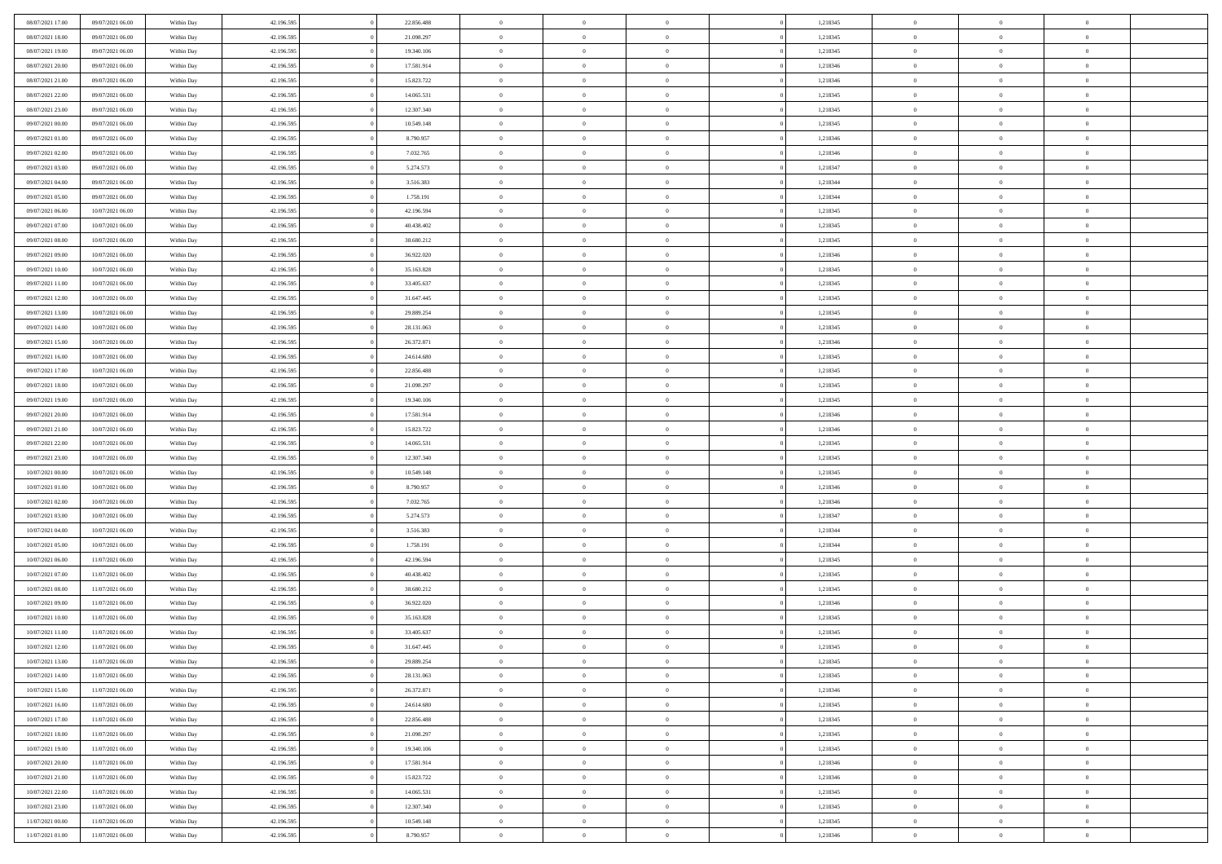| 08/07/2021 17:00<br>09/07/2021 06:00                     | Within Day | 42.196.595 | 22.856.488 | $\bf{0}$       | $\overline{0}$ | $\theta$       |          | 1,218345 | $\bf{0}$                 | $\overline{0}$ | $\,0\,$                          |  |
|----------------------------------------------------------|------------|------------|------------|----------------|----------------|----------------|----------|----------|--------------------------|----------------|----------------------------------|--|
| 08/07/2021 18:00<br>09/07/2021 06:00                     | Within Day | 42.196.595 | 21.098.297 | $\overline{0}$ | $\overline{0}$ | $\overline{0}$ |          | 1,218345 | $\overline{0}$           | $\overline{0}$ | $\theta$                         |  |
| 08/07/2021 19:00<br>09/07/2021 06:00                     | Within Day | 42.196.595 | 19.340.106 | $\mathbf{0}$   | $\overline{0}$ | $\overline{0}$ |          | 1,218345 | $\mathbf{0}$             | $\overline{0}$ | $\overline{0}$                   |  |
| 08/07/2021 20:00<br>09/07/2021 06:00                     | Within Day | 42.196.595 | 17.581.914 | $\bf{0}$       | $\overline{0}$ | $\overline{0}$ |          | 1,218346 | $\bf{0}$                 | $\overline{0}$ | $\overline{0}$                   |  |
| 08/07/2021 21:00<br>09/07/2021 06:00                     | Within Day | 42.196.595 | 15.823.722 | $\bf{0}$       | $\overline{0}$ | $\overline{0}$ |          | 1,218346 | $\bf{0}$                 | $\overline{0}$ | $\,0\,$                          |  |
| 08/07/2021 22:00<br>09/07/2021 06:00                     | Within Dav | 42.196.595 | 14.065.531 | $\overline{0}$ | $\overline{0}$ | $\overline{0}$ |          | 1,218345 | $\mathbf{0}$             | $\overline{0}$ | $\overline{0}$                   |  |
|                                                          |            |            |            |                |                |                |          |          |                          |                |                                  |  |
| 08/07/2021 23:00<br>09/07/2021 06:00                     | Within Day | 42.196.595 | 12.307.340 | $\bf{0}$       | $\overline{0}$ | $\overline{0}$ |          | 1,218345 | $\bf{0}$                 | $\overline{0}$ | $\bf{0}$                         |  |
| 09/07/2021 00:00<br>09/07/2021 06:00                     | Within Day | 42.196.595 | 10.549.148 | $\overline{0}$ | $\overline{0}$ | $\overline{0}$ |          | 1,218345 | $\,$ 0 $\,$              | $\overline{0}$ | $\overline{0}$                   |  |
| 09/07/2021 01:00<br>09/07/2021 06:00                     | Within Day | 42.196.595 | 8.790.957  | $\overline{0}$ | $\overline{0}$ | $\overline{0}$ |          | 1,218346 | $\mathbf{0}$             | $\overline{0}$ | $\overline{0}$                   |  |
| 09/07/2021 02:00<br>09/07/2021 06:00                     | Within Day | 42.196.595 | 7.032.765  | $\bf{0}$       | $\overline{0}$ | $\overline{0}$ |          | 1,218346 | $\bf{0}$                 | $\overline{0}$ | $\,0\,$                          |  |
| 09/07/2021 03:00<br>09/07/2021 06:00                     | Within Day | 42.196.595 | 5.274.573  | $\overline{0}$ | $\overline{0}$ | $\overline{0}$ |          | 1,218347 | $\bf{0}$                 | $\overline{0}$ | $\overline{0}$                   |  |
| 09/07/2021 04:00<br>09/07/2021 06:00                     | Within Dav | 42.196.595 | 3.516.383  | $\mathbf{0}$   | $\overline{0}$ | $\overline{0}$ |          | 1,218344 | $\mathbf{0}$             | $\overline{0}$ | $\overline{0}$                   |  |
| 09/07/2021 05:00<br>09/07/2021 06:00                     | Within Day | 42.196.595 | 1.758.191  | $\bf{0}$       | $\overline{0}$ | $\overline{0}$ |          | 1,218344 | $\bf{0}$                 | $\overline{0}$ | $\overline{0}$                   |  |
| 09/07/2021 06:00<br>10/07/2021 06:00                     | Within Day | 42.196.595 | 42.196.594 | $\bf{0}$       | $\overline{0}$ | $\overline{0}$ |          | 1,218345 | $\bf{0}$                 | $\mathbf{0}$   | $\,0\,$                          |  |
| 09/07/2021 07:00<br>10/07/2021 06:00                     | Within Dav | 42.196.595 | 40.438.402 | $\overline{0}$ | $\overline{0}$ | $\overline{0}$ |          | 1,218345 | $\mathbf{0}$             | $\overline{0}$ | $\overline{0}$                   |  |
| 09/07/2021 08:00<br>10/07/2021 06:00                     | Within Day | 42.196.595 | 38.680.212 | $\bf{0}$       | $\bf{0}$       | $\overline{0}$ |          | 1,218345 | $\bf{0}$                 | $\overline{0}$ | $\bf{0}$                         |  |
| 09/07/2021 09:00<br>10/07/2021 06:00                     | Within Day | 42.196.595 | 36.922.020 | $\overline{0}$ | $\overline{0}$ | $\overline{0}$ |          | 1,218346 | $\bf{0}$                 | $\mathbf{0}$   | $\overline{0}$                   |  |
| 09/07/2021 10:00<br>10/07/2021 06:00                     | Within Day | 42.196.595 | 35.163.828 | $\mathbf{0}$   | $\overline{0}$ | $\overline{0}$ |          | 1,218345 | $\mathbf{0}$             | $\overline{0}$ | $\overline{0}$                   |  |
| 09/07/2021 11:00<br>10/07/2021 06:00                     | Within Day | 42.196.595 | 33.405.637 | $\bf{0}$       | $\bf{0}$       | $\overline{0}$ |          | 1,218345 | $\bf{0}$                 | $\overline{0}$ | $\,0\,$                          |  |
| 09/07/2021 12:00<br>10/07/2021 06:00                     | Within Day | 42.196.595 | 31.647.445 | $\overline{0}$ | $\overline{0}$ | $\overline{0}$ |          | 1,218345 | $\bf{0}$                 | $\mathbf{0}$   | $\overline{0}$                   |  |
| 09/07/2021 13:00<br>10/07/2021 06:00                     | Within Day | 42.196.595 | 29.889.254 | $\overline{0}$ | $\overline{0}$ | $\overline{0}$ |          | 1,218345 | $\mathbf{0}$             | $\overline{0}$ | $\overline{0}$                   |  |
| 09/07/2021 14:00<br>10/07/2021 06:00                     | Within Day | 42.196.595 | 28.131.063 | $\bf{0}$       | $\overline{0}$ | $\overline{0}$ |          | 1,218345 | $\bf{0}$                 | $\overline{0}$ | $\bf{0}$                         |  |
| 09/07/2021 15:00<br>10/07/2021 06:00                     | Within Day | 42.196.595 | 26.372.871 | $\bf{0}$       | $\bf{0}$       | $\overline{0}$ |          | 1,218346 | $\bf{0}$                 | $\overline{0}$ | $\bf{0}$                         |  |
| 09/07/2021 16:00<br>10/07/2021 06:00                     | Within Dav | 42.196.595 | 24.614.680 | $\overline{0}$ | $\overline{0}$ | $\overline{0}$ |          | 1,218345 | $\mathbf{0}$             | $\overline{0}$ | $\overline{0}$                   |  |
| 09/07/2021 17:00<br>10/07/2021 06:00                     | Within Day | 42.196.595 | 22.856.488 | $\bf{0}$       | $\bf{0}$       | $\overline{0}$ |          | 1,218345 | $\bf{0}$                 | $\overline{0}$ | $\bf{0}$                         |  |
| 09/07/2021 18:00<br>10/07/2021 06:00                     | Within Day | 42.196.595 | 21.098.297 | $\overline{0}$ | $\overline{0}$ | $\overline{0}$ |          | 1,218345 | $\bf{0}$                 | $\mathbf{0}$   | $\overline{0}$                   |  |
| 09/07/2021 19:00<br>10/07/2021 06:00                     | Within Day | 42.196.595 | 19.340.106 | $\overline{0}$ | $\overline{0}$ | $\overline{0}$ |          | 1,218345 | $\mathbf{0}$             | $\overline{0}$ | $\overline{0}$                   |  |
| 09/07/2021 20:00<br>10/07/2021 06:00                     | Within Day | 42.196.595 | 17.581.914 | $\bf{0}$       | $\bf{0}$       | $\overline{0}$ |          | 1,218346 | $\bf{0}$                 | $\overline{0}$ | $\bf{0}$                         |  |
| 09/07/2021 21:00<br>10/07/2021 06:00                     | Within Day | 42.196.595 | 15.823.722 | $\bf{0}$       | $\overline{0}$ | $\overline{0}$ |          | 1,218346 | $\bf{0}$                 | $\mathbf{0}$   | $\overline{0}$                   |  |
| 09/07/2021 22:00<br>10/07/2021 06:00                     | Within Day | 42.196.595 | 14.065.531 | $\mathbf{0}$   | $\overline{0}$ | $\overline{0}$ |          | 1,218345 | $\mathbf{0}$             | $\overline{0}$ | $\overline{0}$                   |  |
| 09/07/2021 23:00<br>10/07/2021 06:00                     | Within Day | 42.196.595 | 12.307.340 | $\bf{0}$       | $\overline{0}$ | $\overline{0}$ |          | 1,218345 | $\,$ 0                   | $\overline{0}$ | $\,$ 0 $\,$                      |  |
| 10/07/2021 00:00<br>10/07/2021 06:00                     | Within Day | 42.196.595 | 10.549.148 | $\bf{0}$       | $\overline{0}$ | $\overline{0}$ |          | 1,218345 | $\bf{0}$                 | $\bf{0}$       | $\overline{0}$                   |  |
| 10/07/2021 01:00<br>10/07/2021 06:00                     | Within Dav | 42.196.595 | 8.790.957  | $\overline{0}$ | $\overline{0}$ | $\overline{0}$ |          | 1,218346 | $\mathbf{0}$             | $\overline{0}$ | $\overline{0}$                   |  |
| 10/07/2021 02:00<br>10/07/2021 06:00                     | Within Day | 42.196.595 | 7.032.765  | $\bf{0}$       | $\overline{0}$ | $\theta$       |          | 1,218346 | $\,$ 0                   | $\overline{0}$ | $\theta$                         |  |
| 10/07/2021 03:00<br>10/07/2021 06:00                     | Within Day | 42.196.595 | 5.274.573  | $\overline{0}$ | $\overline{0}$ | $\overline{0}$ |          | 1,218347 | $\bf{0}$                 | $\overline{0}$ | $\overline{0}$                   |  |
| 10/07/2021 04:00<br>10/07/2021 06:00                     | Within Day | 42.196.595 | 3.516.383  | $\mathbf{0}$   | $\overline{0}$ | $\overline{0}$ |          | 1,218344 | $\mathbf{0}$             | $\overline{0}$ | $\overline{0}$                   |  |
| 10/07/2021 05:00<br>10/07/2021 06:00                     | Within Day | 42.196.595 | 1.758.191  | $\bf{0}$       | $\overline{0}$ | $\theta$       |          | 1,218344 | $\,$ 0                   | $\overline{0}$ | $\theta$                         |  |
|                                                          |            |            | 42.196.594 | $\bf{0}$       |                | $\overline{0}$ |          |          |                          | $\mathbf{0}$   |                                  |  |
| 10/07/2021 06:00<br>11/07/2021 06:00<br>10/07/2021 07:00 | Within Day | 42.196.595 |            | $\overline{0}$ | $\overline{0}$ |                |          | 1,218345 | $\bf{0}$<br>$\mathbf{0}$ |                | $\overline{0}$<br>$\overline{0}$ |  |
| 11/07/2021 06:00                                         | Within Day | 42.196.595 | 40.438.402 |                | $\overline{0}$ | $\overline{0}$ |          | 1,218345 |                          | $\overline{0}$ |                                  |  |
| 10/07/2021 08:00<br>11/07/2021 06:00                     | Within Day | 42.196.595 | 38.680.212 | $\,0\,$        | $\overline{0}$ | $\theta$       |          | 1,218345 | $\,$ 0                   | $\overline{0}$ | $\,$ 0 $\,$                      |  |
| 10/07/2021 09:00<br>11/07/2021 06:00                     | Within Day | 42.196.595 | 36.922.020 | $\bf{0}$       | $\overline{0}$ | $\overline{0}$ |          | 1,218346 | $\bf{0}$                 | $\overline{0}$ | $\overline{0}$                   |  |
| 10/07/2021 10:00<br>11/07/2021 06:00                     | Within Day | 42.196.595 | 35.163.828 | $\mathbf{0}$   | $\overline{0}$ | $\overline{0}$ |          | 1,218345 | $\mathbf{0}$             | $\overline{0}$ | $\overline{0}$                   |  |
| 10/07/2021 11:00<br>11/07/2021 06:00                     | Within Day | 42.196.595 | 33.405.637 | $\bf{0}$       | $\overline{0}$ | $\theta$       |          | 1,218345 | $\,$ 0                   | $\overline{0}$ | $\theta$                         |  |
| 10/07/2021 12:00<br>11/07/2021 06:00                     | Within Day | 42.196.595 | 31.647.445 | $\bf{0}$       | $\overline{0}$ | $\overline{0}$ |          | 1,218345 | $\bf{0}$                 | $\overline{0}$ | $\overline{0}$                   |  |
| 10/07/2021 13:00<br>11/07/2021 06:00                     | Within Day | 42.196.595 | 29.889.254 | $\bf{0}$       | $\overline{0}$ | $\Omega$       |          | 1,218345 | $\overline{0}$           | $\theta$       | $\theta$                         |  |
| 10/07/2021 14:00<br>11/07/2021 06:00                     | Within Day | 42.196.595 | 28.131.063 | $\,$ 0 $\,$    | $\overline{0}$ | $\theta$       |          | 1,218345 | $\,$ 0 $\,$              | $\bf{0}$       | $\theta$                         |  |
| 10/07/2021 15:00<br>11/07/2021 06:00                     | Within Day | 42.196.595 | 26.372.871 | $\overline{0}$ | $\overline{0}$ | $\overline{0}$ |          | 1,218346 | $\overline{0}$           | $\overline{0}$ | $\overline{0}$                   |  |
| 10/07/2021 16:00<br>11/07/2021 06:00                     | Within Day | 42.196.595 | 24.614.680 | $\bf{0}$       | $\overline{0}$ | $\overline{0}$ |          | 1,218345 | $\overline{0}$           | $\bf{0}$       | $\overline{0}$                   |  |
| 10/07/2021 17:00<br>11/07/2021 06:00                     | Within Day | 42.196.595 | 22.856.488 | $\bf{0}$       | $\overline{0}$ | $\overline{0}$ | $\theta$ | 1,218345 | $\mathbf{0}$             | $\bf{0}$       | $\,$ 0 $\,$                      |  |
| 11/07/2021 06:00<br>10/07/2021 18:00                     | Within Day | 42.196.595 | 21.098.297 | $\bf{0}$       | $\overline{0}$ | $\overline{0}$ |          | 1,218345 | $\,$ 0 $\,$              | $\overline{0}$ | $\overline{0}$                   |  |
| 10/07/2021 19:00<br>11/07/2021 06:00                     | Within Day | 42.196.595 | 19.340.106 | $\bf{0}$       | $\overline{0}$ | $\overline{0}$ |          | 1,218345 | $\mathbf{0}$             | $\overline{0}$ | $\overline{0}$                   |  |
| 10/07/2021 20:00<br>11/07/2021 06:00                     | Within Day | 42.196.595 | 17.581.914 | $\,$ 0 $\,$    | $\overline{0}$ | $\overline{0}$ | $\theta$ | 1,218346 | $\,$ 0 $\,$              | $\bf{0}$       | $\,$ 0 $\,$                      |  |
| 10/07/2021 21:00<br>11/07/2021 06:00                     | Within Day | 42.196.595 | 15.823.722 | $\bf{0}$       | $\overline{0}$ | $\overline{0}$ |          | 1,218346 | $\overline{0}$           | $\overline{0}$ | $\overline{0}$                   |  |
| 10/07/2021 22:00<br>11/07/2021 06:00                     | Within Day | 42.196.595 | 14.065.531 | $\bf{0}$       | $\overline{0}$ | $\overline{0}$ |          | 1,218345 | $\overline{0}$           | $\bf{0}$       | $\overline{0}$                   |  |
| 10/07/2021 23:00<br>11/07/2021 06:00                     | Within Day | 42.196.595 | 12.307.340 | $\,$ 0 $\,$    | $\overline{0}$ | $\overline{0}$ |          | 1,218345 | $\mathbf{0}$             | $\overline{0}$ | $\,$ 0 $\,$                      |  |
| 11/07/2021 00:00<br>11/07/2021 06:00                     | Within Day | 42.196.595 | 10.549.148 | $\overline{0}$ | $\overline{0}$ | $\overline{0}$ |          | 1,218345 | $\,$ 0 $\,$              | $\mathbf{0}$   | $\overline{0}$                   |  |
| 11/07/2021 01:00<br>11/07/2021 06:00                     | Within Day | 42.196.595 | 8.790.957  | $\bf{0}$       | $\overline{0}$ | $\overline{0}$ |          | 1,218346 | $\mathbf{0}$             | $\overline{0}$ | $\overline{0}$                   |  |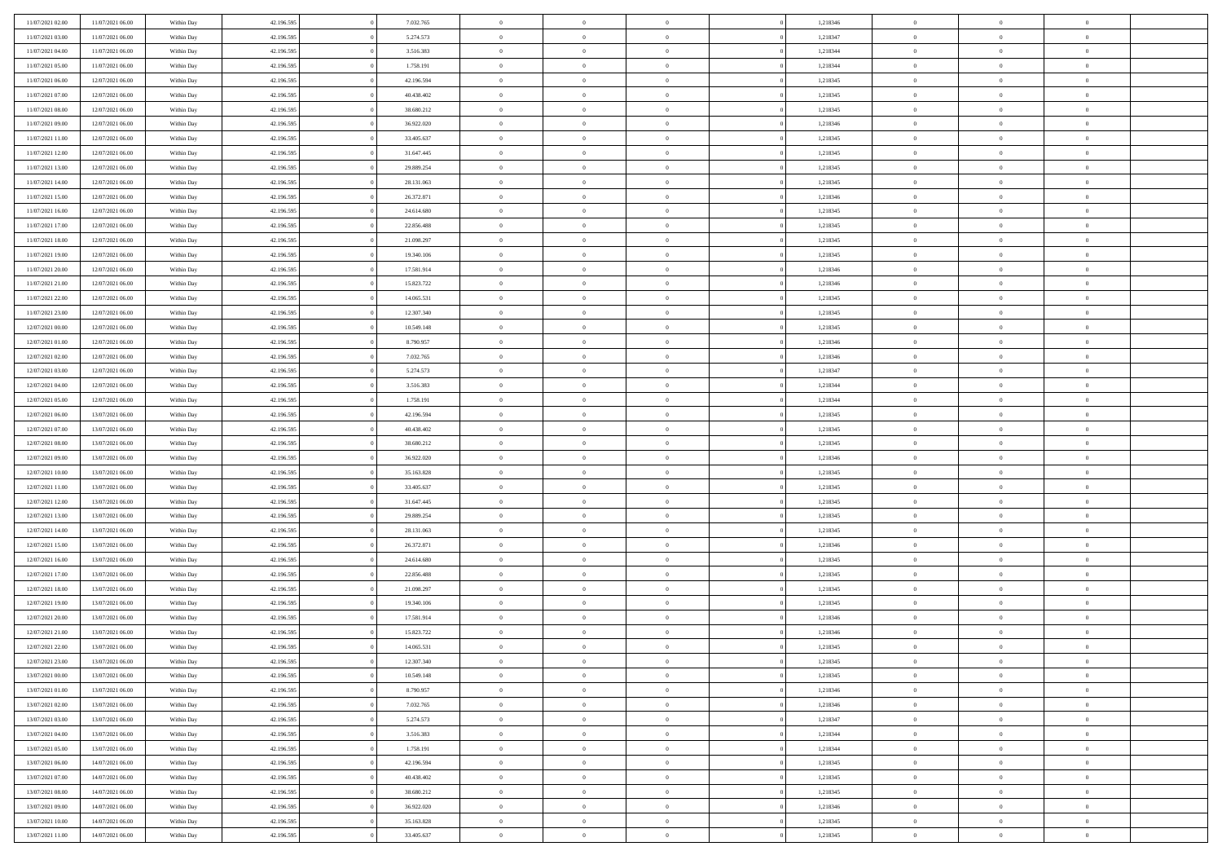| 11/07/2021 02:00 | 11/07/2021 06:00 | Within Day | 42.196.595 | 7.032.765  | $\,$ 0 $\,$    | $\overline{0}$                    | $\overline{0}$ |          | 1,218346 | $\bf{0}$       | $\overline{0}$ | $\,0\,$        |  |
|------------------|------------------|------------|------------|------------|----------------|-----------------------------------|----------------|----------|----------|----------------|----------------|----------------|--|
| 11/07/2021 03:00 | 11/07/2021 06:00 | Within Day | 42.196.595 | 5.274.573  | $\overline{0}$ | $\overline{0}$                    | $\mathbf{0}$   |          | 1,218347 | $\theta$       | $\overline{0}$ | $\theta$       |  |
| 11/07/2021 04:00 | 11/07/2021 06:00 | Within Day | 42.196.595 | 3.516.383  | $\theta$       | $\overline{0}$                    | $\overline{0}$ |          | 1,218344 | $\mathbf{0}$   | $\overline{0}$ | $\overline{0}$ |  |
| 11/07/2021 05:00 | 11/07/2021 06:00 | Within Day | 42.196.595 | 1.758.191  | $\bf{0}$       | $\overline{0}$                    | $\overline{0}$ |          | 1,218344 | $\mathbf{0}$   | $\overline{0}$ | $\overline{0}$ |  |
| 11/07/2021 06:00 | 12/07/2021 06:00 | Within Day | 42.196.595 | 42.196.594 | $\bf{0}$       | $\overline{0}$                    | $\mathbf{0}$   |          | 1,218345 | $\bf{0}$       | $\bf{0}$       | $\bf{0}$       |  |
| 11/07/2021 07:00 | 12/07/2021 06:00 | Within Dav | 42.196.595 | 40.438.402 | $\overline{0}$ | $\overline{0}$                    | $\overline{0}$ |          | 1,218345 | $\mathbf{0}$   | $\overline{0}$ | $\overline{0}$ |  |
| 11/07/2021 08:00 | 12/07/2021 06:00 |            | 42.196.595 | 38.680.212 | $\,$ 0 $\,$    | $\overline{0}$                    | $\overline{0}$ |          | 1,218345 | $\bf{0}$       | $\overline{0}$ | $\bf{0}$       |  |
|                  |                  | Within Day |            |            | $\overline{0}$ |                                   |                |          |          |                | $\overline{0}$ | $\overline{0}$ |  |
| 11/07/2021 09:00 | 12/07/2021 06:00 | Within Day | 42.196.595 | 36.922.020 |                | $\overline{0}$                    | $\mathbf{0}$   |          | 1,218346 | $\,$ 0 $\,$    |                |                |  |
| 11/07/2021 11:00 | 12/07/2021 06:00 | Within Day | 42.196.595 | 33.405.637 | $\overline{0}$ | $\overline{0}$                    | $\mathbf{0}$   |          | 1,218345 | $\mathbf{0}$   | $\overline{0}$ | $\overline{0}$ |  |
| 11/07/2021 12:00 | 12/07/2021 06:00 | Within Day | 42.196.595 | 31.647.445 | $\,$ 0 $\,$    | $\overline{0}$                    | $\Omega$       |          | 1,218345 | $\bf{0}$       | $\overline{0}$ | $\bf{0}$       |  |
| 11/07/2021 13:00 | 12/07/2021 06:00 | Within Day | 42.196.595 | 29.889.254 | $\bf{0}$       | $\overline{0}$                    | $\mathbf{0}$   |          | 1,218345 | $\bf{0}$       | $\overline{0}$ | $\overline{0}$ |  |
| 11/07/2021 14:00 | 12/07/2021 06:00 | Within Day | 42.196.595 | 28.131.063 | $\theta$       | $\overline{0}$                    | $\overline{0}$ |          | 1,218345 | $\mathbf{0}$   | $\overline{0}$ | $\overline{0}$ |  |
| 11/07/2021 15:00 | 12/07/2021 06:00 | Within Day | 42.196.595 | 26.372.871 | $\bf{0}$       | $\overline{0}$                    | $\overline{0}$ |          | 1,218346 | $\bf{0}$       | $\overline{0}$ | $\overline{0}$ |  |
| 11/07/2021 16:00 | 12/07/2021 06:00 | Within Day | 42.196.595 | 24.614.680 | $\bf{0}$       | $\overline{0}$                    | $\mathbf{0}$   |          | 1,218345 | $\bf{0}$       | $\mathbf{0}$   | $\bf{0}$       |  |
| 11/07/2021 17:00 | 12/07/2021 06:00 | Within Dav | 42.196.595 | 22.856.488 | $\overline{0}$ | $\overline{0}$                    | $\overline{0}$ |          | 1,218345 | $\mathbf{0}$   | $\overline{0}$ | $\overline{0}$ |  |
| 11/07/2021 18:00 | 12/07/2021 06:00 | Within Day | 42.196.595 | 21.098.297 | $\,$ 0 $\,$    | $\overline{0}$                    | $\Omega$       |          | 1,218345 | $\bf{0}$       | $\overline{0}$ | $\bf{0}$       |  |
| 11/07/2021 19:00 | 12/07/2021 06:00 | Within Day | 42.196.595 | 19.340.106 | $\,$ 0 $\,$    | $\overline{0}$                    | $\mathbf{0}$   |          | 1,218345 | $\,$ 0 $\,$    | $\overline{0}$ | $\overline{0}$ |  |
| 11/07/2021 20:00 | 12/07/2021 06:00 | Within Day | 42.196.595 | 17.581.914 | $\theta$       | $\overline{0}$                    | $\mathbf{0}$   |          | 1,218346 | $\mathbf{0}$   | $\overline{0}$ | $\overline{0}$ |  |
| 11/07/2021 21:00 | 12/07/2021 06:00 | Within Day | 42.196.595 | 15.823.722 | $\,$ 0 $\,$    | $\overline{0}$                    | $\Omega$       |          | 1,218346 | $\bf{0}$       | $\overline{0}$ | $\bf{0}$       |  |
| 11/07/2021 22:00 | 12/07/2021 06:00 | Within Day | 42.196.595 | 14.065.531 | $\bf{0}$       | $\overline{0}$                    | $\mathbf{0}$   |          | 1,218345 | $\bf{0}$       | $\overline{0}$ | $\overline{0}$ |  |
| 11/07/2021 23:00 | 12/07/2021 06:00 | Within Dav | 42.196.595 | 12.307.340 | $\theta$       | $\overline{0}$                    | $\overline{0}$ |          | 1,218345 | $\mathbf{0}$   | $\overline{0}$ | $\overline{0}$ |  |
| 12/07/2021 00:00 | 12/07/2021 06:00 | Within Day | 42.196.595 | 10.549.148 | $\,$ 0 $\,$    | $\overline{0}$                    | $\overline{0}$ |          | 1,218345 | $\bf{0}$       | $\overline{0}$ | $\bf{0}$       |  |
| 12/07/2021 01:00 | 12/07/2021 06:00 | Within Day | 42.196.595 | 8.790.957  | $\,$ 0         | $\overline{0}$                    | $\mathbf{0}$   |          | 1,218346 | $\,$ 0 $\,$    | $\bf{0}$       | $\bf{0}$       |  |
| 12/07/2021 02:00 | 12/07/2021 06:00 | Within Dav | 42.196.595 | 7.032.765  | $\theta$       | $\overline{0}$                    | $\mathbf{0}$   |          | 1,218346 | $\mathbf{0}$   | $\overline{0}$ | $\overline{0}$ |  |
| 12/07/2021 03:00 | 12/07/2021 06:00 | Within Day | 42.196.595 | 5.274.573  | $\,$ 0 $\,$    | $\overline{0}$                    | $\overline{0}$ |          | 1,218347 | $\bf{0}$       | $\overline{0}$ | $\bf{0}$       |  |
| 12/07/2021 04:00 | 12/07/2021 06:00 | Within Day | 42.196.595 | 3.516.383  | $\,$ 0         | $\overline{0}$                    | $\mathbf{0}$   |          | 1,218344 | $\mathbf{0}$   | $\overline{0}$ | $\overline{0}$ |  |
| 12/07/2021 05:00 | 12/07/2021 06:00 | Within Day | 42.196.595 | 1.758.191  | $\overline{0}$ | $\overline{0}$                    | $\mathbf{0}$   |          | 1,218344 | $\mathbf{0}$   | $\overline{0}$ | $\overline{0}$ |  |
| 12/07/2021 06:00 | 13/07/2021 06:00 | Within Day | 42.196.595 | 42.196.594 | $\,$ 0 $\,$    | $\overline{0}$                    | $\Omega$       |          | 1,218345 | $\bf{0}$       | $\overline{0}$ | $\bf{0}$       |  |
| 12/07/2021 07:00 | 13/07/2021 06:00 | Within Day | 42.196.595 | 40.438.402 | $\bf{0}$       | $\overline{0}$                    | $\mathbf{0}$   |          | 1,218345 | $\mathbf{0}$   | $\overline{0}$ | $\overline{0}$ |  |
| 12/07/2021 08:00 | 13/07/2021 06:00 | Within Day | 42.196.595 | 38.680.212 | $\theta$       | $\overline{0}$                    | $\overline{0}$ |          | 1,218345 | $\mathbf{0}$   | $\overline{0}$ | $\overline{0}$ |  |
| 12/07/2021 09:00 | 13/07/2021 06:00 | Within Day | 42.196.595 | 36.922.020 | $\,$ 0 $\,$    | $\overline{0}$                    | $\overline{0}$ |          | 1,218346 | $\,$ 0         | $\overline{0}$ | $\,$ 0 $\,$    |  |
| 12/07/2021 10:00 | 13/07/2021 06:00 | Within Day | 42.196.595 | 35.163.828 | $\bf{0}$       | $\overline{0}$                    | $\mathbf{0}$   |          | 1,218345 | $\bf{0}$       | $\bf{0}$       | $\overline{0}$ |  |
| 12/07/2021 11:00 | 13/07/2021 06:00 | Within Dav | 42.196.595 | 33.405.637 | $\overline{0}$ | $\overline{0}$                    | $\overline{0}$ |          | 1,218345 | $\mathbf{0}$   | $\overline{0}$ | $\overline{0}$ |  |
| 12/07/2021 12:00 | 13/07/2021 06:00 | Within Day | 42.196.595 | 31.647.445 | $\theta$       | $\overline{0}$                    | $\overline{0}$ |          | 1,218345 | $\,$ 0         | $\overline{0}$ | $\theta$       |  |
| 12/07/2021 13:00 | 13/07/2021 06:00 | Within Day | 42.196.595 | 29.889.254 | $\overline{0}$ | $\overline{0}$                    | $\mathbf{0}$   |          | 1,218345 | $\overline{0}$ | $\overline{0}$ | $\overline{0}$ |  |
| 12/07/2021 14:00 | 13/07/2021 06:00 | Within Day | 42.196.595 | 28.131.063 | $\theta$       | $\overline{0}$                    | $\overline{0}$ |          | 1,218345 | $\mathbf{0}$   | $\overline{0}$ | $\overline{0}$ |  |
| 12/07/2021 15:00 | 13/07/2021 06:00 | Within Day | 42.196.595 | 26.372.871 | $\theta$       | $\overline{0}$                    | $\overline{0}$ |          | 1,218346 | $\,$ 0 $\,$    | $\overline{0}$ | $\,$ 0 $\,$    |  |
| 12/07/2021 16:00 | 13/07/2021 06:00 | Within Day | 42.196.595 | 24.614.680 | $\bf{0}$       | $\overline{0}$                    | $\mathbf{0}$   |          | 1,218345 | $\bf{0}$       | $\overline{0}$ | $\overline{0}$ |  |
| 12/07/2021 17:00 | 13/07/2021 06:00 | Within Day | 42.196.595 | 22.856.488 | $\theta$       | $\overline{0}$                    | $\overline{0}$ |          | 1,218345 | $\mathbf{0}$   | $\overline{0}$ | $\overline{0}$ |  |
| 12/07/2021 18:00 | 13/07/2021 06:00 | Within Day | 42.196.595 | 21.098.297 | $\,$ 0 $\,$    | $\overline{0}$                    | $\overline{0}$ |          | 1,218345 | $\,$ 0         | $\overline{0}$ | $\,$ 0 $\,$    |  |
| 12/07/2021 19:00 | 13/07/2021 06:00 | Within Day | 42.196.595 | 19.340.106 | $\bf{0}$       | $\,$ 0 $\,$                       | $\overline{0}$ |          | 1,218345 | $\,$ 0 $\,$    | $\overline{0}$ | $\overline{0}$ |  |
| 12/07/2021 20:00 | 13/07/2021 06:00 | Within Day | 42.196.595 | 17.581.914 | $\theta$       | $\overline{0}$                    | $\overline{0}$ |          | 1,218346 | $\mathbf{0}$   | $\overline{0}$ | $\overline{0}$ |  |
| 12/07/2021 21:00 | 13/07/2021 06:00 | Within Day | 42.196.595 | 15.823.722 | $\theta$       | $\overline{0}$                    | $\overline{0}$ |          | 1,218346 | $\,$ 0         | $\overline{0}$ | $\,$ 0 $\,$    |  |
| 12/07/2021 22:00 | 13/07/2021 06:00 | Within Day | 42.196.595 | 14.065.531 | $\bf{0}$       | $\,$ 0 $\,$                       | $\mathbf{0}$   |          | 1,218345 | $\,$ 0 $\,$    | $\overline{0}$ | $\overline{0}$ |  |
| 12/07/2021 23:00 | 13/07/2021 06:00 | Within Day | 42.196.595 | 12.307.340 | $\overline{0}$ | $\theta$                          |                |          | 1,218345 | $\overline{0}$ | $\theta$       | $\theta$       |  |
| 13/07/2021 00:00 | 13/07/2021 06:00 | Within Day | 42.196.595 | 10.549.148 | $\,$ 0 $\,$    | $\overline{0}$                    | $\overline{0}$ |          | 1,218345 | $\,$ 0 $\,$    | $\bf{0}$       | $\,$ 0 $\,$    |  |
| 13/07/2021 01:00 | 13/07/2021 06:00 | Within Day | 42.196.595 | 8.790.957  | $\bullet$      | $\hspace{0.1cm} 0 \hspace{0.1cm}$ | $\overline{0}$ |          | 1,218346 | $\,$ 0 $\,$    | $\overline{0}$ | $\overline{0}$ |  |
| 13/07/2021 02:00 | 13/07/2021 06:00 | Within Day | 42.196.595 | 7.032.765  | $\,$ 0 $\,$    | $\overline{0}$                    | $\overline{0}$ |          | 1,218346 | $\,$ 0 $\,$    | $\bf{0}$       | $\overline{0}$ |  |
| 13/07/2021 03:00 | 13/07/2021 06:00 | Within Day | 42.196.595 | 5.274.573  | $\,$ 0 $\,$    | $\overline{0}$                    | $\overline{0}$ | $\theta$ | 1,218347 | $\,$ 0 $\,$    | $\bf{0}$       | $\,$ 0 $\,$    |  |
| 13/07/2021 04:00 | 13/07/2021 06:00 | Within Day | 42.196.595 | 3.516.383  | $\,$ 0 $\,$    | $\,$ 0 $\,$                       | $\overline{0}$ |          | 1,218344 | $\,$ 0 $\,$    | $\overline{0}$ | $\overline{0}$ |  |
| 13/07/2021 05:00 | 13/07/2021 06:00 | Within Day | 42.196.595 | 1.758.191  | $\mathbf{0}$   | $\overline{0}$                    | $\overline{0}$ |          | 1,218344 | $\mathbf{0}$   | $\bf{0}$       | $\overline{0}$ |  |
| 13/07/2021 06:00 | 14/07/2021 06:00 | Within Day | 42.196.595 | 42.196.594 | $\,$ 0 $\,$    | $\overline{0}$                    | $\overline{0}$ |          | 1,218345 | $\,$ 0 $\,$    | $\bf{0}$       | $\,$ 0 $\,$    |  |
| 13/07/2021 07:00 | 14/07/2021 06:00 | Within Day | 42.196.595 | 40.438.402 | $\bf{0}$       | $\overline{0}$                    | $\overline{0}$ |          | 1,218345 | $\,$ 0 $\,$    | $\overline{0}$ | $\overline{0}$ |  |
| 13/07/2021 08:00 | 14/07/2021 06:00 | Within Day | 42.196.595 | 38.680.212 | $\,$ 0 $\,$    | $\overline{0}$                    | $\overline{0}$ |          | 1,218345 | $\,$ 0 $\,$    | $\bf{0}$       | $\overline{0}$ |  |
| 13/07/2021 09:00 | 14/07/2021 06:00 | Within Day | 42.196.595 | 36.922.020 | $\,$ 0 $\,$    | $\overline{0}$                    | $\overline{0}$ |          | 1,218346 | $\,$ 0 $\,$    | $\bf{0}$       | $\,$ 0 $\,$    |  |
| 13/07/2021 10:00 | 14/07/2021 06:00 |            | 42.196.595 | 35.163.828 | $\,$ 0 $\,$    | $\,$ 0 $\,$                       | $\overline{0}$ |          | 1,218345 | $\,$ 0 $\,$    | $\overline{0}$ | $\overline{0}$ |  |
|                  |                  | Within Day |            |            | $\theta$       |                                   |                |          |          | $\mathbf{0}$   |                |                |  |
| 13/07/2021 11:00 | 14/07/2021 06:00 | Within Day | 42.196.595 | 33.405.637 |                | $\overline{0}$                    | $\overline{0}$ |          | 1,218345 |                | $\mathbf{0}$   | $\overline{0}$ |  |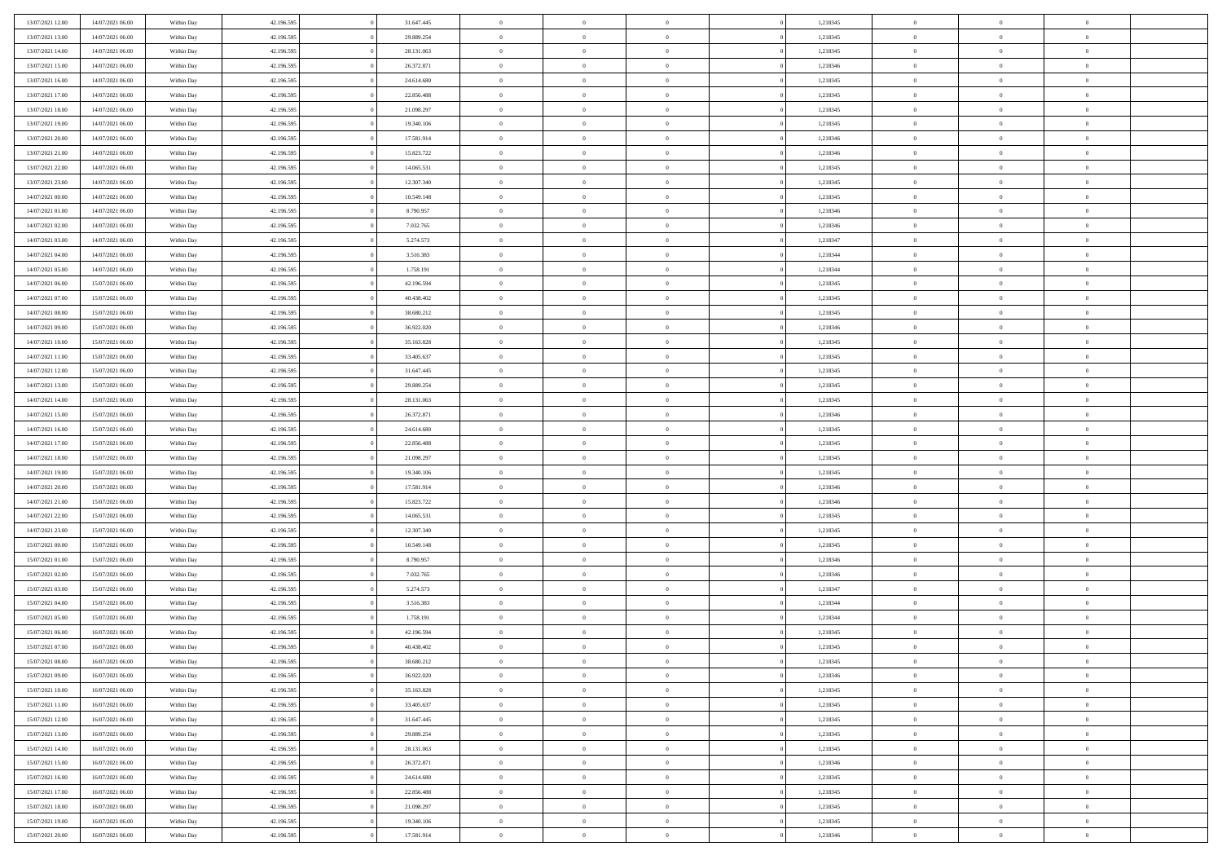| 13/07/2021 12:00<br>14/07/2021 06:00                     | Within Day               | 42.196.595 |          | 31.647.445 | $\bf{0}$       | $\bf{0}$       | $\theta$       |          | 1,218345 | $\bf{0}$       | $\overline{0}$ | $\,0\,$        |  |
|----------------------------------------------------------|--------------------------|------------|----------|------------|----------------|----------------|----------------|----------|----------|----------------|----------------|----------------|--|
| 13/07/2021 13:00<br>14/07/2021 06:00                     | Within Day               | 42.196.595 |          | 29.889.254 | $\overline{0}$ | $\overline{0}$ | $\overline{0}$ |          | 1,218345 | $\theta$       | $\overline{0}$ | $\overline{0}$ |  |
| 13/07/2021 14:00<br>14/07/2021 06:00                     | Within Day               | 42.196.595 |          | 28.131.063 | $\overline{0}$ | $\overline{0}$ | $\overline{0}$ |          | 1,218345 | $\mathbf{0}$   | $\overline{0}$ | $\overline{0}$ |  |
| 13/07/2021 15:00<br>14/07/2021 06:00                     | Within Day               | 42.196.595 |          | 26.372.871 | $\bf{0}$       | $\overline{0}$ | $\overline{0}$ |          | 1,218346 | $\bf{0}$       | $\overline{0}$ | $\bf{0}$       |  |
| 13/07/2021 16:00<br>14/07/2021 06:00                     | Within Day               | 42.196.595 |          | 24.614.680 | $\bf{0}$       | $\overline{0}$ | $\overline{0}$ |          | 1,218345 | $\bf{0}$       | $\bf{0}$       | $\,0\,$        |  |
| 13/07/2021 17:00<br>14/07/2021 06:00                     | Within Dav               | 42.196.595 |          | 22.856.488 | $\overline{0}$ | $\overline{0}$ | $\overline{0}$ |          | 1,218345 | $\mathbf{0}$   | $\overline{0}$ | $\overline{0}$ |  |
| 13/07/2021 18:00<br>14/07/2021 06:00                     | Within Day               | 42.196.595 |          | 21.098.297 | $\bf{0}$       | $\overline{0}$ | $\overline{0}$ |          | 1,218345 | $\bf{0}$       | $\overline{0}$ | $\bf{0}$       |  |
| 13/07/2021 19:00<br>14/07/2021 06:00                     | Within Day               | 42.196.595 |          | 19.340.106 | $\overline{0}$ | $\overline{0}$ | $\overline{0}$ |          | 1,218345 | $\,$ 0 $\,$    | $\overline{0}$ | $\overline{0}$ |  |
| 13/07/2021 20:00<br>14/07/2021 06:00                     | Within Day               | 42.196.595 |          | 17.581.914 | $\overline{0}$ | $\overline{0}$ | $\overline{0}$ |          | 1,218346 | $\mathbf{0}$   | $\overline{0}$ | $\overline{0}$ |  |
| 13/07/2021 21:00<br>14/07/2021 06:00                     | Within Day               | 42.196.595 |          | 15.823.722 | $\bf{0}$       | $\overline{0}$ | $\overline{0}$ |          | 1,218346 | $\bf{0}$       | $\overline{0}$ | $\,0\,$        |  |
| 13/07/2021 22.00<br>14/07/2021 06:00                     | Within Day               | 42.196.595 |          | 14.065.531 | $\overline{0}$ | $\overline{0}$ | $\overline{0}$ |          | 1,218345 | $\bf{0}$       | $\overline{0}$ | $\overline{0}$ |  |
| 13/07/2021 23:00<br>14/07/2021 06:00                     | Within Dav               | 42.196.595 |          | 12.307.340 | $\mathbf{0}$   | $\overline{0}$ | $\overline{0}$ |          | 1,218345 | $\mathbf{0}$   | $\overline{0}$ | $\overline{0}$ |  |
| 14/07/2021 00:00<br>14/07/2021 06:00                     | Within Day               | 42.196.595 |          | 10.549.148 | $\bf{0}$       | $\overline{0}$ | $\overline{0}$ |          | 1,218345 | $\bf{0}$       | $\overline{0}$ | $\bf{0}$       |  |
| 14/07/2021 01:00<br>14/07/2021 06:00                     | Within Day               | 42.196.595 |          | 8.790.957  | $\bf{0}$       | $\overline{0}$ | $\overline{0}$ |          | 1,218346 | $\bf{0}$       | $\bf{0}$       | $\bf{0}$       |  |
| 14/07/2021 02:00<br>14/07/2021 06:00                     | Within Dav               | 42.196.595 |          | 7.032.765  | $\overline{0}$ | $\overline{0}$ | $\overline{0}$ |          | 1,218346 | $\mathbf{0}$   | $\overline{0}$ | $\overline{0}$ |  |
| 14/07/2021 03:00<br>14/07/2021 06:00                     | Within Day               | 42.196.595 |          | 5.274.573  | $\bf{0}$       | $\overline{0}$ | $\overline{0}$ |          | 1,218347 | $\bf{0}$       | $\overline{0}$ | $\bf{0}$       |  |
| 14/07/2021 04:00<br>14/07/2021 06:00                     |                          | 42.196.595 |          | 3.516.383  | $\overline{0}$ | $\overline{0}$ | $\overline{0}$ |          | 1,218344 | $\bf{0}$       | $\mathbf{0}$   | $\overline{0}$ |  |
| 14/07/2021 05:00<br>14/07/2021 06:00                     | Within Day<br>Within Day | 42.196.595 |          | 1.758.191  | $\mathbf{0}$   | $\overline{0}$ | $\overline{0}$ |          | 1,218344 | $\mathbf{0}$   | $\overline{0}$ | $\overline{0}$ |  |
| 14/07/2021 06:00<br>15/07/2021 06:00                     | Within Day               | 42.196.595 |          | 42.196.594 | $\bf{0}$       | $\overline{0}$ | $\overline{0}$ |          | 1,218345 | $\bf{0}$       | $\overline{0}$ | $\bf{0}$       |  |
| 14/07/2021 07:00<br>15/07/2021 06:00                     |                          | 42.196.595 |          | 40.438.402 | $\overline{0}$ | $\overline{0}$ | $\overline{0}$ |          | 1,218345 | $\bf{0}$       | $\overline{0}$ | $\bf{0}$       |  |
| 14/07/2021 08:00<br>15/07/2021 06:00                     | Within Day               | 42.196.595 |          | 38.680.212 | $\overline{0}$ | $\overline{0}$ | $\overline{0}$ |          | 1,218345 | $\mathbf{0}$   | $\overline{0}$ | $\overline{0}$ |  |
| 15/07/2021 06:00                                         | Within Day               |            |          |            | $\bf{0}$       |                |                |          |          | $\bf{0}$       |                |                |  |
| 14/07/2021 09:00                                         | Within Day               | 42.196.595 |          | 36.922.020 |                | $\overline{0}$ | $\overline{0}$ |          | 1,218346 |                | $\overline{0}$ | $\bf{0}$       |  |
| 14/07/2021 10:00<br>15/07/2021 06:00<br>14/07/2021 11:00 | Within Day               | 42.196.595 |          | 35.163.828 | $\bf{0}$       | $\bf{0}$       | $\overline{0}$ |          | 1,218345 | $\bf{0}$       | $\bf{0}$       | $\bf{0}$       |  |
| 15/07/2021 06:00                                         | Within Dav               | 42.196.595 |          | 33.405.637 | $\overline{0}$ | $\overline{0}$ | $\overline{0}$ |          | 1,218345 | $\mathbf{0}$   | $\overline{0}$ | $\overline{0}$ |  |
| 14/07/2021 12:00<br>15/07/2021 06:00                     | Within Day               | 42.196.595 |          | 31.647.445 | $\bf{0}$       | $\bf{0}$       | $\overline{0}$ |          | 1,218345 | $\bf{0}$       | $\overline{0}$ | $\bf{0}$       |  |
| 14/07/2021 13:00<br>15/07/2021 06:00                     | Within Day               | 42.196.595 |          | 29.889.254 | $\overline{0}$ | $\overline{0}$ | $\overline{0}$ |          | 1,218345 | $\bf{0}$       | $\mathbf{0}$   | $\overline{0}$ |  |
| 14/07/2021 14:00<br>15/07/2021 06:00                     | Within Day               | 42.196.595 |          | 28.131.063 | $\overline{0}$ | $\overline{0}$ | $\overline{0}$ |          | 1,218345 | $\mathbf{0}$   | $\overline{0}$ | $\overline{0}$ |  |
| 14/07/2021 15:00<br>15/07/2021 06:00                     | Within Day               | 42.196.595 |          | 26.372.871 | $\bf{0}$       | $\bf{0}$       | $\overline{0}$ |          | 1,218346 | $\bf{0}$       | $\overline{0}$ | $\bf{0}$       |  |
| 14/07/2021 16:00<br>15/07/2021 06:00                     | Within Day               | 42.196.595 |          | 24.614.680 | $\bf{0}$       | $\overline{0}$ | $\overline{0}$ |          | 1,218345 | $\bf{0}$       | $\mathbf{0}$   | $\overline{0}$ |  |
| 14/07/2021 17:00<br>15/07/2021 06:00                     | Within Day               | 42.196.595 |          | 22.856.488 | $\mathbf{0}$   | $\overline{0}$ | $\overline{0}$ |          | 1,218345 | $\mathbf{0}$   | $\overline{0}$ | $\overline{0}$ |  |
| 14/07/2021 18:00<br>15/07/2021 06:00                     | Within Day               | 42.196.595 |          | 21.098.297 | $\bf{0}$       | $\overline{0}$ | $\overline{0}$ |          | 1,218345 | $\,$ 0         | $\overline{0}$ | $\,$ 0 $\,$    |  |
| 14/07/2021 19:00<br>15/07/2021 06:00                     | Within Day               | 42.196.595 |          | 19.340.106 | $\bf{0}$       | $\overline{0}$ | $\overline{0}$ |          | 1,218345 | $\bf{0}$       | $\overline{0}$ | $\overline{0}$ |  |
| 14/07/2021 20:00<br>15/07/2021 06:00                     | Within Dav               | 42.196.595 |          | 17.581.914 | $\overline{0}$ | $\overline{0}$ | $\overline{0}$ |          | 1,218346 | $\mathbf{0}$   | $\overline{0}$ | $\overline{0}$ |  |
| 14/07/2021 21:00<br>15/07/2021 06:00                     | Within Day               | 42.196.595 |          | 15.823.722 | $\bf{0}$       | $\overline{0}$ | $\theta$       |          | 1,218346 | $\,$ 0         | $\overline{0}$ | $\theta$       |  |
| 14/07/2021 22:00<br>15/07/2021 06:00                     | Within Day               | 42.196.595 |          | 14.065.531 | $\overline{0}$ | $\overline{0}$ | $\overline{0}$ |          | 1,218345 | $\bf{0}$       | $\overline{0}$ | $\overline{0}$ |  |
| 14/07/2021 23:00<br>15/07/2021 06:00                     | Within Day               | 42.196.595 |          | 12.307.340 | $\mathbf{0}$   | $\overline{0}$ | $\overline{0}$ |          | 1,218345 | $\mathbf{0}$   | $\overline{0}$ | $\overline{0}$ |  |
| 15/07/2021 00:00<br>15/07/2021 06:00                     | Within Day               | 42.196.595 |          | 10.549.148 | $\bf{0}$       | $\overline{0}$ | $\theta$       |          | 1,218345 | $\,$ 0         | $\overline{0}$ | $\theta$       |  |
| 15/07/2021 01:00<br>15/07/2021 06:00                     | Within Day               | 42.196.595 |          | 8.790.957  | $\overline{0}$ | $\overline{0}$ | $\overline{0}$ |          | 1,218346 | $\bf{0}$       | $\overline{0}$ | $\overline{0}$ |  |
| 15/07/2021 02:00<br>15/07/2021 06:00                     | Within Day               | 42.196.595 |          | 7.032.765  | $\overline{0}$ | $\overline{0}$ | $\overline{0}$ |          | 1,218346 | $\mathbf{0}$   | $\overline{0}$ | $\overline{0}$ |  |
| 15/07/2021 03:00<br>15/07/2021 06:00                     | Within Day               | 42.196.595 |          | 5.274.573  | $\,0\,$        | $\overline{0}$ | $\theta$       |          | 1,218347 | $\,$ 0         | $\overline{0}$ | $\,$ 0 $\,$    |  |
| 15/07/2021 04:00<br>15/07/2021 06:00                     | Within Day               | 42.196.595 |          | 3.516.383  | $\bf{0}$       | $\overline{0}$ | $\overline{0}$ |          | 1,218344 | $\bf{0}$       | $\overline{0}$ | $\overline{0}$ |  |
| 15/07/2021 05:00<br>15/07/2021 06:00                     | Within Day               | 42.196.595 |          | 1.758.191  | $\mathbf{0}$   | $\overline{0}$ | $\overline{0}$ |          | 1,218344 | $\mathbf{0}$   | $\overline{0}$ | $\overline{0}$ |  |
| 15/07/2021 06:00<br>16/07/2021 06:00                     | Within Day               | 42.196.595 |          | 42.196.594 | $\bf{0}$       | $\overline{0}$ | $\theta$       |          | 1,218345 | $\,$ 0         | $\overline{0}$ | $\theta$       |  |
| 15/07/2021 07:00<br>16/07/2021 06:00                     | Within Day               | 42.196.595 |          | 40.438.402 | $\bf{0}$       | $\overline{0}$ | $\overline{0}$ |          | 1,218345 | $\bf{0}$       | $\overline{0}$ | $\overline{0}$ |  |
| 15/07/2021 08:00<br>16/07/2021 06:00                     | Within Day               | 42.196.595 |          | 38.680.212 | $\bf{0}$       | $\overline{0}$ | $\Omega$       |          | 1,218345 | $\overline{0}$ | $\bf{0}$       | $\theta$       |  |
| 15/07/2021 09:00<br>16/07/2021 06:00                     | Within Day               | 42.196.595 |          | 36.922.020 | $\,0\,$        | $\overline{0}$ | $\theta$       |          | 1,218346 | $\,$ 0 $\,$    | $\bf{0}$       | $\theta$       |  |
| 16/07/2021 06:00<br>15/07/2021 10:00                     | Within Day               | 42.196.595 |          | 35.163.828 | $\overline{0}$ | $\overline{0}$ | $\overline{0}$ |          | 1,218345 | $\overline{0}$ | $\overline{0}$ | $\overline{0}$ |  |
| 15/07/2021 11:00<br>16/07/2021 06:00                     | Within Day               | 42.196.595 |          | 33.405.637 | $\bf{0}$       | $\overline{0}$ | $\overline{0}$ |          | 1,218345 | $\overline{0}$ | $\bf{0}$       | $\mathbf{0}$   |  |
| 15/07/2021 12:00<br>16/07/2021 06:00                     | Within Day               | 42.196.595 |          | 31.647.445 | $\bf{0}$       | $\overline{0}$ | $\overline{0}$ | $\theta$ | 1,218345 | $\,$ 0 $\,$    | $\bf{0}$       | $\,$ 0 $\,$    |  |
| 15/07/2021 13:00<br>16/07/2021 06:00                     | Within Day               | 42.196.595 |          | 29.889.254 | $\bf{0}$       | $\overline{0}$ | $\overline{0}$ |          | 1,218345 | $\,$ 0 $\,$    | $\overline{0}$ | $\overline{0}$ |  |
| 15/07/2021 14:00<br>16/07/2021 06:00                     | Within Day               | 42.196.595 |          | 28.131.063 | $\bf{0}$       | $\overline{0}$ | $\overline{0}$ |          | 1,218345 | $\mathbf{0}$   | $\overline{0}$ | $\overline{0}$ |  |
| 15/07/2021 15:00<br>16/07/2021 06:00                     | Within Day               | 42.196.595 | $\theta$ | 26.372.871 | $\,$ 0 $\,$    | $\overline{0}$ | $\overline{0}$ | $\theta$ | 1,218346 | $\,$ 0 $\,$    | $\mathbf{0}$   | $\,$ 0 $\,$    |  |
| 15/07/2021 16:00<br>16/07/2021 06:00                     | Within Day               | 42.196.595 |          | 24.614.680 | $\bf{0}$       | $\overline{0}$ | $\overline{0}$ |          | 1,218345 | $\overline{0}$ | $\overline{0}$ | $\overline{0}$ |  |
| 15/07/2021 17:00<br>16/07/2021 06:00                     | Within Day               | 42.196.595 |          | 22.856.488 | $\bf{0}$       | $\overline{0}$ | $\overline{0}$ |          | 1,218345 | $\mathbf{0}$   | $\bf{0}$       | $\overline{0}$ |  |
| 15/07/2021 18:00<br>16/07/2021 06:00                     | Within Day               | 42.196.595 |          | 21.098.297 | $\,$ 0 $\,$    | $\overline{0}$ | $\overline{0}$ |          | 1,218345 | $\,$ 0 $\,$    | $\mathbf{0}$   | $\,$ 0 $\,$    |  |
| 15/07/2021 19:00<br>16/07/2021 06:00                     | Within Day               | 42.196.595 |          | 19.340.106 | $\overline{0}$ | $\overline{0}$ | $\overline{0}$ |          | 1,218345 | $\mathbf 0$    | $\mathbf{0}$   | $\overline{0}$ |  |
| 15/07/2021 20:00<br>16/07/2021 06:00                     | Within Day               | 42.196.595 |          | 17.581.914 | $\mathbf{0}$   | $\overline{0}$ | $\overline{0}$ |          | 1,218346 | $\mathbf{0}$   | $\overline{0}$ | $\overline{0}$ |  |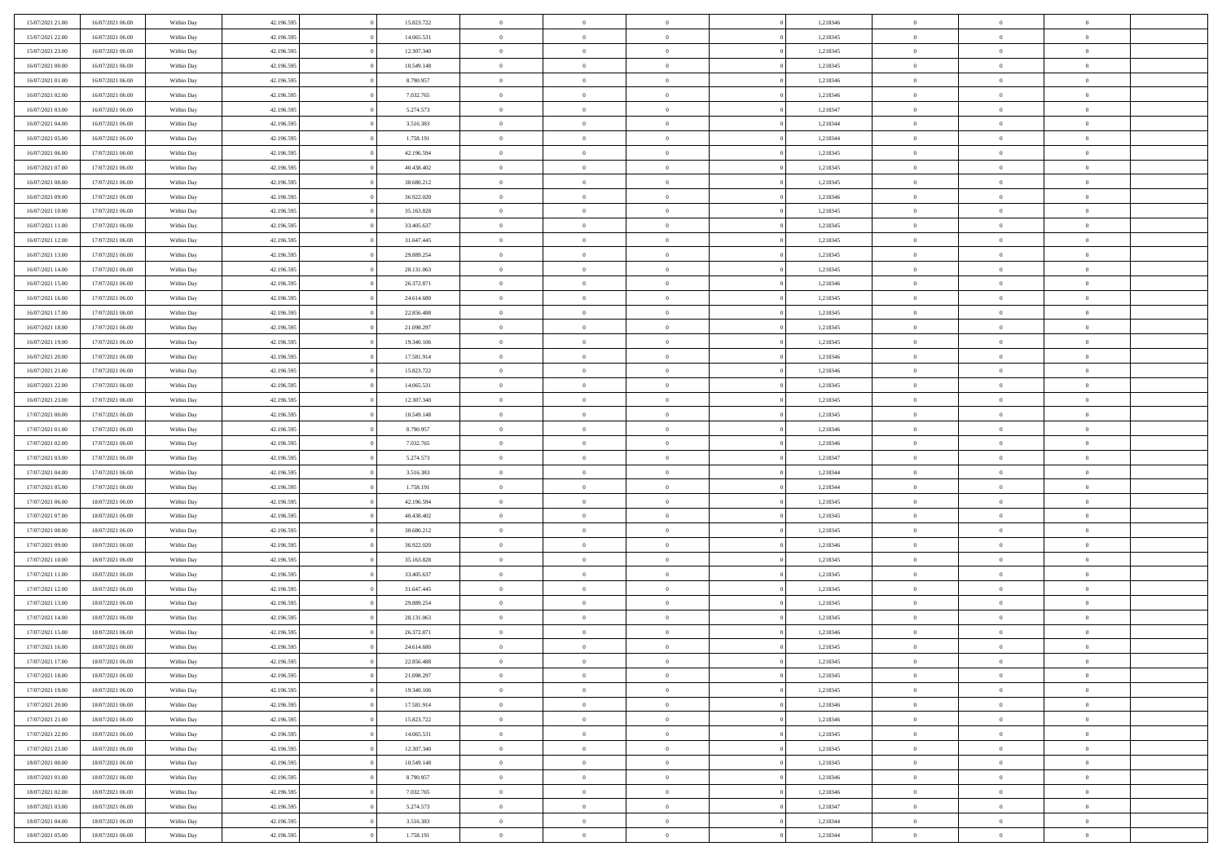| 15/07/2021 21:00                     | 16/07/2021 06:00 | Within Day               | 42.196.595 | 15.823.722 | $\bf{0}$       | $\bf{0}$       | $\theta$       |          | 1,218346 | $\bf{0}$       | $\overline{0}$                   | $\,0\,$        |  |
|--------------------------------------|------------------|--------------------------|------------|------------|----------------|----------------|----------------|----------|----------|----------------|----------------------------------|----------------|--|
| 15/07/2021 22:00                     | 16/07/2021 06:00 | Within Day               | 42.196.595 | 14.065.531 | $\overline{0}$ | $\overline{0}$ | $\overline{0}$ |          | 1,218345 | $\theta$       | $\overline{0}$                   | $\overline{0}$ |  |
| 15/07/2021 23:00                     | 16/07/2021 06:00 | Within Day               | 42.196.595 | 12.307.340 | $\overline{0}$ | $\overline{0}$ | $\overline{0}$ |          | 1,218345 | $\mathbf{0}$   | $\overline{0}$                   | $\overline{0}$ |  |
| 16/07/2021 00:00                     | 16/07/2021 06:00 | Within Day               | 42.196.595 | 10.549.148 | $\bf{0}$       | $\overline{0}$ | $\overline{0}$ |          | 1,218345 | $\bf{0}$       | $\overline{0}$                   | $\overline{0}$ |  |
| 16/07/2021 01:00                     | 16/07/2021 06:00 | Within Day               | 42.196.595 | 8.790.957  | $\bf{0}$       | $\bf{0}$       | $\overline{0}$ |          | 1,218346 | $\bf{0}$       | $\overline{0}$                   | $\,0\,$        |  |
| 16/07/2021 02:00                     | 16/07/2021 06:00 | Within Dav               | 42.196.595 | 7.032.765  | $\overline{0}$ | $\overline{0}$ | $\overline{0}$ |          | 1,218346 | $\mathbf{0}$   | $\overline{0}$                   | $\overline{0}$ |  |
| 16/07/2021 03:00                     | 16/07/2021 06:00 | Within Day               | 42.196.595 | 5.274.573  | $\bf{0}$       | $\overline{0}$ | $\overline{0}$ |          | 1,218347 | $\bf{0}$       | $\overline{0}$                   | $\bf{0}$       |  |
| 16/07/2021 04:00                     | 16/07/2021 06:00 | Within Day               | 42.196.595 | 3.516.383  | $\overline{0}$ | $\overline{0}$ | $\overline{0}$ |          | 1,218344 | $\,$ 0 $\,$    | $\overline{0}$                   | $\overline{0}$ |  |
| 16/07/2021 05:00                     | 16/07/2021 06:00 | Within Day               | 42.196.595 | 1.758.191  | $\overline{0}$ | $\overline{0}$ | $\overline{0}$ |          | 1,218344 | $\mathbf{0}$   | $\overline{0}$                   | $\overline{0}$ |  |
| 16/07/2021 06:00                     | 17/07/2021 06:00 | Within Day               | 42.196.595 | 42.196.594 | $\bf{0}$       | $\bf{0}$       | $\overline{0}$ |          | 1,218345 | $\bf{0}$       | $\overline{0}$                   | $\bf{0}$       |  |
| 16/07/2021 07:00                     | 17/07/2021 06:00 | Within Day               | 42.196.595 | 40.438.402 | $\overline{0}$ | $\overline{0}$ | $\overline{0}$ |          | 1,218345 | $\bf{0}$       | $\overline{0}$                   | $\overline{0}$ |  |
| 16/07/2021 08:00                     | 17/07/2021 06:00 | Within Dav               | 42.196.595 | 38.680.212 | $\mathbf{0}$   | $\overline{0}$ | $\overline{0}$ |          | 1,218345 | $\mathbf{0}$   | $\overline{0}$                   | $\overline{0}$ |  |
| 16/07/2021 09:00                     | 17/07/2021 06:00 | Within Day               | 42.196.595 | 36.922.020 | $\bf{0}$       | $\overline{0}$ | $\overline{0}$ |          | 1,218346 | $\bf{0}$       | $\overline{0}$                   | $\bf{0}$       |  |
| 16/07/2021 10:00                     | 17/07/2021 06:00 | Within Day               | 42.196.595 | 35.163.828 | $\bf{0}$       | $\overline{0}$ | $\overline{0}$ |          | 1,218345 | $\bf{0}$       | $\overline{0}$                   | $\bf{0}$       |  |
| 16/07/2021 11:00                     | 17/07/2021 06:00 | Within Dav               | 42.196.595 | 33.405.637 | $\overline{0}$ | $\overline{0}$ | $\overline{0}$ |          | 1,218345 | $\mathbf{0}$   | $\overline{0}$                   | $\overline{0}$ |  |
| 16/07/2021 12:00                     | 17/07/2021 06:00 | Within Day               | 42.196.595 | 31.647.445 | $\bf{0}$       | $\bf{0}$       | $\overline{0}$ |          | 1,218345 | $\bf{0}$       | $\overline{0}$                   | $\bf{0}$       |  |
| 16/07/2021 13:00                     | 17/07/2021 06:00 |                          | 42.196.595 | 29.889.254 | $\overline{0}$ | $\overline{0}$ | $\overline{0}$ |          | 1,218345 | $\bf{0}$       | $\mathbf{0}$                     | $\overline{0}$ |  |
| 16/07/2021 14:00                     | 17/07/2021 06:00 | Within Day<br>Within Day | 42.196.595 | 28.131.063 | $\mathbf{0}$   | $\overline{0}$ | $\overline{0}$ |          | 1,218345 | $\mathbf{0}$   | $\overline{0}$                   | $\overline{0}$ |  |
| 16/07/2021 15:00                     | 17/07/2021 06:00 | Within Day               | 42.196.595 | 26.372.871 | $\bf{0}$       | $\bf{0}$       | $\overline{0}$ |          | 1,218346 | $\bf{0}$       | $\overline{0}$                   | $\bf{0}$       |  |
| 16/07/2021 16:00                     | 17/07/2021 06:00 |                          | 42.196.595 | 24.614.680 | $\overline{0}$ | $\overline{0}$ | $\overline{0}$ |          | 1,218345 | $\bf{0}$       | $\overline{0}$                   | $\overline{0}$ |  |
| 16/07/2021 17:00                     | 17/07/2021 06:00 | Within Day               | 42.196.595 | 22.856.488 | $\overline{0}$ | $\overline{0}$ | $\overline{0}$ |          | 1,218345 | $\mathbf{0}$   | $\overline{0}$                   | $\overline{0}$ |  |
|                                      | 17/07/2021 06:00 | Within Day               |            |            | $\bf{0}$       |                |                |          |          | $\bf{0}$       |                                  |                |  |
| 16/07/2021 18:00                     |                  | Within Day               | 42.196.595 | 21.098.297 |                | $\overline{0}$ | $\overline{0}$ |          | 1,218345 |                | $\overline{0}$<br>$\overline{0}$ | $\overline{0}$ |  |
| 16/07/2021 19:00<br>16/07/2021 20:00 | 17/07/2021 06:00 | Within Day               | 42.196.595 | 19.340.106 | $\bf{0}$       | $\bf{0}$       | $\overline{0}$ |          | 1,218345 | $\bf{0}$       |                                  | $\overline{0}$ |  |
|                                      | 17/07/2021 06:00 | Within Dav               | 42.196.595 | 17.581.914 | $\overline{0}$ | $\overline{0}$ | $\overline{0}$ |          | 1,218346 | $\mathbf{0}$   | $\overline{0}$                   | $\overline{0}$ |  |
| 16/07/2021 21:00                     | 17/07/2021 06:00 | Within Day               | 42.196.595 | 15.823.722 | $\bf{0}$       | $\bf{0}$       | $\overline{0}$ |          | 1,218346 | $\bf{0}$       | $\overline{0}$                   | $\bf{0}$       |  |
| 16/07/2021 22:00                     | 17/07/2021 06:00 | Within Day               | 42.196.595 | 14.065.531 | $\overline{0}$ | $\overline{0}$ | $\overline{0}$ |          | 1,218345 | $\bf{0}$       | $\mathbf{0}$                     | $\overline{0}$ |  |
| 16/07/2021 23:00                     | 17/07/2021 06:00 | Within Day               | 42.196.595 | 12.307.340 | $\overline{0}$ | $\overline{0}$ | $\overline{0}$ |          | 1,218345 | $\mathbf{0}$   | $\overline{0}$                   | $\overline{0}$ |  |
| 17/07/2021 00:00                     | 17/07/2021 06:00 | Within Day               | 42.196.595 | 10.549.148 | $\bf{0}$       | $\bf{0}$       | $\overline{0}$ |          | 1,218345 | $\bf{0}$       | $\overline{0}$                   | $\bf{0}$       |  |
| 17/07/2021 01:00                     | 17/07/2021 06:00 | Within Day               | 42.196.595 | 8.790.957  | $\bf{0}$       | $\overline{0}$ | $\overline{0}$ |          | 1,218346 | $\bf{0}$       | $\mathbf{0}$                     | $\overline{0}$ |  |
| 17/07/2021 02:00                     | 17/07/2021 06:00 | Within Day               | 42.196.595 | 7.032.765  | $\mathbf{0}$   | $\overline{0}$ | $\overline{0}$ |          | 1,218346 | $\mathbf{0}$   | $\overline{0}$                   | $\overline{0}$ |  |
| 17/07/2021 03:00                     | 17/07/2021 06:00 | Within Day               | 42.196.595 | 5.274.573  | $\bf{0}$       | $\overline{0}$ | $\overline{0}$ |          | 1,218347 | $\,$ 0         | $\overline{0}$                   | $\,$ 0 $\,$    |  |
| 17/07/2021 04:00                     | 17/07/2021 06:00 | Within Day               | 42.196.595 | 3.516.383  | $\bf{0}$       | $\overline{0}$ | $\overline{0}$ |          | 1,218344 | $\bf{0}$       | $\overline{0}$                   | $\overline{0}$ |  |
| 17/07/2021 05:00                     | 17/07/2021 06:00 | Within Dav               | 42.196.595 | 1.758.191  | $\overline{0}$ | $\overline{0}$ | $\overline{0}$ |          | 1,218344 | $\mathbf{0}$   | $\overline{0}$                   | $\overline{0}$ |  |
| 17/07/2021 06:00                     | 18/07/2021 06:00 | Within Day               | 42.196.595 | 42.196.594 | $\bf{0}$       | $\overline{0}$ | $\theta$       |          | 1,218345 | $\,$ 0         | $\overline{0}$                   | $\theta$       |  |
| 17/07/2021 07:00                     | 18/07/2021 06:00 | Within Day               | 42.196.595 | 40.438.402 | $\overline{0}$ | $\overline{0}$ | $\overline{0}$ |          | 1,218345 | $\bf{0}$       | $\overline{0}$                   | $\overline{0}$ |  |
| 17/07/2021 08:00                     | 18/07/2021 06:00 | Within Day               | 42.196.595 | 38.680.212 | $\mathbf{0}$   | $\overline{0}$ | $\overline{0}$ |          | 1,218345 | $\mathbf{0}$   | $\overline{0}$                   | $\overline{0}$ |  |
| 17/07/2021 09:00                     | 18/07/2021 06:00 | Within Day               | 42.196.595 | 36.922.020 | $\bf{0}$       | $\overline{0}$ | $\theta$       |          | 1,218346 | $\,$ 0         | $\overline{0}$                   | $\theta$       |  |
| 17/07/2021 10:00                     | 18/07/2021 06:00 | Within Day               | 42.196.595 | 35.163.828 | $\overline{0}$ | $\overline{0}$ | $\overline{0}$ |          | 1,218345 | $\bf{0}$       | $\overline{0}$                   | $\overline{0}$ |  |
| 17/07/2021 11:00                     | 18/07/2021 06:00 | Within Day               | 42.196.595 | 33.405.637 | $\overline{0}$ | $\overline{0}$ | $\overline{0}$ |          | 1,218345 | $\mathbf{0}$   | $\overline{0}$                   | $\overline{0}$ |  |
| 17/07/2021 12:00                     | 18/07/2021 06:00 | Within Day               | 42.196.595 | 31.647.445 | $\,0\,$        | $\overline{0}$ | $\theta$       |          | 1,218345 | $\,$ 0         | $\overline{0}$                   | $\,$ 0 $\,$    |  |
| 17/07/2021 13:00                     | 18/07/2021 06:00 | Within Day               | 42.196.595 | 29.889.254 | $\bf{0}$       | $\overline{0}$ | $\overline{0}$ |          | 1,218345 | $\bf{0}$       | $\overline{0}$                   | $\overline{0}$ |  |
| 17/07/2021 14:00                     | 18/07/2021 06:00 | Within Day               | 42.196.595 | 28.131.063 | $\mathbf{0}$   | $\overline{0}$ | $\overline{0}$ |          | 1,218345 | $\mathbf{0}$   | $\overline{0}$                   | $\overline{0}$ |  |
| 17/07/2021 15:00                     | 18/07/2021 06:00 | Within Day               | 42.196.595 | 26.372.871 | $\bf{0}$       | $\overline{0}$ | $\theta$       |          | 1,218346 | $\,$ 0         | $\overline{0}$<br>$\overline{0}$ | $\theta$       |  |
| 17/07/2021 16:00                     | 18/07/2021 06:00 | Within Day               | 42.196.595 | 24.614.680 | $\bf{0}$       | $\overline{0}$ | $\overline{0}$ |          | 1,218345 | $\bf{0}$       |                                  | $\overline{0}$ |  |
| 17/07/2021 17:00                     | 18/07/2021 06:00 | Within Day               | 42.196.595 | 22.856.488 | $\bf{0}$       | $\overline{0}$ | $\Omega$       |          | 1,218345 | $\overline{0}$ | $\bf{0}$                         | $\theta$       |  |
| 17/07/2021 18:00                     | 18/07/2021 06:00 | Within Day               | 42.196.595 | 21.098.297 | $\,0\,$        | $\overline{0}$ | $\theta$       |          | 1,218345 | $\,$ 0 $\,$    | $\bf{0}$                         | $\theta$       |  |
| 17/07/2021 19:00                     | 18/07/2021 06:00 | Within Day               | 42.196.595 | 19.340.106 | $\overline{0}$ | $\overline{0}$ | $\overline{0}$ |          | 1,218345 | $\overline{0}$ | $\overline{0}$                   | $\overline{0}$ |  |
| 17/07/2021 20:00                     | 18/07/2021 06:00 | Within Day               | 42.196.595 | 17.581.914 | $\bf{0}$       | $\overline{0}$ | $\overline{0}$ |          | 1,218346 | $\overline{0}$ | $\bf{0}$                         | $\overline{0}$ |  |
| 17/07/2021 21:00                     | 18/07/2021 06:00 | Within Day               | 42.196.595 | 15.823.722 | $\bf{0}$       | $\overline{0}$ | $\overline{0}$ | $\theta$ | 1,218346 | $\,$ 0 $\,$    | $\bf{0}$                         | $\,$ 0 $\,$    |  |
| 17/07/2021 22:00                     | 18/07/2021 06:00 | Within Day               | 42.196.595 | 14.065.531 | $\bf{0}$       | $\overline{0}$ | $\overline{0}$ |          | 1,218345 | $\,$ 0 $\,$    | $\overline{0}$                   | $\overline{0}$ |  |
| 17/07/2021 23:00                     | 18/07/2021 06:00 | Within Day               | 42.196.595 | 12.307.340 | $\bf{0}$       | $\overline{0}$ | $\overline{0}$ |          | 1,218345 | $\mathbf{0}$   | $\overline{0}$                   | $\overline{0}$ |  |
| 18/07/2021 00:00                     | 18/07/2021 06:00 | Within Day               | 42.196.595 | 10.549.148 | $\,$ 0 $\,$    | $\overline{0}$ | $\overline{0}$ | $\theta$ | 1,218345 | $\,$ 0 $\,$    | $\bf{0}$                         | $\,$ 0 $\,$    |  |
| 18/07/2021 01:00                     | 18/07/2021 06:00 | Within Day               | 42.196.595 | 8.790.957  | $\bf{0}$       | $\overline{0}$ | $\overline{0}$ |          | 1,218346 | $\overline{0}$ | $\overline{0}$                   | $\overline{0}$ |  |
| 18/07/2021 02:00                     | 18/07/2021 06:00 | Within Day               | 42.196.595 | 7.032.765  | $\bf{0}$       | $\overline{0}$ | $\overline{0}$ |          | 1,218346 | $\overline{0}$ | $\bf{0}$                         | $\overline{0}$ |  |
| 18/07/2021 03:00                     | 18/07/2021 06:00 | Within Day               | 42.196.595 | 5.274.573  | $\,$ 0 $\,$    | $\overline{0}$ | $\overline{0}$ |          | 1,218347 | $\,$ 0 $\,$    | $\overline{0}$                   | $\,$ 0 $\,$    |  |
| 18/07/2021 04:00                     | 18/07/2021 06:00 | Within Day               | 42.196.595 | 3.516.383  | $\overline{0}$ | $\overline{0}$ | $\overline{0}$ |          | 1,218344 | $\mathbf 0$    | $\mathbf{0}$                     | $\overline{0}$ |  |
| 18/07/2021 05:00                     | 18/07/2021 06:00 | Within Day               | 42.196.595 | 1.758.191  | $\overline{0}$ | $\overline{0}$ | $\overline{0}$ |          | 1,218344 | $\mathbf{0}$   | $\overline{0}$                   | $\overline{0}$ |  |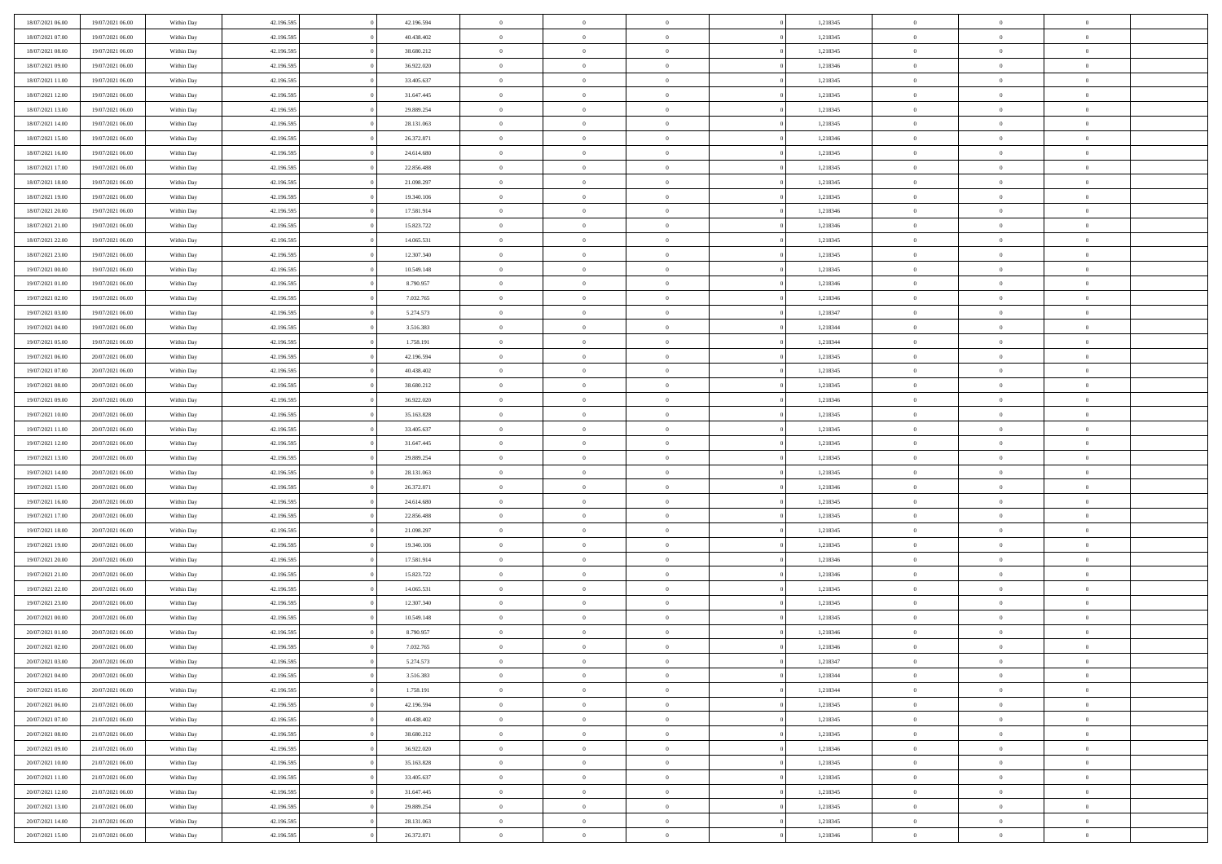| 18/07/2021 06:00<br>19/07/2021 06:00                                         | Within Day               | 42.196.595               | 42.196.594               | $\bf{0}$                       | $\overline{0}$                   | $\theta$                   |          | 1,218345             | $\bf{0}$                         | $\overline{0}$                   | $\,0\,$                          |  |
|------------------------------------------------------------------------------|--------------------------|--------------------------|--------------------------|--------------------------------|----------------------------------|----------------------------|----------|----------------------|----------------------------------|----------------------------------|----------------------------------|--|
| 18/07/2021 07:00<br>19/07/2021 06:00                                         | Within Day               | 42.196.595               | 40.438.402               | $\overline{0}$                 | $\overline{0}$                   | $\overline{0}$             |          | 1,218345             | $\theta$                         | $\overline{0}$                   | $\overline{0}$                   |  |
| 18/07/2021 08:00<br>19/07/2021 06:00                                         | Within Day               | 42.196.595               | 38.680.212               | $\overline{0}$                 | $\overline{0}$                   | $\overline{0}$             |          | 1,218345             | $\mathbf{0}$                     | $\overline{0}$                   | $\overline{0}$                   |  |
| 18/07/2021 09:00<br>19/07/2021 06:00                                         | Within Day               | 42.196.595               | 36.922.020               | $\bf{0}$                       | $\overline{0}$                   | $\overline{0}$             |          | 1,218346             | $\bf{0}$                         | $\overline{0}$                   | $\overline{0}$                   |  |
| 18/07/2021 11:00<br>19/07/2021 06:00                                         | Within Day               | 42.196.595               | 33.405.637               | $\bf{0}$                       | $\bf{0}$                         | $\overline{0}$             |          | 1,218345             | $\bf{0}$                         | $\bf{0}$                         | $\,0\,$                          |  |
| 18/07/2021 12:00<br>19/07/2021 06:00                                         | Within Dav               | 42.196.595               | 31.647.445               | $\overline{0}$                 | $\overline{0}$                   | $\overline{0}$             |          | 1,218345             | $\mathbf{0}$                     | $\overline{0}$                   | $\overline{0}$                   |  |
| 18/07/2021 13:00<br>19/07/2021 06:00                                         | Within Day               | 42.196.595               | 29.889.254               | $\bf{0}$                       | $\bf{0}$                         | $\overline{0}$             |          | 1,218345             | $\bf{0}$                         | $\overline{0}$                   | $\bf{0}$                         |  |
| 18/07/2021 14:00<br>19/07/2021 06:00                                         | Within Day               | 42.196.595               | 28.131.063               | $\overline{0}$                 | $\overline{0}$                   | $\overline{0}$             |          | 1,218345             | $\,$ 0 $\,$                      | $\overline{0}$                   | $\overline{0}$                   |  |
| 18/07/2021 15:00<br>19/07/2021 06:00                                         | Within Day               | 42.196.595               | 26.372.871               | $\overline{0}$                 | $\overline{0}$                   | $\overline{0}$             |          | 1,218346             | $\mathbf{0}$                     | $\overline{0}$                   | $\overline{0}$                   |  |
| 18/07/2021 16:00<br>19/07/2021 06:00                                         | Within Day               | 42.196.595               | 24.614.680               | $\bf{0}$                       | $\bf{0}$                         | $\overline{0}$             |          | 1,218345             | $\bf{0}$                         | $\overline{0}$                   | $\,0\,$                          |  |
| 18/07/2021 17:00<br>19/07/2021 06:00                                         | Within Day               | 42.196.595               | 22.856.488               | $\overline{0}$                 | $\overline{0}$                   | $\overline{0}$             |          | 1,218345             | $\bf{0}$                         | $\overline{0}$                   | $\overline{0}$                   |  |
| 18/07/2021 18:00<br>19/07/2021 06:00                                         | Within Dav               | 42.196.595               | 21.098.297               | $\mathbf{0}$                   | $\overline{0}$                   | $\overline{0}$             |          | 1,218345             | $\mathbf{0}$                     | $\overline{0}$                   | $\overline{0}$                   |  |
| 18/07/2021 19:00<br>19/07/2021 06:00                                         | Within Day               | 42.196.595               | 19.340.106               | $\bf{0}$                       | $\overline{0}$                   | $\overline{0}$             |          | 1,218345             | $\bf{0}$                         | $\overline{0}$                   | $\overline{0}$                   |  |
| 18/07/2021 20:00<br>19/07/2021 06:00                                         | Within Day               | 42.196.595               | 17.581.914               | $\bf{0}$                       | $\overline{0}$                   | $\overline{0}$             |          | 1,218346             | $\bf{0}$                         | $\mathbf{0}$                     | $\,0\,$                          |  |
| 18/07/2021 21:00<br>19/07/2021 06:00                                         | Within Dav               | 42.196.595               | 15.823.722               | $\overline{0}$                 | $\overline{0}$                   | $\overline{0}$             |          | 1,218346             | $\mathbf{0}$                     | $\overline{0}$                   | $\overline{0}$                   |  |
| 18/07/2021 22:00<br>19/07/2021 06:00                                         | Within Day               | 42.196.595               | 14.065.531               | $\bf{0}$                       | $\bf{0}$                         | $\overline{0}$             |          | 1,218345             | $\bf{0}$                         | $\overline{0}$                   | $\bf{0}$                         |  |
| 18/07/2021 23:00<br>19/07/2021 06:00                                         | Within Day               | 42.196.595               | 12.307.340               | $\overline{0}$                 | $\overline{0}$                   | $\overline{0}$             |          | 1,218345             | $\bf{0}$                         | $\mathbf{0}$                     | $\overline{0}$                   |  |
| 19/07/2021 00:00<br>19/07/2021 06:00                                         | Within Day               | 42.196.595               | 10.549.148               | $\mathbf{0}$                   | $\overline{0}$                   | $\overline{0}$             |          | 1,218345             | $\mathbf{0}$                     | $\overline{0}$                   | $\overline{0}$                   |  |
| 19/07/2021 01:00<br>19/07/2021 06:00                                         | Within Day               | 42.196.595               | 8.790.957                | $\bf{0}$                       | $\bf{0}$                         | $\overline{0}$             |          | 1,218346             | $\bf{0}$                         | $\overline{0}$                   | $\,0\,$                          |  |
| 19/07/2021 02:00<br>19/07/2021 06:00                                         | Within Day               | 42.196.595               | 7.032.765                | $\overline{0}$                 | $\overline{0}$                   | $\overline{0}$             |          | 1,218346             | $\bf{0}$                         | $\mathbf{0}$                     | $\overline{0}$                   |  |
| 19/07/2021 03:00<br>19/07/2021 06:00                                         | Within Day               | 42.196.595               | 5.274.573                | $\overline{0}$                 | $\overline{0}$                   | $\overline{0}$             |          | 1,218347             | $\mathbf{0}$                     | $\overline{0}$                   | $\overline{0}$                   |  |
| 19/07/2021 04:00<br>19/07/2021 06:00                                         | Within Day               | 42.196.595               | 3.516.383                | $\bf{0}$                       | $\overline{0}$                   | $\overline{0}$             |          | 1,218344             | $\bf{0}$                         | $\overline{0}$                   | $\overline{0}$                   |  |
| 19/07/2021 06:00                                                             |                          | 42.196.595               | 1.758.191                | $\bf{0}$                       | $\bf{0}$                         | $\overline{0}$             |          | 1,218344             |                                  | $\bf{0}$                         | $\overline{0}$                   |  |
| 19/07/2021 05:00<br>19/07/2021 06:00<br>20/07/2021 06:00                     | Within Day<br>Within Dav | 42.196.595               | 42.196.594               | $\overline{0}$                 | $\overline{0}$                   | $\overline{0}$             |          | 1,218345             | $\bf{0}$<br>$\mathbf{0}$         | $\overline{0}$                   | $\overline{0}$                   |  |
| 19/07/2021 07:00<br>20/07/2021 06:00                                         | Within Day               | 42.196.595               | 40.438.402               | $\bf{0}$                       | $\bf{0}$                         | $\overline{0}$             |          | 1,218345             | $\bf{0}$                         | $\overline{0}$                   | $\bf{0}$                         |  |
|                                                                              |                          |                          |                          | $\overline{0}$                 | $\overline{0}$                   |                            |          |                      |                                  | $\mathbf{0}$                     | $\overline{0}$                   |  |
| 19/07/2021 08:00<br>20/07/2021 06:00<br>19/07/2021 09:00<br>20/07/2021 06:00 | Within Day               | 42.196.595               | 38.680.212               |                                |                                  | $\overline{0}$             |          | 1,218345             | $\bf{0}$                         |                                  |                                  |  |
|                                                                              | Within Day               | 42.196.595               | 36.922.020               | $\overline{0}$                 | $\overline{0}$                   | $\overline{0}$             |          | 1,218346             | $\mathbf{0}$                     | $\overline{0}$                   | $\overline{0}$                   |  |
| 19/07/2021 10:00<br>20/07/2021 06:00                                         | Within Day               | 42.196.595               | 35.163.828               | $\bf{0}$                       | $\bf{0}$                         | $\overline{0}$             |          | 1,218345             | $\bf{0}$                         | $\overline{0}$                   | $\bf{0}$                         |  |
| 19/07/2021 11:00<br>20/07/2021 06:00                                         | Within Day               | 42.196.595               | 33.405.637               | $\bf{0}$                       | $\overline{0}$                   | $\overline{0}$             |          | 1,218345             | $\bf{0}$                         | $\mathbf{0}$                     | $\overline{0}$                   |  |
| 19/07/2021 12:00<br>20/07/2021 06:00                                         | Within Day               | 42.196.595               | 31.647.445               | $\mathbf{0}$                   | $\overline{0}$                   | $\overline{0}$             |          | 1,218345             | $\mathbf{0}$                     | $\overline{0}$                   | $\overline{0}$                   |  |
| 19/07/2021 13:00<br>20/07/2021 06:00                                         | Within Day               | 42.196.595               | 29.889.254               | $\bf{0}$                       | $\overline{0}$                   | $\overline{0}$             |          | 1,218345             | $\,$ 0                           | $\overline{0}$                   | $\,$ 0 $\,$                      |  |
| 19/07/2021 14:00<br>20/07/2021 06:00                                         | Within Day               | 42.196.595               | 28.131.063               | $\bf{0}$<br>$\overline{0}$     | $\overline{0}$                   | $\overline{0}$             |          | 1,218345             | $\bf{0}$<br>$\mathbf{0}$         | $\bf{0}$                         | $\overline{0}$<br>$\overline{0}$ |  |
| 19/07/2021 15:00<br>20/07/2021 06:00                                         | Within Dav               | 42.196.595               | 26.372.871               | $\bf{0}$                       | $\overline{0}$                   | $\overline{0}$             |          | 1,218346             |                                  | $\overline{0}$                   | $\theta$                         |  |
| 19/07/2021 16:00<br>20/07/2021 06:00                                         | Within Day               | 42.196.595               | 24.614.680               |                                | $\overline{0}$<br>$\overline{0}$ | $\theta$<br>$\overline{0}$ |          | 1,218345             | $\,$ 0                           | $\overline{0}$<br>$\overline{0}$ | $\overline{0}$                   |  |
| 19/07/2021 17:00<br>20/07/2021 06:00                                         | Within Day               | 42.196.595               | 22.856.488               | $\overline{0}$<br>$\mathbf{0}$ |                                  |                            |          | 1,218345             | $\bf{0}$<br>$\mathbf{0}$         |                                  | $\overline{0}$                   |  |
| 19/07/2021 18:00<br>20/07/2021 06:00                                         | Within Day               | 42.196.595               | 21.098.297               | $\bf{0}$                       | $\overline{0}$                   | $\overline{0}$             |          | 1,218345             |                                  | $\overline{0}$<br>$\overline{0}$ | $\theta$                         |  |
| 19/07/2021 19:00<br>20/07/2021 06:00                                         | Within Day               | 42.196.595               | 19.340.106               |                                | $\overline{0}$                   | $\theta$                   |          | 1,218345             | $\,$ 0                           |                                  |                                  |  |
| 19/07/2021 20:00<br>20/07/2021 06:00<br>19/07/2021 21:00                     | Within Day               | 42.196.595               | 17.581.914               | $\bf{0}$<br>$\overline{0}$     | $\overline{0}$                   | $\overline{0}$             |          | 1,218346             | $\bf{0}$<br>$\mathbf{0}$         | $\mathbf{0}$                     | $\bf{0}$<br>$\overline{0}$       |  |
| 20/07/2021 06:00                                                             | Within Day               | 42.196.595               | 15.823.722               |                                | $\overline{0}$                   | $\overline{0}$             |          | 1,218346             |                                  | $\overline{0}$                   |                                  |  |
| 19/07/2021 22:00<br>20/07/2021 06:00                                         | Within Day               | 42.196.595               | 14.065.531               | $\,0\,$                        | $\overline{0}$                   | $\theta$                   |          | 1,218345             | $\,$ 0                           | $\overline{0}$<br>$\overline{0}$ | $\,$ 0 $\,$                      |  |
| 19/07/2021 23:00<br>20/07/2021 06:00<br>20/07/2021 00:00<br>20/07/2021 06:00 | Within Day<br>Within Dav | 42.196.595<br>42.196.595 | 12.307.340<br>10.549.148 | $\bf{0}$<br>$\mathbf{0}$       | $\overline{0}$<br>$\overline{0}$ | $\overline{0}$             |          | 1,218345<br>1,218345 | $\bf{0}$<br>$\mathbf{0}$         | $\overline{0}$                   | $\bf{0}$<br>$\overline{0}$       |  |
| 20/07/2021 01:00<br>20/07/2021 06:00                                         | Within Day               | 42.196.595               | 8.790.957                | $\bf{0}$                       | $\overline{0}$                   | $\overline{0}$<br>$\theta$ |          | 1,218346             | $\,$ 0                           | $\overline{0}$                   | $\theta$                         |  |
| 20/07/2021 02:00<br>20/07/2021 06:00                                         |                          | 42.196.595               | 7.032.765                | $\bf{0}$                       | $\overline{0}$                   | $\overline{0}$             |          |                      | $\bf{0}$                         | $\overline{0}$                   | $\overline{0}$                   |  |
| 20/07/2021 03:00<br>20/07/2021 06:00                                         | Within Day<br>Within Day | 42.196.595               | 5.274.573                | $\bf{0}$                       | $\overline{0}$                   | $\Omega$                   |          | 1,218346<br>1,218347 | $\overline{0}$                   | $\bf{0}$                         | $\theta$                         |  |
|                                                                              |                          |                          |                          |                                |                                  |                            |          |                      |                                  |                                  | $\theta$                         |  |
| 20/07/2021 04:00<br>20/07/2021 06:00                                         | Within Day               | 42.196.595               | 3.516.383                | $\,$ 0 $\,$                    | $\overline{0}$                   | $\theta$                   |          | 1,218344             | $\,$ 0 $\,$                      | $\bf{0}$<br>$\overline{0}$       |                                  |  |
| 20/07/2021 05:00<br>20/07/2021 06:00                                         | Within Day               | 42.196.595               | 1.758.191                | $\overline{0}$                 | $\overline{0}$                   | $\overline{0}$             |          | 1,218344             | $\overline{0}$<br>$\overline{0}$ |                                  | $\overline{0}$                   |  |
| 20/07/2021 06:00<br>21/07/2021 06:00                                         | Within Day               | 42.196.595               | 42.196.594               | $\bf{0}$                       | $\overline{0}$                   | $\overline{0}$             |          | 1,218345             |                                  | $\bf{0}$                         | $\overline{0}$                   |  |
| 20/07/2021 07:00<br>21/07/2021 06:00                                         | Within Day               | 42.196.595               | 40.438.402               | $\bf{0}$                       | $\overline{0}$                   | $\overline{0}$             | $\theta$ | 1,218345             | $\mathbf{0}$                     | $\bf{0}$                         | $\,$ 0 $\,$                      |  |
| 20/07/2021 08:00<br>21/07/2021 06:00                                         | Within Day               | 42.196.595               | 38.680.212               | $\bf{0}$                       | $\overline{0}$                   | $\overline{0}$             |          | 1,218345             | $\,$ 0 $\,$                      | $\overline{0}$                   | $\overline{0}$                   |  |
| 20/07/2021 09:00<br>21/07/2021 06:00                                         | Within Day               | 42.196.595               | 36.922.020               | $\bf{0}$                       | $\overline{0}$                   | $\overline{0}$             |          | 1,218346             | $\mathbf{0}$                     | $\overline{0}$                   | $\overline{0}$                   |  |
| 20/07/2021 10:00<br>21/07/2021 06:00                                         | Within Day               | 42.196.595               | 35.163.828               | $\,$ 0 $\,$                    | $\overline{0}$                   | $\overline{0}$             | $\theta$ | 1,218345             | $\,$ 0 $\,$                      | $\bf{0}$                         | $\,$ 0 $\,$                      |  |
| 20/07/2021 11:00<br>21/07/2021 06:00                                         | Within Day               | 42.196.595               | 33.405.637               | $\bf{0}$                       | $\overline{0}$                   | $\overline{0}$             |          | 1,218345             | $\overline{0}$                   | $\overline{0}$                   | $\overline{0}$                   |  |
| 20/07/2021 12:00<br>21/07/2021 06:00                                         | Within Day               | 42.196.595               | 31.647.445               | $\bf{0}$                       | $\overline{0}$                   | $\overline{0}$             |          | 1,218345             | $\overline{0}$                   | $\bf{0}$                         | $\overline{0}$                   |  |
| 20/07/2021 13:00<br>21/07/2021 06:00                                         | Within Day               | 42.196.595               | 29.889.254               | $\,$ 0 $\,$                    | $\overline{0}$                   | $\overline{0}$             |          | 1,218345             | $\mathbf{0}$                     | $\mathbf{0}$                     | $\,$ 0 $\,$                      |  |
| 20/07/2021 14:00<br>21/07/2021 06:00                                         | Within Day               | 42.196.595               | 28.131.063               | $\overline{0}$                 | $\overline{0}$                   | $\overline{0}$             |          | 1,218345             | $\mathbf 0$                      | $\mathbf{0}$                     | $\overline{0}$                   |  |
| 20/07/2021 15:00<br>21/07/2021 06:00                                         | Within Day               | 42.196.595               | 26.372.871               | $\bf{0}$                       | $\overline{0}$                   | $\overline{0}$             |          | 1,218346             | $\mathbf{0}$                     | $\overline{0}$                   | $\overline{0}$                   |  |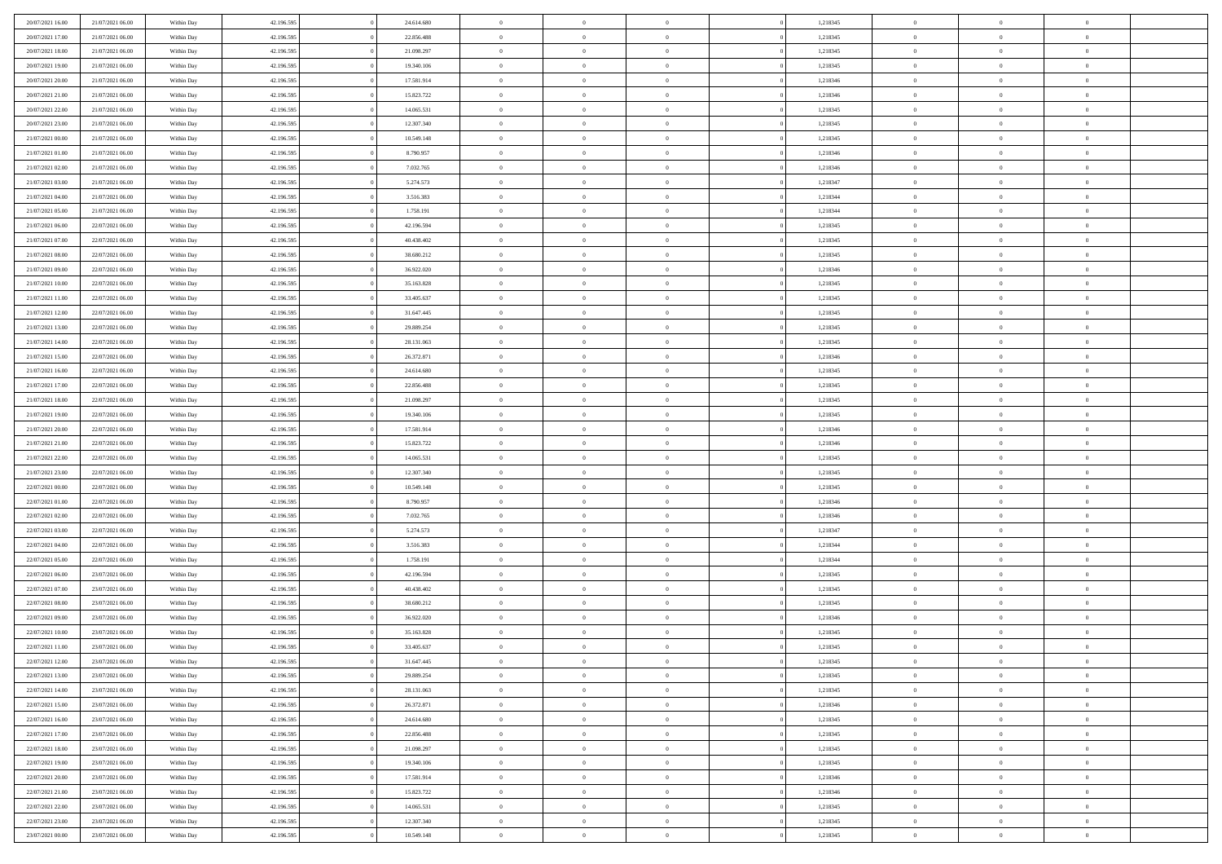| 20/07/2021 16:00 | 21/07/2021 06:00 | Within Day | 42.196.595 | 24.614.680               | $\,0\,$        | $\bf{0}$       | $\bf{0}$       |                | 1,218345             | $\,$ 0 $\,$    | $\overline{0}$ | $\bf{0}$       |  |
|------------------|------------------|------------|------------|--------------------------|----------------|----------------|----------------|----------------|----------------------|----------------|----------------|----------------|--|
| 20/07/2021 17:00 | 21/07/2021 06:00 | Within Day | 42.196.595 | 22.856.488               | $\overline{0}$ | $\overline{0}$ | $\overline{0}$ |                | 1,218345             | $\overline{0}$ | $\overline{0}$ | $\theta$       |  |
| 20/07/2021 18:00 | 21/07/2021 06:00 | Within Day | 42.196.595 | 21.098.297               | $\mathbf{0}$   | $\overline{0}$ | $\overline{0}$ |                | 1,218345             | $\theta$       | $\overline{0}$ | $\overline{0}$ |  |
| 20/07/2021 19:00 | 21/07/2021 06:00 | Within Day | 42.196.595 | 19.340.106               | $\bf{0}$       | $\overline{0}$ | $\overline{0}$ |                | 1,218345             | $\bf{0}$       | $\overline{0}$ | $\bf{0}$       |  |
| 20/07/2021 20:00 | 21/07/2021 06:00 | Within Day | 42.196.595 | 17.581.914               | $\bf{0}$       | $\overline{0}$ | $\overline{0}$ |                | 1,218346             | $\bf{0}$       | $\bf{0}$       | $\bf{0}$       |  |
| 20/07/2021 21:00 | 21/07/2021 06:00 | Within Day | 42.196.595 | 15.823.722               | $\overline{0}$ | $\overline{0}$ | $\overline{0}$ |                | 1,218346             | $\theta$       |                | $\overline{0}$ |  |
|                  |                  |            |            |                          |                |                |                |                |                      |                | $\bf{0}$       |                |  |
| 20/07/2021 22:00 | 21/07/2021 06:00 | Within Day | 42.196.595 | 14.065.531               | $\mathbf{0}$   | $\overline{0}$ | $\overline{0}$ |                | 1,218345             | $\bf{0}$       | $\overline{0}$ | $\theta$       |  |
| 20/07/2021 23:00 | 21/07/2021 06:00 | Within Day | 42.196.595 | 12.307.340               | $\overline{0}$ | $\mathbf{0}$   | $\overline{0}$ |                | 1,218345             | $\,$ 0 $\,$    | $\overline{0}$ | $\overline{0}$ |  |
| 21/07/2021 00:00 | 21/07/2021 06:00 | Within Day | 42.196.595 | 10.549.148               | $\mathbf{0}$   | $\overline{0}$ | $\overline{0}$ |                | 1,218345             | $\theta$       | $\overline{0}$ | $\overline{0}$ |  |
| 21/07/2021 01:00 | 21/07/2021 06:00 | Within Day | 42.196.595 | 8.790.957                | $\bf{0}$       | $\overline{0}$ | $\overline{0}$ |                | 1,218346             | $\bf{0}$       | $\overline{0}$ | $\bf{0}$       |  |
| 21/07/2021 02:00 | 21/07/2021 06:00 | Within Day | 42.196.595 | 7.032.765                | $\bf{0}$       | $\overline{0}$ | $\overline{0}$ |                | 1,218346             | $\bf{0}$       | $\mathbf{0}$   | $\bf{0}$       |  |
| 21/07/2021 03:00 | 21/07/2021 06:00 | Within Day | 42.196.595 | 5.274.573                | $\mathbf{0}$   | $\overline{0}$ | $\overline{0}$ |                | 1,218347             | $\theta$       | $\overline{0}$ | $\overline{0}$ |  |
| 21/07/2021 04:00 | 21/07/2021 06:00 | Within Day | 42.196.595 | 3.516.383                | $\bf{0}$       | $\overline{0}$ | $\overline{0}$ |                | 1,218344             | $\bf{0}$       | $\overline{0}$ | $\bf{0}$       |  |
| 21/07/2021 05:00 | 21/07/2021 06:00 | Within Day | 42.196.595 | 1.758.191                | $\bf{0}$       | $\mathbf{0}$   | $\overline{0}$ |                | 1,218344             | $\,$ 0 $\,$    | $\overline{0}$ | $\overline{0}$ |  |
| 21/07/2021 06:00 | 22/07/2021 06:00 | Within Day | 42.196.595 | 42.196.594               | $\mathbf{0}$   | $\overline{0}$ | $\overline{0}$ |                | 1,218345             | $\theta$       | $\overline{0}$ | $\overline{0}$ |  |
| 21/07/2021 07:00 | 22/07/2021 06:00 | Within Day | 42.196.595 | 40.438.402               | $\,0\,$        | $\overline{0}$ | $\overline{0}$ |                | 1,218345             | $\bf{0}$       | $\overline{0}$ | $\bf{0}$       |  |
| 21/07/2021 08:00 | 22/07/2021 06:00 | Within Day | 42.196.595 | 38.680.212               | $\bf{0}$       | $\overline{0}$ | $\overline{0}$ |                | 1,218345             | $\bf{0}$       | $\mathbf{0}$   | $\overline{0}$ |  |
| 21/07/2021 09:00 | 22/07/2021 06:00 | Within Day | 42.196.595 | 36.922.020               | $\mathbf{0}$   | $\overline{0}$ | $\overline{0}$ |                | 1,218346             | $\theta$       | $\overline{0}$ | $\overline{0}$ |  |
| 21/07/2021 10:00 | 22/07/2021 06:00 | Within Day | 42.196.595 | 35.163.828               | $\bf{0}$       | $\overline{0}$ | $\overline{0}$ |                | 1,218345             | $\bf{0}$       | $\overline{0}$ | $\bf{0}$       |  |
| 21/07/2021 11:00 | 22/07/2021 06:00 | Within Day | 42.196.595 | 33.405.637               | $\bf{0}$       | $\overline{0}$ | $\overline{0}$ |                | 1,218345             | $\,$ 0 $\,$    | $\overline{0}$ | $\bf{0}$       |  |
| 21/07/2021 12:00 | 22/07/2021 06:00 | Within Day | 42.196.595 | 31.647.445               | $\overline{0}$ | $\overline{0}$ | $\overline{0}$ |                | 1,218345             | $\theta$       | $\overline{0}$ | $\overline{0}$ |  |
| 21/07/2021 13:00 | 22/07/2021 06:00 | Within Day | 42.196.595 | 29.889.254               | $\mathbf{0}$   | $\theta$       | $\overline{0}$ |                | 1,218345             | $\bf{0}$       | $\overline{0}$ | $\theta$       |  |
| 21/07/2021 14:00 | 22/07/2021 06:00 | Within Day | 42.196.595 | 28.131.063               | $\bf{0}$       | $\mathbf{0}$   | $\overline{0}$ |                | 1,218345             | $\,$ 0 $\,$    | $\overline{0}$ | $\overline{0}$ |  |
| 21/07/2021 15:00 | 22/07/2021 06:00 | Within Day | 42.196.595 | 26.372.871               | $\mathbf{0}$   | $\overline{0}$ | $\overline{0}$ |                | 1,218346             | $\theta$       | $\overline{0}$ | $\overline{0}$ |  |
| 21/07/2021 16:00 | 22/07/2021 06:00 | Within Day | 42.196.595 | 24.614.680               | $\bf{0}$       | $\overline{0}$ | $\overline{0}$ |                | 1,218345             | $\bf{0}$       | $\overline{0}$ | $\overline{0}$ |  |
| 21/07/2021 17:00 | 22/07/2021 06:00 | Within Day | 42.196.595 | 22.856.488               | $\bf{0}$       | $\overline{0}$ | $\overline{0}$ |                | 1,218345             | $\bf{0}$       | $\mathbf{0}$   | $\overline{0}$ |  |
| 21/07/2021 18:00 | 22/07/2021 06:00 | Within Day | 42.196.595 | 21.098.297               | $\overline{0}$ | $\overline{0}$ | $\overline{0}$ |                | 1,218345             | $\theta$       | $\overline{0}$ | $\overline{0}$ |  |
| 21/07/2021 19:00 | 22/07/2021 06:00 | Within Day | 42.196.595 | 19.340.106               | $\,0\,$        | $\overline{0}$ | $\bf{0}$       |                | 1,218345             | $\bf{0}$       | $\overline{0}$ | $\bf{0}$       |  |
|                  | 22/07/2021 06:00 |            | 42.196.595 |                          | $\bf{0}$       | $\overline{0}$ | $\overline{0}$ |                |                      | $\,$ 0 $\,$    | $\overline{0}$ | $\overline{0}$ |  |
| 21/07/2021 20:00 | 22/07/2021 06:00 | Within Day | 42.196.595 | 17.581.914<br>15.823.722 | $\mathbf{0}$   | $\overline{0}$ | $\overline{0}$ |                | 1,218346<br>1,218346 | $\theta$       | $\overline{0}$ | $\overline{0}$ |  |
| 21/07/2021 21:00 |                  | Within Day |            |                          |                |                |                |                |                      |                |                |                |  |
| 21/07/2021 22:00 | 22/07/2021 06:00 | Within Day | 42.196.595 | 14.065.531               | $\mathbf{0}$   | $\overline{0}$ | $\overline{0}$ |                | 1,218345             | $\,$ 0 $\,$    | $\overline{0}$ | $\theta$       |  |
| 21/07/2021 23:00 | 22/07/2021 06:00 | Within Day | 42.196.595 | 12.307.340               | $\bf{0}$       | $\overline{0}$ | $\overline{0}$ |                | 1,218345             | $\bf{0}$       | $\mathbf{0}$   | $\overline{0}$ |  |
| 22/07/2021 00:00 | 22/07/2021 06:00 | Within Day | 42.196.595 | 10.549.148               | $\mathbf{0}$   | $\overline{0}$ | $\overline{0}$ |                | 1,218345             | $\theta$       | $\overline{0}$ | $\overline{0}$ |  |
| 22/07/2021 01:00 | 22/07/2021 06:00 | Within Day | 42.196.595 | 8.790.957                | $\mathbf{0}$   | $\overline{0}$ | $\overline{0}$ |                | 1,218346             | $\,$ 0 $\,$    | $\overline{0}$ | $\theta$       |  |
| 22/07/2021 02:00 | 22/07/2021 06:00 | Within Day | 42.196.595 | 7.032.765                | $\overline{0}$ | $\overline{0}$ | $\overline{0}$ |                | 1,218346             | $\,$ 0 $\,$    | $\overline{0}$ | $\overline{0}$ |  |
| 22/07/2021 03:00 | 22/07/2021 06:00 | Within Day | 42.196.595 | 5.274.573                | $\mathbf{0}$   | $\overline{0}$ | $\overline{0}$ |                | 1,218347             | $\theta$       | $\bf{0}$       | $\overline{0}$ |  |
| 22/07/2021 04:00 | 22/07/2021 06:00 | Within Day | 42.196.595 | 3.516.383                | $\mathbf{0}$   | $\overline{0}$ | $\theta$       |                | 1,218344             | $\,$ 0 $\,$    | $\overline{0}$ | $\theta$       |  |
| 22/07/2021 05:00 | 22/07/2021 06:00 | Within Day | 42.196.595 | 1.758.191                | $\bf{0}$       | $\overline{0}$ | $\overline{0}$ |                | 1,218344             | $\,$ 0 $\,$    | $\mathbf{0}$   | $\overline{0}$ |  |
| 22/07/2021 06:00 | 23/07/2021 06:00 | Within Day | 42.196.595 | 42.196.594               | $\mathbf{0}$   | $\overline{0}$ | $\overline{0}$ |                | 1,218345             | $\theta$       | $\overline{0}$ | $\overline{0}$ |  |
| 22/07/2021 07:00 | 23/07/2021 06:00 | Within Day | 42.196.595 | 40.438.402               | $\,$ 0 $\,$    | $\overline{0}$ | $\bf{0}$       |                | 1,218345             | $\,$ 0 $\,$    | $\overline{0}$ | $\,$ 0 $\,$    |  |
| 22/07/2021 08:00 | 23/07/2021 06:00 | Within Day | 42.196.595 | 38.680.212               | $\bf{0}$       | $\overline{0}$ | $\overline{0}$ |                | 1,218345             | $\bf{0}$       | $\bf{0}$       | $\bf{0}$       |  |
| 22/07/2021 09:00 | 23/07/2021 06:00 | Within Day | 42.196.595 | 36.922.020               | $\mathbf{0}$   | $\overline{0}$ | $\overline{0}$ |                | 1,218346             | $\theta$       | $\overline{0}$ | $\overline{0}$ |  |
| 22/07/2021 10:00 | 23/07/2021 06:00 | Within Day | 42.196.595 | 35.163.828               | $\mathbf{0}$   | $\overline{0}$ | $\overline{0}$ |                | 1,218345             | $\,$ 0 $\,$    | $\overline{0}$ | $\theta$       |  |
| 22/07/2021 11:00 | 23/07/2021 06:00 | Within Day | 42.196.595 | 33.405.637               | $\bf{0}$       | $\overline{0}$ | $\overline{0}$ |                | 1,218345             | $\,$ 0 $\,$    | $\overline{0}$ | $\bf{0}$       |  |
| 22/07/2021 12:00 | 23/07/2021 06:00 | Within Day | 42.196.595 | 31.647.445               | $\mathbf{0}$   | $\overline{0}$ | $\overline{0}$ |                | 1,218345             | $\overline{0}$ | $\theta$       | $\theta$       |  |
| 22/07/2021 13:00 | 23/07/2021 06:00 | Within Day | 42.196.595 | 29.889.254               | $\,$ 0         | $\overline{0}$ | $\bf{0}$       |                | 1,218345             | $\,$ 0 $\,$    | $\overline{0}$ | $\theta$       |  |
| 22/07/2021 14:00 | 23/07/2021 06:00 | Within Day | 42.196.595 | 28.131.063               | $\mathbf{0}$   | $\overline{0}$ | $\overline{0}$ |                | 1,218345             | $\bf{0}$       | $\overline{0}$ | $\overline{0}$ |  |
| 22/07/2021 15:00 | 23/07/2021 06:00 | Within Day | 42.196.595 | 26.372.871               | $\mathbf{0}$   | $\overline{0}$ | $\overline{0}$ |                | 1,218346             | $\mathbf{0}$   | $\overline{0}$ | $\overline{0}$ |  |
| 22/07/2021 16:00 | 23/07/2021 06:00 | Within Day | 42.196.595 | 24.614.680               | $\,$ 0 $\,$    | $\overline{0}$ | $\overline{0}$ | $\overline{0}$ | 1,218345             | $\,$ 0 $\,$    | $\overline{0}$ | $\,$ 0 $\,$    |  |
| 22/07/2021 17:00 | 23/07/2021 06:00 | Within Day | 42.196.595 | 22.856.488               | $\bf{0}$       | $\overline{0}$ | $\overline{0}$ |                | 1,218345             | $\,$ 0 $\,$    | $\overline{0}$ | $\bf{0}$       |  |
| 22/07/2021 18:00 | 23/07/2021 06:00 | Within Day | 42.196.595 | 21.098.297               | $\mathbf{0}$   | $\overline{0}$ | $\overline{0}$ |                | 1,218345             | $\overline{0}$ | $\overline{0}$ | $\overline{0}$ |  |
| 22/07/2021 19:00 | 23/07/2021 06:00 | Within Day | 42.196.595 | 19.340.106               | $\,$ 0 $\,$    | $\overline{0}$ | $\overline{0}$ |                | 1,218345             | $\,$ 0 $\,$    | $\overline{0}$ | $\,$ 0 $\,$    |  |
| 22/07/2021 20:00 | 23/07/2021 06:00 | Within Day | 42.196.595 | 17.581.914               | $\overline{0}$ | $\overline{0}$ | $\overline{0}$ |                | 1,218346             | $\overline{0}$ | $\overline{0}$ | $\overline{0}$ |  |
| 22/07/2021 21:00 | 23/07/2021 06:00 | Within Day | 42.196.595 | 15.823.722               | $\mathbf{0}$   | $\overline{0}$ | $\overline{0}$ |                | 1,218346             | $\mathbf{0}$   | $\overline{0}$ | $\overline{0}$ |  |
| 22/07/2021 22:00 | 23/07/2021 06:00 | Within Day | 42.196.595 | 14.065.531               | $\,$ 0 $\,$    | $\overline{0}$ | $\overline{0}$ | $\overline{0}$ | 1,218345             | $\,$ 0 $\,$    | $\overline{0}$ | $\,$ 0 $\,$    |  |
| 22/07/2021 23:00 | 23/07/2021 06:00 | Within Day | 42.196.595 | 12.307.340               | $\,$ 0 $\,$    | $\overline{0}$ | $\overline{0}$ |                | 1,218345             | $\,$ 0 $\,$    | $\overline{0}$ | $\overline{0}$ |  |
| 23/07/2021 00:00 | 23/07/2021 06:00 | Within Day | 42.196.595 | 10.549.148               | $\mathbf{0}$   | $\overline{0}$ | $\overline{0}$ |                | 1,218345             | $\mathbf{0}$   | $\overline{0}$ | $\overline{0}$ |  |
|                  |                  |            |            |                          |                |                |                |                |                      |                |                |                |  |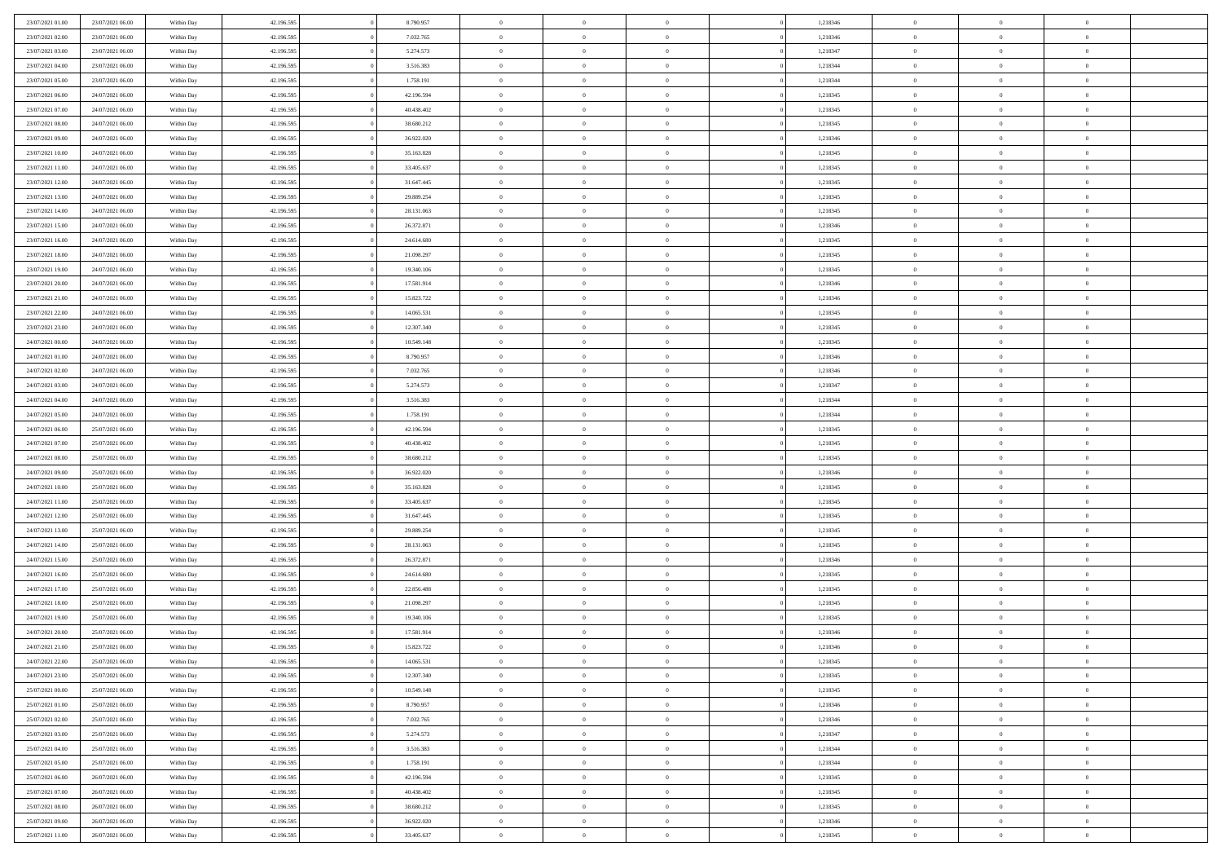| 23/07/2021 01:00 | 23/07/2021 06:00 | Within Day | 42.196.595 | 8.790.957  | $\,$ 0 $\,$    | $\overline{0}$                    | $\overline{0}$ |          | 1,218346 | $\bf{0}$       | $\overline{0}$ | $\,0\,$        |  |
|------------------|------------------|------------|------------|------------|----------------|-----------------------------------|----------------|----------|----------|----------------|----------------|----------------|--|
| 23/07/2021 02:00 | 23/07/2021 06:00 | Within Day | 42.196.595 | 7.032.765  | $\overline{0}$ | $\overline{0}$                    | $\mathbf{0}$   |          | 1,218346 | $\theta$       | $\overline{0}$ | $\theta$       |  |
| 23/07/2021 03:00 | 23/07/2021 06:00 | Within Day | 42.196.595 | 5.274.573  | $\theta$       | $\overline{0}$                    | $\overline{0}$ |          | 1,218347 | $\mathbf{0}$   | $\overline{0}$ | $\overline{0}$ |  |
| 23/07/2021 04:00 | 23/07/2021 06:00 | Within Day | 42.196.595 | 3.516.383  | $\bf{0}$       | $\overline{0}$                    | $\overline{0}$ |          | 1,218344 | $\mathbf{0}$   | $\overline{0}$ | $\overline{0}$ |  |
| 23/07/2021 05:00 | 23/07/2021 06:00 | Within Day | 42.196.595 | 1.758.191  | $\bf{0}$       | $\overline{0}$                    | $\mathbf{0}$   |          | 1,218344 | $\bf{0}$       | $\bf{0}$       | $\bf{0}$       |  |
| 23/07/2021 06:00 | 24/07/2021 06:00 | Within Dav | 42.196.595 | 42.196.594 | $\overline{0}$ | $\overline{0}$                    | $\overline{0}$ |          | 1,218345 | $\mathbf{0}$   | $\overline{0}$ | $\overline{0}$ |  |
| 23/07/2021 07:00 | 24/07/2021 06:00 | Within Day | 42.196.595 | 40.438.402 | $\,$ 0 $\,$    | $\overline{0}$                    | $\overline{0}$ |          | 1,218345 | $\bf{0}$       | $\overline{0}$ | $\bf{0}$       |  |
| 23/07/2021 08:00 | 24/07/2021 06:00 | Within Day | 42.196.595 | 38.680.212 | $\overline{0}$ | $\overline{0}$                    | $\mathbf{0}$   |          | 1,218345 | $\,$ 0 $\,$    | $\overline{0}$ | $\overline{0}$ |  |
| 23/07/2021 09:00 | 24/07/2021 06:00 | Within Day | 42.196.595 | 36.922.020 | $\theta$       | $\overline{0}$                    | $\mathbf{0}$   |          | 1,218346 | $\mathbf{0}$   | $\overline{0}$ | $\overline{0}$ |  |
|                  | 24/07/2021 06:00 |            | 42.196.595 | 35.163.828 | $\,$ 0 $\,$    | $\overline{0}$                    | $\Omega$       |          | 1,218345 | $\bf{0}$       | $\overline{0}$ | $\bf{0}$       |  |
| 23/07/2021 10:00 |                  | Within Day |            |            |                |                                   |                |          |          |                | $\overline{0}$ |                |  |
| 23/07/2021 11:00 | 24/07/2021 06:00 | Within Day | 42.196.595 | 33.405.637 | $\bf{0}$       | $\overline{0}$                    | $\mathbf{0}$   |          | 1,218345 | $\bf{0}$       |                | $\theta$       |  |
| 23/07/2021 12:00 | 24/07/2021 06:00 | Within Day | 42.196.595 | 31.647.445 | $\theta$       | $\overline{0}$                    | $\overline{0}$ |          | 1,218345 | $\mathbf{0}$   | $\overline{0}$ | $\overline{0}$ |  |
| 23/07/2021 13:00 | 24/07/2021 06:00 | Within Day | 42.196.595 | 29.889.254 | $\bf{0}$       | $\overline{0}$                    | $\overline{0}$ |          | 1,218345 | $\bf{0}$       | $\overline{0}$ | $\overline{0}$ |  |
| 23/07/2021 14:00 | 24/07/2021 06:00 | Within Day | 42.196.595 | 28.131.063 | $\bf{0}$       | $\overline{0}$                    | $\mathbf{0}$   |          | 1,218345 | $\bf{0}$       | $\mathbf{0}$   | $\bf{0}$       |  |
| 23/07/2021 15:00 | 24/07/2021 06:00 | Within Dav | 42.196.595 | 26.372.871 | $\overline{0}$ | $\overline{0}$                    | $\overline{0}$ |          | 1,218346 | $\mathbf{0}$   | $\overline{0}$ | $\overline{0}$ |  |
| 23/07/2021 16:00 | 24/07/2021 06:00 | Within Day | 42.196.595 | 24.614.680 | $\,$ 0 $\,$    | $\overline{0}$                    | $\Omega$       |          | 1,218345 | $\bf{0}$       | $\overline{0}$ | $\bf{0}$       |  |
| 23/07/2021 18:00 | 24/07/2021 06:00 | Within Day | 42.196.595 | 21.098.297 | $\,$ 0 $\,$    | $\overline{0}$                    | $\mathbf{0}$   |          | 1,218345 | $\,$ 0 $\,$    | $\overline{0}$ | $\overline{0}$ |  |
| 23/07/2021 19:00 | 24/07/2021 06:00 | Within Day | 42.196.595 | 19.340.106 | $\theta$       | $\overline{0}$                    | $\mathbf{0}$   |          | 1,218345 | $\mathbf{0}$   | $\overline{0}$ | $\overline{0}$ |  |
| 23/07/2021 20:00 | 24/07/2021 06:00 | Within Day | 42.196.595 | 17.581.914 | $\,$ 0 $\,$    | $\overline{0}$                    | $\Omega$       |          | 1,218346 | $\bf{0}$       | $\overline{0}$ | $\bf{0}$       |  |
| 23/07/2021 21:00 | 24/07/2021 06:00 | Within Day | 42.196.595 | 15.823.722 | $\bf{0}$       | $\overline{0}$                    | $\mathbf{0}$   |          | 1,218346 | $\bf{0}$       | $\overline{0}$ | $\overline{0}$ |  |
| 23/07/2021 22:00 | 24/07/2021 06:00 | Within Day | 42.196.595 | 14.065.531 | $\theta$       | $\overline{0}$                    | $\overline{0}$ |          | 1,218345 | $\mathbf{0}$   | $\overline{0}$ | $\overline{0}$ |  |
| 23/07/2021 23:00 | 24/07/2021 06:00 | Within Day | 42.196.595 | 12.307.340 | $\,$ 0 $\,$    | $\overline{0}$                    | $\overline{0}$ |          | 1,218345 | $\bf{0}$       | $\overline{0}$ | $\bf{0}$       |  |
| 24/07/2021 00:00 | 24/07/2021 06:00 | Within Day | 42.196.595 | 10.549.148 | $\bf{0}$       | $\overline{0}$                    | $\mathbf{0}$   |          | 1,218345 | $\,$ 0 $\,$    | $\bf{0}$       | $\bf{0}$       |  |
| 24/07/2021 01:00 | 24/07/2021 06:00 | Within Dav | 42.196.595 | 8.790.957  | $\theta$       | $\overline{0}$                    | $\mathbf{0}$   |          | 1,218346 | $\mathbf{0}$   | $\overline{0}$ | $\overline{0}$ |  |
| 24/07/2021 02:00 | 24/07/2021 06:00 | Within Day | 42.196.595 | 7.032.765  | $\,$ 0 $\,$    | $\overline{0}$                    | $\overline{0}$ |          | 1,218346 | $\bf{0}$       | $\overline{0}$ | $\bf{0}$       |  |
| 24/07/2021 03:00 | 24/07/2021 06:00 | Within Day | 42.196.595 | 5.274.573  | $\,$ 0         | $\overline{0}$                    | $\mathbf{0}$   |          | 1,218347 | $\mathbf{0}$   | $\overline{0}$ | $\overline{0}$ |  |
| 24/07/2021 04:00 | 24/07/2021 06:00 | Within Day | 42.196.595 | 3.516.383  | $\overline{0}$ | $\overline{0}$                    | $\mathbf{0}$   |          | 1,218344 | $\mathbf{0}$   | $\overline{0}$ | $\overline{0}$ |  |
| 24/07/2021 05:00 | 24/07/2021 06:00 | Within Day | 42.196.595 | 1.758.191  | $\,$ 0 $\,$    | $\overline{0}$                    | $\Omega$       |          | 1,218344 | $\bf{0}$       | $\overline{0}$ | $\bf{0}$       |  |
| 24/07/2021 06:00 | 25/07/2021 06:00 | Within Day | 42.196.595 | 42.196.594 | $\bf{0}$       | $\overline{0}$                    | $\mathbf{0}$   |          | 1,218345 | $\mathbf{0}$   | $\overline{0}$ | $\overline{0}$ |  |
| 24/07/2021 07:00 | 25/07/2021 06:00 | Within Day | 42.196.595 | 40.438.402 | $\theta$       | $\overline{0}$                    | $\overline{0}$ |          | 1,218345 | $\mathbf{0}$   | $\overline{0}$ | $\overline{0}$ |  |
| 24/07/2021 08:00 | 25/07/2021 06:00 | Within Day | 42.196.595 | 38.680.212 | $\,$ 0 $\,$    | $\overline{0}$                    | $\overline{0}$ |          | 1,218345 | $\,$ 0         | $\overline{0}$ | $\,$ 0 $\,$    |  |
| 24/07/2021 09:00 | 25/07/2021 06:00 | Within Day | 42.196.595 | 36.922.020 | $\,$ 0         | $\overline{0}$                    | $\overline{0}$ |          | 1,218346 | $\bf{0}$       | $\bf{0}$       | $\overline{0}$ |  |
| 24/07/2021 10:00 | 25/07/2021 06:00 | Within Dav | 42.196.595 | 35.163.828 | $\overline{0}$ | $\overline{0}$                    | $\overline{0}$ |          | 1,218345 | $\mathbf{0}$   | $\overline{0}$ | $\overline{0}$ |  |
| 24/07/2021 11:00 | 25/07/2021 06:00 | Within Day | 42.196.595 | 33.405.637 | $\theta$       | $\overline{0}$                    | $\overline{0}$ |          | 1,218345 | $\,$ 0         | $\overline{0}$ | $\theta$       |  |
| 24/07/2021 12:00 | 25/07/2021 06:00 | Within Day | 42.196.595 | 31.647.445 | $\overline{0}$ | $\overline{0}$                    | $\mathbf{0}$   |          | 1,218345 | $\overline{0}$ | $\overline{0}$ | $\overline{0}$ |  |
| 24/07/2021 13:00 | 25/07/2021 06:00 | Within Day | 42.196.595 | 29.889.254 | $\theta$       | $\overline{0}$                    | $\overline{0}$ |          | 1,218345 | $\mathbf{0}$   | $\overline{0}$ | $\overline{0}$ |  |
| 24/07/2021 14:00 | 25/07/2021 06:00 | Within Day | 42.196.595 | 28.131.063 | $\theta$       | $\overline{0}$                    | $\overline{0}$ |          | 1,218345 | $\,$ 0         | $\overline{0}$ | $\,$ 0 $\,$    |  |
| 24/07/2021 15:00 | 25/07/2021 06:00 | Within Day | 42.196.595 | 26.372.871 | $\bf{0}$       | $\overline{0}$                    | $\mathbf{0}$   |          | 1,218346 | $\bf{0}$       | $\overline{0}$ | $\overline{0}$ |  |
| 24/07/2021 16:00 | 25/07/2021 06:00 | Within Day | 42.196.595 | 24.614.680 | $\theta$       | $\overline{0}$                    | $\overline{0}$ |          | 1,218345 | $\mathbf{0}$   | $\overline{0}$ | $\overline{0}$ |  |
| 24/07/2021 17:00 | 25/07/2021 06:00 | Within Day | 42.196.595 | 22.856.488 | $\,$ 0 $\,$    | $\overline{0}$                    | $\overline{0}$ |          | 1,218345 | $\,$ 0         | $\overline{0}$ | $\,$ 0 $\,$    |  |
| 24/07/2021 18:00 | 25/07/2021 06:00 | Within Day | 42.196.595 | 21.098.297 | $\bf{0}$       | $\,$ 0 $\,$                       | $\overline{0}$ |          | 1,218345 | $\,$ 0 $\,$    | $\overline{0}$ | $\overline{0}$ |  |
| 24/07/2021 19:00 | 25/07/2021 06:00 | Within Dav | 42.196.595 | 19.340.106 | $\theta$       | $\overline{0}$                    | $\overline{0}$ |          | 1,218345 | $\mathbf{0}$   | $\overline{0}$ | $\overline{0}$ |  |
| 24/07/2021 20:00 | 25/07/2021 06:00 | Within Day | 42.196.595 | 17.581.914 | $\theta$       | $\overline{0}$                    | $\overline{0}$ |          | 1,218346 | $\,$ 0         | $\overline{0}$ | $\,$ 0 $\,$    |  |
| 24/07/2021 21:00 | 25/07/2021 06:00 | Within Day | 42.196.595 | 15.823.722 | $\,$ 0 $\,$    | $\,$ 0 $\,$                       | $\mathbf{0}$   |          | 1,218346 | $\,$ 0 $\,$    | $\overline{0}$ | $\overline{0}$ |  |
| 24/07/2021 22:00 | 25/07/2021 06:00 | Within Day | 42.196.595 | 14.065.531 | $\overline{0}$ | $\theta$                          |                |          | 1,218345 | $\overline{0}$ | $\theta$       | $\theta$       |  |
| 24/07/2021 23:00 | 25/07/2021 06:00 | Within Day | 42.196.595 | 12.307.340 | $\,$ 0 $\,$    | $\overline{0}$                    | $\overline{0}$ |          | 1,218345 | $\,$ 0 $\,$    | $\bf{0}$       | $\,$ 0 $\,$    |  |
| 25/07/2021 00:00 | 25/07/2021 06:00 |            | 42.196.595 | 10.549.148 | $\bf{0}$       | $\hspace{0.1cm} 0 \hspace{0.1cm}$ | $\overline{0}$ |          | 1,218345 | $\,$ 0 $\,$    | $\overline{0}$ | $\overline{0}$ |  |
|                  |                  | Within Day |            |            |                |                                   |                |          |          |                |                |                |  |
| 25/07/2021 01:00 | 25/07/2021 06:00 | Within Day | 42.196.595 | 8.790.957  | $\mathbf{0}$   | $\overline{0}$                    | $\overline{0}$ |          | 1,218346 | $\,$ 0 $\,$    | $\bf{0}$       | $\mathbf{0}$   |  |
| 25/07/2021 02:00 | 25/07/2021 06:00 | Within Day | 42.196.595 | 7.032.765  | $\,$ 0 $\,$    | $\overline{0}$                    | $\overline{0}$ | $\theta$ | 1,218346 | $\,$ 0 $\,$    | $\bf{0}$       | $\,$ 0 $\,$    |  |
| 25/07/2021 03:00 | 25/07/2021 06:00 | Within Day | 42.196.595 | 5.274.573  | $\,$ 0 $\,$    | $\,$ 0 $\,$                       | $\overline{0}$ |          | 1,218347 | $\,$ 0 $\,$    | $\overline{0}$ | $\overline{0}$ |  |
| 25/07/2021 04:00 | 25/07/2021 06:00 | Within Day | 42.196.595 | 3.516.383  | $\overline{0}$ | $\overline{0}$                    | $\overline{0}$ |          | 1,218344 | $\mathbf{0}$   | $\bf{0}$       | $\overline{0}$ |  |
| 25/07/2021 05:00 | 25/07/2021 06:00 | Within Day | 42.196.595 | 1.758.191  | $\,$ 0 $\,$    | $\overline{0}$                    | $\overline{0}$ |          | 1,218344 | $\,$ 0 $\,$    | $\bf{0}$       | $\,$ 0 $\,$    |  |
| 25/07/2021 06:00 | 26/07/2021 06:00 | Within Day | 42.196.595 | 42.196.594 | $\bf{0}$       | $\overline{0}$                    | $\overline{0}$ |          | 1,218345 | $\,$ 0 $\,$    | $\overline{0}$ | $\mathbf{0}$   |  |
| 25/07/2021 07:00 | 26/07/2021 06:00 | Within Day | 42.196.595 | 40.438.402 | $\mathbf{0}$   | $\overline{0}$                    | $\overline{0}$ |          | 1,218345 | $\,$ 0 $\,$    | $\bf{0}$       | $\overline{0}$ |  |
| 25/07/2021 08:00 | 26/07/2021 06:00 | Within Day | 42.196.595 | 38.680.212 | $\,$ 0 $\,$    | $\overline{0}$                    | $\overline{0}$ |          | 1,218345 | $\,$ 0 $\,$    | $\bf{0}$       | $\,$ 0 $\,$    |  |
| 25/07/2021 09:00 | 26/07/2021 06:00 | Within Day | 42.196.595 | 36.922.020 | $\,$ 0 $\,$    | $\,$ 0 $\,$                       | $\overline{0}$ |          | 1,218346 | $\,$ 0 $\,$    | $\overline{0}$ | $\overline{0}$ |  |
| 25/07/2021 11:00 | 26/07/2021 06:00 | Within Day | 42.196.595 | 33.405.637 | $\theta$       | $\overline{0}$                    | $\overline{0}$ |          | 1,218345 | $\,$ 0 $\,$    | $\mathbf{0}$   | $\overline{0}$ |  |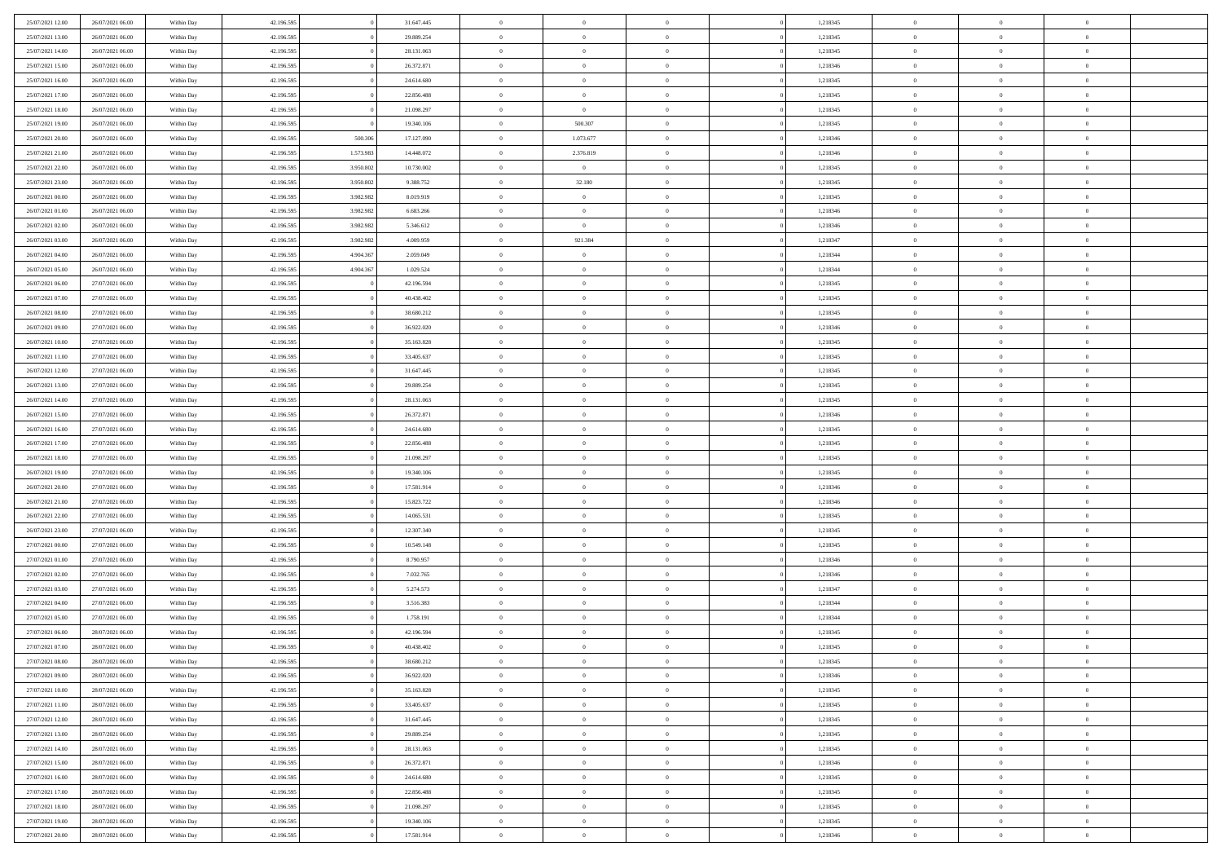| 25/07/2021 12:00                     | 26/07/2021 06:00                     | Within Day               | 42.196.595               |           | 31.647.445               | $\bf{0}$                       | $\bf{0}$                         | $\theta$                         |          | 1,218345             | $\bf{0}$                 | $\overline{0}$                   | $\,0\,$                    |  |
|--------------------------------------|--------------------------------------|--------------------------|--------------------------|-----------|--------------------------|--------------------------------|----------------------------------|----------------------------------|----------|----------------------|--------------------------|----------------------------------|----------------------------|--|
| 25/07/2021 13:00                     | 26/07/2021 06:00                     | Within Day               | 42.196.595               |           | 29.889.254               | $\overline{0}$                 | $\overline{0}$                   | $\overline{0}$                   |          | 1,218345             | $\theta$                 | $\overline{0}$                   | $\overline{0}$             |  |
| 25/07/2021 14:00                     | 26/07/2021 06:00                     | Within Day               | 42.196.595               |           | 28.131.063               | $\overline{0}$                 | $\overline{0}$                   | $\overline{0}$                   |          | 1,218345             | $\mathbf{0}$             | $\overline{0}$                   | $\overline{0}$             |  |
| 25/07/2021 15:00                     | 26/07/2021 06:00                     | Within Day               | 42.196.595               |           | 26.372.871               | $\bf{0}$                       | $\overline{0}$                   | $\overline{0}$                   |          | 1,218346             | $\bf{0}$                 | $\overline{0}$                   | $\overline{0}$             |  |
| 25/07/2021 16:00                     | 26/07/2021 06:00                     | Within Day               | 42.196.595               |           | 24.614.680               | $\bf{0}$                       | $\bf{0}$                         | $\overline{0}$                   |          | 1,218345             | $\bf{0}$                 | $\bf{0}$                         | $\,0\,$                    |  |
| 25/07/2021 17:00                     | 26/07/2021 06:00                     | Within Dav               | 42.196.595               |           | 22.856.488               | $\overline{0}$                 | $\overline{0}$                   | $\overline{0}$                   |          | 1,218345             | $\mathbf{0}$             | $\overline{0}$                   | $\overline{0}$             |  |
| 25/07/2021 18:00                     | 26/07/2021 06:00                     | Within Day               | 42.196.595               |           | 21.098.297               | $\bf{0}$                       | $\overline{0}$                   | $\overline{0}$                   |          | 1,218345             | $\bf{0}$                 | $\overline{0}$                   | $\bf{0}$                   |  |
| 25/07/2021 19:00                     | 26/07/2021 06:00                     | Within Day               | 42.196.595               |           | 19.340.106               | $\overline{0}$                 | 500.307                          | $\overline{0}$                   |          | 1,218345             | $\,$ 0 $\,$              | $\overline{0}$                   | $\overline{0}$             |  |
| 25/07/2021 20:00                     | 26/07/2021 06:00                     | Within Day               | 42.196.595               | 500.306   | 17.127.090               | $\overline{0}$                 | 1.073.677                        | $\overline{0}$                   |          | 1,218346             | $\mathbf{0}$             | $\overline{0}$                   | $\overline{0}$             |  |
| 25/07/2021 21:00                     | 26/07/2021 06:00                     | Within Day               | 42.196.595               | 1.573.983 | 14.448.072               | $\bf{0}$                       | 2.376.819                        | $\overline{0}$                   |          | 1,218346             | $\bf{0}$                 | $\overline{0}$                   | $\,0\,$                    |  |
| 25/07/2021 22.00                     | 26/07/2021 06:00                     | Within Day               | 42.196.595               | 3.950.802 | 10.730.002               | $\bf{0}$                       | $\overline{0}$                   | $\overline{0}$                   |          | 1,218345             | $\bf{0}$                 | $\overline{0}$                   | $\overline{0}$             |  |
| 25/07/2021 23:00                     | 26/07/2021 06:00                     | Within Dav               | 42.196.595               | 3.950.802 | 9.388.752                | $\overline{0}$                 | 32.180                           | $\overline{0}$                   |          | 1,218345             | $\mathbf{0}$             | $\overline{0}$                   | $\overline{0}$             |  |
| 26/07/2021 00:00                     | 26/07/2021 06:00                     | Within Day               | 42.196.595               | 3.982.982 | 8.019.919                | $\bf{0}$                       | $\overline{0}$                   | $\overline{0}$                   |          | 1,218345             | $\bf{0}$                 | $\overline{0}$                   | $\overline{0}$             |  |
| 26/07/2021 01:00                     | 26/07/2021 06:00                     | Within Day               | 42.196.595               | 3.982.982 | 6.683.266                | $\bf{0}$                       | $\bf{0}$                         | $\overline{0}$                   |          | 1,218346             | $\bf{0}$                 | $\overline{0}$                   | $\bf{0}$                   |  |
| 26/07/2021 02:00                     | 26/07/2021 06:00                     | Within Dav               | 42.196.595               | 3.982.982 | 5.346.612                | $\bf{0}$                       | $\overline{0}$                   | $\overline{0}$                   |          | 1,218346             | $\mathbf{0}$             | $\overline{0}$                   | $\overline{0}$             |  |
| 26/07/2021 03:00                     | 26/07/2021 06:00                     | Within Day               | 42.196.595               | 3.982.982 | 4.009.959                | $\bf{0}$                       | 921.384                          | $\overline{0}$                   |          | 1,218347             | $\bf{0}$                 | $\overline{0}$                   | $\bf{0}$                   |  |
| 26/07/2021 04:00                     | 26/07/2021 06:00                     | Within Day               | 42.196.595               | 4.904.367 | 2.059.049                | $\bf{0}$                       | $\overline{0}$                   | $\overline{0}$                   |          | 1,218344             | $\bf{0}$                 | $\mathbf{0}$                     | $\overline{0}$             |  |
| 26/07/2021 05:00                     | 26/07/2021 06:00                     | Within Day               | 42.196.595               | 4.904.367 | 1.029.524                | $\mathbf{0}$                   | $\overline{0}$                   | $\overline{0}$                   |          | 1,218344             | $\mathbf{0}$             | $\overline{0}$                   | $\overline{0}$             |  |
| 26/07/2021 06:00                     | 27/07/2021 06:00                     | Within Day               | 42.196.595               |           | 42.196.594               | $\bf{0}$                       | $\bf{0}$                         | $\overline{0}$                   |          | 1,218345             | $\bf{0}$                 | $\overline{0}$                   | $\bf{0}$                   |  |
| 26/07/2021 07:00                     | 27/07/2021 06:00                     | Within Day               | 42.196.595               |           | 40.438.402               | $\overline{0}$                 | $\overline{0}$                   | $\overline{0}$                   |          | 1,218345             | $\bf{0}$                 | $\overline{0}$                   | $\overline{0}$             |  |
| 26/07/2021 08:00                     | 27/07/2021 06:00                     | Within Day               | 42.196.595               |           | 38.680.212               | $\overline{0}$                 | $\overline{0}$                   | $\overline{0}$                   |          | 1,218345             | $\mathbf{0}$             | $\overline{0}$                   | $\overline{0}$             |  |
| 26/07/2021 09:00                     | 27/07/2021 06:00                     | Within Day               | 42.196.595               |           | 36.922.020               | $\bf{0}$                       | $\overline{0}$                   | $\overline{0}$                   |          | 1,218346             | $\bf{0}$                 | $\overline{0}$                   | $\bf{0}$                   |  |
|                                      | 27/07/2021 06:00                     |                          | 42.196.595               |           | 35.163.828               | $\bf{0}$                       | $\bf{0}$                         | $\overline{0}$                   |          |                      |                          | $\overline{0}$                   | $\overline{0}$             |  |
| 26/07/2021 10:00<br>26/07/2021 11:00 | 27/07/2021 06:00                     | Within Day<br>Within Dav | 42.196.595               |           | 33.405.637               | $\overline{0}$                 | $\overline{0}$                   | $\overline{0}$                   |          | 1,218345<br>1,218345 | $\bf{0}$<br>$\mathbf{0}$ | $\overline{0}$                   | $\overline{0}$             |  |
| 26/07/2021 12:00                     | 27/07/2021 06:00                     | Within Day               | 42.196.595               |           | 31.647.445               | $\bf{0}$                       | $\bf{0}$                         | $\overline{0}$                   |          | 1,218345             | $\bf{0}$                 | $\overline{0}$                   | $\bf{0}$                   |  |
|                                      |                                      |                          |                          |           |                          | $\overline{0}$                 | $\overline{0}$                   | $\overline{0}$                   |          |                      |                          | $\mathbf{0}$                     | $\overline{0}$             |  |
| 26/07/2021 13:00<br>26/07/2021 14:00 | 27/07/2021 06:00                     | Within Day               | 42.196.595               |           | 29.889.254               | $\overline{0}$                 |                                  |                                  |          | 1,218345             | $\bf{0}$<br>$\mathbf{0}$ |                                  | $\overline{0}$             |  |
|                                      | 27/07/2021 06:00                     | Within Day               | 42.196.595               |           | 28.131.063               |                                | $\overline{0}$                   | $\overline{0}$<br>$\overline{0}$ |          | 1,218345             |                          | $\overline{0}$<br>$\overline{0}$ |                            |  |
| 26/07/2021 15:00                     | 27/07/2021 06:00                     | Within Day               | 42.196.595               |           | 26.372.871               | $\bf{0}$                       | $\bf{0}$                         |                                  |          | 1,218346             | $\bf{0}$                 |                                  | $\bf{0}$                   |  |
| 26/07/2021 16:00<br>26/07/2021 17:00 | 27/07/2021 06:00<br>27/07/2021 06:00 | Within Day               | 42.196.595<br>42.196.595 |           | 24.614.680<br>22.856.488 | $\bf{0}$<br>$\mathbf{0}$       | $\overline{0}$<br>$\overline{0}$ | $\overline{0}$<br>$\overline{0}$ |          | 1,218345<br>1,218345 | $\bf{0}$<br>$\mathbf{0}$ | $\mathbf{0}$<br>$\overline{0}$   | $\bf{0}$<br>$\overline{0}$ |  |
|                                      |                                      | Within Day               |                          |           |                          |                                |                                  |                                  |          |                      |                          | $\overline{0}$                   |                            |  |
| 26/07/2021 18:00                     | 27/07/2021 06:00                     | Within Day               | 42.196.595               |           | 21.098.297               | $\bf{0}$                       | $\overline{0}$                   | $\overline{0}$                   |          | 1,218345             | $\,$ 0                   | $\overline{0}$                   | $\,$ 0 $\,$                |  |
| 26/07/2021 19:00                     | 27/07/2021 06:00                     | Within Day               | 42.196.595               |           | 19.340.106               | $\bf{0}$<br>$\overline{0}$     | $\overline{0}$                   | $\overline{0}$                   |          | 1,218345             | $\bf{0}$<br>$\mathbf{0}$ |                                  | $\bf{0}$<br>$\overline{0}$ |  |
| 26/07/2021 20:00                     | 27/07/2021 06:00                     | Within Dav               | 42.196.595               |           | 17.581.914               | $\bf{0}$                       | $\overline{0}$                   | $\overline{0}$                   |          | 1,218346             |                          | $\overline{0}$                   | $\theta$                   |  |
| 26/07/2021 21:00                     | 27/07/2021 06:00                     | Within Day               | 42.196.595               |           | 15.823.722               |                                | $\overline{0}$                   | $\theta$<br>$\overline{0}$       |          | 1,218346             | $\,$ 0                   | $\overline{0}$<br>$\overline{0}$ | $\overline{0}$             |  |
| 26/07/2021 22.00<br>26/07/2021 23:00 | 27/07/2021 06:00<br>27/07/2021 06:00 | Within Day               | 42.196.595<br>42.196.595 |           | 14.065.531<br>12.307.340 | $\overline{0}$<br>$\mathbf{0}$ | $\overline{0}$<br>$\overline{0}$ | $\overline{0}$                   |          | 1,218345<br>1,218345 | $\bf{0}$<br>$\mathbf{0}$ | $\overline{0}$                   | $\overline{0}$             |  |
|                                      |                                      | Within Day               |                          |           |                          | $\bf{0}$                       | $\overline{0}$                   | $\theta$                         |          |                      | $\,$ 0                   | $\overline{0}$                   | $\theta$                   |  |
| 27/07/2021 00:00<br>27/07/2021 01:00 | 27/07/2021 06:00<br>27/07/2021 06:00 | Within Day               | 42.196.595<br>42.196.595 |           | 10.549.148               | $\overline{0}$                 | $\overline{0}$                   | $\overline{0}$                   |          | 1,218345<br>1,218346 | $\bf{0}$                 | $\overline{0}$                   | $\bf{0}$                   |  |
| 27/07/2021 02:00                     | 27/07/2021 06:00                     | Within Day<br>Within Day | 42.196.595               |           | 8.790.957<br>7.032.765   | $\overline{0}$                 | $\overline{0}$                   | $\overline{0}$                   |          | 1,218346             | $\mathbf{0}$             | $\overline{0}$                   | $\overline{0}$             |  |
|                                      |                                      |                          |                          |           |                          | $\,0\,$                        |                                  | $\theta$                         |          |                      | $\,$ 0                   | $\overline{0}$                   | $\,$ 0 $\,$                |  |
| 27/07/2021 03:00<br>27/07/2021 04:00 | 27/07/2021 06:00<br>27/07/2021 06:00 | Within Day               | 42.196.595<br>42.196.595 |           | 5.274.573<br>3.516.383   | $\bf{0}$                       | $\overline{0}$<br>$\overline{0}$ | $\overline{0}$                   |          | 1,218347<br>1,218344 | $\bf{0}$                 | $\overline{0}$                   | $\overline{0}$             |  |
| 27/07/2021 05:00                     | 27/07/2021 06:00                     | Within Day<br>Within Dav | 42.196.595               |           | 1.758.191                | $\mathbf{0}$                   | $\overline{0}$                   | $\overline{0}$                   |          | 1,218344             | $\mathbf{0}$             | $\overline{0}$                   | $\overline{0}$             |  |
| 27/07/2021 06:00                     | 28/07/2021 06:00                     | Within Day               | 42.196.595               |           | 42.196.594               | $\bf{0}$                       | $\overline{0}$                   | $\theta$                         |          | 1,218345             | $\,$ 0                   | $\overline{0}$                   | $\theta$                   |  |
| 27/07/2021 07:00                     | 28/07/2021 06:00                     | Within Day               | 42.196.595               |           | 40.438.402               | $\bf{0}$                       | $\overline{0}$                   | $\overline{0}$                   |          | 1,218345             | $\bf{0}$                 | $\overline{0}$                   | $\overline{0}$             |  |
| 27/07/2021 08:00                     | 28/07/2021 06:00                     | Within Day               | 42.196.595               |           | 38.680.212               | $\bf{0}$                       | $\overline{0}$                   | $\Omega$                         |          | 1,218345             | $\overline{0}$           | $\bf{0}$                         | $\theta$                   |  |
| 27/07/2021 09:00                     | 28/07/2021 06:00                     | Within Day               | 42.196.595               |           | 36.922.020               | $\,0\,$                        | $\overline{0}$                   | $\theta$                         |          | 1,218346             | $\,$ 0 $\,$              | $\bf{0}$                         | $\theta$                   |  |
| 27/07/2021 10:00                     | 28/07/2021 06:00                     | Within Day               | 42.196.595               |           | 35.163.828               | $\overline{0}$                 | $\overline{0}$                   | $\overline{0}$                   |          | 1,218345             | $\overline{0}$           | $\overline{0}$                   | $\overline{0}$             |  |
| 27/07/2021 11:00                     | 28/07/2021 06:00                     | Within Day               | 42.196.595               |           | 33.405.637               | $\bf{0}$                       | $\overline{0}$                   | $\overline{0}$                   |          | 1,218345             | $\overline{0}$           | $\bf{0}$                         | $\mathbf{0}$               |  |
| 27/07/2021 12:00                     | 28/07/2021 06:00                     | Within Day               | 42.196.595               |           | 31.647.445               | $\bf{0}$                       | $\overline{0}$                   | $\overline{0}$                   | $\theta$ | 1,218345             | $\,$ 0 $\,$              | $\bf{0}$                         | $\,$ 0 $\,$                |  |
| 27/07/2021 13:00                     | 28/07/2021 06:00                     | Within Day               | 42.196.595               |           | 29.889.254               | $\bf{0}$                       | $\overline{0}$                   | $\overline{0}$                   |          | 1,218345             | $\,$ 0 $\,$              | $\overline{0}$                   | $\overline{0}$             |  |
| 27/07/2021 14:00                     | 28/07/2021 06:00                     | Within Day               | 42.196.595               |           | 28.131.063               | $\bf{0}$                       | $\overline{0}$                   | $\overline{0}$                   |          | 1,218345             | $\mathbf{0}$             | $\overline{0}$                   | $\overline{0}$             |  |
|                                      |                                      |                          |                          |           |                          |                                |                                  |                                  |          |                      |                          |                                  |                            |  |
| 27/07/2021 15:00                     | 28/07/2021 06:00                     | Within Day               | 42.196.595               | $\theta$  | 26.372.871               | $\,$ 0 $\,$                    | $\overline{0}$                   | $\overline{0}$<br>$\overline{0}$ | $\theta$ | 1,218346             | $\,$ 0 $\,$              | $\overline{0}$<br>$\overline{0}$ | $\,$ 0 $\,$                |  |
| 27/07/2021 16:00                     | 28/07/2021 06:00                     | Within Day               | 42.196.595               |           | 24.614.680               | $\bf{0}$                       | $\overline{0}$                   |                                  |          | 1,218345             | $\overline{0}$           |                                  | $\overline{0}$             |  |
| 27/07/2021 17:00                     | 28/07/2021 06:00                     | Within Day               | 42.196.595               |           | 22.856.488               | $\bf{0}$                       | $\overline{0}$                   | $\overline{0}$                   |          | 1,218345             | $\mathbf{0}$             | $\bf{0}$                         | $\overline{0}$             |  |
| 27/07/2021 18:00                     | 28/07/2021 06:00                     | Within Day               | 42.196.595               |           | 21.098.297               | $\,$ 0 $\,$                    | $\overline{0}$                   | $\overline{0}$                   |          | 1,218345             | $\,$ 0 $\,$              | $\overline{0}$                   | $\,$ 0 $\,$                |  |
| 27/07/2021 19:00                     | 28/07/2021 06:00                     | Within Day               | 42.196.595               |           | 19.340.106               | $\overline{0}$                 | $\overline{0}$                   | $\overline{0}$                   |          | 1,218345             | $\bf{0}$                 | $\mathbf{0}$                     | $\overline{0}$             |  |
| 27/07/2021 20:00                     | 28/07/2021 06:00                     | Within Day               | 42.196.595               |           | 17.581.914               | $\mathbf{0}$                   | $\overline{0}$                   | $\overline{0}$                   |          | 1,218346             | $\mathbf{0}$             | $\overline{0}$                   | $\overline{0}$             |  |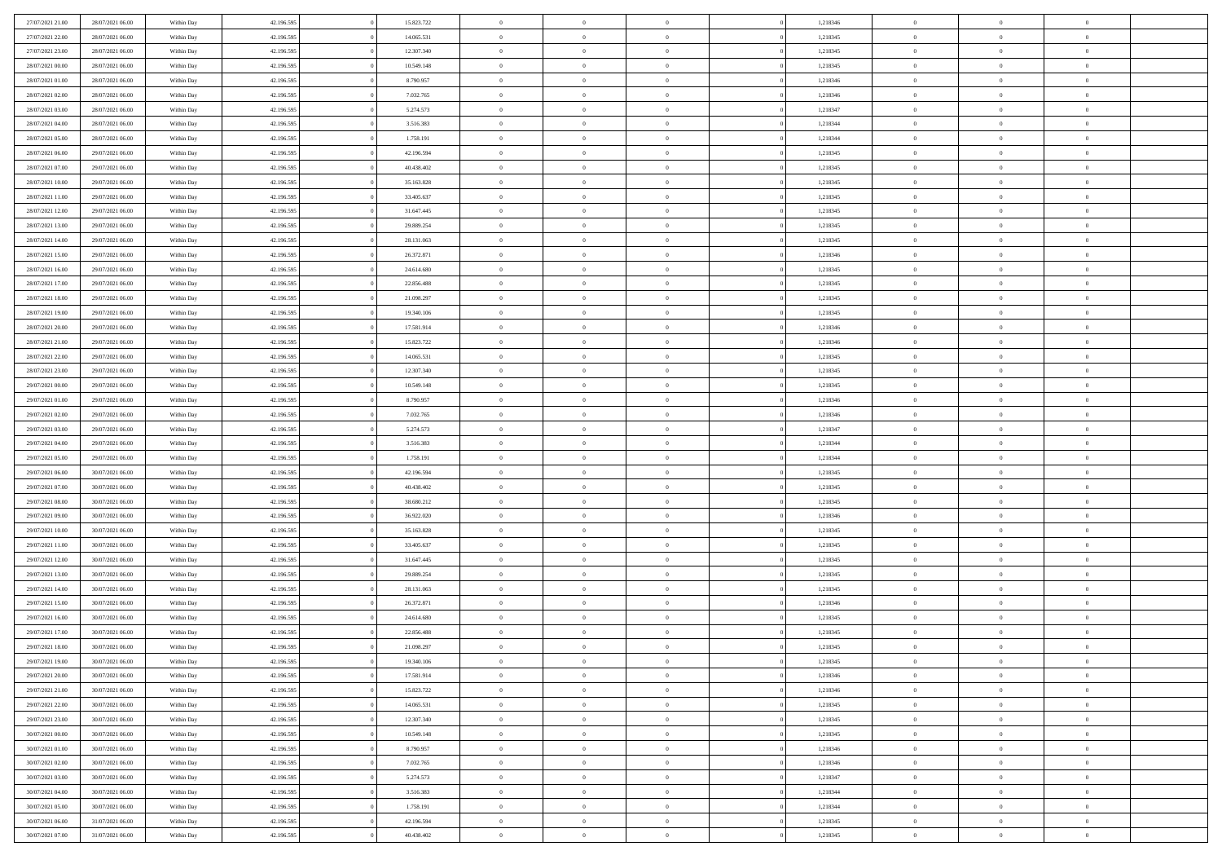| 27/07/2021 21:00 | 28/07/2021 06:00 | Within Day | 42.196.595 | 15.823.722 | $\bf{0}$       | $\overline{0}$ | $\theta$       |          | 1,218346 | $\bf{0}$       | $\overline{0}$ | $\,0\,$        |  |
|------------------|------------------|------------|------------|------------|----------------|----------------|----------------|----------|----------|----------------|----------------|----------------|--|
| 27/07/2021 22:00 | 28/07/2021 06:00 | Within Day | 42.196.595 | 14.065.531 | $\overline{0}$ | $\overline{0}$ | $\overline{0}$ |          | 1,218345 | $\theta$       | $\overline{0}$ | $\overline{0}$ |  |
| 27/07/2021 23:00 | 28/07/2021 06:00 | Within Day | 42.196.595 | 12.307.340 | $\overline{0}$ | $\overline{0}$ | $\overline{0}$ |          | 1,218345 | $\mathbf{0}$   | $\overline{0}$ | $\overline{0}$ |  |
| 28/07/2021 00:00 | 28/07/2021 06:00 | Within Day | 42.196.595 | 10.549.148 | $\bf{0}$       | $\overline{0}$ | $\overline{0}$ |          | 1,218345 | $\bf{0}$       | $\overline{0}$ | $\overline{0}$ |  |
| 28/07/2021 01:00 | 28/07/2021 06:00 | Within Day | 42.196.595 | 8.790.957  | $\bf{0}$       | $\bf{0}$       | $\overline{0}$ |          | 1,218346 | $\bf{0}$       | $\overline{0}$ | $\,0\,$        |  |
| 28/07/2021 02:00 | 28/07/2021 06:00 | Within Dav | 42.196.595 | 7.032.765  | $\overline{0}$ | $\overline{0}$ | $\overline{0}$ |          | 1,218346 | $\mathbf{0}$   | $\overline{0}$ | $\overline{0}$ |  |
|                  |                  |            |            |            |                |                |                |          |          |                |                |                |  |
| 28/07/2021 03:00 | 28/07/2021 06:00 | Within Day | 42.196.595 | 5.274.573  | $\bf{0}$       | $\overline{0}$ | $\overline{0}$ |          | 1,218347 | $\bf{0}$       | $\overline{0}$ | $\bf{0}$       |  |
| 28/07/2021 04:00 | 28/07/2021 06:00 | Within Day | 42.196.595 | 3.516.383  | $\overline{0}$ | $\overline{0}$ | $\overline{0}$ |          | 1,218344 | $\,$ 0 $\,$    | $\overline{0}$ | $\overline{0}$ |  |
| 28/07/2021 05:00 | 28/07/2021 06:00 | Within Day | 42.196.595 | 1.758.191  | $\overline{0}$ | $\overline{0}$ | $\overline{0}$ |          | 1,218344 | $\mathbf{0}$   | $\overline{0}$ | $\overline{0}$ |  |
| 28/07/2021 06:00 | 29/07/2021 06:00 | Within Day | 42.196.595 | 42.196.594 | $\bf{0}$       | $\bf{0}$       | $\overline{0}$ |          | 1,218345 | $\bf{0}$       | $\overline{0}$ | $\,0\,$        |  |
| 28/07/2021 07:00 | 29/07/2021 06:00 | Within Day | 42.196.595 | 40.438.402 | $\bf{0}$       | $\overline{0}$ | $\overline{0}$ |          | 1,218345 | $\bf{0}$       | $\overline{0}$ | $\overline{0}$ |  |
| 28/07/2021 10:00 | 29/07/2021 06:00 | Within Dav | 42.196.595 | 35.163.828 | $\mathbf{0}$   | $\overline{0}$ | $\overline{0}$ |          | 1,218345 | $\mathbf{0}$   | $\overline{0}$ | $\overline{0}$ |  |
| 28/07/2021 11:00 | 29/07/2021 06:00 | Within Day | 42.196.595 | 33.405.637 | $\bf{0}$       | $\overline{0}$ | $\overline{0}$ |          | 1,218345 | $\bf{0}$       | $\overline{0}$ | $\bf{0}$       |  |
| 28/07/2021 12:00 | 29/07/2021 06:00 | Within Day | 42.196.595 | 31.647.445 | $\bf{0}$       | $\overline{0}$ | $\overline{0}$ |          | 1,218345 | $\bf{0}$       | $\bf{0}$       | $\bf{0}$       |  |
| 28/07/2021 13:00 | 29/07/2021 06:00 | Within Dav | 42.196.595 | 29.889.254 | $\overline{0}$ | $\overline{0}$ | $\overline{0}$ |          | 1,218345 | $\mathbf{0}$   | $\overline{0}$ | $\overline{0}$ |  |
| 28/07/2021 14:00 | 29/07/2021 06:00 | Within Day | 42.196.595 | 28.131.063 | $\bf{0}$       | $\bf{0}$       | $\overline{0}$ |          | 1,218345 | $\bf{0}$       | $\overline{0}$ | $\bf{0}$       |  |
| 28/07/2021 15:00 | 29/07/2021 06:00 | Within Day | 42.196.595 | 26.372.871 | $\bf{0}$       | $\overline{0}$ | $\overline{0}$ |          | 1,218346 | $\bf{0}$       | $\mathbf{0}$   | $\overline{0}$ |  |
| 28/07/2021 16:00 | 29/07/2021 06:00 | Within Day | 42.196.595 | 24.614.680 | $\mathbf{0}$   | $\overline{0}$ | $\overline{0}$ |          | 1,218345 | $\mathbf{0}$   | $\overline{0}$ | $\overline{0}$ |  |
| 28/07/2021 17:00 | 29/07/2021 06:00 | Within Day | 42.196.595 | 22.856.488 | $\bf{0}$       | $\bf{0}$       | $\overline{0}$ |          | 1,218345 | $\bf{0}$       | $\overline{0}$ | $\bf{0}$       |  |
| 28/07/2021 18:00 | 29/07/2021 06:00 | Within Day | 42.196.595 | 21.098.297 | $\overline{0}$ | $\overline{0}$ | $\overline{0}$ |          | 1,218345 | $\bf{0}$       | $\overline{0}$ | $\bf{0}$       |  |
| 28/07/2021 19:00 | 29/07/2021 06:00 | Within Day | 42.196.595 | 19.340.106 | $\overline{0}$ | $\overline{0}$ | $\overline{0}$ |          | 1,218345 | $\mathbf{0}$   | $\overline{0}$ | $\overline{0}$ |  |
| 28/07/2021 20:00 | 29/07/2021 06:00 | Within Day | 42.196.595 | 17.581.914 | $\bf{0}$       | $\overline{0}$ | $\overline{0}$ |          | 1,218346 | $\bf{0}$       | $\overline{0}$ | $\bf{0}$       |  |
| 28/07/2021 21:00 | 29/07/2021 06:00 | Within Day | 42.196.595 | 15.823.722 | $\bf{0}$       | $\bf{0}$       | $\overline{0}$ |          | 1,218346 | $\bf{0}$       | $\overline{0}$ | $\bf{0}$       |  |
| 28/07/2021 22:00 | 29/07/2021 06:00 | Within Dav | 42.196.595 | 14.065.531 | $\overline{0}$ | $\overline{0}$ | $\overline{0}$ |          | 1,218345 | $\mathbf{0}$   | $\overline{0}$ | $\overline{0}$ |  |
| 28/07/2021 23:00 | 29/07/2021 06:00 | Within Day | 42.196.595 | 12.307.340 | $\bf{0}$       | $\bf{0}$       | $\overline{0}$ |          | 1,218345 | $\bf{0}$       | $\overline{0}$ | $\bf{0}$       |  |
| 29/07/2021 00:00 | 29/07/2021 06:00 | Within Day | 42.196.595 | 10.549.148 | $\overline{0}$ | $\overline{0}$ | $\overline{0}$ |          | 1,218345 | $\bf{0}$       | $\mathbf{0}$   | $\overline{0}$ |  |
| 29/07/2021 01:00 | 29/07/2021 06:00 | Within Day | 42.196.595 | 8.790.957  | $\overline{0}$ | $\overline{0}$ | $\overline{0}$ |          | 1,218346 | $\mathbf{0}$   | $\overline{0}$ | $\overline{0}$ |  |
| 29/07/2021 02:00 | 29/07/2021 06:00 | Within Day | 42.196.595 | 7.032.765  | $\bf{0}$       | $\overline{0}$ | $\overline{0}$ |          | 1,218346 | $\bf{0}$       | $\overline{0}$ | $\bf{0}$       |  |
| 29/07/2021 03:00 | 29/07/2021 06:00 | Within Day | 42.196.595 | 5.274.573  | $\bf{0}$       | $\overline{0}$ | $\overline{0}$ |          | 1,218347 | $\bf{0}$       | $\mathbf{0}$   | $\overline{0}$ |  |
| 29/07/2021 04:00 | 29/07/2021 06:00 |            | 42.196.595 | 3.516.383  | $\mathbf{0}$   | $\overline{0}$ | $\overline{0}$ |          | 1,218344 | $\mathbf{0}$   | $\overline{0}$ | $\overline{0}$ |  |
|                  |                  | Within Day |            |            | $\bf{0}$       |                | $\overline{0}$ |          |          | $\,$ 0         | $\overline{0}$ | $\,$ 0 $\,$    |  |
| 29/07/2021 05:00 | 29/07/2021 06:00 | Within Day | 42.196.595 | 1.758.191  |                | $\overline{0}$ |                |          | 1,218344 |                | $\overline{0}$ |                |  |
| 29/07/2021 06:00 | 30/07/2021 06:00 | Within Day | 42.196.595 | 42.196.594 | $\bf{0}$       | $\overline{0}$ | $\overline{0}$ |          | 1,218345 | $\bf{0}$       |                | $\overline{0}$ |  |
| 29/07/2021 07:00 | 30/07/2021 06:00 | Within Dav | 42.196.595 | 40.438.402 | $\overline{0}$ | $\overline{0}$ | $\overline{0}$ |          | 1,218345 | $\mathbf{0}$   | $\overline{0}$ | $\overline{0}$ |  |
| 29/07/2021 08:00 | 30/07/2021 06:00 | Within Day | 42.196.595 | 38.680.212 | $\bf{0}$       | $\overline{0}$ | $\overline{0}$ |          | 1,218345 | $\,$ 0         | $\overline{0}$ | $\theta$       |  |
| 29/07/2021 09:00 | 30/07/2021 06:00 | Within Day | 42.196.595 | 36.922.020 | $\overline{0}$ | $\overline{0}$ | $\overline{0}$ |          | 1,218346 | $\bf{0}$       | $\overline{0}$ | $\overline{0}$ |  |
| 29/07/2021 10:00 | 30/07/2021 06:00 | Within Day | 42.196.595 | 35.163.828 | $\mathbf{0}$   | $\overline{0}$ | $\overline{0}$ |          | 1,218345 | $\mathbf{0}$   | $\overline{0}$ | $\overline{0}$ |  |
| 29/07/2021 11:00 | 30/07/2021 06:00 | Within Day | 42.196.595 | 33.405.637 | $\bf{0}$       | $\overline{0}$ | $\overline{0}$ |          | 1,218345 | $\,$ 0         | $\overline{0}$ | $\theta$       |  |
| 29/07/2021 12:00 | 30/07/2021 06:00 | Within Day | 42.196.595 | 31.647.445 | $\overline{0}$ | $\overline{0}$ | $\overline{0}$ |          | 1,218345 | $\bf{0}$       | $\overline{0}$ | $\overline{0}$ |  |
| 29/07/2021 13:00 | 30/07/2021 06:00 | Within Day | 42.196.595 | 29.889.254 | $\overline{0}$ | $\overline{0}$ | $\overline{0}$ |          | 1,218345 | $\mathbf{0}$   | $\overline{0}$ | $\overline{0}$ |  |
| 29/07/2021 14:00 | 30/07/2021 06:00 | Within Day | 42.196.595 | 28.131.063 | $\,0\,$        | $\overline{0}$ | $\overline{0}$ |          | 1,218345 | $\,$ 0         | $\overline{0}$ | $\,$ 0 $\,$    |  |
| 29/07/2021 15:00 | 30/07/2021 06:00 | Within Day | 42.196.595 | 26.372.871 | $\bf{0}$       | $\overline{0}$ | $\overline{0}$ |          | 1,218346 | $\bf{0}$       | $\overline{0}$ | $\overline{0}$ |  |
| 29/07/2021 16:00 | 30/07/2021 06:00 | Within Day | 42.196.595 | 24.614.680 | $\mathbf{0}$   | $\overline{0}$ | $\overline{0}$ |          | 1,218345 | $\mathbf{0}$   | $\overline{0}$ | $\overline{0}$ |  |
| 29/07/2021 17:00 | 30/07/2021 06:00 | Within Day | 42.196.595 | 22.856.488 | $\bf{0}$       | $\overline{0}$ | $\overline{0}$ |          | 1,218345 | $\,$ 0         | $\overline{0}$ | $\theta$       |  |
| 29/07/2021 18:00 | 30/07/2021 06:00 | Within Day | 42.196.595 | 21.098.297 | $\bf{0}$       | $\overline{0}$ | $\overline{0}$ |          | 1,218345 | $\bf{0}$       | $\overline{0}$ | $\bf{0}$       |  |
| 29/07/2021 19:00 | 30/07/2021 06:00 | Within Day | 42.196.595 | 19.340.106 | $\bf{0}$       | $\overline{0}$ | $\Omega$       |          | 1,218345 | $\overline{0}$ | $\bf{0}$       | $\theta$       |  |
| 29/07/2021 20:00 | 30/07/2021 06:00 | Within Day | 42.196.595 | 17.581.914 | $\,0\,$        | $\overline{0}$ | $\overline{0}$ |          | 1,218346 | $\,$ 0 $\,$    | $\bf{0}$       | $\theta$       |  |
| 29/07/2021 21:00 | 30/07/2021 06:00 | Within Day | 42.196.595 | 15.823.722 | $\overline{0}$ | $\overline{0}$ | $\overline{0}$ |          | 1,218346 | $\overline{0}$ | $\overline{0}$ | $\overline{0}$ |  |
| 29/07/2021 22:00 | 30/07/2021 06:00 | Within Day | 42.196.595 | 14.065.531 | $\bf{0}$       | $\overline{0}$ | $\overline{0}$ |          | 1,218345 | $\overline{0}$ | $\bf{0}$       | $\overline{0}$ |  |
| 29/07/2021 23:00 | 30/07/2021 06:00 | Within Day | 42.196.595 | 12.307.340 | $\bf{0}$       | $\overline{0}$ | $\overline{0}$ | $\theta$ | 1,218345 | $\,$ 0 $\,$    | $\bf{0}$       | $\,$ 0 $\,$    |  |
| 30/07/2021 00:00 | 30/07/2021 06:00 | Within Day | 42.196.595 | 10.549.148 | $\bf{0}$       | $\overline{0}$ | $\overline{0}$ |          | 1,218345 | $\,$ 0 $\,$    | $\overline{0}$ | $\overline{0}$ |  |
| 30/07/2021 01:00 | 30/07/2021 06:00 | Within Day | 42.196.595 | 8.790.957  | $\bf{0}$       | $\overline{0}$ | $\overline{0}$ |          | 1,218346 | $\mathbf{0}$   | $\overline{0}$ | $\overline{0}$ |  |
| 30/07/2021 02:00 | 30/07/2021 06:00 | Within Day | 42.196.595 | 7.032.765  | $\,$ 0 $\,$    | $\overline{0}$ | $\overline{0}$ | $\theta$ | 1,218346 | $\,$ 0 $\,$    | $\bf{0}$       | $\,$ 0 $\,$    |  |
| 30/07/2021 03:00 | 30/07/2021 06:00 | Within Day | 42.196.595 | 5.274.573  | $\bf{0}$       | $\overline{0}$ | $\overline{0}$ |          | 1,218347 | $\overline{0}$ | $\overline{0}$ | $\overline{0}$ |  |
| 30/07/2021 04:00 | 30/07/2021 06:00 | Within Day | 42.196.595 | 3.516.383  | $\bf{0}$       | $\overline{0}$ | $\overline{0}$ |          | 1,218344 | $\overline{0}$ | $\bf{0}$       | $\overline{0}$ |  |
| 30/07/2021 05:00 | 30/07/2021 06:00 | Within Day | 42.196.595 | 1.758.191  | $\,$ 0 $\,$    | $\overline{0}$ | $\overline{0}$ |          | 1,218344 | $\,$ 0 $\,$    | $\bf{0}$       | $\,$ 0 $\,$    |  |
| 30/07/2021 06:00 | 31/07/2021 06:00 | Within Day | 42.196.595 | 42.196.594 | $\overline{0}$ | $\overline{0}$ | $\overline{0}$ |          | 1,218345 | $\mathbf 0$    | $\mathbf{0}$   | $\overline{0}$ |  |
| 30/07/2021 07:00 | 31/07/2021 06:00 | Within Day | 42.196.595 | 40.438.402 | $\overline{0}$ | $\overline{0}$ | $\overline{0}$ |          | 1,218345 | $\mathbf{0}$   | $\overline{0}$ | $\overline{0}$ |  |
|                  |                  |            |            |            |                |                |                |          |          |                |                |                |  |